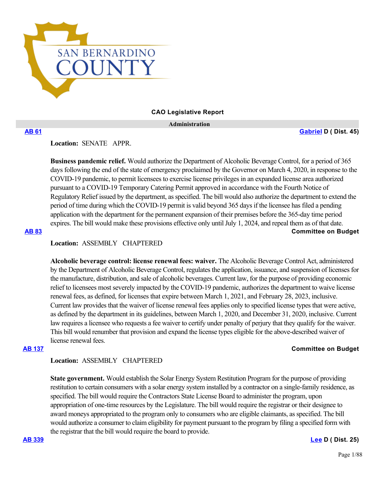

### **CAO Legislative Report**

 **Administration**

**[AB 61](https://ctweb.capitoltrack.com/public/publishbillinfo.aspx?bi=g5wHfu0fziAygNn7L5A2oz5QdykDiLW554q%2FGu0WUKY5tlTji2dAmBAruLxeTlra) [Gabriel](https://a45.asmdc.org/) D ( Dist. 45)**

**Location:**  SENATE APPR.

**Business pandemic relief.** Would authorize the Department of Alcoholic Beverage Control, for a period of 365 days following the end of the state of emergency proclaimed by the Governor on March 4, 2020, in response to the COVID-19 pandemic, to permit licensees to exercise license privileges in an expanded license area authorized pursuant to a COVID-19 Temporary Catering Permit approved in accordance with the Fourth Notice of Regulatory Relief issued by the department, as specified. The bill would also authorize the department to extend the period of time during which the COVID-19 permit is valid beyond 365 days if the licensee has filed a pending application with the department for the permanent expansion of their premises before the 365-day time period expires. The bill would make these provisions effective only until July 1, 2024, and repeal them as of that date. **[AB 83](https://ctweb.capitoltrack.com/public/publishbillinfo.aspx?bi=bKgUK7VAR4QQxU0BKzJL4EXb0w%2B3x%2BVCWv%2BVeTw3gfDJsLXsMMzdh9519nBRSdGo) Committee on Budget**

**Location:**  ASSEMBLY CHAPTERED

**Alcoholic beverage control: license renewal fees: waiver.** The Alcoholic Beverage Control Act, administered by the Department of Alcoholic Beverage Control, regulates the application, issuance, and suspension of licenses for the manufacture, distribution, and sale of alcoholic beverages. Current law, for the purpose of providing economic relief to licensees most severely impacted by the COVID-19 pandemic, authorizes the department to waive license renewal fees, as defined, for licenses that expire between March 1, 2021, and February 28, 2023, inclusive. Current law provides that the waiver of license renewal fees applies only to specified license types that were active, as defined by the department in its guidelines, between March 1, 2020, and December 31, 2020, inclusive. Current law requires a licensee who requests a fee waiver to certify under penalty of perjury that they qualify for the waiver. This bill would renumber that provision and expand the license types eligible for the above-described waiver of license renewal fees.

### **[AB 137](https://ctweb.capitoltrack.com/public/publishbillinfo.aspx?bi=EnNZOk4k1fY87at3lkLDkhkRlcGN%2FvmhVI8%2FJi1pwtF8CG8U8ySy5gcnxbiXoF8V) Committee on Budget**

## **Location:**  ASSEMBLY CHAPTERED

**State government.** Would establish the Solar Energy System Restitution Program for the purpose of providing restitution to certain consumers with a solar energy system installed by a contractor on a single-family residence, as specified. The bill would require the Contractors State License Board to administer the program, upon appropriation of one-time resources by the Legislature. The bill would require the registrar or their designee to award moneys appropriated to the program only to consumers who are eligible claimants, as specified. The bill would authorize a consumer to claim eligibility for payment pursuant to the program by filing a specified form with the registrar that the bill would require the board to provide.

### **[AB 339](https://ctweb.capitoltrack.com/public/publishbillinfo.aspx?bi=ggPm0UOqkiznZ93e9FeBZPZrS3Kzaa3Fw%2FUJPhf2dQ5uke7%2FNTDlXRH%2Bc9EgG%2FOT) [Lee](https://a25.asmdc.org/) D ( Dist. 25)**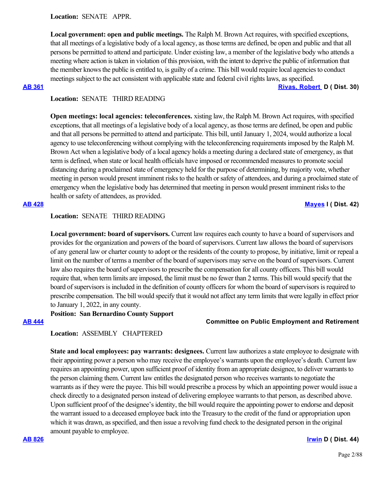**Local government: open and public meetings.** The Ralph M. Brown Act requires, with specified exceptions, that all meetings of a legislative body of a local agency, as those terms are defined, be open and public and that all persons be permitted to attend and participate. Under existing law, a member of the legislative body who attends a meeting where action is taken in violation of this provision, with the intent to deprive the public of information that the member knows the public is entitled to, is guilty of a crime. This bill would require local agencies to conduct meetings subject to the act consistent with applicable state and federal civil rights laws, as specified.

**[AB 361](https://ctweb.capitoltrack.com/public/publishbillinfo.aspx?bi=x31iogdOG0BUmljsBZEo7i9JHe0W%2Fhc3%2B%2Bdlva6nxjBe7YJLnCPAcNm00YIgh5vg) [Rivas, Robert](https://a30.asmdc.org/)  D ( Dist. 30)**

# **Location:**  SENATE THIRD READING

**Open meetings: local agencies: teleconferences.** xisting law, the Ralph M. Brown Act requires, with specified exceptions, that all meetings of a legislative body of a local agency, as those terms are defined, be open and public and that all persons be permitted to attend and participate. This bill, until January 1, 2024, would authorize a local agency to use teleconferencing without complying with the teleconferencing requirements imposed by the Ralph M. Brown Act when a legislative body of a local agency holds a meeting during a declared state of emergency, as that term is defined, when state or local health officials have imposed or recommended measures to promote social distancing during a proclaimed state of emergency held for the purpose of determining, by majority vote, whether meeting in person would present imminent risks to the health or safety of attendees, and during a proclaimed state of emergency when the legislative body has determined that meeting in person would present imminent risks to the health or safety of attendees, as provided.

# **[AB 428](https://ctweb.capitoltrack.com/public/publishbillinfo.aspx?bi=PYNy6fkde4LZWJO1su2WNTPirSkeh1bG2WIVEtCNMoNFo4LM%2Buu4a3nYpPswJhIT) [Mayes](https://www.assembly.ca.gov/assemblymemberchadmayes) I ( Dist. 42)**

# **Location:**  SENATE THIRD READING

**Local government: board of supervisors.** Current law requires each county to have a board of supervisors and provides for the organization and powers of the board of supervisors. Current law allows the board of supervisors of any general law or charter county to adopt or the residents of the county to propose, by initiative, limit or repeal a limit on the number of terms a member of the board of supervisors may serve on the board of supervisors. Current law also requires the board of supervisors to prescribe the compensation for all county officers. This bill would require that, when term limits are imposed, the limit must be no fewer than 2 terms. This bill would specify that the board of supervisors is included in the definition of county officers for whom the board of supervisors is required to prescribe compensation. The bill would specify that it would not affect any term limits that were legally in effect prior to January 1, 2022, in any county.

# **Position: San Bernardino County Support**

## **[AB 444](https://ctweb.capitoltrack.com/public/publishbillinfo.aspx?bi=lceoHXnYBjw6lj5pTLyOuCa9BueLJCjwIy4T5xKMuGnGhKkDE4E7%2Fque%2FLDIUZK%2B) Committee on Public Employment and Retirement**

# **Location:**  ASSEMBLY CHAPTERED

**State and local employees: pay warrants: designees.** Current law authorizes a state employee to designate with their appointing power a person who may receive the employee's warrants upon the employee's death. Current law requires an appointing power, upon sufficient proof of identity from an appropriate designee, to deliver warrants to the person claiming them. Current law entitles the designated person who receives warrants to negotiate the warrants as if they were the payee. This bill would prescribe a process by which an appointing power would issue a check directly to a designated person instead of delivering employee warrants to that person, as described above. Upon sufficient proof of the designee's identity, the bill would require the appointing power to endorse and deposit the warrant issued to a deceased employee back into the Treasury to the credit of the fund or appropriation upon which it was drawn, as specified, and then issue a revolving fund check to the designated person in the original amount payable to employee.

### **[AB 826](https://ctweb.capitoltrack.com/public/publishbillinfo.aspx?bi=%2Bd%2FR9jqxijGKtj2u%2F7e1zBCgWhpt%2FsQl1UEAsSDiQw9xMELbpo%2Bb45u2zVfV2CDE) [Irwin](https://a44.asmdc.org/) D ( Dist. 44)**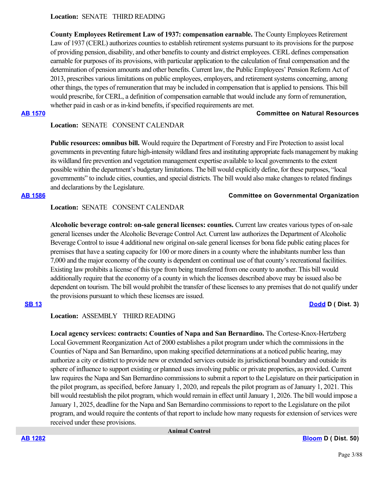# **Location:**  SENATE THIRD READING

**County Employees Retirement Law of 1937: compensation earnable.** The County Employees Retirement Law of 1937 (CERL) authorizes counties to establish retirement systems pursuant to its provisions for the purpose of providing pension, disability, and other benefits to county and district employees. CERL defines compensation earnable for purposes of its provisions, with particular application to the calculation of final compensation and the determination of pension amounts and other benefits. Current law, the Public Employees' Pension Reform Act of 2013, prescribes various limitations on public employees, employers, and retirement systems concerning, among other things, the types of remuneration that may be included in compensation that is applied to pensions. This bill would prescribe, for CERL, a definition of compensation earnable that would include any form of remuneration, whether paid in cash or as in-kind benefits, if specified requirements are met.

## **[AB 1570](https://ctweb.capitoltrack.com/public/publishbillinfo.aspx?bi=b6l%2F3a5RzgvoyktKvTlNICFagAODVNoowgS5Rv5qYkMJdmGJwrBV0f6%2FTusAbj%2FP) Committee on Natural Resources**

# **Location:**  SENATE CONSENT CALENDAR

**Public resources: omnibus bill.** Would require the Department of Forestry and Fire Protection to assist local governments in preventing future high-intensity wildland fires and instituting appropriate fuels management by making its wildland fire prevention and vegetation management expertise available to local governments to the extent possible within the department's budgetary limitations. The bill would explicitly define, for these purposes, "local governments" to include cities, counties, and special districts. The bill would also make changes to related findings and declarations by the Legislature.

# **[AB 1586](https://ctweb.capitoltrack.com/public/publishbillinfo.aspx?bi=fT8l35SLd2dv2JYZ%2F%2B8gwQJvqj43zZrI5h%2FSP17%2FUmviROlGWSLIyNSw5dHUsG8R) Committee on Governmental Organization**

# **Location:**  SENATE CONSENT CALENDAR

**Alcoholic beverage control: on-sale general licenses: counties.** Current law creates various types of on-sale general licenses under the Alcoholic Beverage Control Act. Current law authorizes the Department of Alcoholic Beverage Control to issue 4 additional new original on-sale general licenses for bona fide public eating places for premises that have a seating capacity for 100 or more diners in a county where the inhabitants number less than 7,000 and the major economy of the county is dependent on continual use of that county's recreational facilities. Existing law prohibits a license of this type from being transferred from one county to another. This bill would additionally require that the economy of a county in which the licenses described above may be issued also be dependent on tourism. The bill would prohibit the transfer of these licenses to any premises that do not qualify under the provisions pursuant to which these licenses are issued.

# **[SB 13](https://ctweb.capitoltrack.com/public/publishbillinfo.aspx?bi=e41ac8V4ODyR166c5JpO6QMbQOs04utP0JZJTK5ZFiRgfW0FSOF%2FzotzzKybeUm8) [Dodd](http://sd03.senate.ca.gov/) D ( Dist. 3)**

# **Location:**  ASSEMBLY THIRD READING

**Local agency services: contracts: Counties of Napa and San Bernardino.** The Cortese-Knox-Hertzberg Local Government Reorganization Act of 2000 establishes a pilot program under which the commissions in the Counties of Napa and San Bernardino, upon making specified determinations at a noticed public hearing, may authorize a city or district to provide new or extended services outside its jurisdictional boundary and outside its sphere of influence to support existing or planned uses involving public or private properties, as provided. Current law requires the Napa and San Bernardino commissions to submit a report to the Legislature on their participation in the pilot program, as specified, before January 1, 2020, and repeals the pilot program as of January 1, 2021. This bill would reestablish the pilot program, which would remain in effect until January 1, 2026. The bill would impose a January 1, 2025, deadline for the Napa and San Bernardino commissions to report to the Legislature on the pilot program, and would require the contents of that report to include how many requests for extension of services were received under these provisions.

 **Animal Control**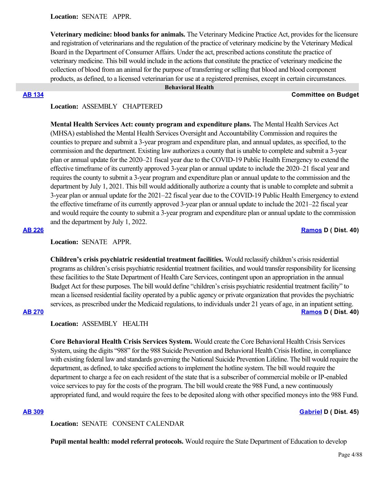**Location:**  SENATE APPR.

**Veterinary medicine: blood banks for animals.** The Veterinary Medicine Practice Act, provides for the licensure and registration of veterinarians and the regulation of the practice of veterinary medicine by the Veterinary Medical Board in the Department of Consumer Affairs. Under the act, prescribed actions constitute the practice of veterinary medicine. This bill would include in the actions that constitute the practice of veterinary medicine the collection of blood from an animal for the purpose of transferring or selling that blood and blood component products, as defined, to a licensed veterinarian for use at a registered premises, except in certain circumstances.

### **Behavioral Health**

### **[AB 134](https://ctweb.capitoltrack.com/public/publishbillinfo.aspx?bi=mIo8sdnQL4dGAGWVgzHf8zwEDj7C3icu8wTLMuvE3x8kIeCrt0WzhePorTDq70Mm) Committee on Budget**

### **Location:**  ASSEMBLY CHAPTERED

**Mental Health Services Act: county program and expenditure plans.** The Mental Health Services Act (MHSA) established the Mental Health Services Oversight and Accountability Commission and requires the counties to prepare and submit a 3-year program and expenditure plan, and annual updates, as specified, to the commission and the department. Existing law authorizes a county that is unable to complete and submit a 3-year plan or annual update for the 2020–21 fiscal year due to the COVID-19 Public Health Emergency to extend the effective timeframe of its currently approved 3-year plan or annual update to include the 2020–21 fiscal year and requires the county to submit a 3-year program and expenditure plan or annual update to the commission and the department by July 1, 2021. This bill would additionally authorize a county that is unable to complete and submit a 3-year plan or annual update for the 2021–22 fiscal year due to the COVID-19 Public Health Emergency to extend the effective timeframe of its currently approved 3-year plan or annual update to include the 2021–22 fiscal year and would require the county to submit a 3-year program and expenditure plan or annual update to the commission and the department by July 1, 2022.

# **[AB 226](https://ctweb.capitoltrack.com/public/publishbillinfo.aspx?bi=ijuUBRh09meHt2W%2BTyRX1vtSwgnMyKBjnrWssUIJV5sYAiOgRghoQy0Co9zvmV0V) [Ramos](https://a40.asmdc.org/) D ( Dist. 40)**

**Location:**  SENATE APPR.

**Children's crisis psychiatric residential treatment facilities.** Would reclassify children's crisis residential programs as children's crisis psychiatric residential treatment facilities, and would transfer responsibility for licensing these facilities to the State Department of Health Care Services, contingent upon an appropriation in the annual Budget Act for these purposes. The bill would define "children's crisis psychiatric residential treatment facility" to mean a licensed residential facility operated by a public agency or private organization that provides the psychiatric services, as prescribed under the Medicaid regulations, to individuals under 21 years of age, in an inpatient setting. **[AB 270](https://ctweb.capitoltrack.com/public/publishbillinfo.aspx?bi=mLKjbsYeP5LueLMSh75HRfkdZssCitbpCgcsyWK%2BRlL0XGgSLfEe35%2B69GCHHIYc) [Ramos](https://a40.asmdc.org/) D ( Dist. 40)**

## **Location:**  ASSEMBLY HEALTH

**Core Behavioral Health Crisis Services System.** Would create the Core Behavioral Health Crisis Services System, using the digits "988" for the 988 Suicide Prevention and Behavioral Health Crisis Hotline, in compliance with existing federal law and standards governing the National Suicide Prevention Lifeline. The bill would require the department, as defined, to take specified actions to implement the hotline system. The bill would require the department to charge a fee on each resident of the state that is a subscriber of commercial mobile or IP-enabled voice services to pay for the costs of the program. The bill would create the 988 Fund, a new continuously appropriated fund, and would require the fees to be deposited along with other specified moneys into the 988 Fund.

### **[AB 309](https://ctweb.capitoltrack.com/public/publishbillinfo.aspx?bi=UgOs8yJRyRazw%2FgGOVSrBKJMX8OrQgikV%2BZ%2FQkQSXtSawo7YyeSfOElxZFNYSoG9) [Gabriel](https://a45.asmdc.org/) D ( Dist. 45)**

**Location:**  SENATE CONSENT CALENDAR

**Pupil mental health: model referral protocols.** Would require the State Department of Education to develop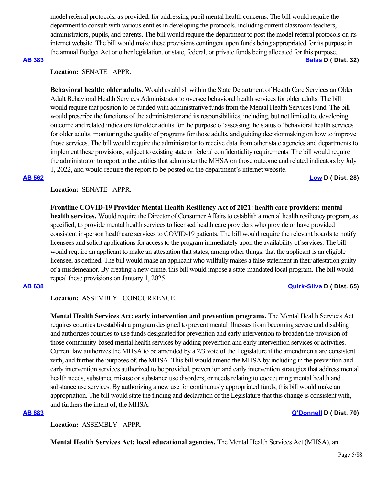model referral protocols, as provided, for addressing pupil mental health concerns. The bill would require the department to consult with various entities in developing the protocols, including current classroom teachers, administrators, pupils, and parents. The bill would require the department to post the model referral protocols on its internet website. The bill would make these provisions contingent upon funds being appropriated for its purpose in the annual Budget Act or other legislation, or state, federal, or private funds being allocated for this purpose.

### **[AB 383](https://ctweb.capitoltrack.com/public/publishbillinfo.aspx?bi=%2FQLVv91rOuc2oS6u4AYdMS0GLT81m945bVBlL2js37uuPmk8i2E1QlOSdoauHW%2BB) [Salas](https://a32.asmdc.org/) D ( Dist. 32)**

# **Location:**  SENATE APPR.

**Behavioral health: older adults.** Would establish within the State Department of Health Care Services an Older Adult Behavioral Health Services Administrator to oversee behavioral health services for older adults. The bill would require that position to be funded with administrative funds from the Mental Health Services Fund. The bill would prescribe the functions of the administrator and its responsibilities, including, but not limited to, developing outcome and related indicators for older adults for the purpose of assessing the status of behavioral health services for older adults, monitoring the quality of programs for those adults, and guiding decisionmaking on how to improve those services. The bill would require the administrator to receive data from other state agencies and departments to implement these provisions, subject to existing state or federal confidentiality requirements. The bill would require the administrator to report to the entities that administer the MHSA on those outcome and related indicators by July 1, 2022, and would require the report to be posted on the department's internet website.

**[AB 562](https://ctweb.capitoltrack.com/public/publishbillinfo.aspx?bi=0mhpjkHAEcG1jm5Vw8i6jwSxLR%2F%2BNMh0Tavv6YWLyevnje9Nov9EFd1uaN0ONPx4) [Low](https://a28.asmdc.org/) D ( Dist. 28)**

# **Location:**  SENATE APPR.

**Frontline COVID-19 Provider Mental Health Resiliency Act of 2021: health care providers: mental health services.** Would require the Director of Consumer Affairs to establish a mental health resiliency program, as specified, to provide mental health services to licensed health care providers who provide or have provided consistent in-person healthcare services to COVID-19 patients. The bill would require the relevant boards to notify licensees and solicit applications for access to the program immediately upon the availability of services. The bill would require an applicant to make an attestation that states, among other things, that the applicant is an eligible licensee, as defined. The bill would make an applicant who willfully makes a false statement in their attestation guilty of a misdemeanor. By creating a new crime, this bill would impose a state-mandated local program. The bill would repeal these provisions on January 1, 2025.

## **[AB 638](https://ctweb.capitoltrack.com/public/publishbillinfo.aspx?bi=EZieh9yFCiMRY8gnhyzvbRWX8OLTLa8O1UWI1yjdTpR1fJPGdcJ4X98Qre5Z3sCp) [Quirk-Silva](https://a65.asmdc.org/) D ( Dist. 65)**

## **Location:**  ASSEMBLY CONCURRENCE

**Mental Health Services Act: early intervention and prevention programs.** The Mental Health Services Act requires counties to establish a program designed to prevent mental illnesses from becoming severe and disabling and authorizes counties to use funds designated for prevention and early intervention to broaden the provision of those community-based mental health services by adding prevention and early intervention services or activities. Current law authorizes the MHSA to be amended by a 2/3 vote of the Legislature if the amendments are consistent with, and further the purposes of, the MHSA. This bill would amend the MHSA by including in the prevention and early intervention services authorized to be provided, prevention and early intervention strategies that address mental health needs, substance misuse or substance use disorders, or needs relating to cooccurring mental health and substance use services. By authorizing a new use for continuously appropriated funds, this bill would make an appropriation. The bill would state the finding and declaration of the Legislature that this change is consistent with, and furthers the intent of, the MHSA.

## **[AB 883](https://ctweb.capitoltrack.com/public/publishbillinfo.aspx?bi=RPD9f4Nx3yQj52dXqWJSQieaiGxmaRavOTjpYwYDYAONeAbv64e5DkZ6HFFKUlkq) [O'Donnell](https://a70.asmdc.org/) D ( Dist. 70)**

**Location:**  ASSEMBLY APPR.

**Mental Health Services Act: local educational agencies.** The Mental Health Services Act (MHSA), an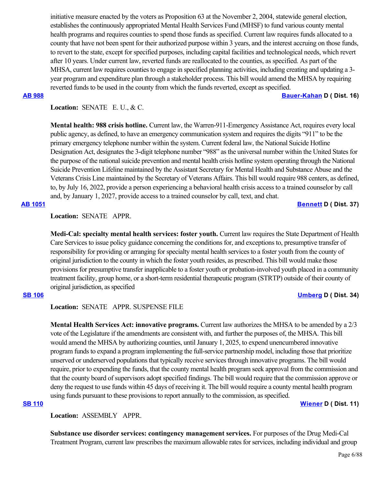initiative measure enacted by the voters as Proposition 63 at the November 2, 2004, statewide general election, establishes the continuously appropriated Mental Health Services Fund (MHSF) to fund various county mental health programs and requires counties to spend those funds as specified. Current law requires funds allocated to a county that have not been spent for their authorized purpose within 3 years, and the interest accruing on those funds, to revert to the state, except for specified purposes, including capital facilities and technological needs, which revert after 10 years. Under current law, reverted funds are reallocated to the counties, as specified. As part of the MHSA, current law requires counties to engage in specified planning activities, including creating and updating a 3 year program and expenditure plan through a stakeholder process. This bill would amend the MHSA by requiring reverted funds to be used in the county from which the funds reverted, except as specified.

**[AB 988](https://ctweb.capitoltrack.com/public/publishbillinfo.aspx?bi=jPjlAAna2I%2BTXPXFt0nZGgjfP4UQuHD0yMrgtf7cg0IF6eh90GIQOatSW9biM2p8) [Bauer-Kahan](https://a16.asmdc.org/) D ( Dist. 16)**

# **Location:**  SENATE E. U., & C.

**Mental health: 988 crisis hotline.** Current law, the Warren-911-Emergency Assistance Act, requires every local public agency, as defined, to have an emergency communication system and requires the digits "911" to be the primary emergency telephone number within the system. Current federal law, the National Suicide Hotline Designation Act, designates the 3-digit telephone number "988" as the universal number within the United States for the purpose of the national suicide prevention and mental health crisis hotline system operating through the National Suicide Prevention Lifeline maintained by the Assistant Secretary for Mental Health and Substance Abuse and the Veterans Crisis Line maintained by the Secretary of Veterans Affairs. This bill would require 988 centers, as defined, to, by July 16, 2022, provide a person experiencing a behavioral health crisis access to a trained counselor by call and, by January 1, 2027, provide access to a trained counselor by call, text, and chat.

# **[AB 1051](https://ctweb.capitoltrack.com/public/publishbillinfo.aspx?bi=a3w1OkLET76v%2BDCLHEBggLONCLqllIvKabF03mplQ91C6hp%2BtvB%2FWO%2BRGDpYXa3l) [Bennett](https://a37.asmdc.org/) D ( Dist. 37)**

# **Location:**  SENATE APPR.

**Medi-Cal: specialty mental health services: foster youth.** Current law requires the State Department of Health Care Services to issue policy guidance concerning the conditions for, and exceptions to, presumptive transfer of responsibility for providing or arranging for specialty mental health services to a foster youth from the county of original jurisdiction to the county in which the foster youth resides, as prescribed. This bill would make those provisions for presumptive transfer inapplicable to a foster youth or probation-involved youth placed in a community treatment facility, group home, or a short-term residential therapeutic program (STRTP) outside of their county of original jurisdiction, as specified

# **[SB 106](https://ctweb.capitoltrack.com/public/publishbillinfo.aspx?bi=wkPeTYhRtkd08z1F25a0aGLSu9AEwPVtUmqkPommsjfKXdnNxtozQVdmrlcvDcb5) [Umberg](https://sd34.senate.ca.gov/) D ( Dist. 34)**

**Location:**  SENATE APPR. SUSPENSE FILE

**Mental Health Services Act: innovative programs.** Current law authorizes the MHSA to be amended by a 2/3 vote of the Legislature if the amendments are consistent with, and further the purposes of, the MHSA. This bill would amend the MHSA by authorizing counties, until January 1, 2025, to expend unencumbered innovative program funds to expand a program implementing the full-service partnership model, including those that prioritize unserved or underserved populations that typically receive services through innovative programs. The bill would require, prior to expending the funds, that the county mental health program seek approval from the commission and that the county board of supervisors adopt specified findings. The bill would require that the commission approve or deny the request to use funds within 45 days of receiving it. The bill would require a county mental health program using funds pursuant to these provisions to report annually to the commission, as specified.

## **[SB 110](https://ctweb.capitoltrack.com/public/publishbillinfo.aspx?bi=P%2FUz4%2Fe%2BnFMjmpFEY8MsLSHRRqwnTX8J9bMKTe54krqBzz%2F3EE3kPOcnaFJhO8PX) [Wiener](http://sd11.senate.ca.gov/) D ( Dist. 11)**

**Location:**  ASSEMBLY APPR.

**Substance use disorder services: contingency management services.** For purposes of the Drug Medi-Cal Treatment Program, current law prescribes the maximum allowable rates for services, including individual and group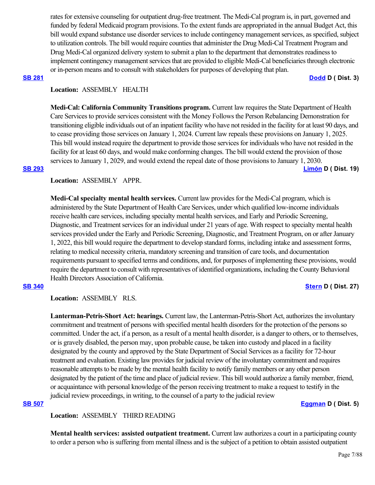rates for extensive counseling for outpatient drug-free treatment. The Medi-Cal program is, in part, governed and funded by federal Medicaid program provisions. To the extent funds are appropriated in the annual Budget Act, this bill would expand substance use disorder services to include contingency management services, as specified, subject to utilization controls. The bill would require counties that administer the Drug Medi-Cal Treatment Program and Drug Medi-Cal organized delivery system to submit a plan to the department that demonstrates readiness to implement contingency management services that are provided to eligible Medi-Cal beneficiaries through electronic or in-person means and to consult with stakeholders for purposes of developing that plan.

### **[SB 281](https://ctweb.capitoltrack.com/public/publishbillinfo.aspx?bi=31%2FBAMEQSqkDJ4SnUHjoay1rhX5GkZBGTzju0xqKfdMWTAgIROvrX%2FRV8PwHlfdY) [Dodd](http://sd03.senate.ca.gov/) D ( Dist. 3)**

### **Location:**  ASSEMBLY HEALTH

**Medi-Cal: California Community Transitions program.** Current law requires the State Department of Health Care Services to provide services consistent with the Money Follows the Person Rebalancing Demonstration for transitioning eligible individuals out of an inpatient facility who have not resided in the facility for at least 90 days, and to cease providing those services on January 1, 2024. Current law repeals these provisions on January 1, 2025. This bill would instead require the department to provide those services for individuals who have not resided in the facility for at least 60 days, and would make conforming changes. The bill would extend the provision of those services to January 1, 2029, and would extend the repeal date of those provisions to January 1, 2030. **[SB 293](https://ctweb.capitoltrack.com/public/publishbillinfo.aspx?bi=mUvfNmpscz%2Fn6%2BS49x%2BVSyD1bPMaRpllCZj7GTDR7ts%2FffO9tJ0wQhEoWSyFW7qH) [Limón](http://sd19.senate.ca.gov/) D ( Dist. 19)**

### **Location:**  ASSEMBLY APPR.

**Medi-Cal specialty mental health services.** Current law provides for the Medi-Cal program, which is administered by the State Department of Health Care Services, under which qualified low-income individuals receive health care services, including specialty mental health services, and Early and Periodic Screening, Diagnostic, and Treatment services for an individual under 21 years of age. With respect to specialty mental health services provided under the Early and Periodic Screening, Diagnostic, and Treatment Program, on or after January 1, 2022, this bill would require the department to develop standard forms, including intake and assessment forms, relating to medical necessity criteria, mandatory screening and transition of care tools, and documentation requirements pursuant to specified terms and conditions, and, for purposes of implementing these provisions, would require the department to consult with representatives of identified organizations, including the County Behavioral Health Directors Association of California.

## **[SB 340](https://ctweb.capitoltrack.com/public/publishbillinfo.aspx?bi=o7c4xnROQN3yzqqUUsr3HDvHSt5jsU2jMveJJkW5YKoG0bJsOECHrt2wV%2Fr7HQpj) [Stern](http://sd27.senate.ca.gov/) D ( Dist. 27)**

**Location:**  ASSEMBLY RLS.

**Lanterman-Petris-Short Act: hearings.** Current law, the Lanterman-Petris-Short Act, authorizes the involuntary commitment and treatment of persons with specified mental health disorders for the protection of the persons so committed. Under the act, if a person, as a result of a mental health disorder, is a danger to others, or to themselves, or is gravely disabled, the person may, upon probable cause, be taken into custody and placed in a facility designated by the county and approved by the State Department of Social Services as a facility for 72-hour treatment and evaluation. Existing law provides for judicial review of the involuntary commitment and requires reasonable attempts to be made by the mental health facility to notify family members or any other person designated by the patient of the time and place of judicial review. This bill would authorize a family member, friend, or acquaintance with personal knowledge of the person receiving treatment to make a request to testify in the judicial review proceedings, in writing, to the counsel of a party to the judicial review

### **[SB 507](https://ctweb.capitoltrack.com/public/publishbillinfo.aspx?bi=aWYt3zbPOYKeqosUw%2BUPrzsftPCb32XzF0PInLcgHowBD8e8bn2vqzR51ZCMLGC2) [Eggman](http://sd05.senate.ca.gov/) D ( Dist. 5)**

## **Location:**  ASSEMBLY THIRD READING

**Mental health services: assisted outpatient treatment.** Current law authorizes a court in a participating county to order a person who is suffering from mental illness and is the subject of a petition to obtain assisted outpatient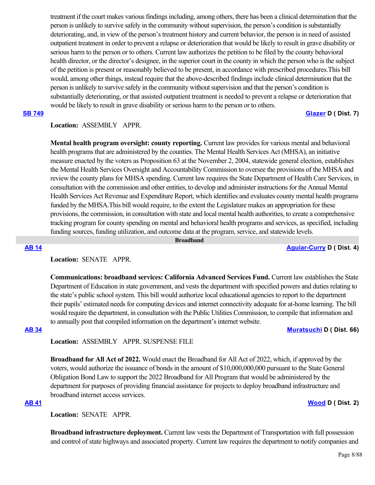treatment if the court makes various findings including, among others, there has been a clinical determination that the person is unlikely to survive safely in the community without supervision, the person's condition is substantially deteriorating, and, in view of the person's treatment history and current behavior, the person is in need of assisted outpatient treatment in order to prevent a relapse or deterioration that would be likely to result in grave disability or serious harm to the person or to others. Current law authorizes the petition to be filed by the county behavioral health director, or the director's designee, in the superior court in the county in which the person who is the subject of the petition is present or reasonably believed to be present, in accordance with prescribed procedures.This bill would, among other things, instead require that the above-described findings include clinical determination that the person is unlikely to survive safely in the community without supervision and that the person's condition is substantially deteriorating, or that assisted outpatient treatment is needed to prevent a relapse or deterioration that would be likely to result in grave disability or serious harm to the person or to others.

**[SB 749](https://ctweb.capitoltrack.com/public/publishbillinfo.aspx?bi=IymgRTJUUIDdyuoG0Z0cGRsj2MTvybinG930ba6Cwf%2BGm%2BSh0spGW5TTrTV6Tlge) [Glazer](http://sd07.senate.ca.gov/) D ( Dist. 7)**

# **Location:**  ASSEMBLY APPR.

**Mental health program oversight: county reporting.** Current law provides for various mental and behavioral health programs that are administered by the counties. The Mental Health Services Act (MHSA), an initiative measure enacted by the voters as Proposition 63 at the November 2, 2004, statewide general election, establishes the Mental Health Services Oversight and Accountability Commission to oversee the provisions of the MHSA and review the county plans for MHSA spending. Current law requires the State Department of Health Care Services, in consultation with the commission and other entities, to develop and administer instructions for the Annual Mental Health Services Act Revenue and Expenditure Report, which identifies and evaluates county mental health programs funded by the MHSA.This bill would require, to the extent the Legislature makes an appropriation for these provisions, the commission, in consultation with state and local mental health authorities, to create a comprehensive tracking program for county spending on mental and behavioral health programs and services, as specified, including funding sources, funding utilization, and outcome data at the program, service, and statewide levels.

 **Broadband**

### **[AB 14](https://ctweb.capitoltrack.com/public/publishbillinfo.aspx?bi=PJ7%2BepUVd85X%2BCqlJ9X9fOZ57l7wspB6zHmRkbn4yMvYIGYbRAK5Yp%2BxoAPIXInF) [Aguiar-Curry](https://a04.asmdc.org/) D ( Dist. 4)**

**Location:**  SENATE APPR.

**Communications: broadband services: California Advanced Services Fund.** Current law establishes the State Department of Education in state government, and vests the department with specified powers and duties relating to the state's public school system. This bill would authorize local educational agencies to report to the department their pupils' estimated needs for computing devices and internet connectivity adequate for at-home learning. The bill would require the department, in consultation with the Public Utilities Commission, to compile that information and to annually post that compiled information on the department's internet website.

### **[AB 34](https://ctweb.capitoltrack.com/public/publishbillinfo.aspx?bi=atpUbNizgRkl34qAXHzdpymqxOVmUgmA1CTWjRGZ6wpzo%2FOMpnndLegt5A%2BuQwVl) [Muratsuchi](https://a66.asmdc.org/) D ( Dist. 66)**

**Location:**  ASSEMBLY APPR. SUSPENSE FILE

**Broadband for All Act of 2022.** Would enact the Broadband for All Act of 2022, which, if approved by the voters, would authorize the issuance of bonds in the amount of \$10,000,000,000 pursuant to the State General Obligation Bond Law to support the 2022 Broadband for All Program that would be administered by the department for purposes of providing financial assistance for projects to deploy broadband infrastructure and broadband internet access services.

### **[AB 41](https://ctweb.capitoltrack.com/public/publishbillinfo.aspx?bi=xubHGJ5SGOauO7oFV%2F9R4QdsMFyNpwS4N%2BpyO7EraJyCbKcP8mxNBgAK6oPnHaP5) [Wood](https://a02.asmdc.org/) D ( Dist. 2)**

**Location:**  SENATE APPR.

**Broadband infrastructure deployment.** Current law vests the Department of Transportation with full possession and control of state highways and associated property. Current law requires the department to notify companies and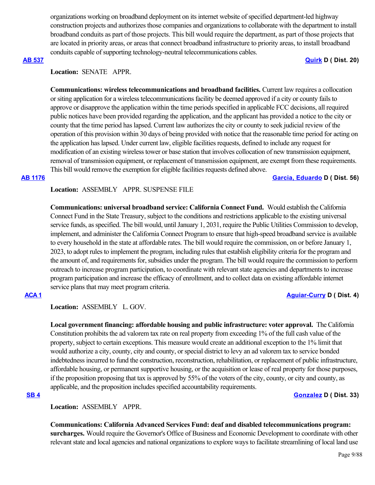organizations working on broadband deployment on its internet website of specified department-led highway construction projects and authorizes those companies and organizations to collaborate with the department to install broadband conduits as part of those projects. This bill would require the department, as part of those projects that are located in priority areas, or areas that connect broadband infrastructure to priority areas, to install broadband conduits capable of supporting technology-neutral telecommunications cables.

### **[AB 537](https://ctweb.capitoltrack.com/public/publishbillinfo.aspx?bi=n6ssUgO35gCzmkAn40AdCn1G4hKHO9TCt5NsD3JYXXN4Q06hFTRhQCzFeI%2FlQl9C) [Quirk](https://a20.asmdc.org/) D ( Dist. 20)**

# **Location:**  SENATE APPR.

**Communications: wireless telecommunications and broadband facilities.** Current law requires a collocation or siting application for a wireless telecommunications facility be deemed approved if a city or county fails to approve or disapprove the application within the time periods specified in applicable FCC decisions, all required public notices have been provided regarding the application, and the applicant has provided a notice to the city or county that the time period has lapsed. Current law authorizes the city or county to seek judicial review of the operation of this provision within 30 days of being provided with notice that the reasonable time period for acting on the application has lapsed. Under current law, eligible facilities requests, defined to include any request for modification of an existing wireless tower or base station that involves collocation of new transmission equipment, removal of transmission equipment, or replacement of transmission equipment, are exempt from these requirements. This bill would remove the exemption for eligible facilities requests defined above.

**[AB 1176](https://ctweb.capitoltrack.com/public/publishbillinfo.aspx?bi=zFlCMntvHIynDMBtV%2FZMpEvZOI44xgJ4XyctFUIqhswOAwhje1cN%2FOq%2Bx1Ax2gUf) [Garcia, Eduardo](https://a56.asmdc.org/) D ( Dist. 56)**

## **Location:**  ASSEMBLY APPR. SUSPENSE FILE

**Communications: universal broadband service: California Connect Fund. Would establish the California** Connect Fund in the State Treasury, subject to the conditions and restrictions applicable to the existing universal service funds, as specified. The bill would, until January 1, 2031, require the Public Utilities Commission to develop, implement, and administer the California Connect Program to ensure that high-speed broadband service is available to every household in the state at affordable rates. The bill would require the commission, on or before January 1, 2023, to adopt rules to implement the program, including rules that establish eligibility criteria for the program and the amount of, and requirements for, subsidies under the program. The bill would require the commission to perform outreach to increase program participation, to coordinate with relevant state agencies and departments to increase program participation and increase the efficacy of enrollment, and to collect data on existing affordable internet service plans that may meet program criteria.

### **[ACA 1](https://ctweb.capitoltrack.com/public/publishbillinfo.aspx?bi=vkAbgpBB9wOKQrx%2F6m3DJE4Lfzjw%2B69Lv7GxnaWpsGPIGgKDXm0xJSIkZsa8QVVB) [Aguiar-Curry](https://a04.asmdc.org/) D ( Dist. 4)**

**Location:**  ASSEMBLY L. GOV.

**Local government financing: affordable housing and public infrastructure: voter approval.** The California Constitution prohibits the ad valorem tax rate on real property from exceeding 1% of the full cash value of the property, subject to certain exceptions. This measure would create an additional exception to the 1% limit that would authorize a city, county, city and county, or special district to levy an ad valorem tax to service bonded indebtedness incurred to fund the construction, reconstruction, rehabilitation, or replacement of public infrastructure, affordable housing, or permanent supportive housing, or the acquisition or lease of real property for those purposes, if the proposition proposing that tax is approved by 55% of the voters of the city, county, or city and county, as applicable, and the proposition includes specified accountability requirements.

## **[SB 4](https://ctweb.capitoltrack.com/public/publishbillinfo.aspx?bi=n17IZrikIBh%2FzXsELpwcDw2Nyk6Lq31laZ7sm%2BE2WJVGCSNr6nIVEtjVwpqS2u28) [Gonzalez](https://sd33.senate.ca.gov/) D ( Dist. 33)**

**Location:**  ASSEMBLY APPR.

**Communications: California Advanced Services Fund: deaf and disabled telecommunications program: surcharges.** Would require the Governor's Office of Business and Economic Development to coordinate with other relevant state and local agencies and national organizations to explore ways to facilitate streamlining of local land use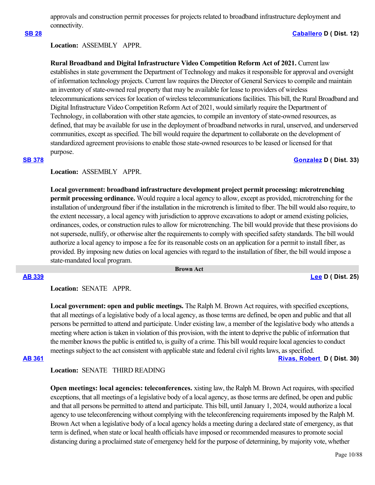approvals and construction permit processes for projects related to broadband infrastructure deployment and connectivity.

## **[SB 28](https://ctweb.capitoltrack.com/public/publishbillinfo.aspx?bi=NP359BX%2B08%2BVSGivbyf4UmIq8rf0HIfNXwetd42%2FiD4MBo1JUps3F8zIDZzWCO%2BR) [Caballero](https://sd12.senate.ca.gov/) D ( Dist. 12)**

## **Location:**  ASSEMBLY APPR.

**Rural Broadband and Digital Infrastructure Video Competition Reform Act of 2021.** Current law establishes in state government the Department of Technology and makes it responsible for approval and oversight of information technology projects. Current law requires the Director of General Services to compile and maintain an inventory of state-owned real property that may be available for lease to providers of wireless telecommunications services for location of wireless telecommunications facilities. This bill, the Rural Broadband and Digital Infrastructure Video Competition Reform Act of 2021, would similarly require the Department of Technology, in collaboration with other state agencies, to compile an inventory of state-owned resources, as defined, that may be available for use in the deployment of broadband networks in rural, unserved, and underserved communities, except as specified. The bill would require the department to collaborate on the development of standardized agreement provisions to enable those state-owned resources to be leased or licensed for that purpose.

### **[SB 378](https://ctweb.capitoltrack.com/public/publishbillinfo.aspx?bi=CqimZ3QB0FvYoDVtkDCMH8O9J4X0KhsRVJf9u9pbMJhwuTh064iRK4qprwz3uGqg) [Gonzalez](https://sd33.senate.ca.gov/) D ( Dist. 33)**

## **Location:**  ASSEMBLY APPR.

**Local government: broadband infrastructure development project permit processing: microtrenching permit processing ordinance.** Would require a local agency to allow, except as provided, microtrenching for the installation of underground fiber if the installation in the microtrench is limited to fiber. The bill would also require, to the extent necessary, a local agency with jurisdiction to approve excavations to adopt or amend existing policies, ordinances, codes, or construction rules to allow for microtrenching. The bill would provide that these provisions do not supersede, nullify, or otherwise alter the requirements to comply with specified safety standards. The bill would authorize a local agency to impose a fee for its reasonable costs on an application for a permit to install fiber, as provided. By imposing new duties on local agencies with regard to the installation of fiber, the bill would impose a state-mandated local program.

 **Brown Act**

# **[AB 339](https://ctweb.capitoltrack.com/public/publishbillinfo.aspx?bi=ggPm0UOqkiznZ93e9FeBZPZrS3Kzaa3Fw%2FUJPhf2dQ5uke7%2FNTDlXRH%2Bc9EgG%2FOT) [Lee](https://a25.asmdc.org/) D ( Dist. 25)**

**Location:**  SENATE APPR.

**Local government: open and public meetings.** The Ralph M. Brown Act requires, with specified exceptions, that all meetings of a legislative body of a local agency, as those terms are defined, be open and public and that all persons be permitted to attend and participate. Under existing law, a member of the legislative body who attends a meeting where action is taken in violation of this provision, with the intent to deprive the public of information that the member knows the public is entitled to, is guilty of a crime. This bill would require local agencies to conduct meetings subject to the act consistent with applicable state and federal civil rights laws, as specified.

**[AB 361](https://ctweb.capitoltrack.com/public/publishbillinfo.aspx?bi=x31iogdOG0BUmljsBZEo7i9JHe0W%2Fhc3%2B%2Bdlva6nxjBe7YJLnCPAcNm00YIgh5vg) [Rivas, Robert](https://a30.asmdc.org/)  D ( Dist. 30)**

## **Location:**  SENATE THIRD READING

**Open meetings: local agencies: teleconferences.** xisting law, the Ralph M. Brown Act requires, with specified exceptions, that all meetings of a legislative body of a local agency, as those terms are defined, be open and public and that all persons be permitted to attend and participate. This bill, until January 1, 2024, would authorize a local agency to use teleconferencing without complying with the teleconferencing requirements imposed by the Ralph M. Brown Act when a legislative body of a local agency holds a meeting during a declared state of emergency, as that term is defined, when state or local health officials have imposed or recommended measures to promote social distancing during a proclaimed state of emergency held for the purpose of determining, by majority vote, whether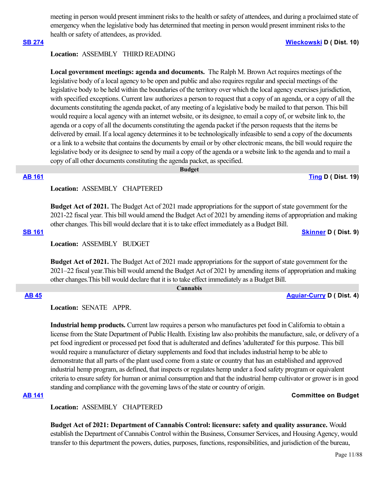meeting in person would present imminent risks to the health or safety of attendees, and during a proclaimed state of emergency when the legislative body has determined that meeting in person would present imminent risks to the health or safety of attendees, as provided.

### **[SB 274](https://ctweb.capitoltrack.com/public/publishbillinfo.aspx?bi=FybQeA7PycX7AXCWsCgIF8UNVwkinucPcWKklUkgbGE8gqsG81ihHdzvvjAryp4X) [Wieckowski](http://sd10.senate.ca.gov/) D ( Dist. 10)**

# **Location:**  ASSEMBLY THIRD READING

Local government meetings: agenda and documents. The Ralph M. Brown Act requires meetings of the legislative body of a local agency to be open and public and also requires regular and special meetings of the legislative body to be held within the boundaries of the territory over which the local agency exercises jurisdiction, with specified exceptions. Current law authorizes a person to request that a copy of an agenda, or a copy of all the documents constituting the agenda packet, of any meeting of a legislative body be mailed to that person. This bill would require a local agency with an internet website, or its designee, to email a copy of, or website link to, the agenda or a copy of all the documents constituting the agenda packet if the person requests that the items be delivered by email. If a local agency determines it to be technologically infeasible to send a copy of the documents or a link to a website that contains the documents by email or by other electronic means, the bill would require the legislative body or its designee to send by mail a copy of the agenda or a website link to the agenda and to mail a copy of all other documents constituting the agenda packet, as specified.

 **Budget**

**[AB 161](https://ctweb.capitoltrack.com/public/publishbillinfo.aspx?bi=6Ow%2FvaOkSaG3osPWiuGmKfrGwhwOPuBfXg11lOGZt%2FvCHwP5jZG3Uz0ej56kybYa) [Ting](https://a19.asmdc.org/) D ( Dist. 19)**

# **Location:**  ASSEMBLY CHAPTERED

**Budget Act of 2021.** The Budget Act of 2021 made appropriations for the support of state government for the 2021-22 fiscal year. This bill would amend the Budget Act of 2021 by amending items of appropriation and making other changes. This bill would declare that it is to take effect immediately as a Budget Bill.

**[SB 161](https://ctweb.capitoltrack.com/public/publishbillinfo.aspx?bi=KgBWpSKaK1qosaVlb8Ds4L7fexWS0bY09GuuGnPYq5%2B2Y3ONYoHOCCncw5ff6KIG) [Skinner](http://sd09.senate.ca.gov/) D ( Dist. 9)**

**Location:**  ASSEMBLY BUDGET

**Budget Act of 2021.** The Budget Act of 2021 made appropriations for the support of state government for the 2021–22 fiscal year.This bill would amend the Budget Act of 2021 by amending items of appropriation and making other changes.This bill would declare that it is to take effect immediately as a Budget Bill.

 **Cannabis**

**[AB 45](https://ctweb.capitoltrack.com/public/publishbillinfo.aspx?bi=YYqSPshloJoO09BHii1JYMsC%2FmILTsqN3qizLENh1KsugYotfx7Hlu3rWu13YvSm) [Aguiar-Curry](https://a04.asmdc.org/) D ( Dist. 4)**

**Location:**  SENATE APPR.

**Industrial hemp products.** Current law requires a person who manufactures pet food in California to obtain a license from the State Department of Public Health. Existing law also prohibits the manufacture, sale, or delivery of a pet food ingredient or processed pet food that is adulterated and defines 'adulterated' for this purpose. This bill would require a manufacturer of dietary supplements and food that includes industrial hemp to be able to demonstrate that all parts of the plant used come from a state or country that has an established and approved industrial hemp program, as defined, that inspects or regulates hemp under a food safety program or equivalent criteria to ensure safety for human or animal consumption and that the industrial hemp cultivator or grower is in good standing and compliance with the governing laws of the state or country of origin.

# **[AB 141](https://ctweb.capitoltrack.com/public/publishbillinfo.aspx?bi=%2FYfClhJtYXcLHdnLkh5CdchcDBNCqOt4sN%2BRrerIdQ29JxkuTAp1VpcP0S6tlHwW) Committee on Budget**

**Location:**  ASSEMBLY CHAPTERED

**Budget Act of 2021: Department of Cannabis Control: licensure: safety and quality assurance.** Would establish the Department of Cannabis Control within the Business, Consumer Services, and Housing Agency, would transfer to this department the powers, duties, purposes, functions, responsibilities, and jurisdiction of the bureau,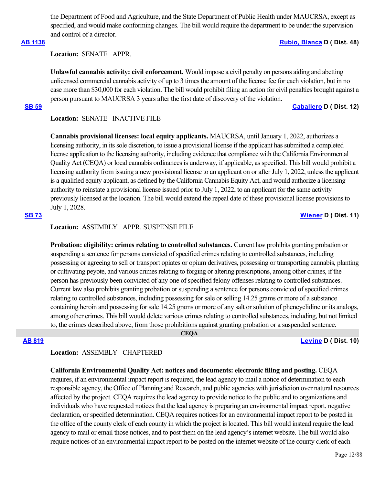the Department of Food and Agriculture, and the State Department of Public Health under MAUCRSA, except as specified, and would make conforming changes. The bill would require the department to be under the supervision and control of a director.

# **[AB 1138](https://ctweb.capitoltrack.com/public/publishbillinfo.aspx?bi=AA6hO6F%2FiTtdRUwmLI8rx%2BJyv%2FI3GtEcJ4FWuos5nE71voqc2C9LvAqLu478tY6%2F) [Rubio, Blanca](https://a48.asmdc.org/) D ( Dist. 48)**

**Location:**  SENATE APPR.

**Unlawful cannabis activity: civil enforcement.** Would impose a civil penalty on persons aiding and abetting unlicensed commercial cannabis activity of up to 3 times the amount of the license fee for each violation, but in no case more than \$30,000 for each violation. The bill would prohibit filing an action for civil penalties brought against a person pursuant to MAUCRSA 3 years after the first date of discovery of the violation.

**[SB 59](https://ctweb.capitoltrack.com/public/publishbillinfo.aspx?bi=ws%2Bu35i9qhinQodilG5SwAeZMLBur9RCIv2qd6fMCInUYGwZWPQSoZDP1nbY%2BEdF) [Caballero](https://sd12.senate.ca.gov/) D ( Dist. 12)**

**Location:**  SENATE INACTIVE FILE

**Cannabis provisional licenses: local equity applicants.** MAUCRSA, until January 1, 2022, authorizes a licensing authority, in its sole discretion, to issue a provisional license if the applicant has submitted a completed license application to the licensing authority, including evidence that compliance with the California Environmental Quality Act (CEQA) or local cannabis ordinances is underway, if applicable, as specified. This bill would prohibit a licensing authority from issuing a new provisional license to an applicant on or after July 1, 2022, unless the applicant is a qualified equity applicant, as defined by the California Cannabis Equity Act, and would authorize a licensing authority to reinstate a provisional license issued prior to July 1, 2022, to an applicant for the same activity previously licensed at the location. The bill would extend the repeal date of these provisional license provisions to July 1, 2028.

## **[SB 73](https://ctweb.capitoltrack.com/public/publishbillinfo.aspx?bi=EKlkc3nzeBJwyg6zD6AfVfpmj88W7kbrR%2F%2BDgSJtZvofZT4eOhw9ig4FUNLro62x) [Wiener](http://sd11.senate.ca.gov/) D ( Dist. 11)**

# **Location:**  ASSEMBLY APPR. SUSPENSE FILE

**Probation: eligibility: crimes relating to controlled substances.** Current law prohibits granting probation or suspending a sentence for persons convicted of specified crimes relating to controlled substances, including possessing or agreeing to sell or transport opiates or opium derivatives, possessing or transporting cannabis, planting or cultivating peyote, and various crimes relating to forging or altering prescriptions, among other crimes, if the person has previously been convicted of any one of specified felony offenses relating to controlled substances. Current law also prohibits granting probation or suspending a sentence for persons convicted of specified crimes relating to controlled substances, including possessing for sale or selling 14.25 grams or more of a substance containing heroin and possessing for sale 14.25 grams or more of any salt or solution of phencyclidine or its analogs, among other crimes. This bill would delete various crimes relating to controlled substances, including, but not limited to, the crimes described above, from those prohibitions against granting probation or a suspended sentence.

# **CEQA**

**[AB 819](https://ctweb.capitoltrack.com/public/publishbillinfo.aspx?bi=ggxEEAY9SengD3J5UnLCHEOHcmFE0nOXkDWQ3PpjL43EISzJHA9k0T9Jm5QWpO4A) [Levine](https://a10.asmdc.org/) D ( Dist. 10)**

## **Location:**  ASSEMBLY CHAPTERED

## **California Environmental Quality Act: notices and documents: electronic filing and posting.** CEQA

requires, if an environmental impact report is required, the lead agency to mail a notice of determination to each responsible agency, the Office of Planning and Research, and public agencies with jurisdiction over natural resources affected by the project. CEQA requires the lead agency to provide notice to the public and to organizations and individuals who have requested notices that the lead agency is preparing an environmental impact report, negative declaration, or specified determination. CEQA requires notices for an environmental impact report to be posted in the office of the county clerk of each county in which the project is located. This bill would instead require the lead agency to mail or email those notices, and to post them on the lead agency's internet website. The bill would also require notices of an environmental impact report to be posted on the internet website of the county clerk of each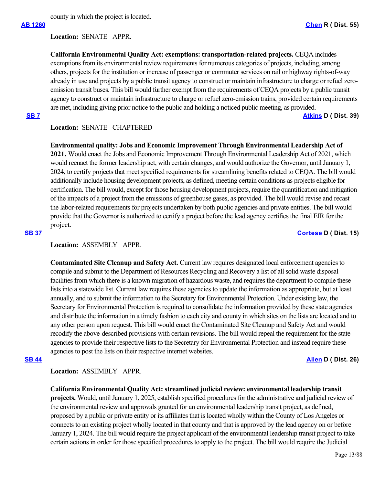county in which the project is located.

**Location:**  SENATE APPR.

**California Environmental Quality Act: exemptions: transportation-related projects.** CEQA includes exemptions from its environmental review requirements for numerous categories of projects, including, among others, projects for the institution or increase of passenger or commuter services on rail or highway rights-of-way already in use and projects by a public transit agency to construct or maintain infrastructure to charge or refuel zeroemission transit buses. This bill would further exempt from the requirements of CEQA projects by a public transit agency to construct or maintain infrastructure to charge or refuel zero-emission trains, provided certain requirements are met, including giving prior notice to the public and holding a noticed public meeting, as provided.

**[SB 7](https://ctweb.capitoltrack.com/public/publishbillinfo.aspx?bi=UKWAK6FKq%2BRyHq3yyBuv2OOfjgJ9M5t4vPSgyp07CacRuEQt%2Fy8EHci7aKN%2Byber) [Atkins](http://sd39.senate.ca.gov/) D ( Dist. 39)**

## **Location:**  SENATE CHAPTERED

**Environmental quality: Jobs and Economic Improvement Through Environmental Leadership Act of**

**2021.** Would enact the Jobs and Economic Improvement Through Environmental Leadership Act of 2021, which would reenact the former leadership act, with certain changes, and would authorize the Governor, until January 1, 2024, to certify projects that meet specified requirements for streamlining benefits related to CEQA. The bill would additionally include housing development projects, as defined, meeting certain conditions as projects eligible for certification. The bill would, except for those housing development projects, require the quantification and mitigation of the impacts of a project from the emissions of greenhouse gases, as provided. The bill would revise and recast the labor-related requirements for projects undertaken by both public agencies and private entities. The bill would provide that the Governor is authorized to certify a project before the lead agency certifies the final EIR for the project.

### **[SB 37](https://ctweb.capitoltrack.com/public/publishbillinfo.aspx?bi=e6GR7C%2FWKjH9PI%2BKMFfeLfzvWIEVemeF97Sg5XzwtXgHTkr%2BNLxNGc%2BEk%2F%2BKQ9e0) [Cortese](http://sd15.senate.ca.gov/) D ( Dist. 15)**

Location: **ASSEMBLY APPR.** 

**Contaminated Site Cleanup and Safety Act.** Current law requires designated local enforcement agencies to compile and submit to the Department of Resources Recycling and Recovery a list of all solid waste disposal facilities from which there is a known migration of hazardous waste, and requires the department to compile these lists into a statewide list. Current law requires these agencies to update the information as appropriate, but at least annually, and to submit the information to the Secretary for Environmental Protection. Under existing law, the Secretary for Environmental Protection is required to consolidate the information provided by these state agencies and distribute the information in a timely fashion to each city and county in which sites on the lists are located and to any other person upon request. This bill would enact the Contaminated Site Cleanup and Safety Act and would recodify the above-described provisions with certain revisions. The bill would repeal the requirement for the state agencies to provide their respective lists to the Secretary for Environmental Protection and instead require these agencies to post the lists on their respective internet websites.

### **[SB 44](https://ctweb.capitoltrack.com/public/publishbillinfo.aspx?bi=2PFc%2FN3vEAgfsV8gCsTNrbCQ5V48Zz6Uxw0is7k6AYffv6Do3mLdEjMu2HKGSgbn) [Allen](http://sd26.senate.ca.gov/) D ( Dist. 26)**

**Location:**  ASSEMBLY APPR.

**California Environmental Quality Act: streamlined judicial review: environmental leadership transit projects.** Would, until January 1, 2025, establish specified procedures for the administrative and judicial review of the environmental review and approvals granted for an environmental leadership transit project, as defined, proposed by a public or private entity or its affiliates that is located wholly within the County of Los Angeles or connects to an existing project wholly located in that county and that is approved by the lead agency on or before January 1, 2024. The bill would require the project applicant of the environmental leadership transit project to take certain actions in order for those specified procedures to apply to the project. The bill would require the Judicial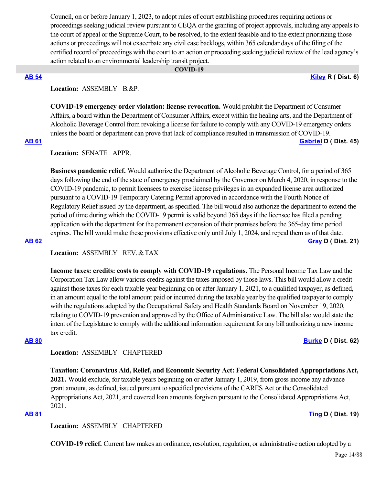Council, on or before January 1, 2023, to adopt rules of court establishing procedures requiring actions or proceedings seeking judicial review pursuant to CEQA or the granting of project approvals, including any appeals to the court of appeal or the Supreme Court, to be resolved, to the extent feasible and to the extent prioritizing those actions or proceedings will not exacerbate any civil case backlogs, within 365 calendar days of the filing of the certified record of proceedings with the court to an action or proceeding seeking judicial review of the lead agency's action related to an environmental leadership transit project.

## **COVID-19**

**[AB 54](https://ctweb.capitoltrack.com/public/publishbillinfo.aspx?bi=9021JKHMtlTxMIObe7amrtFqto5D0p7TzouRVJDvQ%2FLJZlG6rft2i%2BaaEI0Uqviv) [Kiley](https://ad06.asmrc.org/) R ( Dist. 6)**

# Location: ASSEMBLY B.&P.

**COVID-19 emergency order violation: license revocation.** Would prohibit the Department of Consumer Affairs, a board within the Department of Consumer Affairs, except within the healing arts, and the Department of Alcoholic Beverage Control from revoking a license for failure to comply with any COVID-19 emergency orders unless the board or department can prove that lack of compliance resulted in transmission of COVID-19.

**[AB 61](https://ctweb.capitoltrack.com/public/publishbillinfo.aspx?bi=g5wHfu0fziAygNn7L5A2oz5QdykDiLW554q%2FGu0WUKY5tlTji2dAmBAruLxeTlra) [Gabriel](https://a45.asmdc.org/) D ( Dist. 45)**

# **Location:**  SENATE APPR.

**Business pandemic relief.** Would authorize the Department of Alcoholic Beverage Control, for a period of 365 days following the end of the state of emergency proclaimed by the Governor on March 4, 2020, in response to the COVID-19 pandemic, to permit licensees to exercise license privileges in an expanded license area authorized pursuant to a COVID-19 Temporary Catering Permit approved in accordance with the Fourth Notice of Regulatory Relief issued by the department, as specified. The bill would also authorize the department to extend the period of time during which the COVID-19 permit is valid beyond 365 days if the licensee has filed a pending application with the department for the permanent expansion of their premises before the 365-day time period expires. The bill would make these provisions effective only until July 1, 2024, and repeal them as of that date. **[AB 62](https://ctweb.capitoltrack.com/public/publishbillinfo.aspx?bi=veLfL4P%2F%2FBXtGE1R%2FqH3MsEIey39UEc3e0d6ykwixuMa%2F23V%2BdyQg4Qei%2Bg%2FDJ9T) [Gray](https://a21.asmdc.org/) D ( Dist. 21)**

**Location:**  ASSEMBLY REV. & TAX

**Income taxes: credits: costs to comply with COVID-19 regulations.** The Personal Income Tax Law and the Corporation Tax Law allow various credits against the taxes imposed by those laws. This bill would allow a credit against those taxes for each taxable year beginning on or after January 1, 2021, to a qualified taxpayer, as defined, in an amount equal to the total amount paid or incurred during the taxable year by the qualified taxpayer to comply with the regulations adopted by the Occupational Safety and Health Standards Board on November 19, 2020, relating to COVID-19 prevention and approved by the Office of Administrative Law. The bill also would state the intent of the Legislature to comply with the additional information requirement for any bill authorizing a new income tax credit.

**[AB 80](https://ctweb.capitoltrack.com/public/publishbillinfo.aspx?bi=nV1xQvXvOXd61wp3a8S5CtX%2BjCMMWO58cdV7mA%2BLI1725vv%2BpK0W%2F6gz1nqJWeVU) [Burke](https://a62.asmdc.org/) D ( Dist. 62)**

### **Location:**  ASSEMBLY CHAPTERED

**Taxation: Coronavirus Aid, Relief, and Economic Security Act: Federal Consolidated Appropriations Act, 2021.** Would exclude, for taxable years beginning on or after January 1, 2019, from gross income any advance grant amount, as defined, issued pursuant to specified provisions of the CARES Act or the Consolidated Appropriations Act, 2021, and covered loan amounts forgiven pursuant to the Consolidated Appropriations Act, 2021.

### **[AB 81](https://ctweb.capitoltrack.com/public/publishbillinfo.aspx?bi=%2BMblNnJpRI04%2BM0EKImi9YutSq106fXowTdxctlZ695NYEu9x%2F%2BmtzZMC9cSMdlm) [Ting](https://a19.asmdc.org/) D ( Dist. 19)**

## **Location:**  ASSEMBLY CHAPTERED

**COVID-19 relief.** Current law makes an ordinance, resolution, regulation, or administrative action adopted by a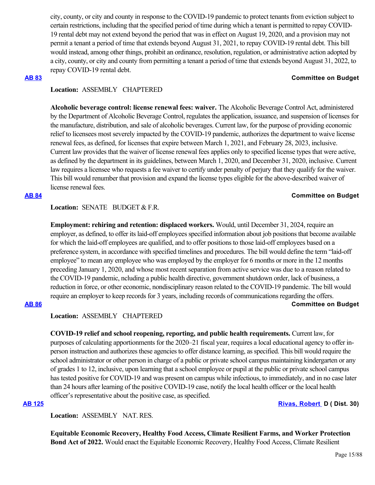city, county, or city and county in response to the COVID-19 pandemic to protect tenants from eviction subject to certain restrictions, including that the specified period of time during which a tenant is permitted to repay COVID-19 rental debt may not extend beyond the period that was in effect on August 19, 2020, and a provision may not permit a tenant a period of time that extends beyond August 31, 2021, to repay COVID-19 rental debt. This bill would instead, among other things, prohibit an ordinance, resolution, regulation, or administrative action adopted by a city, county, or city and county from permitting a tenant a period of time that extends beyond August 31, 2022, to repay COVID-19 rental debt.

### **[AB 83](https://ctweb.capitoltrack.com/public/publishbillinfo.aspx?bi=bKgUK7VAR4QQxU0BKzJL4EXb0w%2B3x%2BVCWv%2BVeTw3gfDJsLXsMMzdh9519nBRSdGo) Committee on Budget**

# **Location:**  ASSEMBLY CHAPTERED

**Alcoholic beverage control: license renewal fees: waiver.** The Alcoholic Beverage Control Act, administered by the Department of Alcoholic Beverage Control, regulates the application, issuance, and suspension of licenses for the manufacture, distribution, and sale of alcoholic beverages. Current law, for the purpose of providing economic relief to licensees most severely impacted by the COVID-19 pandemic, authorizes the department to waive license renewal fees, as defined, for licenses that expire between March 1, 2021, and February 28, 2023, inclusive. Current law provides that the waiver of license renewal fees applies only to specified license types that were active, as defined by the department in its guidelines, between March 1, 2020, and December 31, 2020, inclusive. Current law requires a licensee who requests a fee waiver to certify under penalty of perjury that they qualify for the waiver. This bill would renumber that provision and expand the license types eligible for the above-described waiver of license renewal fees.

## **[AB 84](https://ctweb.capitoltrack.com/public/publishbillinfo.aspx?bi=B%2FFJylx76BV7l52%2B3XhF6j%2FwR52JBWNxjEXhy3jtbD2GBvwl2cN4wsF%2FNmRfG1Iy) Committee on Budget**

Location: **SENATE** BUDGET & F.R.

**Employment: rehiring and retention: displaced workers.** Would, until December 31, 2024, require an employer, as defined, to offer its laid-off employees specified information about job positions that become available for which the laid-off employees are qualified, and to offer positions to those laid-off employees based on a preference system, in accordance with specified timelines and procedures. The bill would define the term "laid-off employee" to mean any employee who was employed by the employer for 6 months or more in the 12 months preceding January 1, 2020, and whose most recent separation from active service was due to a reason related to the COVID-19 pandemic, ncluding a public health directive, government shutdown order, lack of business, a reduction in force, or other economic, nondisciplinary reason related to the COVID-19 pandemic. The bill would require an employer to keep records for 3 years, including records of communications regarding the offers.

## **[AB 86](https://ctweb.capitoltrack.com/public/publishbillinfo.aspx?bi=U5shfJa9I0USdNbC3FJxlwp6ngQdxnTMDJiNnfWcmDGLx2JzMgKM%2BJn6ciXSnPxL) Committee on Budget**

**Location:**  ASSEMBLY CHAPTERED

**COVID-19 relief and school reopening, reporting, and public health requirements.** Current law, for purposes of calculating apportionments for the 2020–21 fiscal year, requires a local educational agency to offer inperson instruction and authorizes these agencies to offer distance learning, as specified. This bill would require the school administrator or other person in charge of a public or private school campus maintaining kindergarten or any of grades 1 to 12, inclusive, upon learning that a school employee or pupil at the public or private school campus has tested positive for COVID-19 and was present on campus while infectious, to immediately, and in no case later than 24 hours after learning of the positive COVID-19 case, notify the local health officer or the local health officer's representative about the positive case, as specified.

**[AB 125](https://ctweb.capitoltrack.com/public/publishbillinfo.aspx?bi=L0n1v1%2BljVvkPcBmA%2BV4TnIwyyzP7Bg5z2kRPfi6DvDHL6JDbnTKEgkFLMuPJFn7) [Rivas, Robert](https://a30.asmdc.org/)  D ( Dist. 30)**

**Location:**  ASSEMBLY NAT. RES.

**Equitable Economic Recovery, Healthy Food Access, Climate Resilient Farms, and Worker Protection Bond Act of 2022.** Would enact the Equitable Economic Recovery, Healthy Food Access, Climate Resilient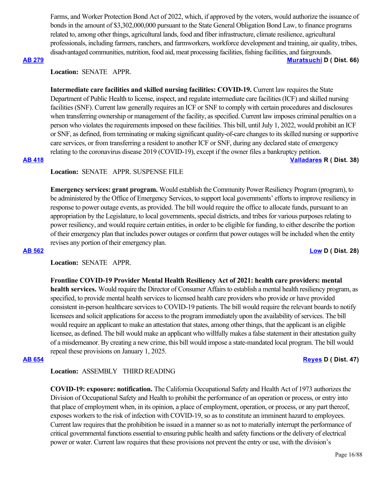Farms, and Worker Protection Bond Act of 2022, which, if approved by the voters, would authorize the issuance of bonds in the amount of \$3,302,000,000 pursuant to the State General Obligation Bond Law, to finance programs related to, among other things, agricultural lands, food and fiber infrastructure, climate resilience, agricultural professionals, including farmers, ranchers, and farmworkers, workforce development and training, air quality, tribes, disadvantaged communities, nutrition, food aid, meat processing facilities, fishing facilities, and fairgrounds.

**[AB 279](https://ctweb.capitoltrack.com/public/publishbillinfo.aspx?bi=FT8PLHaFkjbi8FyOpMMPcH8RkyFo6fBnkKkYlA7dTDRBwm5IY%2FEVhp63Y1ZHVEI7) [Muratsuchi](https://a66.asmdc.org/) D ( Dist. 66)**

# **Location:**  SENATE APPR.

**Intermediate care facilities and skilled nursing facilities: COVID-19.** Current law requires the State Department of Public Health to license, inspect, and regulate intermediate care facilities (ICF) and skilled nursing facilities (SNF). Current law generally requires an ICF or SNF to comply with certain procedures and disclosures when transferring ownership or management of the facility, as specified. Current law imposes criminal penalties on a person who violates the requirements imposed on these facilities. This bill, until July 1, 2022, would prohibit an ICF or SNF, as defined, from terminating or making significant quality-of-care changes to its skilled nursing or supportive care services, or from transferring a resident to another ICF or SNF, during any declared state of emergency relating to the coronavirus disease 2019 (COVID-19), except if the owner files a bankruptcy petition. **[AB 418](https://ctweb.capitoltrack.com/public/publishbillinfo.aspx?bi=GnU%2BOEQEzmHVUc7wIVVEiISDCMew6AYOCOY1SW3zVsNYuKJ%2FXiMsYUj1nO8i9xP2) [Valladares](https://ad38.asmrc.org/) R ( Dist. 38)**

**Location:**  SENATE APPR. SUSPENSE FILE

**Emergency services: grant program.** Would establish the Community Power Resiliency Program (program), to be administered by the Office of Emergency Services, to support local governments' efforts to improve resiliency in response to power outage events, as provided. The bill would require the office to allocate funds, pursuant to an appropriation by the Legislature, to local governments, special districts, and tribes for various purposes relating to power resiliency, and would require certain entities, in order to be eligible for funding, to either describe the portion of their emergency plan that includes power outages or confirm that power outages will be included when the entity revises any portion of their emergency plan.

**[AB 562](https://ctweb.capitoltrack.com/public/publishbillinfo.aspx?bi=0mhpjkHAEcG1jm5Vw8i6jwSxLR%2F%2BNMh0Tavv6YWLyevnje9Nov9EFd1uaN0ONPx4) [Low](https://a28.asmdc.org/) D ( Dist. 28)**

## **Location:**  SENATE APPR.

**Frontline COVID-19 Provider Mental Health Resiliency Act of 2021: health care providers: mental health services.** Would require the Director of Consumer Affairs to establish a mental health resiliency program, as specified, to provide mental health services to licensed health care providers who provide or have provided consistent in-person healthcare services to COVID-19 patients. The bill would require the relevant boards to notify licensees and solicit applications for access to the program immediately upon the availability of services. The bill would require an applicant to make an attestation that states, among other things, that the applicant is an eligible licensee, as defined. The bill would make an applicant who willfully makes a false statement in their attestation guilty of a misdemeanor. By creating a new crime, this bill would impose a state-mandated local program. The bill would repeal these provisions on January 1, 2025.

## **[AB 654](https://ctweb.capitoltrack.com/public/publishbillinfo.aspx?bi=o%2F3TT8SYL1CjMs3fLpbKW1d9450HJVC7e8UHecOZWNH9njbsFHcrwVz%2FMciMatKB) [Reyes](https://a47.asmdc.org/) D ( Dist. 47)**

# **Location:**  ASSEMBLY THIRD READING

**COVID-19: exposure: notification.** The California Occupational Safety and Health Act of 1973 authorizes the Division of Occupational Safety and Health to prohibit the performance of an operation or process, or entry into that place of employment when, in its opinion, a place of employment, operation, or process, or any part thereof, exposes workers to the risk of infection with COVID-19, so as to constitute an imminent hazard to employees. Current law requires that the prohibition be issued in a manner so as not to materially interrupt the performance of critical governmental functions essential to ensuring public health and safety functions or the delivery of electrical power or water. Current law requires that these provisions not prevent the entry or use, with the division's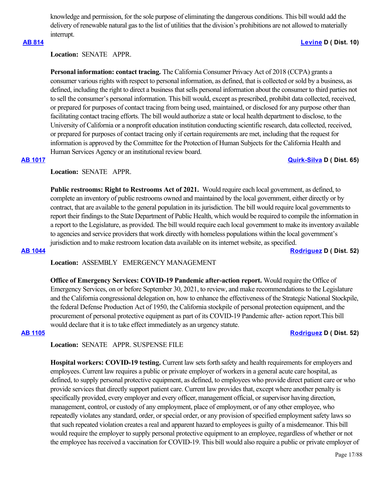knowledge and permission, for the sole purpose of eliminating the dangerous conditions. This bill would add the delivery of renewable natural gas to the list of utilities that the division's prohibitions are not allowed to materially interrupt.

# **[AB 814](https://ctweb.capitoltrack.com/public/publishbillinfo.aspx?bi=RnzsWrsse0DSnaOSXa4Kh2CNrwFN%2FNO8Gq6Pi9LVDZqkcFeJE7HApcj87yyTuHGO) [Levine](https://a10.asmdc.org/) D ( Dist. 10)**

# **Location:**  SENATE APPR.

**Personal information: contact tracing.** The California Consumer Privacy Act of 2018 (CCPA) grants a consumer various rights with respect to personal information, as defined, that is collected or sold by a business, as defined, including the right to direct a business that sells personal information about the consumer to third parties not to sell the consumer's personal information. This bill would, except as prescribed, prohibit data collected, received, or prepared for purposes of contact tracing from being used, maintained, or disclosed for any purpose other than facilitating contact tracing efforts. The bill would authorize a state or local health department to disclose, to the University of California or a nonprofit education institution conducting scientific research, data collected, received, or prepared for purposes of contact tracing only if certain requirements are met, including that the request for information is approved by the Committee for the Protection of Human Subjects for the California Health and Human Services Agency or an institutional review board.

## **[AB 1017](https://ctweb.capitoltrack.com/public/publishbillinfo.aspx?bi=JYyt31DOcZMu5clq9Dg25K%2FwlQRmm9Z%2B4UUjhX8nItz1trRK6ZBuw7gaDVRacfEb) [Quirk-Silva](https://a65.asmdc.org/) D ( Dist. 65)**

# **Location:**  SENATE APPR.

**Public restrooms: Right to Restrooms Act of 2021.** Would require each local government, as defined, to complete an inventory of public restrooms owned and maintained by the local government, either directly or by contract, that are available to the general population in its jurisdiction. The bill would require local governments to report their findings to the State Department of Public Health, which would be required to compile the information in a report to the Legislature, as provided. The bill would require each local government to make its inventory available to agencies and service providers that work directly with homeless populations within the local government's jurisdiction and to make restroom location data available on its internet website, as specified. **[AB 1044](https://ctweb.capitoltrack.com/public/publishbillinfo.aspx?bi=4azcB8LG4cSgPewRhayk4Eq8D88B0auTSiWgOFnVA55XZmkkVkLWPu3RNJanuaK1) [Rodriguez](https://a52.asmdc.org/) D ( Dist. 52)**

**Location:**  ASSEMBLY EMERGENCY MANAGEMENT

**Office of Emergency Services: COVID-19 Pandemic after-action report.** Would require the Office of Emergency Services, on or before September 30, 2021, to review, and make recommendations to the Legislature and the California congressional delegation on, how to enhance the effectiveness of the Strategic National Stockpile, the federal Defense Production Act of 1950, the California stockpile of personal protection equipment, and the procurement of personal protective equipment as part of its COVID-19 Pandemic after- action report.This bill would declare that it is to take effect immediately as an urgency statute.

**[AB 1105](https://ctweb.capitoltrack.com/public/publishbillinfo.aspx?bi=2Xnp3gCQ3R%2BTr%2F2rMdcDXh44TnBiRcdN2rSBP9FE8Z8ZLIz75E%2Foog7n%2BGhCXw5F) [Rodriguez](https://a52.asmdc.org/) D ( Dist. 52)**

# **Location:**  SENATE APPR. SUSPENSE FILE

**Hospital workers: COVID-19 testing.** Current law sets forth safety and health requirements for employers and employees. Current law requires a public or private employer of workers in a general acute care hospital, as defined, to supply personal protective equipment, as defined, to employees who provide direct patient care or who provide services that directly support patient care. Current law provides that, except where another penalty is specifically provided, every employer and every officer, management official, or supervisor having direction, management, control, or custody of any employment, place of employment, or of any other employee, who repeatedly violates any standard, order, or special order, or any provision of specified employment safety laws so that such repeated violation creates a real and apparent hazard to employees is guilty of a misdemeanor. This bill would require the employer to supply personal protective equipment to an employee, regardless of whether or not the employee has received a vaccination for COVID-19. This bill would also require a public or private employer of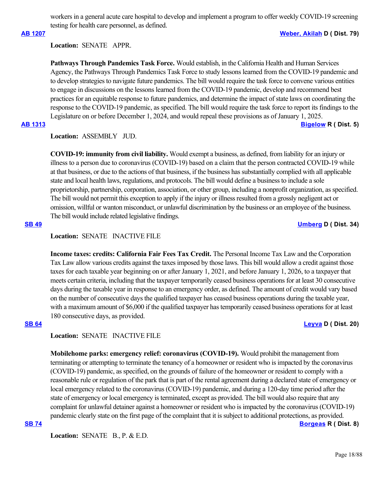workers in a general acute care hospital to develop and implement a program to offer weekly COVID-19 screening testing for health care personnel, as defined.

**[AB 1207](https://ctweb.capitoltrack.com/public/publishbillinfo.aspx?bi=CsP8U%2BIyTizFGAK0gayqkRCZuVTza7dklT3YDycyk4efJJPY6AxsYtZJ8qU5lkp4) [Weber, Akilah](https://a79.asmdc.org/) D ( Dist. 79)**

**Location:**  SENATE APPR.

**Pathways Through Pandemics Task Force.** Would establish, in the California Health and Human Services Agency, the Pathways Through Pandemics Task Force to study lessons learned from the COVID-19 pandemic and to develop strategies to navigate future pandemics. The bill would require the task force to convene various entities to engage in discussions on the lessons learned from the COVID-19 pandemic, develop and recommend best practices for an equitable response to future pandemics, and determine the impact of state laws on coordinating the response to the COVID-19 pandemic, as specified. The bill would require the task force to report its findings to the Legislature on or before December 1, 2024, and would repeal these provisions as of January 1, 2025.

**[AB 1313](https://ctweb.capitoltrack.com/public/publishbillinfo.aspx?bi=2%2FraP3Q%2FMVl4TH8afX0UnkBRrptTHfxfKPScxNbZ2PEMQ5JIbnVWoh4LhHP%2FDvVB) [Bigelow](https://ad05.asmrc.org/) R ( Dist. 5)**

# **Location:**  ASSEMBLY JUD.

**COVID-19: immunity from civil liability.** Would exempt a business, as defined, from liability for an injury or illness to a person due to coronavirus (COVID-19) based on a claim that the person contracted COVID-19 while at that business, or due to the actions of that business, if the business has substantially complied with all applicable state and local health laws, regulations, and protocols. The bill would define a business to include a sole proprietorship, partnership, corporation, association, or other group, including a nonprofit organization, as specified. The bill would not permit this exception to apply if the injury or illness resulted from a grossly negligent act or omission, willful or wanton misconduct, or unlawful discrimination by the business or an employee of the business. The bill would include related legislative findings.

### **[SB 49](https://ctweb.capitoltrack.com/public/publishbillinfo.aspx?bi=LeawU591DHL1YSZO%2BsNmhdeVjWw0K%2FJvFqqITwNu5I86lZCJdIvtneV7Rjwpufoj) [Umberg](https://sd34.senate.ca.gov/) D ( Dist. 34)**

## **Location:**  SENATE INACTIVE FILE

**Income taxes: credits: California Fair Fees Tax Credit.** The Personal Income Tax Law and the Corporation Tax Law allow various credits against the taxes imposed by those laws. This bill would allow a credit against those taxes for each taxable year beginning on or after January 1, 2021, and before January 1, 2026, to a taxpayer that meets certain criteria, including that the taxpayer temporarily ceased business operations for at least 30 consecutive days during the taxable year in response to an emergency order, as defined. The amount of credit would vary based on the number of consecutive days the qualified taxpayer has ceased business operations during the taxable year, with a maximum amount of \$6,000 if the qualified taxpayer has temporarily ceased business operations for at least 180 consecutive days, as provided.

### **[SB 64](https://ctweb.capitoltrack.com/public/publishbillinfo.aspx?bi=lnzhVbip1PrRmyaSMdTeWb%2FnRXKyQghd3VySnnji8dj3xozQtYr1VvOMsH9NCypl) [Leyva](http://sd20.senate.ca.gov/) D ( Dist. 20)**

# **Location:**  SENATE INACTIVE FILE

**Mobilehome parks: emergency relief: coronavirus (COVID-19).** Would prohibit the management from terminating or attempting to terminate the tenancy of a homeowner or resident who is impacted by the coronavirus (COVID-19) pandemic, as specified, on the grounds of failure of the homeowner or resident to comply with a reasonable rule or regulation of the park that is part of the rental agreement during a declared state of emergency or local emergency related to the coronavirus (COVID-19) pandemic, and during a 120-day time period after the state of emergency or local emergency is terminated, except as provided. The bill would also require that any complaint for unlawful detainer against a homeowner or resident who is impacted by the coronavirus (COVID-19) pandemic clearly state on the first page of the complaint that it is subject to additional protections, as provided. **[SB 74](https://ctweb.capitoltrack.com/public/publishbillinfo.aspx?bi=J0wwdBYY2tOXt83hKf1LiCRQ6ye7bkbe84Ijfi1AcEq96QEAuGHVSC9ikcp%2FEVGn) [Borgeas](https://borgeas.cssrc.us/) R ( Dist. 8)**

Location: **SENATE B., P. & E.D.**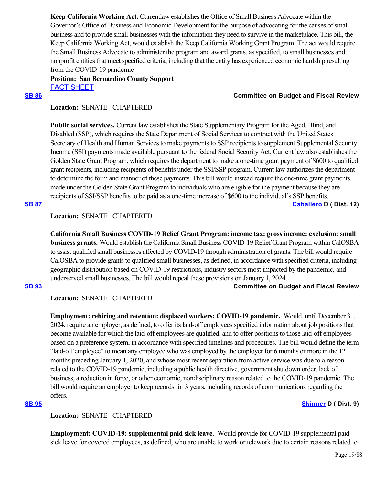**Keep California Working Act.** Currentlaw establishes the Office of Small Business Advocate within the Governor's Office of Business and Economic Development for the purpose of advocating for the causes of small business and to provide small businesses with the information they need to survive in the marketplace. This bill, the Keep California Working Act, would establish the Keep California Working Grant Program. The act would require the Small Business Advocate to administer the program and award grants, as specified, to small businesses and nonprofit entities that meet specified criteria, including that the entity has experienced economic hardship resulting from the COVID-19 pandemic

**Position: San Bernardino County Support** [FACT SHEET](https://ctweb.capitoltrack.com/public/publishviewdoc.ashx?di=CoF4r6t49QVQuZOBygZs17UN3Edlai1XH9e%2Ff%2BmfDeg%3D)

### **[SB 86](https://ctweb.capitoltrack.com/public/publishbillinfo.aspx?bi=iYFUAvPUutxqCit0%2B4xjGlPcUjFeQiVlGIPSS4c%2BB1kNgAALATaxORwiUwtYOoHa) Committee on Budget and Fiscal Review**

# **Location:**  SENATE CHAPTERED

**Public social services.** Current law establishes the State Supplementary Program for the Aged, Blind, and Disabled (SSP), which requires the State Department of Social Services to contract with the United States Secretary of Health and Human Services to make payments to SSP recipients to supplement Supplemental Security Income (SSI) payments made available pursuant to the federal Social Security Act. Current law also establishes the Golden State Grant Program, which requires the department to make a one-time grant payment of \$600 to qualified grant recipients, including recipients of benefits under the SSI/SSP program. Current law authorizes the department to determine the form and manner of these payments. This bill would instead require the one-time grant payments made under the Golden State Grant Program to individuals who are eligible for the payment because they are recipients of SSI/SSP benefits to be paid as a one-time increase of \$600 to the individual's SSP benefits.

**[SB 87](https://ctweb.capitoltrack.com/public/publishbillinfo.aspx?bi=eXVeP59s3x2dcSrAj%2FSsW9oOdzYmVh3nNnXsZPsb%2Bt81KO9RDL1twC%2BqsXas%2FmGk) [Caballero](https://sd12.senate.ca.gov/) D ( Dist. 12)**

# **Location:**  SENATE CHAPTERED

**California Small Business COVID-19 Relief Grant Program: income tax: gross income: exclusion: small business grants.** Would establish the California Small Business COVID-19 Relief Grant Program within CalOSBA to assist qualified small businesses affected by COVID-19 through administration of grants. The bill would require CalOSBA to provide grants to qualified small businesses, as defined, in accordance with specified criteria, including geographic distribution based on COVID-19 restrictions, industry sectors most impacted by the pandemic, and underserved small businesses. The bill would repeal these provisions on January 1, 2024.

### **[SB 93](https://ctweb.capitoltrack.com/public/publishbillinfo.aspx?bi=bGyPHPhaVgHMMrtS1WJARrh8zBKR6MMNwEzhdyR6GoriD2CvzlhtIRVCq48xDfRp) Committee on Budget and Fiscal Review**

## **Location:**  SENATE CHAPTERED

**Employment: rehiring and retention: displaced workers: COVID-19 pandemic.** Would, until December 31, 2024, require an employer, as defined, to offer its laid-off employees specified information about job positions that become available for which the laid-off employees are qualified, and to offer positions to those laid-off employees based on a preference system, in accordance with specified timelines and procedures. The bill would define the term "laid-off employee" to mean any employee who was employed by the employer for 6 months or more in the 12 months preceding January 1, 2020, and whose most recent separation from active service was due to a reason related to the COVID-19 pandemic, including a public health directive, government shutdown order, lack of business, a reduction in force, or other economic, nondisciplinary reason related to the COVID-19 pandemic. The bill would require an employer to keep records for 3 years, including records of communications regarding the offers.

## **[SB 95](https://ctweb.capitoltrack.com/public/publishbillinfo.aspx?bi=By5kXj0k0lH%2FbI7euVEfyAD7yVMBJ44dMMqKvtI%2F5bFEBXKBGKiIIA0sq1Ah25VI) [Skinner](http://sd09.senate.ca.gov/) D ( Dist. 9)**

## **Location:**  SENATE CHAPTERED

**Employment: COVID-19: supplemental paid sick leave.** Would provide for COVID-19 supplemental paid sick leave for covered employees, as defined, who are unable to work or telework due to certain reasons related to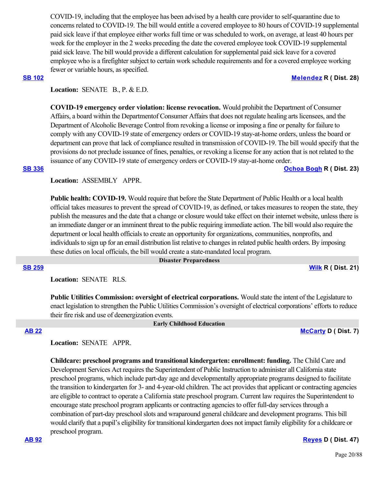COVID-19, including that the employee has been advised by a health care provider to self-quarantine due to concerns related to COVID-19. The bill would entitle a covered employee to 80 hours of COVID-19 supplemental paid sick leave if that employee either works full time or was scheduled to work, on average, at least 40 hours per week for the employer in the 2 weeks preceding the date the covered employee took COVID-19 supplemental paid sick leave. The bill would provide a different calculation for supplemental paid sick leave for a covered employee who is a firefighter subject to certain work schedule requirements and for a covered employee working fewer or variable hours, as specified.

### **[SB 102](https://ctweb.capitoltrack.com/public/publishbillinfo.aspx?bi=jzQAImRv2m3OF0w%2B%2BDJBc9TeV9Iv0%2B0U1HG5luVclAXPzQSssIIghYEDOaP66Vr5) [Melendez](https://melendez.cssrc.us/) R ( Dist. 28)**

Location: **SENATE B., P. & E.D.** 

**COVID-19 emergency order violation: license revocation.** Would prohibit the Department of Consumer Affairs, a board within the Departmentof Consumer Affairs that does not regulate healing arts licensees, and the Department of Alcoholic Beverage Control from revoking a license or imposing a fine or penalty for failure to comply with any COVID-19 state of emergency orders or COVID-19 stay-at-home orders, unless the board or department can prove that lack of compliance resulted in transmission of COVID-19. The bill would specify that the provisions do not preclude issuance of fines, penalties, or revoking a license for any action that is not related to the issuance of any COVID-19 state of emergency orders or COVID-19 stay-at-home order. **[SB 336](https://ctweb.capitoltrack.com/public/publishbillinfo.aspx?bi=niZ0CSE40hnqV3OTVAREG%2FOJwt2hEIHd7VoaQUsluFJ%2FklldssIh3Cd8G3VTCwo3) [Ochoa Bogh](https://ochoa-bogh.cssrc.us/) R ( Dist. 23)**

**Location:**  ASSEMBLY APPR.

**Public health: COVID-19.** Would require that before the State Department of Public Health or a local health official takes measures to prevent the spread of COVID-19, as defined, or takes measures to reopen the state, they publish the measures and the date that a change or closure would take effect on their internet website, unless there is an immediate danger or an imminent threat to the public requiring immediate action. The bill would also require the department or local health officials to create an opportunity for organizations, communities, nonprofits, and individuals to sign up for an email distribution list relative to changes in related public health orders. By imposing these duties on local officials, the bill would create a state-mandated local program.

### **Disaster Preparedness**

**[SB 259](https://ctweb.capitoltrack.com/public/publishbillinfo.aspx?bi=MpAp3wYTY%2FvAbbdwB1nDQ9sw27aTJ69qbiXf2%2F9XQ5cRe%2FoPKKcwNG45%2FCZukFMd) [Wilk](https://wilk.cssrc.us/) R ( Dist. 21)**

**Location:**  SENATE RLS.

**Public Utilities Commission: oversight of electrical corporations.** Would state the intent of the Legislature to enact legislation to strengthen the Public Utilities Commission's oversight of electrical corporations' efforts to reduce their fire risk and use of deenergization events.

# **Early Childhood Education**

## **[AB 22](https://ctweb.capitoltrack.com/public/publishbillinfo.aspx?bi=wQSdCmcDIfZoiYUfy3sAf5d%2BwMh6ss4wB3L7m6k91poVyzrOjeF4QGrej8GJydem) [McCarty](https://a07.asmdc.org/) D ( Dist. 7)**

# **Location:**  SENATE APPR.

**Childcare: preschool programs and transitional kindergarten: enrollment: funding.** The Child Care and Development Services Act requires the Superintendent of Public Instruction to administer all California state preschool programs, which include part-day age and developmentally appropriate programs designed to facilitate the transition to kindergarten for 3- and 4-year-old children. The act provides that applicant or contracting agencies are eligible to contract to operate a California state preschool program. Current law requires the Superintendent to encourage state preschool program applicants or contracting agencies to offer full-day services through a combination of part-day preschool slots and wraparound general childcare and development programs. This bill would clarify that a pupil's eligibility for transitional kindergarten does not impact family eligibility for a childcare or preschool program.

**[AB 92](https://ctweb.capitoltrack.com/public/publishbillinfo.aspx?bi=i55u%2Bg%2F1nSmKp3teQk7heGTxplh1jc%2FeBIc3y3hjITJI%2FzqyNTlcGS1vnSFy6BH%2F) [Reyes](https://a47.asmdc.org/) D ( Dist. 47)**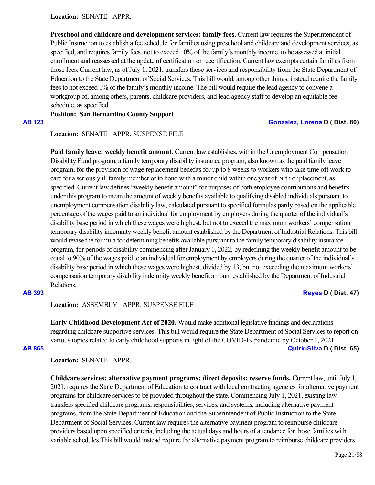**Location:**  SENATE APPR.

**Preschool and childcare and development services: family fees.** Current law requires the Superintendent of Public Instruction to establish a fee schedule for families using preschool and childcare and development services, as specified, and requires family fees, not to exceed 10% of the family's monthly income, to be assessed at initial enrollment and reassessed at the update of certification or recertification. Current law exempts certain families from those fees. Current law, as of July 1, 2021, transfers those services and responsibility from the State Department of Education to the State Department of Social Services. This bill would, among other things, instead require the family fees to not exceed 1% of the family's monthly income. The bill would require the lead agency to convene a workgroup of, among others, parents, childcare providers, and lead agency staff to develop an equitable fee schedule, as specified.

**Position: San Bernardino County Support**

## **[AB 123](https://ctweb.capitoltrack.com/public/publishbillinfo.aspx?bi=%2F8P%2FESm4cLrZPdZlseHCQ6aTJbD6zKr0QhaL%2Fr3l%2B80CEFmtlz4tcU5EIMhoxRGN) [Gonzalez, Lorena](https://a80.asmdc.org/) D ( Dist. 80)**

## **Location:**  SENATE APPR. SUSPENSE FILE

Paid family leave: weekly benefit amount. Current law establishes, within the Unemployment Compensation Disability Fund program, a family temporary disability insurance program, also known as the paid family leave program, for the provision of wage replacement benefits for up to 8 weeks to workers who take time off work to care for a seriously ill family member or to bond with a minor child within one year of birth or placement, as specified. Current law defines "weekly benefit amount" for purposes of both employee contributions and benefits under this program to mean the amount of weekly benefits available to qualifying disabled individuals pursuant to unemployment compensation disability law, calculated pursuant to specified formulas partly based on the applicable percentage of the wages paid to an individual for employment by employers during the quarter of the individual's disability base period in which these wages were highest, but not to exceed the maximum workers' compensation temporary disability indemnity weekly benefit amount established by the Department of Industrial Relations. This bill would revise the formula for determining benefits available pursuant to the family temporary disability insurance program, for periods of disability commencing after January 1, 2022, by redefining the weekly benefit amount to be equal to 90% of the wages paid to an individual for employment by employers during the quarter of the individual's disability base period in which these wages were highest, divided by 13, but not exceeding the maximum workers' compensation temporary disability indemnity weekly benefit amount established by the Department of Industrial Relations.

# **[AB 393](https://ctweb.capitoltrack.com/public/publishbillinfo.aspx?bi=9m%2FHVU6VzAjrjLVlFvg5NjofCDmTjAPmnii7kNXV%2BJvksk7hTfP6eIV15oe7QUct) [Reyes](https://a47.asmdc.org/) D ( Dist. 47)**

# **Location:**  ASSEMBLY APPR. SUSPENSE FILE

**Early Childhood Development Act of 2020.** Would make additional legislative findings and declarations regarding childcare supportive services. This bill would require the State Department of Social Services to report on various topics related to early childhood supports in light of the COVID-19 pandemic by October 1, 2021. **[AB 865](https://ctweb.capitoltrack.com/public/publishbillinfo.aspx?bi=EghXc0OGT3%2FBZT%2FS4kmMB3Qg9Xfrtm2f4ulqI%2BIPxxC6uq2iVMqizE0kJOE7%2BaHF) [Quirk-Silva](https://a65.asmdc.org/) D ( Dist. 65)**

**Location:**  SENATE APPR.

**Childcare services: alternative payment programs: direct deposits: reserve funds.** Current law, until July 1, 2021, requires the State Department of Education to contract with local contracting agencies for alternative payment programs for childcare services to be provided throughout the state. Commencing July 1, 2021, existing law transfers specified childcare programs, responsibilities, services, and systems, including alternative payment programs, from the State Department of Education and the Superintendent of Public Instruction to the State Department of Social Services. Current law requires the alternative payment program to reimburse childcare providers based upon specified criteria, including the actual days and hours of attendance for those families with variable schedules.This bill would instead require the alternative payment program to reimburse childcare providers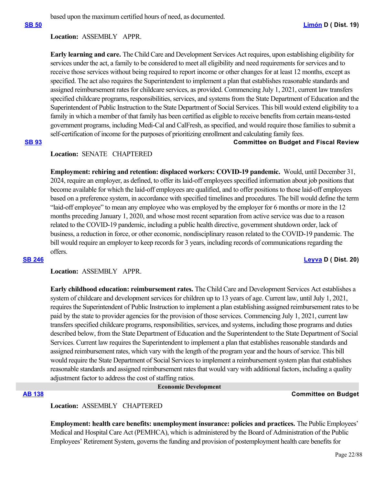based upon the maximum certified hours of need, as documented.

## **Location:**  ASSEMBLY APPR.

**Early learning and care.** The Child Care and Development Services Act requires, upon establishing eligibility for services under the act, a family to be considered to meet all eligibility and need requirements for services and to receive those services without being required to report income or other changes for at least 12 months, except as specified. The act also requires the Superintendent to implement a plan that establishes reasonable standards and assigned reimbursement rates for childcare services, as provided. Commencing July 1, 2021, current law transfers specified childcare programs, responsibilities, services, and systems from the State Department of Education and the Superintendent of Public Instruction to the State Department of Social Services. This bill would extend eligibility to a family in which a member of that family has been certified as eligible to receive benefits from certain means-tested government programs, including Medi-Cal and CalFresh, as specified, and would require those families to submit a self-certification of income for the purposes of prioritizing enrollment and calculating family fees.

## **[SB 93](https://ctweb.capitoltrack.com/public/publishbillinfo.aspx?bi=bGyPHPhaVgHMMrtS1WJARrh8zBKR6MMNwEzhdyR6GoriD2CvzlhtIRVCq48xDfRp) Committee on Budget and Fiscal Review**

## **Location:**  SENATE CHAPTERED

**Employment: rehiring and retention: displaced workers: COVID-19 pandemic.** Would, until December 31, 2024, require an employer, as defined, to offer its laid-off employees specified information about job positions that become available for which the laid-off employees are qualified, and to offer positions to those laid-off employees based on a preference system, in accordance with specified timelines and procedures. The bill would define the term "laid-off employee" to mean any employee who was employed by the employer for 6 months or more in the 12 months preceding January 1, 2020, and whose most recent separation from active service was due to a reason related to the COVID-19 pandemic, including a public health directive, government shutdown order, lack of business, a reduction in force, or other economic, nondisciplinary reason related to the COVID-19 pandemic. The bill would require an employer to keep records for 3 years, including records of communications regarding the offers.

### **[SB 246](https://ctweb.capitoltrack.com/public/publishbillinfo.aspx?bi=lacCMXDQKxjsfxexm3%2BWQIz5jMLglBCdXbhnz%2F%2BIo7LL4mpPPKWP9MolKBlob9AO) [Leyva](http://sd20.senate.ca.gov/) D ( Dist. 20)**

**Location:**  ASSEMBLY APPR.

**Early childhood education: reimbursement rates.** The Child Care and Development Services Act establishes a system of childcare and development services for children up to 13 years of age. Current law, until July 1, 2021, requires the Superintendent of Public Instruction to implement a plan establishing assigned reimbursement rates to be paid by the state to provider agencies for the provision of those services. Commencing July 1, 2021, current law transfers specified childcare programs, responsibilities, services, and systems, including those programs and duties described below, from the State Department of Education and the Superintendent to the State Department of Social Services. Current law requires the Superintendent to implement a plan that establishes reasonable standards and assigned reimbursement rates, which vary with the length of the program year and the hours of service. This bill would require the State Department of Social Services to implement a reimbursement system plan that establishes reasonable standards and assigned reimbursement rates that would vary with additional factors, including a quality adjustment factor to address the cost of staffing ratios.

### **Economic Development**

### **[AB 138](https://ctweb.capitoltrack.com/public/publishbillinfo.aspx?bi=TNom9pbApZwigkd2v3LVMA8TZWkCfimLlPaE81QsZhdbty9bQxIcFthPhVX3Og6D) Committee on Budget**

# **Location:**  ASSEMBLY CHAPTERED

**Employment: health care benefits: unemployment insurance: policies and practices.** The Public Employees' Medical and Hospital Care Act (PEMHCA), which is administered by the Board of Administration of the Public Employees' Retirement System, governs the funding and provision of postemployment health care benefits for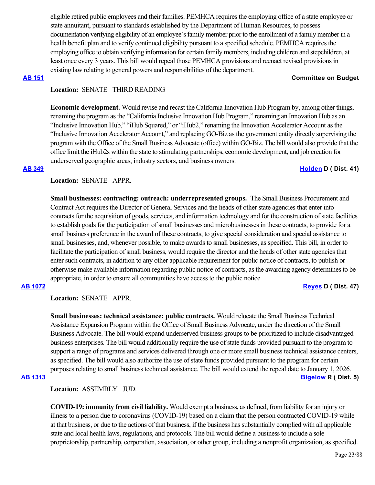eligible retired public employees and their families. PEMHCA requires the employing office of a state employee or state annuitant, pursuant to standards established by the Department of Human Resources, to possess documentation verifying eligibility of an employee's family member prior to the enrollment of a family member in a health benefit plan and to verify continued eligibility pursuant to a specified schedule. PEMHCA requires the employing office to obtain verifying information for certain family members, including children and stepchildren, at least once every 3 years. This bill would repeal those PEMHCA provisions and reenact revised provisions in existing law relating to general powers and responsibilities of the department.

### **[AB 151](https://ctweb.capitoltrack.com/public/publishbillinfo.aspx?bi=U0qr%2FZVUrLbiyEMHYgcYcJNQ%2FEoPiLKYs8qT3FQRgVS5mO9aZufT%2BPx8NQdMQFn9) Committee on Budget**

# **Location:**  SENATE THIRD READING

**Economic development.** Would revise and recast the California Innovation Hub Program by, among other things, renaming the program as the "California Inclusive Innovation Hub Program," renaming an Innovation Hub as an "Inclusive Innovation Hub," "iHub Squared," or "iHub2," renaming the Innovation Accelerator Account as the "Inclusive Innovation Accelerator Account," and replacing GO-Biz as the government entity directly supervising the program with the Office of the Small Business Advocate (office) within GO-Biz. The bill would also provide that the office limit the iHub2s within the state to stimulating partnerships, economic development, and job creation for underserved geographic areas, industry sectors, and business owners.

### **[AB 349](https://ctweb.capitoltrack.com/public/publishbillinfo.aspx?bi=U8nmvOR631fi48JMAAZe7u%2FsiOgOtxxKCZl6G21Isl4eCS35cRf7Fp%2FbLC21krjt) [Holden](https://a41.asmdc.org/) D ( Dist. 41)**

# **Location:**  SENATE APPR.

**Small businesses: contracting: outreach: underrepresented groups.** The Small Business Procurement and Contract Act requires the Director of General Services and the heads of other state agencies that enter into contracts for the acquisition of goods, services, and information technology and for the construction of state facilities to establish goals for the participation of small businesses and microbusinesses in these contracts, to provide for a small business preference in the award of these contracts, to give special consideration and special assistance to small businesses, and, whenever possible, to make awards to small businesses, as specified. This bill, in order to facilitate the participation of small business, would require the director and the heads of other state agencies that enter such contracts, in addition to any other applicable requirement for public notice of contracts, to publish or otherwise make available information regarding public notice of contracts, as the awarding agency determines to be appropriate, in order to ensure all communities have access to the public notice

**[AB 1072](https://ctweb.capitoltrack.com/public/publishbillinfo.aspx?bi=%2BmxX%2Fs%2Bw32vV%2FlbWmYi%2FTCYKWQVhgxlVJciVh5jN8KWH8uMHlAf7i2ZogVOnaNbb) [Reyes](https://a47.asmdc.org/) D ( Dist. 47)**

**Location:**  SENATE APPR.

**Small businesses: technical assistance: public contracts.** Would relocate the Small Business Technical Assistance Expansion Program within the Office of Small Business Advocate, under the direction of the Small Business Advocate. The bill would expand underserved business groups to be prioritized to include disadvantaged business enterprises. The bill would additionally require the use of state funds provided pursuant to the program to support a range of programs and services delivered through one or more small business technical assistance centers, as specified. The bill would also authorize the use of state funds provided pursuant to the program for certain purposes relating to small business technical assistance. The bill would extend the repeal date to January 1, 2026. **[AB 1313](https://ctweb.capitoltrack.com/public/publishbillinfo.aspx?bi=2%2FraP3Q%2FMVl4TH8afX0UnkBRrptTHfxfKPScxNbZ2PEMQ5JIbnVWoh4LhHP%2FDvVB) [Bigelow](https://ad05.asmrc.org/) R ( Dist. 5)**

**Location:**  ASSEMBLY JUD.

**COVID-19: immunity from civil liability.** Would exempt a business, as defined, from liability for an injury or illness to a person due to coronavirus (COVID-19) based on a claim that the person contracted COVID-19 while at that business, or due to the actions of that business, if the business has substantially complied with all applicable state and local health laws, regulations, and protocols. The bill would define a business to include a sole proprietorship, partnership, corporation, association, or other group, including a nonprofit organization, as specified.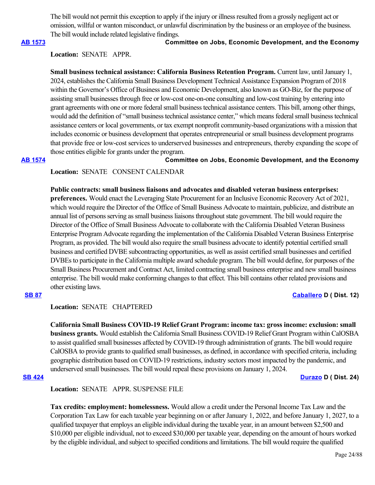The bill would not permit this exception to apply if the injury or illness resulted from a grossly negligent act or omission, willful or wanton misconduct, or unlawful discrimination by the business or an employee of the business. The bill would include related legislative findings.

### **[AB 1573](https://ctweb.capitoltrack.com/public/publishbillinfo.aspx?bi=uG4iiSs6cpsdRSxlFFXnkSXLizceI6F6k0IBJ%2FRiu99VjLbV8%2BDACFZsjdZk49B%2F) Committee on Jobs, Economic Development, and the Economy**

# **Location:**  SENATE APPR.

**Small business technical assistance: California Business Retention Program.** Current law, until January 1, 2024, establishes the California Small Business Development Technical Assistance Expansion Program of 2018 within the Governor's Office of Business and Economic Development, also known as GO-Biz, for the purpose of assisting small businesses through free or low-cost one-on-one consulting and low-cost training by entering into grant agreements with one or more federal small business technical assistance centers. This bill, among other things, would add the definition of "small business technical assistance center," which means federal small business technical assistance centers or local governments, or tax exempt nonprofit community-based organizations with a mission that includes economic or business development that operates entrepreneurial or small business development programs that provide free or low-cost services to underserved businesses and entrepreneurs, thereby expanding the scope of those entities eligible for grants under the program.

**[AB 1574](https://ctweb.capitoltrack.com/public/publishbillinfo.aspx?bi=WcNAX1VhC7eJFt1rotfqgYPspurjOdTMl3t5zVn47enChV1Cb2%2BU3D4Jjb2TJdKh) Committee on Jobs, Economic Development, and the Economy**

# **Location:**  SENATE CONSENT CALENDAR

**Public contracts: small business liaisons and advocates and disabled veteran business enterprises: preferences.** Would enact the Leveraging State Procurement for an Inclusive Economic Recovery Act of 2021, which would require the Director of the Office of Small Business Advocate to maintain, publicize, and distribute an annual list of persons serving as small business liaisons throughout state government. The bill would require the Director of the Office of Small Business Advocate to collaborate with the California Disabled Veteran Business Enterprise Program Advocate regarding the implementation of the California Disabled Veteran Business Enterprise Program, as provided. The bill would also require the small business advocate to identify potential certified small business and certified DVBE subcontracting opportunities, as well as assist certified small businesses and certified DVBEs to participate in the California multiple award schedule program. The bill would define, for purposes of the Small Business Procurement and Contract Act, limited contracting small business enterprise and new small business enterprise. The bill would make conforming changes to that effect. This bill contains other related provisions and other existing laws.

## **[SB 87](https://ctweb.capitoltrack.com/public/publishbillinfo.aspx?bi=eXVeP59s3x2dcSrAj%2FSsW9oOdzYmVh3nNnXsZPsb%2Bt81KO9RDL1twC%2BqsXas%2FmGk) [Caballero](https://sd12.senate.ca.gov/) D ( Dist. 12)**

# **Location:**  SENATE CHAPTERED

**California Small Business COVID-19 Relief Grant Program: income tax: gross income: exclusion: small business grants.** Would establish the California Small Business COVID-19 Relief Grant Program within CalOSBA to assist qualified small businesses affected by COVID-19 through administration of grants. The bill would require CalOSBA to provide grants to qualified small businesses, as defined, in accordance with specified criteria, including geographic distribution based on COVID-19 restrictions, industry sectors most impacted by the pandemic, and underserved small businesses. The bill would repeal these provisions on January 1, 2024.

**[SB 424](https://ctweb.capitoltrack.com/public/publishbillinfo.aspx?bi=6gQOf9PLHy7W7z7OrpvoPsaCf6aZr9Xte6V0AUSHuVtHvi4BfpSw5aGk2nrJ4STf) [Durazo](http://sd24.senate.ca.gov/) D ( Dist. 24)**

**Location:**  SENATE APPR. SUSPENSE FILE

**Tax credits: employment: homelessness.** Would allow a credit under the Personal Income Tax Law and the Corporation Tax Law for each taxable year beginning on or after January 1, 2022, and before January 1, 2027, to a qualified taxpayer that employs an eligible individual during the taxable year, in an amount between \$2,500 and \$10,000 per eligible individual, not to exceed \$30,000 per taxable year, depending on the amount of hours worked by the eligible individual, and subject to specified conditions and limitations. The bill would require the qualified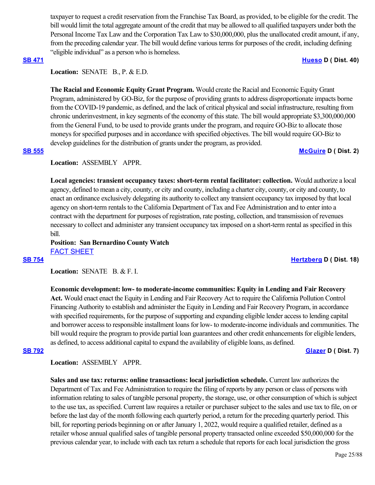taxpayer to request a credit reservation from the Franchise Tax Board, as provided, to be eligible for the credit. The bill would limit the total aggregate amount of the credit that may be allowed to all qualified taxpayers under both the Personal Income Tax Law and the Corporation Tax Law to \$30,000,000, plus the unallocated credit amount, if any, from the preceding calendar year. The bill would define various terms for purposes of the credit, including defining "eligible individual" as a person who is homeless.

## **[SB 471](https://ctweb.capitoltrack.com/public/publishbillinfo.aspx?bi=vEu84Yy7oWcMPcUUMs1z4V9at0jwY1QuJR8vFhj5KxMAVnV7yXJB2JZiSPqVUk5l) [Hueso](http://sd40.senate.ca.gov/) D ( Dist. 40)**

# **Location: SENATE B., P. & E.D.**

**The Racial and Economic Equity Grant Program.** Would create the Racial and Economic Equity Grant Program, administered by GO-Biz, for the purpose of providing grants to address disproportionate impacts borne from the COVID-19 pandemic, as defined, and the lack of critical physical and social infrastructure, resulting from chronic underinvestment, in key segments of the economy of this state. The bill would appropriate \$3,300,000,000 from the General Fund, to be used to provide grants under the program, and require GO-Biz to allocate those moneys for specified purposes and in accordance with specified objectives. The bill would require GO-Biz to develop guidelines for the distribution of grants under the program, as provided.

### **[SB 555](https://ctweb.capitoltrack.com/public/publishbillinfo.aspx?bi=t8gFkA8BMy0t6f2bRZ8kSp8EPfEC1tXi5Xz2ToWCPSP67Zlb%2FyBWj7cbNkwJuqhB) [McGuire](http://sd02.senate.ca.gov/) D ( Dist. 2)**

# **Location:**  ASSEMBLY APPR.

**Local agencies: transient occupancy taxes: short-term rental facilitator: collection.** Would authorize a local agency, defined to mean a city, county, or city and county, including a charter city, county, or city and county, to enact an ordinance exclusively delegating its authority to collect any transient occupancy tax imposed by that local agency on short-term rentals to the California Department of Tax and Fee Administration and to enter into a contract with the department for purposes of registration, rate posting, collection, and transmission of revenues necessary to collect and administer any transient occupancy tax imposed on a short-term rental as specified in this bill.

# **Position: San Bernardino County Watch** [FACT SHEET](https://ctweb.capitoltrack.com/public/publishviewdoc.ashx?di=i%2BWpOgjBguUiU7ZNORsdINh1Rh8PPysNPwy8Jpu1RVk%3D)

## **[SB 754](https://ctweb.capitoltrack.com/public/publishbillinfo.aspx?bi=PqhtD3E0l7x4ko1S2S4vv7Q02ef%2BotM3ZYkRCVhR8gzAgkxPSRuaSWCuKq5f52BJ) [Hertzberg](https://sd18.senate.ca.gov/) D ( Dist. 18)**

## Location: **SENATE B. & F. I.**

**Economic development: low- to moderate-income communities: Equity in Lending and Fair Recovery Act.** Would enact enact the Equity in Lending and Fair Recovery Act to require the California Pollution Control Financing Authority to establish and administer the Equity in Lending and Fair Recovery Program, in accordance with specified requirements, for the purpose of supporting and expanding eligible lender access to lending capital and borrower access to responsible installment loans for low- to moderate-income individuals and communities. The bill would require the program to provide partial loan guarantees and other credit enhancements for eligible lenders, as defined, to access additional capital to expand the availability of eligible loans, as defined.

## **[SB 792](https://ctweb.capitoltrack.com/public/publishbillinfo.aspx?bi=TfEt%2BGNl1fT%2BJZ3cNmmt4zyoH%2FuIryak7Fc6pQ%2BcC6pBW7%2BA2uDvO0Gvx6c3Z576) [Glazer](http://sd07.senate.ca.gov/) D ( Dist. 7)**

## **Location:**  ASSEMBLY APPR.

**Sales and use tax: returns: online transactions: local jurisdiction schedule.** Current law authorizes the Department of Tax and Fee Administration to require the filing of reports by any person or class of persons with information relating to sales of tangible personal property, the storage, use, or other consumption of which is subject to the use tax, as specified. Current law requires a retailer or purchaser subject to the sales and use tax to file, on or before the last day of the month following each quarterly period, a return for the preceding quarterly period. This bill, for reporting periods beginning on or after January 1, 2022, would require a qualified retailer, defined as a retailer whose annual qualified sales of tangible personal property transacted online exceeded \$50,000,000 for the previous calendar year, to include with each tax return a schedule that reports for each local jurisdiction the gross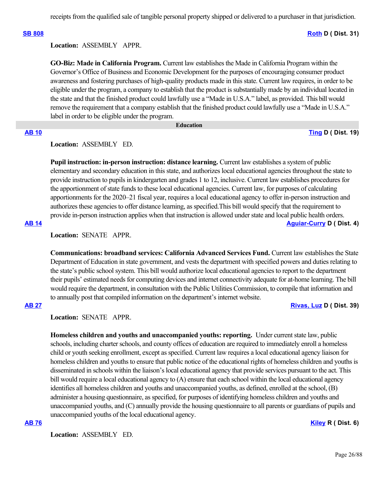**[SB 808](https://ctweb.capitoltrack.com/public/publishbillinfo.aspx?bi=3GyKMke5BlTmy5PIltzX9TUa4viu0QUyktofzbF4fgUWcL7zZVt0oHREm%2Bvc3euY) [Roth](http://sd31.senate.ca.gov/)** D ( Dist. 31)

# **Location:**  ASSEMBLY APPR.

**GO-Biz: Made in California Program.** Current law establishes the Made in California Program within the Governor's Office of Business and Economic Development for the purposes of encouraging consumer product awareness and fostering purchases of high-quality products made in this state. Current law requires, in order to be eligible under the program, a company to establish that the product is substantially made by an individual located in the state and that the finished product could lawfully use a "Made in U.S.A." label, as provided. This bill would remove the requirement that a company establish that the finished product could lawfully use a "Made in U.S.A." label in order to be eligible under the program.

### **Education**

**[AB 10](https://ctweb.capitoltrack.com/public/publishbillinfo.aspx?bi=XTp2oJlkpvDcj707v8GkJiMeguicvKNR3MnF4uEVOwUno%2BnMAmG57hpM4Vk5fZtZ) [Ting](https://a19.asmdc.org/) D ( Dist. 19)**

# **Location:**  ASSEMBLY ED.

**Pupil instruction: in-person instruction: distance learning.** Current law establishes a system of public elementary and secondary education in this state, and authorizes local educational agencies throughout the state to provide instruction to pupils in kindergarten and grades 1 to 12, inclusive. Current law establishes procedures for the apportionment of state funds to these local educational agencies. Current law, for purposes of calculating apportionments for the 2020–21 fiscal year, requires a local educational agency to offer in-person instruction and authorizes these agencies to offer distance learning, as specified.This bill would specify that the requirement to provide in-person instruction applies when that instruction is allowed under state and local public health orders. **[AB 14](https://ctweb.capitoltrack.com/public/publishbillinfo.aspx?bi=PJ7%2BepUVd85X%2BCqlJ9X9fOZ57l7wspB6zHmRkbn4yMvYIGYbRAK5Yp%2BxoAPIXInF) [Aguiar-Curry](https://a04.asmdc.org/) D ( Dist. 4)**

**Location:**  SENATE APPR.

**Communications: broadband services: California Advanced Services Fund.** Current law establishes the State Department of Education in state government, and vests the department with specified powers and duties relating to the state's public school system. This bill would authorize local educational agencies to report to the department their pupils' estimated needs for computing devices and internet connectivity adequate for at-home learning. The bill would require the department, in consultation with the Public Utilities Commission, to compile that information and to annually post that compiled information on the department's internet website.

## **[AB 27](https://ctweb.capitoltrack.com/public/publishbillinfo.aspx?bi=x4XyyqXGhwGnYdhJXQdtKNyhgckctlG%2Bra6aa3YuPUvHwdfX8p9BiyraOIqLrT45) [Rivas, Luz](https://a39.asmdc.org/) D ( Dist. 39)**

**Location:**  SENATE APPR.

**Homeless children and youths and unaccompanied youths: reporting.** Under current state law, public schools, including charter schools, and county offices of education are required to immediately enroll a homeless child or youth seeking enrollment, except as specified. Current law requires a local educational agency liaison for homeless children and youths to ensure that public notice of the educational rights of homeless children and youths is disseminated in schools within the liaison's local educational agency that provide services pursuant to the act. This bill would require a local educational agency to (A) ensure that each school within the local educational agency identifies all homeless children and youths and unaccompanied youths, as defined, enrolled at the school, (B) administer a housing questionnaire, as specified, for purposes of identifying homeless children and youths and unaccompanied youths, and (C) annually provide the housing questionnaire to all parents or guardians of pupils and unaccompanied youths of the local educational agency.

## **[AB 76](https://ctweb.capitoltrack.com/public/publishbillinfo.aspx?bi=9G%2BVnW0%2BUtxFigG2R0zSr56FK7XELIcfgfzUK1W8vCitkFZ45KW3goUeyrw4U1LG) [Kiley](https://ad06.asmrc.org/) R ( Dist. 6)**

**Location:**  ASSEMBLY ED.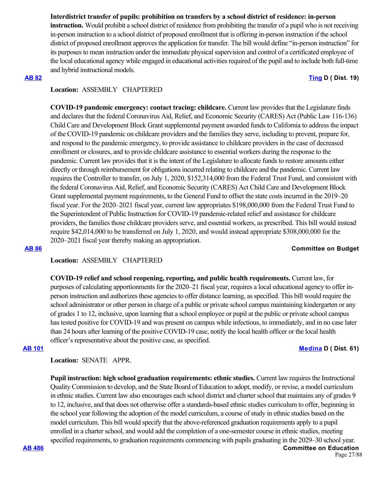# **Interdistrict transfer of pupils: prohibition on transfers by a school district of residence: in-person**

**instruction.** Would prohibit a school district of residence from prohibiting the transfer of a pupil who is not receiving in-person instruction to a school district of proposed enrollment that is offering in-person instruction if the school district of proposed enrollment approves the application for transfer. The bill would define "in-person instruction" for its purposes to mean instruction under the immediate physical supervision and control of a certificated employee of the local educational agency while engaged in educational activities required of the pupil and to include both full-time and hybrid instructional models.

### **[AB 82](https://ctweb.capitoltrack.com/public/publishbillinfo.aspx?bi=E%2BCmfrSOosAGg12%2FPPhzAyV2luKZag31olam5r9Uwg9LlP4N49u9%2B5vJPJRMyaoY) [Ting](https://a19.asmdc.org/) D ( Dist. 19)**

# **Location:**  ASSEMBLY CHAPTERED

**COVID-19 pandemic emergency: contact tracing: childcare.** Current law provides that the Legislature finds and declares that the federal Coronavirus Aid, Relief, and Economic Security (CARES) Act (Public Law 116-136) Child Care and Development Block Grant supplemental payment awarded funds to California to address the impact of the COVID-19 pandemic on childcare providers and the families they serve, including to prevent, prepare for, and respond to the pandemic emergency, to provide assistance to childcare providers in the case of decreased enrollment or closures, and to provide childcare assistance to essential workers during the response to the pandemic. Current law provides that it is the intent of the Legislature to allocate funds to restore amounts either directly or through reimbursement for obligations incurred relating to childcare and the pandemic. Current law requires the Controller to transfer, on July 1, 2020, \$152,314,000 from the Federal Trust Fund, and consistent with the federal Coronavirus Aid, Relief, and Economic Security (CARES) Act Child Care and Development Block Grant supplemental payment requirements, to the General Fund to offset the state costs incurred in the 2019–20 fiscal year. For the 2020–2021 fiscal year, current law appropriates \$198,000,000 from the Federal Trust Fund to the Superintendent of Public Instruction for COVID-19 pandemic-related relief and assistance for childcare providers, the families those childcare providers serve, and essential workers, as prescribed. This bill would instead require \$42,014,000 to be transferred on July 1, 2020, and would instead appropriate \$308,000,000 for the 2020–2021 fiscal year thereby making an appropriation.

# **[AB 86](https://ctweb.capitoltrack.com/public/publishbillinfo.aspx?bi=U5shfJa9I0USdNbC3FJxlwp6ngQdxnTMDJiNnfWcmDGLx2JzMgKM%2BJn6ciXSnPxL) Committee on Budget**

## **Location:**  ASSEMBLY CHAPTERED

**COVID-19 relief and school reopening, reporting, and public health requirements.** Current law, for purposes of calculating apportionments for the 2020–21 fiscal year, requires a local educational agency to offer inperson instruction and authorizes these agencies to offer distance learning, as specified. This bill would require the school administrator or other person in charge of a public or private school campus maintaining kindergarten or any of grades 1 to 12, inclusive, upon learning that a school employee or pupil at the public or private school campus has tested positive for COVID-19 and was present on campus while infectious, to immediately, and in no case later than 24 hours after learning of the positive COVID-19 case, notify the local health officer or the local health officer's representative about the positive case, as specified.

### **[AB 101](https://ctweb.capitoltrack.com/public/publishbillinfo.aspx?bi=SA4m82kQRt91xhZah5wMkJvEaNvU6tVMF9cwyYaPAA9WvOmX8cKDd91eYyEQCa1Y) [Medina](https://a61.asmdc.org/) D ( Dist. 61)**

# **Location:**  SENATE APPR.

**Pupil instruction: high school graduation requirements: ethnic studies.** Current law requires the Instructional Quality Commission to develop, and the State Board of Education to adopt, modify, or revise, a model curriculum in ethnic studies. Current law also encourages each school district and charter school that maintains any of grades 9 to 12, inclusive, and that does not otherwise offer a standards-based ethnic studies curriculum to offer, beginning in the school year following the adoption of the model curriculum, a course of study in ethnic studies based on the model curriculum. This bill would specify that the above-referenced graduation requirements apply to a pupil enrolled in a charter school, and would add the completion of a one-semester course in ethnic studies, meeting specified requirements, to graduation requirements commencing with pupils graduating in the 2029–30 school year.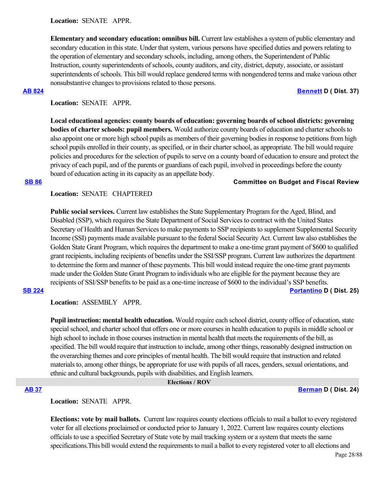**Location:**  SENATE APPR.

**Elementary and secondary education: omnibus bill.** Current law establishes a system of public elementary and secondary education in this state. Under that system, various persons have specified duties and powers relating to the operation of elementary and secondary schools, including, among others, the Superintendent of Public Instruction, county superintendents of schools, county auditors, and city, district, deputy, associate, or assistant superintendents of schools. This bill would replace gendered terms with nongendered terms and make various other nonsubstantive changes to provisions related to those persons.

**[AB 824](https://ctweb.capitoltrack.com/public/publishbillinfo.aspx?bi=4w7a3x0Xnb6ieHQbTAIHmo1VBpUQbMo4UrUe0AkOzA%2FiJwCzrWYv38POGE4J062U) [Bennett](https://a37.asmdc.org/) D ( Dist. 37)**

# **Location:**  SENATE APPR.

**Local educational agencies: county boards of education: governing boards of school districts: governing bodies of charter schools: pupil members.** Would authorize county boards of education and charter schools to also appoint one or more high school pupils as members of their governing bodies in response to petitions from high school pupils enrolled in their county, as specified, or in their charter school, as appropriate. The bill would require policies and procedures for the selection of pupils to serve on a county board of education to ensure and protect the privacy of each pupil, and of the parents or guardians of each pupil, involved in proceedings before the county board of education acting in its capacity as an appellate body.

### **[SB 86](https://ctweb.capitoltrack.com/public/publishbillinfo.aspx?bi=iYFUAvPUutxqCit0%2B4xjGlPcUjFeQiVlGIPSS4c%2BB1kNgAALATaxORwiUwtYOoHa) Committee on Budget and Fiscal Review**

# **Location:**  SENATE CHAPTERED

**Public social services.** Current law establishes the State Supplementary Program for the Aged, Blind, and Disabled (SSP), which requires the State Department of Social Services to contract with the United States Secretary of Health and Human Services to make payments to SSP recipients to supplement Supplemental Security Income (SSI) payments made available pursuant to the federal Social Security Act. Current law also establishes the Golden State Grant Program, which requires the department to make a one-time grant payment of \$600 to qualified grant recipients, including recipients of benefits under the SSI/SSP program. Current law authorizes the department to determine the form and manner of these payments. This bill would instead require the one-time grant payments made under the Golden State Grant Program to individuals who are eligible for the payment because they are recipients of SSI/SSP benefits to be paid as a one-time increase of \$600 to the individual's SSP benefits. **[SB 224](https://ctweb.capitoltrack.com/public/publishbillinfo.aspx?bi=DM6voUCgLw3vG9tn2ohUlSz%2BYm%2BUwDm9SUq7pJ8T81nrMTjQbjemiDsQefclpumo) [Portantino](http://sd25.senate.ca.gov/) D ( Dist. 25)**

**Location:**  ASSEMBLY APPR.

**Pupil instruction: mental health education.** Would require each school district, county office of education, state special school, and charter school that offers one or more courses in health education to pupils in middle school or high school to include in those courses instruction in mental health that meets the requirements of the bill, as specified. The bill would require that instruction to include, among other things, reasonably designed instruction on the overarching themes and core principles of mental health. The bill would require that instruction and related materials to, among other things, be appropriate for use with pupils of all races, genders, sexual orientations, and ethnic and cultural backgrounds, pupils with disabilities, and English learners.

### **Elections / ROV**

**[AB 37](https://ctweb.capitoltrack.com/public/publishbillinfo.aspx?bi=MG0KIq%2Bzo2h03G4evUb95g%2FG2%2B1uhk2CzcKjAws%2BBq9yVA5f0J3I8WSXJop9gKLk) [Berman](https://a24.asmdc.org/) D ( Dist. 24)**

## **Location:**  SENATE APPR.

**Elections: vote by mail ballots.** Current law requires county elections officials to mail a ballot to every registered voter for all elections proclaimed or conducted prior to January 1, 2022. Current law requires county elections officials to use a specified Secretary of State vote by mail tracking system or a system that meets the same specifications.This bill would extend the requirements to mail a ballot to every registered voter to all elections and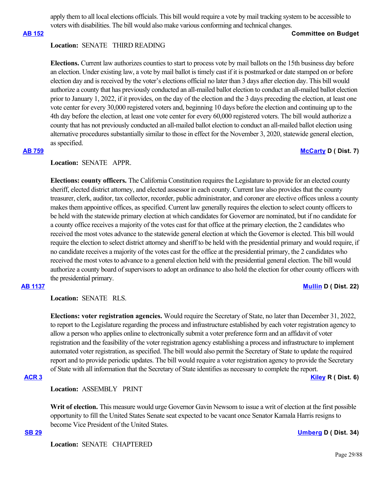apply them to all local elections officials. This bill would require a vote by mail tracking system to be accessible to voters with disabilities. The bill would also make various conforming and technical changes.

### **[AB 152](https://ctweb.capitoltrack.com/public/publishbillinfo.aspx?bi=gRkmMj%2FzHvu7wFu4ZMnzvWacZsqtDpaWT2RGWHEpK2%2Bq8%2FZd2ARoNYqWSZGN2CFo) Committee on Budget**

## **Location:**  SENATE THIRD READING

**Elections.** Current law authorizes counties to start to process vote by mail ballots on the 15th business day before an election. Under existing law, a vote by mail ballot is timely cast if it is postmarked or date stamped on or before election day and is received by the voter's elections official no later than 3 days after election day. This bill would authorize a county that has previously conducted an all-mailed ballot election to conduct an all-mailed ballot election prior to January 1, 2022, if it provides, on the day of the election and the 3 days preceding the election, at least one vote center for every 30,000 registered voters and, beginning 10 days before the election and continuing up to the 4th day before the election, at least one vote center for every 60,000 registered voters. The bill would authorize a county that has not previously conducted an all-mailed ballot election to conduct an all-mailed ballot election using alternative procedures substantially similar to those in effect for the November 3, 2020, statewide general election, as specified.

### **[AB 759](https://ctweb.capitoltrack.com/public/publishbillinfo.aspx?bi=aA90vtH319PBAz%2F6mP7iVn2Ey3W0AKYdpxz2PkqCtbyOJWw7OfERY4Hh%2BfKZUBFv) [McCarty](https://a07.asmdc.org/) D ( Dist. 7)**

### **Location:**  SENATE APPR.

**Elections: county officers.** The California Constitution requires the Legislature to provide for an elected county sheriff, elected district attorney, and elected assessor in each county. Current law also provides that the county treasurer, clerk, auditor, tax collector, recorder, public administrator, and coroner are elective offices unless a county makes them appointive offices, as specified. Current law generally requires the election to select county officers to be held with the statewide primary election at which candidates for Governor are nominated, but if no candidate for a county office receives a majority of the votes cast for that office at the primary election, the 2 candidates who received the most votes advance to the statewide general election at which the Governor is elected. This bill would require the election to select district attorney and sheriff to be held with the presidential primary and would require, if no candidate receives a majority of the votes cast for the office at the presidential primary, the 2 candidates who received the most votes to advance to a general election held with the presidential general election. The bill would authorize a county board of supervisors to adopt an ordinance to also hold the election for other county officers with the presidential primary.

# **[AB 1137](https://ctweb.capitoltrack.com/public/publishbillinfo.aspx?bi=PQ2UN9IAlNJFxjb5YT%2FgJ4bkxE9aiGC7PaIOD9LbqXyIHNXL3yT0suFLISgX8PWM) [Mullin](https://a22.asmdc.org/) D ( Dist. 22)**

**Location:**  SENATE RLS.

**Elections: voter registration agencies.** Would require the Secretary of State, no later than December 31, 2022, to report to the Legislature regarding the process and infrastructure established by each voter registration agency to allow a person who applies online to electronically submit a voter preference form and an affidavit of voter registration and the feasibility of the voter registration agency establishing a process and infrastructure to implement automated voter registration, as specified. The bill would also permit the Secretary of State to update the required report and to provide periodic updates. The bill would require a voter registration agency to provide the Secretary of State with all information that the Secretary of State identifies as necessary to complete the report.

## **[ACR 3](https://ctweb.capitoltrack.com/public/publishbillinfo.aspx?bi=WtKOqYkAHuj%2FALWshgYoEMzVQyK7iFpO6vaLPHDGz4aIfGBHRzCuybdWYHyhENdI) [Kiley](https://ad06.asmrc.org/) R ( Dist. 6)**

**Location:**  ASSEMBLY PRINT

**Writ of election.** This measure would urge Governor Gavin Newsom to issue a writ of election at the first possible opportunity to fill the United States Senate seat expected to be vacant once Senator Kamala Harris resigns to become Vice President of the United States.

**[SB 29](https://ctweb.capitoltrack.com/public/publishbillinfo.aspx?bi=yIJr3w%2FwBBFvxr64ksXevSx8Om5d8LulHBwyCdh2ADsbQchvO3mJ3LeMrdcStk7H) [Umberg](https://sd34.senate.ca.gov/) D ( Dist. 34)**

**Location:**  SENATE CHAPTERED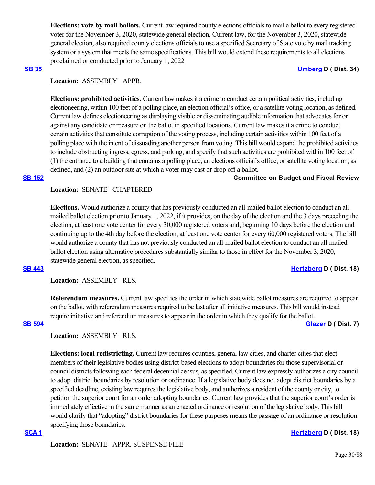**Elections: vote by mail ballots.** Current law required county elections officials to mail a ballot to every registered voter for the November 3, 2020, statewide general election. Current law, for the November 3, 2020, statewide general election, also required county elections officials to use a specified Secretary of State vote by mail tracking system or a system that meets the same specifications. This bill would extend these requirements to all elections proclaimed or conducted prior to January 1, 2022

### **[SB 35](https://ctweb.capitoltrack.com/public/publishbillinfo.aspx?bi=K4VO%2B%2F%2FXcjYeFMsoKn5pTb2iM2WfEovekFbcxqCkFF1%2FMECA7gqN3M706GgQiy0e) [Umberg](https://sd34.senate.ca.gov/) D ( Dist. 34)**

# **Location:**  ASSEMBLY APPR.

**Elections: prohibited activities.** Current law makes it a crime to conduct certain political activities, including electioneering, within 100 feet of a polling place, an election official's office, or a satellite voting location, as defined. Current law defines electioneering as displaying visible or disseminating audible information that advocates for or against any candidate or measure on the ballot in specified locations. Current law makes it a crime to conduct certain activities that constitute corruption of the voting process, including certain activities within 100 feet of a polling place with the intent of dissuading another person from voting. This bill would expand the prohibited activities to include obstructing ingress, egress, and parking, and specify that such activities are prohibited within 100 feet of (1) the entrance to a building that contains a polling place, an elections official's office, or satellite voting location, as defined, and (2) an outdoor site at which a voter may cast or drop off a ballot.

### **[SB 152](https://ctweb.capitoltrack.com/public/publishbillinfo.aspx?bi=VJhbkGVPGw%2Bgnl2gt3aUg8zPYhReRKv15nFi%2B3qpPDg7%2FzrK2c17qUcsRnVEUSpR) Committee on Budget and Fiscal Review**

# **Location:**  SENATE CHAPTERED

**Elections.** Would authorize a county that has previously conducted an all-mailed ballot election to conduct an allmailed ballot election prior to January 1, 2022, if it provides, on the day of the election and the 3 days preceding the election, at least one vote center for every 30,000 registered voters and, beginning 10 days before the election and continuing up to the 4th day before the election, at least one vote center for every 60,000 registered voters. The bill would authorize a county that has not previously conducted an all-mailed ballot election to conduct an all-mailed ballot election using alternative procedures substantially similar to those in effect for the November 3, 2020, statewide general election, as specified.

### **[SB 443](https://ctweb.capitoltrack.com/public/publishbillinfo.aspx?bi=HIojWqTdpascDXzdrowFDmZfMBn6ikUpCG3ceZICtuNK6Drr9Vz38JPGnn2sEp40) [Hertzberg](https://sd18.senate.ca.gov/) D ( Dist. 18)**

**Location:**  ASSEMBLY RLS.

**Referendum measures.** Current law specifies the order in which statewide ballot measures are required to appear on the ballot, with referendum measures required to be last after all initiative measures. This bill would instead require initiative and referendum measures to appear in the order in which they qualify for the ballot.

**[SB 594](https://ctweb.capitoltrack.com/public/publishbillinfo.aspx?bi=kOfI7Aw8HK%2F1P5ifWgmLakhdJE1c559hKvxsm2J%2F%2BQrIn6mAZx%2FhjUblUgIFWO7c) [Glazer](http://sd07.senate.ca.gov/) D ( Dist. 7)**

# **Location:**  ASSEMBLY RLS.

**Elections: local redistricting.** Current law requires counties, general law cities, and charter cities that elect members of their legislative bodies using district-based elections to adopt boundaries for those supervisorial or council districts following each federal decennial census, as specified. Current law expressly authorizes a city council to adopt district boundaries by resolution or ordinance. If a legislative body does not adopt district boundaries by a specified deadline, existing law requires the legislative body, and authorizes a resident of the county or city, to petition the superior court for an order adopting boundaries. Current law provides that the superior court's order is immediately effective in the same manner as an enacted ordinance or resolution of the legislative body. This bill would clarify that "adopting" district boundaries for these purposes means the passage of an ordinance or resolution specifying those boundaries.

## **[SCA 1](https://ctweb.capitoltrack.com/public/publishbillinfo.aspx?bi=VRzwv5BBUlz2wPMkYUS%2BaZtmuwo%2FP7juxDvzbzTNyD2qMj%2Bi16c3DiXua%2B8AxI%2Bl) [Hertzberg](https://sd18.senate.ca.gov/) D ( Dist. 18)**

**Location:**  SENATE APPR. SUSPENSE FILE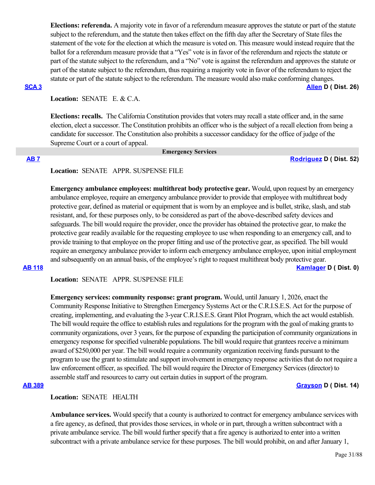**Elections: referenda.** A majority vote in favor of a referendum measure approves the statute or part of the statute subject to the referendum, and the statute then takes effect on the fifth day after the Secretary of State files the statement of the vote for the election at which the measure is voted on. This measure would instead require that the ballot for a referendum measure provide that a "Yes" vote is in favor of the referendum and rejects the statute or part of the statute subject to the referendum, and a "No" vote is against the referendum and approves the statute or part of the statute subject to the referendum, thus requiring a majority vote in favor of the referendum to reject the statute or part of the statute subject to the referendum. The measure would also make conforming changes. **[SCA 3](https://ctweb.capitoltrack.com/public/publishbillinfo.aspx?bi=3540yp739dRPhhZgmmhtfT0fgywm%2F2HMRmVb2A%2Bn15bSj81nwRuQAqGB%2BjQtJQAt) [Allen](http://sd26.senate.ca.gov/) D ( Dist. 26)**

**Location:**  SENATE E. & C.A.

**Elections: recalls.** The California Constitution provides that voters may recall a state officer and, in the same election, elect a successor. The Constitution prohibits an officer who is the subject of a recall election from being a candidate for successor. The Constitution also prohibits a successor candidacy for the office of judge of the Supreme Court or a court of appeal.

### **Emergency Services**

### **[AB 7](https://ctweb.capitoltrack.com/public/publishbillinfo.aspx?bi=p8WZMbevtTVfIMkwEOLndJHfwEiLMX0Z15ylFCS3HoKCVwm0AVG1tDGgJ3vX%2FR0w) [Rodriguez](https://a52.asmdc.org/) D ( Dist. 52)**

### **Location:**  SENATE APPR. SUSPENSE FILE

**Emergency ambulance employees: multithreat body protective gear.** Would, upon request by an emergency ambulance employee, require an emergency ambulance provider to provide that employee with multithreat body protective gear, defined as material or equipment that is worn by an employee and is bullet, strike, slash, and stab resistant, and, for these purposes only, to be considered as part of the above-described safety devices and safeguards. The bill would require the provider, once the provider has obtained the protective gear, to make the protective gear readily available for the requesting employee to use when responding to an emergency call, and to provide training to that employee on the proper fitting and use of the protective gear, as specified. The bill would require an emergency ambulance provider to inform each emergency ambulance employee, upon initial employment and subsequently on an annual basis, of the employee's right to request multithreat body protective gear.

**[AB 118](https://ctweb.capitoltrack.com/public/publishbillinfo.aspx?bi=SphFfN9xeteQbOXIrPokfTP%2F%2FjX%2Bl92itaraU1VDwAfdEowaPjR55wTw%2FaWUZ6CL) [Kamlager](https://a54.asmdc.org/) D ( Dist. 0)**

**Location:**  SENATE APPR. SUSPENSE FILE

**Emergency services: community response: grant program.** Would, until January 1, 2026, enact the Community Response Initiative to Strengthen Emergency Systems Act or the C.R.I.S.E.S. Act for the purpose of creating, implementing, and evaluating the 3-year C.R.I.S.E.S. Grant Pilot Program, which the act would establish. The bill would require the office to establish rules and regulations for the program with the goal of making grants to community organizations, over 3 years, for the purpose of expanding the participation of community organizations in emergency response for specified vulnerable populations. The bill would require that grantees receive a minimum award of \$250,000 per year. The bill would require a community organization receiving funds pursuant to the program to use the grant to stimulate and support involvement in emergency response activities that do not require a law enforcement officer, as specified. The bill would require the Director of Emergency Services (director) to assemble staff and resources to carry out certain duties in support of the program.

### **[AB 389](https://ctweb.capitoltrack.com/public/publishbillinfo.aspx?bi=RiUzKNsjke%2FQEhgp%2Bj3gJvpdDZMxEFwTdrBEyotjBeCkPO08fy%2BIa2lOd9UdGooL) [Grayson](https://a14.asmdc.org/) D ( Dist. 14)**

# **Location:**  SENATE HEALTH

**Ambulance services.** Would specify that a county is authorized to contract for emergency ambulance services with a fire agency, as defined, that provides those services, in whole or in part, through a written subcontract with a private ambulance service. The bill would further specify that a fire agency is authorized to enter into a written subcontract with a private ambulance service for these purposes. The bill would prohibit, on and after January 1,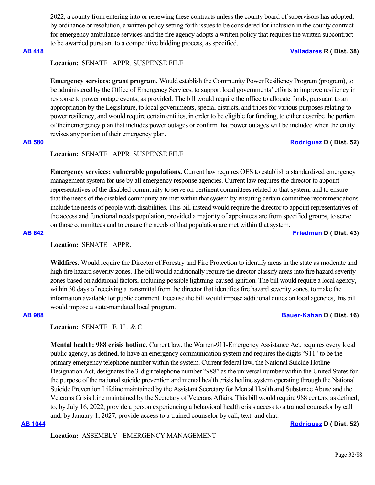2022, a county from entering into or renewing these contracts unless the county board of supervisors has adopted, by ordinance or resolution, a written policy setting forth issues to be considered for inclusion in the county contract for emergency ambulance services and the fire agency adopts a written policy that requires the written subcontract to be awarded pursuant to a competitive bidding process, as specified.

# **[AB 418](https://ctweb.capitoltrack.com/public/publishbillinfo.aspx?bi=GnU%2BOEQEzmHVUc7wIVVEiISDCMew6AYOCOY1SW3zVsNYuKJ%2FXiMsYUj1nO8i9xP2) [Valladares](https://ad38.asmrc.org/) R ( Dist. 38)**

### **Location:**  SENATE APPR. SUSPENSE FILE

**Emergency services: grant program.** Would establish the Community Power Resiliency Program (program), to be administered by the Office of Emergency Services, to support local governments' efforts to improve resiliency in response to power outage events, as provided. The bill would require the office to allocate funds, pursuant to an appropriation by the Legislature, to local governments, special districts, and tribes for various purposes relating to power resiliency, and would require certain entities, in order to be eligible for funding, to either describe the portion of their emergency plan that includes power outages or confirm that power outages will be included when the entity revises any portion of their emergency plan.

# **[AB 580](https://ctweb.capitoltrack.com/public/publishbillinfo.aspx?bi=WXU55vgswBolv7sEKrga9uPdhhh5zPA6p5QPBadmZqQSYUHA%2F3WrOjrM6hRAYbSP) [Rodriguez](https://a52.asmdc.org/) D ( Dist. 52)**

### **Location:**  SENATE APPR. SUSPENSE FILE

**Emergency services: vulnerable populations.** Current law requires OES to establish a standardized emergency management system for use by all emergency response agencies. Current law requires the director to appoint representatives of the disabled community to serve on pertinent committees related to that system, and to ensure that the needs of the disabled community are met within that system by ensuring certain committee recommendations include the needs of people with disabilities. This bill instead would require the director to appoint representatives of the access and functional needs population, provided a majority of appointees are from specified groups, to serve on those committees and to ensure the needs of that population are met within that system.

**[AB 642](https://ctweb.capitoltrack.com/public/publishbillinfo.aspx?bi=K6CX19qENDPAMvd7iLwZ1HVEdz%2BeRY7EgYjNbp0KZj2POGQlH%2FLQzU1i2gvGHWeX) [Friedman](https://a43.asmdc.org/) D ( Dist. 43)**

# **Location:**  SENATE APPR.

**Wildfires.** Would require the Director of Forestry and Fire Protection to identify areas in the state as moderate and high fire hazard severity zones. The bill would additionally require the director classify areas into fire hazard severity zones based on additional factors, including possible lightning-caused ignition. The bill would require a local agency, within 30 days of receiving a transmittal from the director that identifies fire hazard severity zones, to make the information available for public comment. Because the bill would impose additional duties on local agencies, this bill would impose a state-mandated local program.

**Location:**  SENATE E. U., & C.

**Mental health: 988 crisis hotline.** Current law, the Warren-911-Emergency Assistance Act, requires every local public agency, as defined, to have an emergency communication system and requires the digits "911" to be the primary emergency telephone number within the system. Current federal law, the National Suicide Hotline Designation Act, designates the 3-digit telephone number "988" as the universal number within the United States for the purpose of the national suicide prevention and mental health crisis hotline system operating through the National Suicide Prevention Lifeline maintained by the Assistant Secretary for Mental Health and Substance Abuse and the Veterans Crisis Line maintained by the Secretary of Veterans Affairs. This bill would require 988 centers, as defined, to, by July 16, 2022, provide a person experiencing a behavioral health crisis access to a trained counselor by call and, by January 1, 2027, provide access to a trained counselor by call, text, and chat.

### **[AB 1044](https://ctweb.capitoltrack.com/public/publishbillinfo.aspx?bi=4azcB8LG4cSgPewRhayk4Eq8D88B0auTSiWgOFnVA55XZmkkVkLWPu3RNJanuaK1) [Rodriguez](https://a52.asmdc.org/) D ( Dist. 52)**

**Location:**  ASSEMBLY EMERGENCY MANAGEMENT

### **[AB 988](https://ctweb.capitoltrack.com/public/publishbillinfo.aspx?bi=jPjlAAna2I%2BTXPXFt0nZGgjfP4UQuHD0yMrgtf7cg0IF6eh90GIQOatSW9biM2p8) [Bauer-Kahan](https://a16.asmdc.org/) D ( Dist. 16)**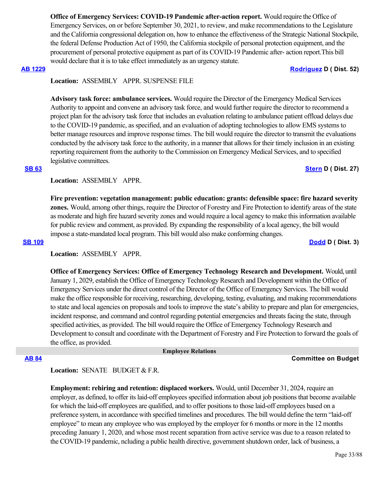**Office of Emergency Services: COVID-19 Pandemic after-action report.** Would require the Office of Emergency Services, on or before September 30, 2021, to review, and make recommendations to the Legislature and the California congressional delegation on, how to enhance the effectiveness of the Strategic National Stockpile, the federal Defense Production Act of 1950, the California stockpile of personal protection equipment, and the procurement of personal protective equipment as part of its COVID-19 Pandemic after- action report.This bill would declare that it is to take effect immediately as an urgency statute.

### **[AB 1229](https://ctweb.capitoltrack.com/public/publishbillinfo.aspx?bi=qPRxf4gfKcSLLBG7C1mbeEOiGQHMHT10lx0lcVDKuAdodH%2FJSQl4p%2ByBoUfGpbk9) [Rodriguez](https://a52.asmdc.org/) D ( Dist. 52)**

**Location:**  ASSEMBLY APPR. SUSPENSE FILE

**Advisory task force: ambulance services.** Would require the Director of the Emergency Medical Services Authority to appoint and convene an advisory task force, and would further require the director to recommend a project plan for the advisory task force that includes an evaluation relating to ambulance patient offload delays due to the COVID-19 pandemic, as specified, and an evaluation of adopting technologies to allow EMS systems to better manage resources and improve response times. The bill would require the director to transmit the evaluations conducted by the advisory task force to the authority, in a manner that allows for their timely inclusion in an existing reporting requirement from the authority to the Commission on Emergency Medical Services, and to specified legislative committees.

### **[SB 63](https://ctweb.capitoltrack.com/public/publishbillinfo.aspx?bi=51BTS7vZ%2FnRh37SDSRFhwHJo55TTZhO%2FVJVDJqxfuxXLS9oe%2FbQJwqoj%2BGMKYDoU) [Stern](http://sd27.senate.ca.gov/) D ( Dist. 27)**

**Location:**  ASSEMBLY APPR.

**Fire prevention: vegetation management: public education: grants: defensible space: fire hazard severity zones.** Would, among other things, require the Director of Forestry and Fire Protection to identify areas of the state as moderate and high fire hazard severity zones and would require a local agency to make this information available for public review and comment, as provided. By expanding the responsibility of a local agency, the bill would impose a state-mandated local program. This bill would also make conforming changes.

**[SB 109](https://ctweb.capitoltrack.com/public/publishbillinfo.aspx?bi=VcVV71HTyDNa3dv83xyYX%2BWRZUb%2FY9P91HkxJBrTJG8q%2FGXpQCVc5LP8rZGmML70) [Dodd](http://sd03.senate.ca.gov/) D ( Dist. 3)**

**Location:**  ASSEMBLY APPR.

**Office of Emergency Services: Office of Emergency Technology Research and Development.** Would, until January 1, 2029, establish the Office of Emergency Technology Research and Development within the Office of Emergency Services under the direct control of the Director of the Office of Emergency Services. The bill would make the office responsible for receiving, researching, developing, testing, evaluating, and making recommendations to state and local agencies on proposals and tools to improve the state's ability to prepare and plan for emergencies, incident response, and command and control regarding potential emergencies and threats facing the state, through specified activities, as provided. The bill would require the Office of Emergency Technology Research and Development to consult and coordinate with the Department of Forestry and Fire Protection to forward the goals of the office, as provided.

### **Employee Relations**

## **[AB 84](https://ctweb.capitoltrack.com/public/publishbillinfo.aspx?bi=B%2FFJylx76BV7l52%2B3XhF6j%2FwR52JBWNxjEXhy3jtbD2GBvwl2cN4wsF%2FNmRfG1Iy) Committee on Budget**

Location: **SENATE** BUDGET & F.R.

**Employment: rehiring and retention: displaced workers.** Would, until December 31, 2024, require an employer, as defined, to offer its laid-off employees specified information about job positions that become available for which the laid-off employees are qualified, and to offer positions to those laid-off employees based on a preference system, in accordance with specified timelines and procedures. The bill would define the term "laid-off employee" to mean any employee who was employed by the employer for 6 months or more in the 12 months preceding January 1, 2020, and whose most recent separation from active service was due to a reason related to the COVID-19 pandemic, ncluding a public health directive, government shutdown order, lack of business, a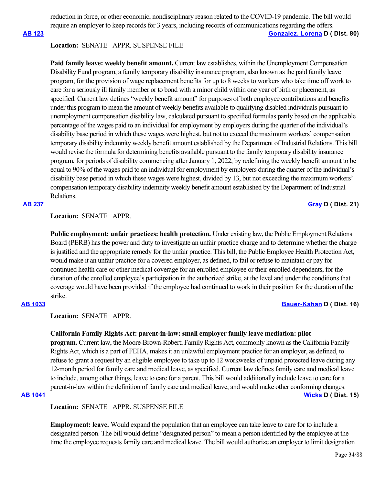reduction in force, or other economic, nondisciplinary reason related to the COVID-19 pandemic. The bill would require an employer to keep records for 3 years, including records of communications regarding the offers.

### **[AB 123](https://ctweb.capitoltrack.com/public/publishbillinfo.aspx?bi=%2F8P%2FESm4cLrZPdZlseHCQ6aTJbD6zKr0QhaL%2Fr3l%2B80CEFmtlz4tcU5EIMhoxRGN) [Gonzalez, Lorena](https://a80.asmdc.org/) D ( Dist. 80)**

### **Location:**  SENATE APPR. SUSPENSE FILE

**Paid family leave: weekly benefit amount.** Current law establishes, within the Unemployment Compensation Disability Fund program, a family temporary disability insurance program, also known as the paid family leave program, for the provision of wage replacement benefits for up to 8 weeks to workers who take time off work to care for a seriously ill family member or to bond with a minor child within one year of birth or placement, as specified. Current law defines "weekly benefit amount" for purposes of both employee contributions and benefits under this program to mean the amount of weekly benefits available to qualifying disabled individuals pursuant to unemployment compensation disability law, calculated pursuant to specified formulas partly based on the applicable percentage of the wages paid to an individual for employment by employers during the quarter of the individual's disability base period in which these wages were highest, but not to exceed the maximum workers' compensation temporary disability indemnity weekly benefit amount established by the Department of Industrial Relations. This bill would revise the formula for determining benefits available pursuant to the family temporary disability insurance program, for periods of disability commencing after January 1, 2022, by redefining the weekly benefit amount to be equal to 90% of the wages paid to an individual for employment by employers during the quarter of the individual's disability base period in which these wages were highest, divided by 13, but not exceeding the maximum workers' compensation temporary disability indemnity weekly benefit amount established by the Department of Industrial Relations.

# **Location:**  SENATE APPR.

**Public employment: unfair practices: health protection.** Under existing law, the Public Employment Relations Board (PERB) has the power and duty to investigate an unfair practice charge and to determine whether the charge is justified and the appropriate remedy for the unfair practice. This bill, the Public Employee Health Protection Act, would make it an unfair practice for a covered employer, as defined, to fail or refuse to maintain or pay for continued health care or other medical coverage for an enrolled employee or their enrolled dependents, for the duration of the enrolled employee's participation in the authorized strike, at the level and under the conditions that coverage would have been provided if the employee had continued to work in their position for the duration of the strike.

## **[AB 1033](https://ctweb.capitoltrack.com/public/publishbillinfo.aspx?bi=xYGuUPYnZXyGqc5fcg1bXa39ezAuxRRvZ%2BREPIVKIy%2FEgspm7t9jONMSJedg28tA) [Bauer-Kahan](https://a16.asmdc.org/) D ( Dist. 16)**

# **Location:**  SENATE APPR.

### **California Family Rights Act: parent-in-law: small employer family leave mediation: pilot**

**program.** Current law, the Moore-Brown-Roberti Family Rights Act, commonly known as the California Family Rights Act, which is a part of FEHA, makes it an unlawful employment practice for an employer, as defined, to refuse to grant a request by an eligible employee to take up to 12 workweeks of unpaid protected leave during any 12-month period for family care and medical leave, as specified. Current law defines family care and medical leave to include, among other things, leave to care for a parent. This bill would additionally include leave to care for a parent-in-law within the definition of family care and medical leave, and would make other conforming changes. **[AB 1041](https://ctweb.capitoltrack.com/public/publishbillinfo.aspx?bi=5AdbS012iolk0S%2BR8OXCTbezQbDtY%2FRyuueXH9Dq%2Bq%2FTbNCW2s2qDttEyECBZAw%2F) [Wicks](https://a15.asmdc.org/) D ( Dist. 15)**

**Location:**  SENATE APPR. SUSPENSE FILE

**Employment: leave.** Would expand the population that an employee can take leave to care for to include a designated person. The bill would define "designated person" to mean a person identified by the employee at the time the employee requests family care and medical leave. The bill would authorize an employer to limit designation

**[AB 237](https://ctweb.capitoltrack.com/public/publishbillinfo.aspx?bi=5RP1DLm3qpLWTKuSbKMQoylpU%2FXY3shc1RkSmmT%2BxjLT%2Bh3bnhwftbofR%2FO1uoXd) [Gray](https://a21.asmdc.org/) D ( Dist. 21)**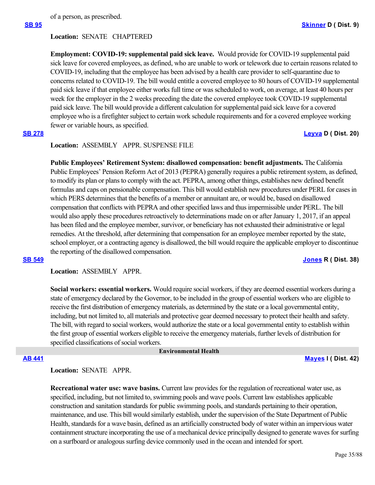of a person, as prescribed.

### **Location:**  SENATE CHAPTERED

**Employment: COVID-19: supplemental paid sick leave.** Would provide for COVID-19 supplemental paid sick leave for covered employees, as defined, who are unable to work or telework due to certain reasons related to COVID-19, including that the employee has been advised by a health care provider to self-quarantine due to concerns related to COVID-19. The bill would entitle a covered employee to 80 hours of COVID-19 supplemental paid sick leave if that employee either works full time or was scheduled to work, on average, at least 40 hours per week for the employer in the 2 weeks preceding the date the covered employee took COVID-19 supplemental paid sick leave. The bill would provide a different calculation for supplemental paid sick leave for a covered employee who is a firefighter subject to certain work schedule requirements and for a covered employee working fewer or variable hours, as specified.

### **[SB 278](https://ctweb.capitoltrack.com/public/publishbillinfo.aspx?bi=IKf8oK13fMnUIvFPqf9rrMppPPdaC4pD8vIgkzO9fQev1jOxYRohAjr2jZVnn0OW) [Leyva](http://sd20.senate.ca.gov/) D ( Dist. 20)**

**Location:**  ASSEMBLY APPR. SUSPENSE FILE

**Public Employees' Retirement System: disallowed compensation: benefit adjustments.** The California Public Employees' Pension Reform Act of 2013 (PEPRA) generally requires a public retirement system, as defined, to modify its plan or plans to comply with the act. PEPRA, among other things, establishes new defined benefit formulas and caps on pensionable compensation. This bill would establish new procedures under PERL for cases in which PERS determines that the benefits of a member or annuitant are, or would be, based on disallowed compensation that conflicts with PEPRA and other specified laws and thus impermissible under PERL. The bill would also apply these procedures retroactively to determinations made on or after January 1, 2017, if an appeal has been filed and the employee member, survivor, or beneficiary has not exhausted their administrative or legal remedies. At the threshold, after determining that compensation for an employee member reported by the state, school employer, or a contracting agency is disallowed, the bill would require the applicable employer to discontinue the reporting of the disallowed compensation.

# **[SB 549](https://ctweb.capitoltrack.com/public/publishbillinfo.aspx?bi=o5Z1P6xdagM0KvYFV1mAq%2FdB34p7U6HX%2FtvRc3d2ea6BjDTgMdBMV7zkxurH7Uyc) [Jones](https://jones.cssrc.us/) R ( Dist. 38)**

**Location:**  ASSEMBLY APPR.

**Social workers: essential workers.** Would require social workers, if they are deemed essential workers during a state of emergency declared by the Governor, to be included in the group of essential workers who are eligible to receive the first distribution of emergency materials, as determined by the state or a local governmental entity, including, but not limited to, all materials and protective gear deemed necessary to protect their health and safety. The bill, with regard to social workers, would authorize the state or a local governmental entity to establish within the first group of essential workers eligible to receive the emergency materials, further levels of distribution for specified classifications of social workers.

 **Environmental Health**

**[AB 441](https://ctweb.capitoltrack.com/public/publishbillinfo.aspx?bi=oqyp6GJ0p0sy9WvFZ2GTH%2FYL4lTm5%2B6CBmHGWmTfS%2FGDq1drB5MKBjVuoTtcFywR) [Mayes](https://www.assembly.ca.gov/assemblymemberchadmayes) I ( Dist. 42)**

## **Location:**  SENATE APPR.

**Recreational water use: wave basins.** Current law provides for the regulation of recreational water use, as specified, including, but not limited to, swimming pools and wave pools. Current law establishes applicable construction and sanitation standards for public swimming pools, and standards pertaining to their operation, maintenance, and use. This bill would similarly establish, under the supervision of the State Department of Public Health, standards for a wave basin, defined as an artificially constructed body of water within an impervious water containment structure incorporating the use of a mechanical device principally designed to generate waves for surfing on a surfboard or analogous surfing device commonly used in the ocean and intended for sport.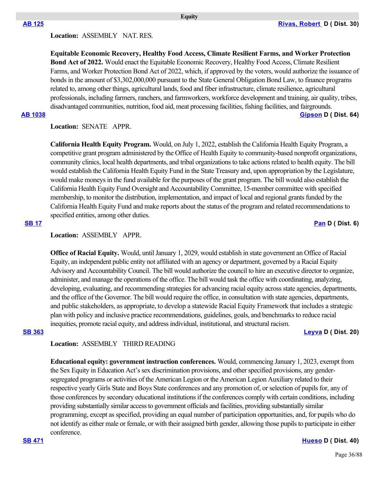# **Location:**  ASSEMBLY NAT. RES.

**Equitable Economic Recovery, Healthy Food Access, Climate Resilient Farms, and Worker Protection Bond Act of 2022.** Would enact the Equitable Economic Recovery, Healthy Food Access, Climate Resilient Farms, and Worker Protection Bond Act of 2022, which, if approved by the voters, would authorize the issuance of bonds in the amount of \$3,302,000,000 pursuant to the State General Obligation Bond Law, to finance programs related to, among other things, agricultural lands, food and fiber infrastructure, climate resilience, agricultural professionals, including farmers, ranchers, and farmworkers, workforce development and training, air quality, tribes, disadvantaged communities, nutrition, food aid, meat processing facilities, fishing facilities, and fairgrounds.

**[AB 1038](https://ctweb.capitoltrack.com/public/publishbillinfo.aspx?bi=IoY8rQUCyOZF5Yc9dfaGuYjz9MtGrCcOJ%2FAMaQRm%2BvFhHTupuZNOKklpgRMr0YdL) [Gipson](https://a64.asmdc.org/) D ( Dist. 64)**

**Location:**  SENATE APPR.

**California Health Equity Program.** Would, on July 1, 2022, establish the California Health Equity Program, a competitive grant program administered by the Office of Health Equity to community-based nonprofit organizations, community clinics, local health departments, and tribal organizations to take actions related to health equity. The bill would establish the California Health Equity Fund in the State Treasury and, upon appropriation by the Legislature, would make moneys in the fund available for the purposes of the grant program. The bill would also establish the California Health Equity Fund Oversight and Accountability Committee, 15-member committee with specified membership, to monitor the distribution, implementation, and impact of local and regional grants funded by the California Health Equity Fund and make reports about the status of the program and related recommendations to specified entities, among other duties.

# **[SB 17](https://ctweb.capitoltrack.com/public/publishbillinfo.aspx?bi=%2BE4NoDKMLnuTFxzoM1Xo99BcuN4ryD73nF0rJQY%2ByFcnjPHcHP1MVGB5QCwtLcFz) [Pan](http://sd06.senate.ca.gov/) D ( Dist. 6)**

## **Location:**  ASSEMBLY APPR.

**Office of Racial Equity.** Would, until January 1, 2029, would establish in state government an Office of Racial Equity, an independent public entity not affiliated with an agency or department, governed by a Racial Equity Advisory and Accountability Council. The bill would authorize the council to hire an executive director to organize, administer, and manage the operations of the office. The bill would task the office with coordinating, analyzing, developing, evaluating, and recommending strategies for advancing racial equity across state agencies, departments, and the office of the Governor. The bill would require the office, in consultation with state agencies, departments, and public stakeholders, as appropriate, to develop a statewide Racial Equity Framework that includes a strategic plan with policy and inclusive practice recommendations, guidelines, goals, and benchmarks to reduce racial inequities, promote racial equity, and address individual, institutional, and structural racism.

**[SB 363](https://ctweb.capitoltrack.com/public/publishbillinfo.aspx?bi=Km8JctphnrId5GPX%2Bj1%2FbuBOP9izzWxV793EUhXTYGfDx2%2BF7Uku2fDvFIipjzbI) [Leyva](http://sd20.senate.ca.gov/) D ( Dist. 20)**

# **Location:**  ASSEMBLY THIRD READING

**Educational equity: government instruction conferences.** Would, commencing January 1, 2023, exempt from the Sex Equity in Education Act's sex discrimination provisions, and other specified provisions, any gendersegregated programs or activities of the American Legion or the American Legion Auxiliary related to their respective yearly Girls State and Boys State conferences and any promotion of, or selection of pupils for, any of those conferences by secondary educational institutions if the conferences comply with certain conditions, including providing substantially similar access to government officials and facilities, providing substantially similar programming, except as specified, providing an equal number of participation opportunities, and, for pupils who do not identify as either male or female, or with their assigned birth gender, allowing those pupils to participate in either conference.

**[SB 471](https://ctweb.capitoltrack.com/public/publishbillinfo.aspx?bi=vEu84Yy7oWcMPcUUMs1z4V9at0jwY1QuJR8vFhj5KxMAVnV7yXJB2JZiSPqVUk5l) [Hueso](http://sd40.senate.ca.gov/) D ( Dist. 40)**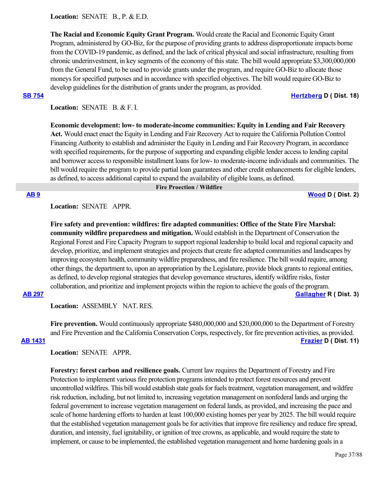Location: **SENATE B., P. & E.D.** 

**The Racial and Economic Equity Grant Program.** Would create the Racial and Economic Equity Grant Program, administered by GO-Biz, for the purpose of providing grants to address disproportionate impacts borne from the COVID-19 pandemic, as defined, and the lack of critical physical and social infrastructure, resulting from chronic underinvestment, in key segments of the economy of this state. The bill would appropriate \$3,300,000,000 from the General Fund, to be used to provide grants under the program, and require GO-Biz to allocate those moneys for specified purposes and in accordance with specified objectives. The bill would require GO-Biz to develop guidelines for the distribution of grants under the program, as provided.

**[SB 754](https://ctweb.capitoltrack.com/public/publishbillinfo.aspx?bi=PqhtD3E0l7x4ko1S2S4vv7Q02ef%2BotM3ZYkRCVhR8gzAgkxPSRuaSWCuKq5f52BJ) [Hertzberg](https://sd18.senate.ca.gov/) D ( Dist. 18)**

Location: **SENATE B. & F. I.** 

**Economic development: low- to moderate-income communities: Equity in Lending and Fair Recovery Act.** Would enact enact the Equity in Lending and Fair Recovery Act to require the California Pollution Control Financing Authority to establish and administer the Equity in Lending and Fair Recovery Program, in accordance with specified requirements, for the purpose of supporting and expanding eligible lender access to lending capital and borrower access to responsible installment loans for low- to moderate-income individuals and communities. The bill would require the program to provide partial loan guarantees and other credit enhancements for eligible lenders, as defined, to access additional capital to expand the availability of eligible loans, as defined.

### **Fire Proection / Wildfire**

**[AB 9](https://ctweb.capitoltrack.com/public/publishbillinfo.aspx?bi=EaMo%2B%2F8ngGfBm6%2BFh04dBPr2PdsEpeqOAPno%2BcPLH8OrNNI4QaMiaWo19VVhP0%2Fv) [Wood](https://a02.asmdc.org/) D ( Dist. 2)**

# **Location:**  SENATE APPR.

**Fire safety and prevention: wildfires: fire adapted communities: Office of the State Fire Marshal: community wildfire preparedness and mitigation.** Would establish in the Department of Conservation the Regional Forest and Fire Capacity Program to support regional leadership to build local and regional capacity and develop, prioritize, and implement strategies and projects that create fire adapted communities and landscapes by improving ecosystem health, community wildfire preparedness, and fire resilience. The bill would require, among other things, the department to, upon an appropriation by the Legislature, provide block grants to regional entities, as defined, to develop regional strategies that develop governance structures, identify wildfire risks, foster collaboration, and prioritize and implement projects within the region to achieve the goals of the program. **[AB 297](https://ctweb.capitoltrack.com/public/publishbillinfo.aspx?bi=dHK4yo0OOLAcJ2%2B%2FZoLsD36LA4EhFMHAuvLNlMa3vNG7tp6oXUC%2FYZ62kGaCPo4I) [Gallagher](http://ad03.asmrc.org/) R ( Dist. 3)**

**Location:**  ASSEMBLY NAT. RES.

**Fire prevention.** Would continuously appropriate \$480,000,000 and \$20,000,000 to the Department of Forestry and Fire Prevention and the California Conservation Corps, respectively, for fire prevention activities, as provided. **[AB 1431](https://ctweb.capitoltrack.com/public/publishbillinfo.aspx?bi=Yq6ghj%2Ftr2poYSBQbPIhqVyClNmo475qyX3stugPUKTdL%2BjDeAT%2FEGG%2B9VwQRGtc) [Frazier](https://a11.asmdc.org/) D ( Dist. 11)**

## **Location:**  SENATE APPR.

**Forestry: forest carbon and resilience goals.** Current law requires the Department of Forestry and Fire Protection to implement various fire protection programs intended to protect forest resources and prevent uncontrolled wildfires. This bill would establish state goals for fuels treatment, vegetation management, and wildfire risk reduction, including, but not limited to, increasing vegetation management on nonfederal lands and urging the federal government to increase vegetation management on federal lands, as provided, and increasing the pace and scale of home hardening efforts to harden at least 100,000 existing homes per year by 2025. The bill would require that the established vegetation management goals be for activities that improve fire resiliency and reduce fire spread, duration, and intensity, fuel ignitability, or ignition of tree crowns, as applicable, and would require the state to implement, or cause to be implemented, the established vegetation management and home hardening goals in a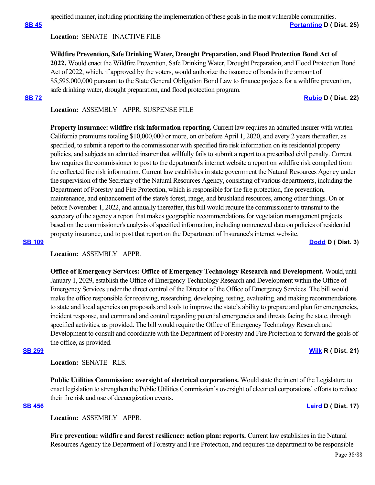specified manner, including prioritizing the implementation of these goals in the most vulnerable communities.

**[SB 45](https://ctweb.capitoltrack.com/public/publishbillinfo.aspx?bi=XDzDifgqVMy0XBOqonq3NDw2YsdmIpuQ1JXO6HXO%2B7sRhXSzmAlyf%2B4AVVWujK32) [Portantino](http://sd25.senate.ca.gov/) D ( Dist. 25)**

# **Location:**  SENATE INACTIVE FILE

**Wildfire Prevention, Safe Drinking Water, Drought Preparation, and Flood Protection Bond Act of 2022.** Would enact the Wildfire Prevention, Safe Drinking Water, Drought Preparation, and Flood Protection Bond Act of 2022, which, if approved by the voters, would authorize the issuance of bonds in the amount of \$5,595,000,000 pursuant to the State General Obligation Bond Law to finance projects for a wildfire prevention, safe drinking water, drought preparation, and flood protection program. **[SB 72](https://ctweb.capitoltrack.com/public/publishbillinfo.aspx?bi=RwmJMe9s2JscBqpxkWuTdtwYUdb4HESgyWyHFmzT%2BLH1Gr8o%2FKmFWJbTi94SjK%2B8) [Rubio](http://sd22.senate.ca.gov/) D ( Dist. 22)**

**Location:**  ASSEMBLY APPR. SUSPENSE FILE

**Property insurance: wildfire risk information reporting.** Current law requires an admitted insurer with written California premiums totaling \$10,000,000 or more, on or before April 1, 2020, and every 2 years thereafter, as specified, to submit a report to the commissioner with specified fire risk information on its residential property policies, and subjects an admitted insurer that willfully fails to submit a report to a prescribed civil penalty. Current law requires the commissioner to post to the department's internet website a report on wildfire risk compiled from the collected fire risk information. Current law establishes in state government the Natural Resources Agency under the supervision of the Secretary of the Natural Resources Agency, consisting of various departments, including the Department of Forestry and Fire Protection, which is responsible for the fire protection, fire prevention, maintenance, and enhancement of the state's forest, range, and brushland resources, among other things. On or before November 1, 2022, and annually thereafter, this bill would require the commissioner to transmit to the secretary of the agency a report that makes geographic recommendations for vegetation management projects based on the commissioner's analysis of specified information, including nonrenewal data on policies of residential property insurance, and to post that report on the Department of Insurance's internet website.

### **[SB 109](https://ctweb.capitoltrack.com/public/publishbillinfo.aspx?bi=VcVV71HTyDNa3dv83xyYX%2BWRZUb%2FY9P91HkxJBrTJG8q%2FGXpQCVc5LP8rZGmML70) [Dodd](http://sd03.senate.ca.gov/) D ( Dist. 3)**

**Location:**  ASSEMBLY APPR.

**Office of Emergency Services: Office of Emergency Technology Research and Development.** Would, until January 1, 2029, establish the Office of Emergency Technology Research and Development within the Office of Emergency Services under the direct control of the Director of the Office of Emergency Services. The bill would make the office responsible for receiving, researching, developing, testing, evaluating, and making recommendations to state and local agencies on proposals and tools to improve the state's ability to prepare and plan for emergencies, incident response, and command and control regarding potential emergencies and threats facing the state, through specified activities, as provided. The bill would require the Office of Emergency Technology Research and Development to consult and coordinate with the Department of Forestry and Fire Protection to forward the goals of the office, as provided.

### **[SB 259](https://ctweb.capitoltrack.com/public/publishbillinfo.aspx?bi=MpAp3wYTY%2FvAbbdwB1nDQ9sw27aTJ69qbiXf2%2F9XQ5cRe%2FoPKKcwNG45%2FCZukFMd) [Wilk](https://wilk.cssrc.us/) R ( Dist. 21)**

**Location:**  SENATE RLS.

**Public Utilities Commission: oversight of electrical corporations.** Would state the intent of the Legislature to enact legislation to strengthen the Public Utilities Commission's oversight of electrical corporations' efforts to reduce their fire risk and use of deenergization events.

### **[SB 456](https://ctweb.capitoltrack.com/public/publishbillinfo.aspx?bi=r1FpZ5S3rV4DPWUFWirjrt08pB8gtynCEbdSrBd02GEWa3YhhTMtS%2BsTpf3ApQwD) [Laird](http://sd17.senate.ca.gov/) D ( Dist. 17)**

**Location:**  ASSEMBLY APPR.

Fire prevention: wildfire and forest resilience: action plan: reports. Current law establishes in the Natural Resources Agency the Department of Forestry and Fire Protection, and requires the department to be responsible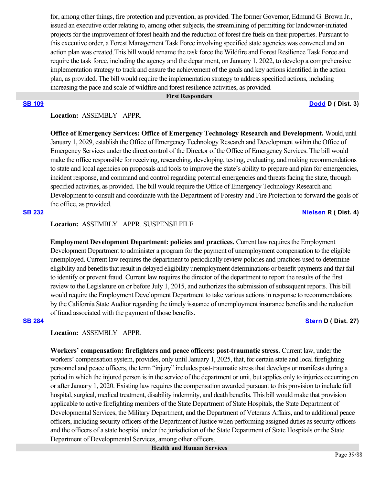for, among other things, fire protection and prevention, as provided. The former Governor, Edmund G. Brown Jr., issued an executive order relating to, among other subjects, the streamlining of permitting for landowner-initiated projects for the improvement of forest health and the reduction of forest fire fuels on their properties. Pursuant to this executive order, a Forest Management Task Force involving specified state agencies was convened and an action plan was created.This bill would rename the task force the Wildfire and Forest Resilience Task Force and require the task force, including the agency and the department, on January 1, 2022, to develop a comprehensive implementation strategy to track and ensure the achievement of the goals and key actions identified in the action plan, as provided. The bill would require the implementation strategy to address specified actions, including increasing the pace and scale of wildfire and forest resilience activities, as provided.

### **First Responders**

**[SB 109](https://ctweb.capitoltrack.com/public/publishbillinfo.aspx?bi=VcVV71HTyDNa3dv83xyYX%2BWRZUb%2FY9P91HkxJBrTJG8q%2FGXpQCVc5LP8rZGmML70) [Dodd](http://sd03.senate.ca.gov/) D ( Dist. 3)**

## Location: **ASSEMBLY APPR.**

**Office of Emergency Services: Office of Emergency Technology Research and Development.** Would, until January 1, 2029, establish the Office of Emergency Technology Research and Development within the Office of Emergency Services under the direct control of the Director of the Office of Emergency Services. The bill would make the office responsible for receiving, researching, developing, testing, evaluating, and making recommendations to state and local agencies on proposals and tools to improve the state's ability to prepare and plan for emergencies, incident response, and command and control regarding potential emergencies and threats facing the state, through specified activities, as provided. The bill would require the Office of Emergency Technology Research and Development to consult and coordinate with the Department of Forestry and Fire Protection to forward the goals of the office, as provided.

### **[SB 232](https://ctweb.capitoltrack.com/public/publishbillinfo.aspx?bi=HuMeyuzGJk2mqEyG9IeWvXXbdtW4WugJveLkG%2FL2%2BCbfM5Xhex5kekJKG6Vt4LtW) [Nielsen](http://nielsen.cssrc.us/) R ( Dist. 4)**

# **Location:**  ASSEMBLY APPR. SUSPENSE FILE

**Employment Development Department: policies and practices.** Current law requires the Employment Development Department to administer a program for the payment of unemployment compensation to the eligible unemployed. Current law requires the department to periodically review policies and practices used to determine eligibility and benefits that result in delayed eligibility unemployment determinations or benefit payments and that fail to identify or prevent fraud. Current law requires the director of the department to report the results of the first review to the Legislature on or before July 1, 2015, and authorizes the submission of subsequent reports. This bill would require the Employment Development Department to take various actions in response to recommendations by the California State Auditor regarding the timely issuance of unemployment insurance benefits and the reduction of fraud associated with the payment of those benefits.

### **[SB 284](https://ctweb.capitoltrack.com/public/publishbillinfo.aspx?bi=pfo59AaC5CcBlbAG1B14p2QyzY9s%2Fy6%2F4GGrAzrDy118E94jS7x9jr06vKUaTB3e) [Stern](http://sd27.senate.ca.gov/) D ( Dist. 27)**

# **Location:**  ASSEMBLY APPR.

**Workers' compensation: firefighters and peace officers: post-traumatic stress.** Current law, under the workers' compensation system, provides, only until January 1, 2025, that, for certain state and local firefighting personnel and peace officers, the term "injury" includes post-traumatic stress that develops or manifests during a period in which the injured person is in the service of the department or unit, but applies only to injuries occurring on or after January 1, 2020. Existing law requires the compensation awarded pursuant to this provision to include full hospital, surgical, medical treatment, disability indemnity, and death benefits. This bill would make that provision applicable to active firefighting members of the State Department of State Hospitals, the State Department of Developmental Services, the Military Department, and the Department of Veterans Affairs, and to additional peace officers, including security officers of the Department of Justice when performing assigned duties as security officers and the officers of a state hospital under the jurisdiction of the State Department of State Hospitals or the State Department of Developmental Services, among other officers.

 **Health and Human Services**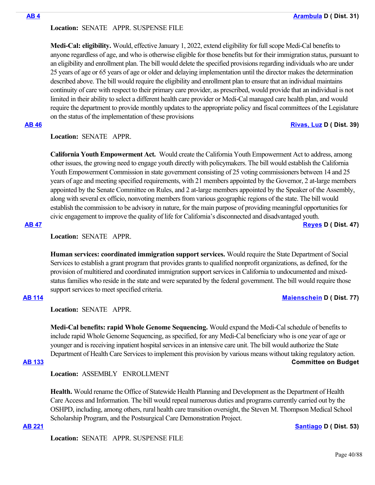## **Location:**  SENATE APPR. SUSPENSE FILE

**Medi-Cal: eligibility.** Would, effective January 1, 2022, extend eligibility for full scope Medi-Cal benefits to anyone regardless of age, and who is otherwise eligible for those benefits but for their immigration status, pursuant to an eligibility and enrollment plan. The bill would delete the specified provisions regarding individuals who are under 25 years of age or 65 years of age or older and delaying implementation until the director makes the determination described above. The bill would require the eligibility and enrollment plan to ensure that an individual maintains continuity of care with respect to their primary care provider, as prescribed, would provide that an individual is not limited in their ability to select a different health care provider or Medi-Cal managed care health plan, and would require the department to provide monthly updates to the appropriate policy and fiscal committees of the Legislature on the status of the implementation of these provisions

# **[AB 46](https://ctweb.capitoltrack.com/public/publishbillinfo.aspx?bi=ssIZdgyKguVMeYIkH2JH8HrdCaK64xkOWRco5WOYYjeKpNuL3q44PGgTyU9ERz3G) [Rivas, Luz](https://a39.asmdc.org/) D ( Dist. 39)**

# **Location:**  SENATE APPR.

**California Youth Empowerment Act.** Would create the California Youth Empowerment Act to address, among other issues, the growing need to engage youth directly with policymakers. The bill would establish the California Youth Empowerment Commission in state government consisting of 25 voting commissioners between 14 and 25 years of age and meeting specified requirements, with 21 members appointed by the Governor, 2 at-large members appointed by the Senate Committee on Rules, and 2 at-large members appointed by the Speaker of the Assembly, along with several ex officio, nonvoting members from various geographic regions of the state. The bill would establish the commission to be advisory in nature, for the main purpose of providing meaningful opportunities for civic engagement to improve the quality of life for California's disconnected and disadvantaged youth.

### **[AB 47](https://ctweb.capitoltrack.com/public/publishbillinfo.aspx?bi=%2Fa0YW4RU81u0tfnzXer%2FrpfqAKX00ohuxXYd5d4bDFGEID0ZI8r0U%2BhEEQBazghF) [Reyes](https://a47.asmdc.org/) D ( Dist. 47)**

**Location:**  SENATE APPR.

**Human services: coordinated immigration support services.** Would require the State Department of Social Services to establish a grant program that provides grants to qualified nonprofit organizations, as defined, for the provision of multitiered and coordinated immigration support services in California to undocumented and mixedstatus families who reside in the state and were separated by the federal government. The bill would require those support services to meet specified criteria.

## **[AB 114](https://ctweb.capitoltrack.com/public/publishbillinfo.aspx?bi=BKUuzEt%2Fxonhdg%2Bi2T8KyDCF6bz%2BIDuv834ghq13Zdn4cLjhKDnmQtDrecEqAQaS) [Maienschein](https://a77.asmdc.org/) D ( Dist. 77)**

**Location:**  SENATE APPR.

**Medi-Cal benefits: rapid Whole Genome Sequencing.** Would expand the Medi-Cal schedule of benefits to include rapid Whole Genome Sequencing, as specified, for any Medi-Cal beneficiary who is one year of age or younger and is receiving inpatient hospital services in an intensive care unit. The bill would authorize the State Department of Health Care Services to implement this provision by various means without taking regulatory action. **[AB 133](https://ctweb.capitoltrack.com/public/publishbillinfo.aspx?bi=l2i%2FtQ7Po3AxGWz9R2iAsfNJwrNM%2F90dI145r1YwOT3QaXmjvEUeS2NBFIwpdfdf) Committee on Budget**

**Location:**  ASSEMBLY ENROLLMENT

**Health.** Would rename the Office of Statewide Health Planning and Development as the Department of Health Care Access and Information. The bill would repeal numerous duties and programs currently carried out by the OSHPD, including, among others, rural health care transition oversight, the Steven M. Thompson Medical School Scholarship Program, and the Postsurgical Care Demonstration Project.

**[AB 221](https://ctweb.capitoltrack.com/public/publishbillinfo.aspx?bi=nUrcgqgFqZ8B1P14cntIk6aXgDF0M7Lp6G4c5Cm30ZOmPImvKDQolwe9YTH%2FLx%2Fb) [Santiago](https://a53.asmdc.org/) D ( Dist. 53)**

**Location:**  SENATE APPR. SUSPENSE FILE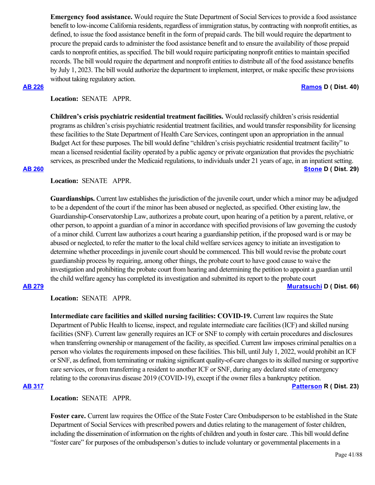**Emergency food assistance.** Would require the State Department of Social Services to provide a food assistance benefit to low-income California residents, regardless of immigration status, by contracting with nonprofit entities, as defined, to issue the food assistance benefit in the form of prepaid cards. The bill would require the department to procure the prepaid cards to administer the food assistance benefit and to ensure the availability of those prepaid cards to nonprofit entities, as specified. The bill would require participating nonprofit entities to maintain specified records. The bill would require the department and nonprofit entities to distribute all of the food assistance benefits by July 1, 2023. The bill would authorize the department to implement, interpret, or make specific these provisions without taking regulatory action.

### **[AB 226](https://ctweb.capitoltrack.com/public/publishbillinfo.aspx?bi=ijuUBRh09meHt2W%2BTyRX1vtSwgnMyKBjnrWssUIJV5sYAiOgRghoQy0Co9zvmV0V) [Ramos](https://a40.asmdc.org/) D ( Dist. 40)**

## **Location:**  SENATE APPR.

**Children's crisis psychiatric residential treatment facilities.** Would reclassify children's crisis residential programs as children's crisis psychiatric residential treatment facilities, and would transfer responsibility for licensing these facilities to the State Department of Health Care Services, contingent upon an appropriation in the annual Budget Act for these purposes. The bill would define "children's crisis psychiatric residential treatment facility" to mean a licensed residential facility operated by a public agency or private organization that provides the psychiatric services, as prescribed under the Medicaid regulations, to individuals under 21 years of age, in an inpatient setting. **[AB 260](https://ctweb.capitoltrack.com/public/publishbillinfo.aspx?bi=TBKk8l4MX4ULZoQ7Wu54%2FHn28oc%2FViJGCsS9q2QxLsxsS2ccwUpEBiRVD3vCmtTZ) [Stone](https://a29.asmdc.org/) D ( Dist. 29)**

# **Location:**  SENATE APPR.

**Guardianships.** Current law establishes the jurisdiction of the juvenile court, under which a minor may be adjudged to be a dependent of the court if the minor has been abused or neglected, as specified. Other existing law, the Guardianship-Conservatorship Law, authorizes a probate court, upon hearing of a petition by a parent, relative, or other person, to appoint a guardian of a minor in accordance with specified provisions of law governing the custody of a minor child. Current law authorizes a court hearing a guardianship petition, if the proposed ward is or may be abused or neglected, to refer the matter to the local child welfare services agency to initiate an investigation to determine whether proceedings in juvenile court should be commenced. This bill would revise the probate court guardianship process by requiring, among other things, the probate court to have good cause to waive the investigation and prohibiting the probate court from hearing and determining the petition to appoint a guardian until the child welfare agency has completed its investigation and submitted its report to the probate court

## **[AB 279](https://ctweb.capitoltrack.com/public/publishbillinfo.aspx?bi=FT8PLHaFkjbi8FyOpMMPcH8RkyFo6fBnkKkYlA7dTDRBwm5IY%2FEVhp63Y1ZHVEI7) [Muratsuchi](https://a66.asmdc.org/) D ( Dist. 66)**

**Location:**  SENATE APPR.

**Intermediate care facilities and skilled nursing facilities: COVID-19.** Current law requires the State Department of Public Health to license, inspect, and regulate intermediate care facilities (ICF) and skilled nursing facilities (SNF). Current law generally requires an ICF or SNF to comply with certain procedures and disclosures when transferring ownership or management of the facility, as specified. Current law imposes criminal penalties on a person who violates the requirements imposed on these facilities. This bill, until July 1, 2022, would prohibit an ICF or SNF, as defined, from terminating or making significant quality-of-care changes to its skilled nursing or supportive care services, or from transferring a resident to another ICF or SNF, during any declared state of emergency relating to the coronavirus disease 2019 (COVID-19), except if the owner files a bankruptcy petition.

# **[AB 317](https://ctweb.capitoltrack.com/public/publishbillinfo.aspx?bi=eQJ9%2FMLBMfbzw5ONcy%2B8K3wtK3IO2T%2FMNHf48raywA8crHw3rp%2B4TUerrGhNILXs) [Patterson](https://ad23.asmrc.org/) R ( Dist. 23)**

**Location:**  SENATE APPR.

**Foster care.** Current law requires the Office of the State Foster Care Ombudsperson to be established in the State Department of Social Services with prescribed powers and duties relating to the management of foster children, including the dissemination of information on the rights of children and youth in foster care. .This bill would define "foster care" for purposes of the ombudsperson's duties to include voluntary or governmental placements in a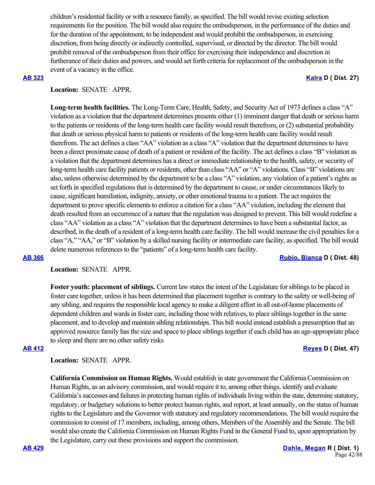children's residential facility or with a resource family, as specified. The bill would revise existing selection requirements for the position. The bill would also require the ombudsperson, in the performance of the duties and for the duration of the appointment, to be independent and would prohibit the ombudsperson, in exercising discretion, from being directly or indirectly controlled, supervised, or directed by the director. The bill would prohibit removal of the ombudsperson from their office for exercising their independence and discretion in furtherance of their duties and powers, and would set forth criteria for replacement of the ombudsperson in the event of a vacancy in the office.

### **[AB 323](https://ctweb.capitoltrack.com/public/publishbillinfo.aspx?bi=FVuDopc6kJiuGasl8fzHZaCeNmO7xd8vEtVVNyjBKkDCIzplBxDH8Z6kcbazgDsk) [Kalra](https://a27.asmdc.org/) D ( Dist. 27)**

## **Location:**  SENATE APPR.

**Long-term health facilities.** The Long-Term Care, Health, Safety, and Security Act of 1973 defines a class "A" violation as a violation that the department determines presents either (1) imminent danger that death or serious harm to the patients or residents of the long-term health care facility would result therefrom, or (2) substantial probability that death or serious physical harm to patients or residents of the long-term health care facility would result therefrom. The act defines a class "AA" violation as a class "A" violation that the department determines to have been a direct proximate cause of death of a patient or resident of the facility. The act defines a class "B" violation as a violation that the department determines has a direct or immediate relationship to the health, safety, or security of long-term health care facility patients or residents, other than class "AA" or "A" violations. Class "B" violations are also, unless otherwise determined by the department to be a class "A" violation, any violation of a patient's rights as set forth in specified regulations that is determined by the department to cause, or under circumstances likely to cause, significant humiliation, indignity, anxiety, or other emotional trauma to a patient. The act requires the department to prove specific elements to enforce a citation for a class "AA" violation, including the element that death resulted from an occurrence of a nature that the regulation was designed to prevent. This bill would redefine a class "AA" violation as a class "A" violation that the department determines to have been a substantial factor, as described, in the death of a resident of a long-term health care facility. The bill would increase the civil penalties for a class "A," "AA," or "B" violation by a skilled nursing facility or intermediate care facility, as specified. The bill would delete numerous references to the "patients" of a long-term health care facility.

**[AB 366](https://ctweb.capitoltrack.com/public/publishbillinfo.aspx?bi=oscuWD5%2FA7IqQpmFiJ1OS%2BvK1YUdFp0w5GjN71gSumB4WIJUcVr1fCXzqaro87F%2F) [Rubio, Blanca](https://a48.asmdc.org/) D ( Dist. 48)**

## **Location:**  SENATE APPR.

**Foster youth: placement of siblings.** Current law states the intent of the Legislature for siblings to be placed in foster care together, unless it has been determined that placement together is contrary to the safety or well-being of any sibling, and requires the responsible local agency to make a diligent effort in all out-of-home placements of dependent children and wards in foster care, including those with relatives, to place siblings together in the same placement, and to develop and maintain sibling relationships. This bill would instead establish a presumption that an approved resource family has the size and space to place siblings together if each child has an age-appropriate place to sleep and there are no other safety risks

## **[AB 412](https://ctweb.capitoltrack.com/public/publishbillinfo.aspx?bi=x5D6bohmRxFQGsVYLITij76U5y5o%2F1udXsI9ZV%2BLt4KPWrVLLYetQgdWkeJZyREl) [Reyes](https://a47.asmdc.org/) D ( Dist. 47)**

**Location:**  SENATE APPR.

**California Commission on Human Rights.** Would establish in state government the California Commission on Human Rights, as an advisory commission, and would require it to, among other things, identify and evaluate California's successes and failures in protecting human rights of individuals living within the state, determine statutory, regulatory, or budgetary solutions to better protect human rights, and report, at least annually, on the status of human rights to the Legislature and the Governor with statutory and regulatory recommendations. The bill would require the commission to consist of 17 members, including, among others, Members of the Assembly and the Senate. The bill would also create the California Commission on Human Rights Fund in the General Fund to, upon appropriation by the Legislature, carry out these provisions and support the commission.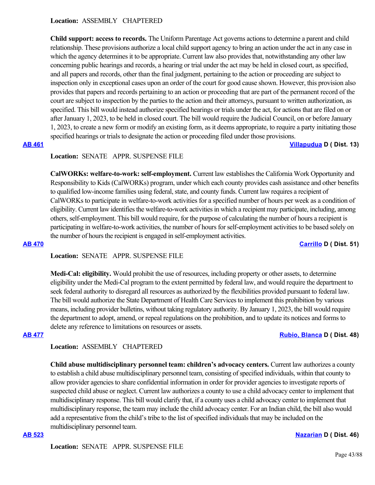**Location:**  ASSEMBLY CHAPTERED

**Child support: access to records.** The Uniform Parentage Act governs actions to determine a parent and child relationship. These provisions authorize a local child support agency to bring an action under the act in any case in which the agency determines it to be appropriate. Current law also provides that, notwithstanding any other law concerning public hearings and records, a hearing or trial under the act may be held in closed court, as specified, and all papers and records, other than the final judgment, pertaining to the action or proceeding are subject to inspection only in exceptional cases upon an order of the court for good cause shown. However, this provision also provides that papers and records pertaining to an action or proceeding that are part of the permanent record of the court are subject to inspection by the parties to the action and their attorneys, pursuant to written authorization, as specified. This bill would instead authorize specified hearings or trials under the act, for actions that are filed on or after January 1, 2023, to be held in closed court. The bill would require the Judicial Council, on or before January 1, 2023, to create a new form or modify an existing form, as it deems appropriate, to require a party initiating those specified hearings or trials to designate the action or proceeding filed under those provisions.

**[AB 461](https://ctweb.capitoltrack.com/public/publishbillinfo.aspx?bi=3dzuO1cuwQKR8ptWvH0xpENNwkvTG0nFZjIOfPBxFHhLTzXSApTWukAoSVc6xpl5) [Villapudua](https://a13.asmdc.org/) D ( Dist. 13)**

# **Location:**  SENATE APPR. SUSPENSE FILE

**CalWORKs: welfare-to-work: self-employment.** Current law establishes the California Work Opportunity and Responsibility to Kids (CalWORKs) program, under which each county provides cash assistance and other benefits to qualified low-income families using federal, state, and county funds. Current law requires a recipient of CalWORKs to participate in welfare-to-work activities for a specified number of hours per week as a condition of eligibility. Current law identifies the welfare-to-work activities in which a recipient may participate, including, among others, self-employment. This bill would require, for the purpose of calculating the number of hours a recipient is participating in welfare-to-work activities, the number of hours for self-employment activities to be based solely on the number of hours the recipient is engaged in self-employment activities.

**[AB 470](https://ctweb.capitoltrack.com/public/publishbillinfo.aspx?bi=OEB%2BQhJxARTG49Y5UEsB3vTfYxvcZWAWPRt3OtGUebE%2BpiAXSw248LcoHVxeVTDv) [Carrillo](https://a51.asmdc.org/) D ( Dist. 51)**

# **Location:**  SENATE APPR. SUSPENSE FILE

**Medi-Cal: eligibility.** Would prohibit the use of resources, including property or other assets, to determine eligibility under the Medi-Cal program to the extent permitted by federal law, and would require the department to seek federal authority to disregard all resources as authorized by the flexibilities provided pursuant to federal law. The bill would authorize the State Department of Health Care Services to implement this prohibition by various means, including provider bulletins, without taking regulatory authority. By January 1, 2023, the bill would require the department to adopt, amend, or repeal regulations on the prohibition, and to update its notices and forms to delete any reference to limitations on resources or assets.

## **[AB 477](https://ctweb.capitoltrack.com/public/publishbillinfo.aspx?bi=RnXCKhmpvPmgLo3b3zYwbZVGoQ9Ksj0RBNArZYHLvZqWT5Ms1Q0kSW95EMUjA54u) [Rubio, Blanca](https://a48.asmdc.org/) D ( Dist. 48)**

# **Location:**  ASSEMBLY CHAPTERED

**Child abuse multidisciplinary personnel team: children's advocacy centers.** Current law authorizes a county to establish a child abuse multidisciplinary personnel team, consisting of specified individuals, within that county to allow provider agencies to share confidential information in order for provider agencies to investigate reports of suspected child abuse or neglect. Current law authorizes a county to use a child advocacy center to implement that multidisciplinary response. This bill would clarify that, if a county uses a child advocacy center to implement that multidisciplinary response, the team may include the child advocacy center. For an Indian child, the bill also would add a representative from the child's tribe to the list of specified individuals that may be included on the multidisciplinary personnel team.

**Location:**  SENATE APPR. SUSPENSE FILE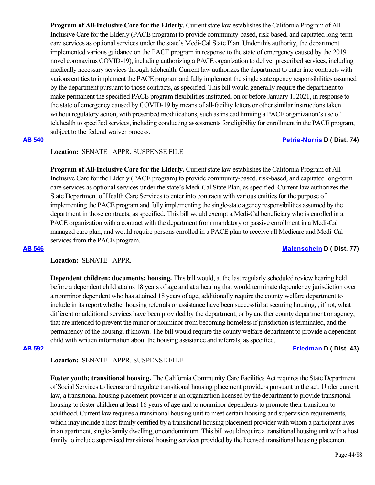**Program of All-Inclusive Care for the Elderly.** Current state law establishes the California Program of All-Inclusive Care for the Elderly (PACE program) to provide community-based, risk-based, and capitated long-term care services as optional services under the state's Medi-Cal State Plan. Under this authority, the department implemented various guidance on the PACE program in response to the state of emergency caused by the 2019 novel coronavirus COVID-19), including authorizing a PACE organization to deliver prescribed services, including medically necessary services through telehealth. Current law authorizes the department to enter into contracts with various entities to implement the PACE program and fully implement the single state agency responsibilities assumed by the department pursuant to those contracts, as specified. This bill would generally require the department to make permanent the specified PACE program flexibilities instituted, on or before January 1, 2021, in response to the state of emergency caused by COVID-19 by means of all-facility letters or other similar instructions taken without regulatory action, with prescribed modifications, such as instead limiting a PACE organization's use of telehealth to specified services, including conducting assessments for eligibility for enrollment in the PACE program, subject to the federal waiver process.

# **[AB 540](https://ctweb.capitoltrack.com/public/publishbillinfo.aspx?bi=AVUJH1BvfBKsx4maUnrxiuqXofDhe1Gp4CX0BmqWXHhCebw395JUgNQ%2FF8Dr7yhH) [Petrie-Norris](https://a74.asmdc.org/) D ( Dist. 74)**

# **Location:**  SENATE APPR. SUSPENSE FILE

**Program of All-Inclusive Care for the Elderly.** Current state law establishes the California Program of All-Inclusive Care for the Elderly (PACE program) to provide community-based, risk-based, and capitated long-term care services as optional services under the state's Medi-Cal State Plan, as specified. Current law authorizes the State Department of Health Care Services to enter into contracts with various entities for the purpose of implementing the PACE program and fully implementing the single-state agency responsibilities assumed by the department in those contracts, as specified. This bill would exempt a Medi-Cal beneficiary who is enrolled in a PACE organization with a contract with the department from mandatory or passive enrollment in a Medi-Cal managed care plan, and would require persons enrolled in a PACE plan to receive all Medicare and Medi-Cal services from the PACE program.

## **[AB 546](https://ctweb.capitoltrack.com/public/publishbillinfo.aspx?bi=thZ0N%2BpJryuMdZwJrHWbKoyN1vPEbc3g697O5T16%2B1cJXHEOJJq23kAYQYEvVf%2Ft) [Maienschein](https://a77.asmdc.org/) D ( Dist. 77)**

**Location:**  SENATE APPR.

**Dependent children: documents: housing.** This bill would, at the last regularly scheduled review hearing held before a dependent child attains 18 years of age and at a hearing that would terminate dependency jurisdiction over a nonminor dependent who has attained 18 years of age, additionally require the county welfare department to include in its report whether housing referrals or assistance have been successful at securing housing, , if not, what different or additional services have been provided by the department, or by another county department or agency, that are intended to prevent the minor or nonminor from becoming homeless if jurisdiction is terminated, and the permanency of the housing, if known. The bill would require the county welfare department to provide a dependent child with written information about the housing assistance and referrals, as specified.

**[AB 592](https://ctweb.capitoltrack.com/public/publishbillinfo.aspx?bi=fQ%2Fu6nhAfFAWzM%2BGOEj49VgevlzkYPBiDE00kfhBC7M%2BMmhClpgGKgt5T9nRXJoP) [Friedman](https://a43.asmdc.org/) D ( Dist. 43)**

## **Location:**  SENATE APPR. SUSPENSE FILE

**Foster youth: transitional housing.** The California Community Care Facilities Act requires the State Department of Social Services to license and regulate transitional housing placement providers pursuant to the act. Under current law, a transitional housing placement provider is an organization licensed by the department to provide transitional housing to foster children at least 16 years of age and to nonminor dependents to promote their transition to adulthood. Current law requires a transitional housing unit to meet certain housing and supervision requirements, which may include a host family certified by a transitional housing placement provider with whom a participant lives in an apartment, single-family dwelling, or condominium. This bill would require a transitional housing unit with a host family to include supervised transitional housing services provided by the licensed transitional housing placement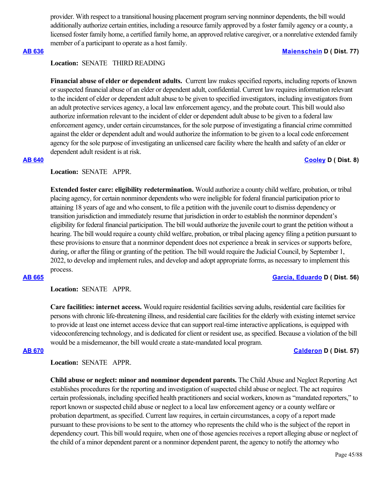provider. With respect to a transitional housing placement program serving nonminor dependents, the bill would additionally authorize certain entities, including a resource family approved by a foster family agency or a county, a licensed foster family home, a certified family home, an approved relative caregiver, or a nonrelative extended family member of a participant to operate as a host family.

## **[AB 636](https://ctweb.capitoltrack.com/public/publishbillinfo.aspx?bi=Vnl5GbYvnWAco%2F3Y13JD0AC88faTwIxstRVL1xbRaIKxDjG0Yf%2BOaKi6cgJpNTOC) [Maienschein](https://a77.asmdc.org/) D ( Dist. 77)**

### **Location:**  SENATE THIRD READING

Financial abuse of elder or dependent adults. Current law makes specified reports, including reports of known or suspected financial abuse of an elder or dependent adult, confidential. Current law requires information relevant to the incident of elder or dependent adult abuse to be given to specified investigators, including investigators from an adult protective services agency, a local law enforcement agency, and the probate court. This bill would also authorize information relevant to the incident of elder or dependent adult abuse to be given to a federal law enforcement agency, under certain circumstances, for the sole purpose of investigating a financial crime committed against the elder or dependent adult and would authorize the information to be given to a local code enforcement agency for the sole purpose of investigating an unlicensed care facility where the health and safety of an elder or dependent adult resident is at risk.

# **[AB 640](https://ctweb.capitoltrack.com/public/publishbillinfo.aspx?bi=C698HkHGL8M83uO1QcZKs8xd7x6BEeCRXVTffnVPj0uP2cLBC8Ckl68t1POwOzvQ) [Cooley](https://a08.asmdc.org/) D ( Dist. 8)**

# **Location:**  SENATE APPR.

**Extended foster care: eligibility redetermination.** Would authorize a county child welfare, probation, or tribal placing agency, for certain nonminor dependents who were ineligible for federal financial participation prior to attaining 18 years of age and who consent, to file a petition with the juvenile court to dismiss dependency or transition jurisdiction and immediately resume that jurisdiction in order to establish the nonminor dependent's eligibility for federal financial participation. The bill would authorize the juvenile court to grant the petition without a hearing. The bill would require a county child welfare, probation, or tribal placing agency filing a petition pursuant to these provisions to ensure that a nonminor dependent does not experience a break in services or supports before, during, or after the filing or granting of the petition. The bill would require the Judicial Council, by September 1, 2022, to develop and implement rules, and develop and adopt appropriate forms, as necessary to implement this process.

## **[AB 665](https://ctweb.capitoltrack.com/public/publishbillinfo.aspx?bi=Myq2sd2DpiB5gSUg9awSoNLeO0RYVxGivycvN7XOp3kRFk1Kv0iR3bZKgXFW2Ujr) [Garcia, Eduardo](https://a56.asmdc.org/) D ( Dist. 56)**

## **Location:**  SENATE APPR.

**Care facilities: internet access.** Would require residential facilities serving adults, residential care facilities for persons with chronic life-threatening illness, and residential care facilities for the elderly with existing internet service to provide at least one internet access device that can support real-time interactive applications, is equipped with videoconferencing technology, and is dedicated for client or resident use, as specified. Because a violation of the bill would be a misdemeanor, the bill would create a state-mandated local program.

### **[AB 670](https://ctweb.capitoltrack.com/public/publishbillinfo.aspx?bi=lfp1FvlvQtJibWs1y92D3G5Pq4H0HBUQJNPmOSNb%2BPKp3IKJkmWUM54uu2znrJ0f) [Calderon](https://a57.asmdc.org/) D ( Dist. 57)**

**Location:**  SENATE APPR.

**Child abuse or neglect: minor and nonminor dependent parents.** The Child Abuse and Neglect Reporting Act establishes procedures for the reporting and investigation of suspected child abuse or neglect. The act requires certain professionals, including specified health practitioners and social workers, known as "mandated reporters," to report known or suspected child abuse or neglect to a local law enforcement agency or a county welfare or probation department, as specified. Current law requires, in certain circumstances, a copy of a report made pursuant to these provisions to be sent to the attorney who represents the child who is the subject of the report in dependency court. This bill would require, when one of those agencies receives a report alleging abuse or neglect of the child of a minor dependent parent or a nonminor dependent parent, the agency to notify the attorney who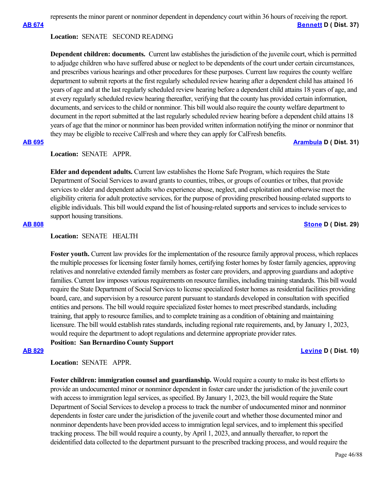represents the minor parent or nonminor dependent in dependency court within 36 hours of receiving the report.

**[AB 674](https://ctweb.capitoltrack.com/public/publishbillinfo.aspx?bi=2mlsBFxRIVCKUSWRzBraS2y0PnyNx6bWRgWzcyaZYUPBlyin5AxkxUiz4LWrH4Yb) [Bennett](https://a37.asmdc.org/) D ( Dist. 37)**

## **Location:**  SENATE SECOND READING

**Dependent children: documents.** Current law establishes the jurisdiction of the juvenile court, which is permitted to adjudge children who have suffered abuse or neglect to be dependents of the court under certain circumstances, and prescribes various hearings and other procedures for these purposes. Current law requires the county welfare department to submit reports at the first regularly scheduled review hearing after a dependent child has attained 16 years of age and at the last regularly scheduled review hearing before a dependent child attains 18 years of age, and at every regularly scheduled review hearing thereafter, verifying that the county has provided certain information, documents, and services to the child or nonminor. This bill would also require the county welfare department to document in the report submitted at the last regularly scheduled review hearing before a dependent child attains 18 years of age that the minor or nonminor has been provided written information notifying the minor or nonminor that they may be eligible to receive CalFresh and where they can apply for CalFresh benefits.

# **[AB 695](https://ctweb.capitoltrack.com/public/publishbillinfo.aspx?bi=a5quxfjYfupuC5UCqqqyg4MBUjRXp3iLFBvDwOfvCJ02lUZTnHFGw211CHA0r28F) [Arambula](https://a31.asmdc.org/) D ( Dist. 31)**

### **Location:**  SENATE APPR.

**Elder and dependent adults.** Current law establishes the Home Safe Program, which requires the State Department of Social Services to award grants to counties, tribes, or groups of counties or tribes, that provide services to elder and dependent adults who experience abuse, neglect, and exploitation and otherwise meet the eligibility criteria for adult protective services, for the purpose of providing prescribed housing-related supports to eligible individuals. This bill would expand the list of housing-related supports and services to include services to support housing transitions.

### **[AB 808](https://ctweb.capitoltrack.com/public/publishbillinfo.aspx?bi=O4vhqmRfMZ0IxGSDGH%2BhTK0ZEJDFzR4NtgjcE2JbEGFIajvbN4xuym6HsFRi9Ar1) [Stone](https://a29.asmdc.org/) D ( Dist. 29)**

# **Location:**  SENATE HEALTH

**Foster youth.** Current law provides for the implementation of the resource family approval process, which replaces the multiple processes for licensing foster family homes, certifying foster homes by foster family agencies, approving relatives and nonrelative extended family members as foster care providers, and approving guardians and adoptive families. Current law imposes various requirements on resource families, including training standards. This bill would require the State Department of Social Services to license specialized foster homes as residential facilities providing board, care, and supervision by a resource parent pursuant to standards developed in consultation with specified entities and persons. The bill would require specialized foster homes to meet prescribed standards, including training, that apply to resource families, and to complete training as a condition of obtaining and maintaining licensure. The bill would establish rates standards, including regional rate requirements, and, by January 1, 2023, would require the department to adopt regulations and determine appropriate provider rates. **Position: San Bernardino County Support**

### **[AB 829](https://ctweb.capitoltrack.com/public/publishbillinfo.aspx?bi=FJjvK3IFUdh3%2B%2FI09VHY2jUSrv5Yr25ETbjUiownvBCIAAode42Vebf%2F6uxi5IzB) [Levine](https://a10.asmdc.org/) D ( Dist. 10)**

**Location:**  SENATE APPR.

**Foster children: immigration counsel and guardianship.** Would require a county to make its best efforts to provide an undocumented minor or nonminor dependent in foster care under the jurisdiction of the juvenile court with access to immigration legal services, as specified. By January 1, 2023, the bill would require the State Department of Social Services to develop a process to track the number of undocumented minor and nonminor dependents in foster care under the jurisdiction of the juvenile court and whether those documented minor and nonminor dependents have been provided access to immigration legal services, and to implement this specified tracking process. The bill would require a county, by April 1, 2023, and annually thereafter, to report the deidentified data collected to the department pursuant to the prescribed tracking process, and would require the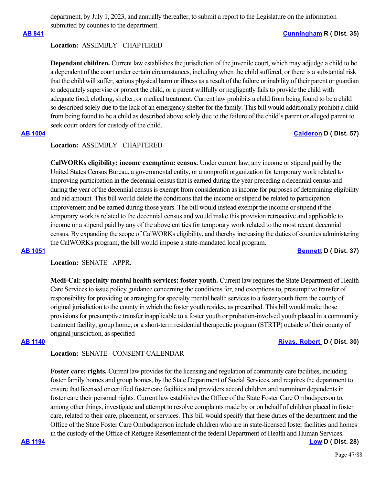department, by July 1, 2023, and annually thereafter, to submit a report to the Legislature on the information submitted by counties to the department.

# **[AB 841](https://ctweb.capitoltrack.com/public/publishbillinfo.aspx?bi=STQyvr5UN9ogDE0GYAaB%2FnFoY2a9y6Lchm0mKvsgCD6%2FqlS%2Fjk67RO58K%2FIdL46A) [Cunningham](https://ad35.asmrc.org/) R ( Dist. 35)**

# **Location:**  ASSEMBLY CHAPTERED

**Dependant children.** Current law establishes the jurisdiction of the juvenile court, which may adjudge a child to be a dependent of the court under certain circumstances, including when the child suffered, or there is a substantial risk that the child will suffer, serious physical harm or illness as a result of the failure or inability of their parent or guardian to adequately supervise or protect the child, or a parent willfully or negligently fails to provide the child with adequate food, clothing, shelter, or medical treatment. Current law prohibits a child from being found to be a child so described solely due to the lack of an emergency shelter for the family. This bill would additionally prohibit a child from being found to be a child as described above solely due to the failure of the child's parent or alleged parent to seek court orders for custody of the child.

# **[AB 1004](https://ctweb.capitoltrack.com/public/publishbillinfo.aspx?bi=S8kifD84ch3r%2BrDweWQNZ4jKS2ipswmj79C%2B6FjsDiV%2BIeC%2Fwzksk%2FIk5E4Je%2F%2FS) [Calderon](https://a57.asmdc.org/) D ( Dist. 57)**

# **Location:**  ASSEMBLY CHAPTERED

**CalWORKs eligibility: income exemption: census.** Under current law, any income or stipend paid by the United States Census Bureau, a governmental entity, or a nonprofit organization for temporary work related to improving participation in the decennial census that is earned during the year preceding a decennial census and during the year of the decennial census is exempt from consideration as income for purposes of determining eligibility and aid amount. This bill would delete the conditions that the income or stipend be related to participation improvement and be earned during those years. The bill would instead exempt the income or stipend if the temporary work is related to the decennial census and would make this provision retroactive and applicable to income or a stipend paid by any of the above entities for temporary work related to the most recent decennial census. By expanding the scope of CalWORKs eligibility, and thereby increasing the duties of counties administering the CalWORKs program, the bill would impose a state-mandated local program.

## **[AB 1051](https://ctweb.capitoltrack.com/public/publishbillinfo.aspx?bi=a3w1OkLET76v%2BDCLHEBggLONCLqllIvKabF03mplQ91C6hp%2BtvB%2FWO%2BRGDpYXa3l) [Bennett](https://a37.asmdc.org/) D ( Dist. 37)**

# **Location:**  SENATE APPR.

**Medi-Cal: specialty mental health services: foster youth.** Current law requires the State Department of Health Care Services to issue policy guidance concerning the conditions for, and exceptions to, presumptive transfer of responsibility for providing or arranging for specialty mental health services to a foster youth from the county of original jurisdiction to the county in which the foster youth resides, as prescribed. This bill would make those provisions for presumptive transfer inapplicable to a foster youth or probation-involved youth placed in a community treatment facility, group home, or a short-term residential therapeutic program (STRTP) outside of their county of original jurisdiction, as specified

# **[AB 1140](https://ctweb.capitoltrack.com/public/publishbillinfo.aspx?bi=2RwChrnFSiX0s2sEO2KCa03Xi7pQOepqs4XGW3mvq6V%2Bp6kH%2FHxOi%2BD3Jm%2BkmvIn) [Rivas, Robert](https://a30.asmdc.org/)  D ( Dist. 30)**

# **Location:**  SENATE CONSENT CALENDAR

**Foster care: rights.** Current law provides for the licensing and regulation of community care facilities, including foster family homes and group homes, by the State Department of Social Services, and requires the department to ensure that licensed or certified foster care facilities and providers accord children and nonminor dependents in foster care their personal rights. Current law establishes the Office of the State Foster Care Ombudsperson to, among other things, investigate and attempt to resolve complaints made by or on behalf of children placed in foster care, related to their care, placement, or services. This bill would specify that these duties of the department and the Office of the State Foster Care Ombudsperson include children who are in state-licensed foster facilities and homes in the custody of the Office of Refugee Resettlement of the federal Department of Health and Human Services.

**[AB 1194](https://ctweb.capitoltrack.com/public/publishbillinfo.aspx?bi=1sQYhjm1zAo4AruvY2h%2FhNyjWNSNu42vsPUR0LoO8NATFUO%2BGAzrZbfWvZYUrSEu) [Low](https://a28.asmdc.org/) D ( Dist. 28)**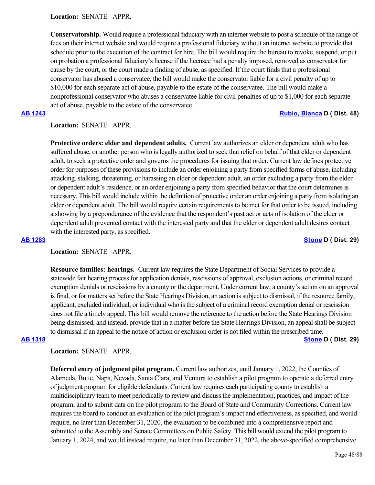**Location:**  SENATE APPR.

**Conservatorship.** Would require a professional fiduciary with an internet website to post a schedule of the range of fees on their internet website and would require a professional fiduciary without an internet website to provide that schedule prior to the execution of the contract for hire. The bill would require the bureau to revoke, suspend, or put on probation a professional fiduciary's license if the licensee had a penalty imposed, removed as conservator for cause by the court, or the court made a finding of abuse, as specified. If the court finds that a professional conservator has abused a conservatee, the bill would make the conservator liable for a civil penalty of up to \$10,000 for each separate act of abuse, payable to the estate of the conservatee. The bill would make a nonprofessional conservator who abuses a conservatee liable for civil penalties of up to \$1,000 for each separate act of abuse, payable to the estate of the conservatee.

## **[AB 1243](https://ctweb.capitoltrack.com/public/publishbillinfo.aspx?bi=CRN7dkk4DBv%2BMJYuYNQPOzNg%2FLSfMFDrHETIKIg77vuCZ2EBOYOtKOu46ykKWjXi) [Rubio, Blanca](https://a48.asmdc.org/) D ( Dist. 48)**

## **Location:**  SENATE APPR.

**Protective orders: elder and dependent adults.** Current law authorizes an elder or dependent adult who has suffered abuse, or another person who is legally authorized to seek that relief on behalf of that elder or dependent adult, to seek a protective order and governs the procedures for issuing that order. Current law defines protective order for purposes of these provisions to include an order enjoining a party from specified forms of abuse, including attacking, stalking, threatening, or harassing an elder or dependent adult, an order excluding a party from the elder or dependent adult's residence, or an order enjoining a party from specified behavior that the court determines is necessary. This bill would include within the definition of protective order an order enjoining a party from isolating an elder or dependent adult. The bill would require certain requirements to be met for that order to be issued, including a showing by a preponderance of the evidence that the respondent's past act or acts of isolation of the elder or dependent adult prevented contact with the interested party and that the elder or dependent adult desires contact with the interested party, as specified.

**[AB 1283](https://ctweb.capitoltrack.com/public/publishbillinfo.aspx?bi=z4wcE2VEKkBbrjRZE0%2FgT8hxOHDDyVlCUcOhFykRm%2BJaVqg6Y%2B%2FM5SZQ%2FRj7IxBT) [Stone](https://a29.asmdc.org/) D ( Dist. 29)**

**Location:**  SENATE APPR.

**Resource families: hearings.** Current law requires the State Department of Social Services to provide a statewide fair hearing process for application denials, rescissions of approval, exclusion actions, or criminal record exemption denials or rescissions by a county or the department. Under current law, a county's action on an approval is final, or for matters set before the State Hearings Division, an action is subject to dismissal, if the resource family, applicant, excluded individual, or individual who is the subject of a criminal record exemption denial or rescission does not file a timely appeal. This bill would remove the reference to the action before the State Hearings Division being dismissed, and instead, provide that in a matter before the State Hearings Division, an appeal shall be subject to dismissal if an appeal to the notice of action or exclusion order is not filed within the prescribed time. **[AB 1318](https://ctweb.capitoltrack.com/public/publishbillinfo.aspx?bi=3xYd8%2Bhlw6BJi1bzvx90ooGPM8WavWdlifE23zFXHdwgrPRcuOccSw1zRx%2BgRPXC) [Stone](https://a29.asmdc.org/) D ( Dist. 29)**

## **Location:**  SENATE APPR.

**Deferred entry of judgment pilot program.** Current law authorizes, until January 1, 2022, the Counties of Alameda, Butte, Napa, Nevada, Santa Clara, and Ventura to establish a pilot program to operate a deferred entry of judgment program for eligible defendants. Current law requires each participating county to establish a multidisciplinary team to meet periodically to review and discuss the implementation, practices, and impact of the program, and to submit data on the pilot program to the Board of State and Community Corrections. Current law requires the board to conduct an evaluation of the pilot program's impact and effectiveness, as specified, and would require, no later than December 31, 2020, the evaluation to be combined into a comprehensive report and submitted to the Assembly and Senate Committees on Public Safety. This bill would extend the pilot program to January 1, 2024, and would instead require, no later than December 31, 2022, the above-specified comprehensive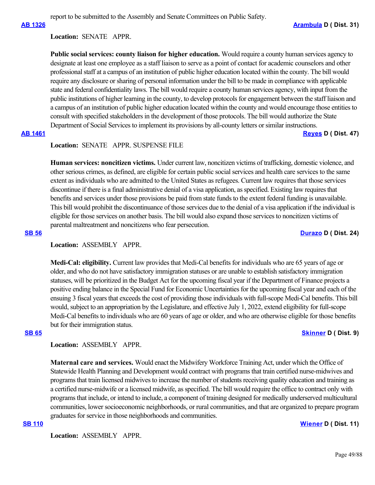report to be submitted to the Assembly and Senate Committees on Public Safety.

### **Location:**  SENATE APPR.

**Public social services: county liaison for higher education.** Would require a county human services agency to designate at least one employee as a staff liaison to serve as a point of contact for academic counselors and other professional staff at a campus of an institution of public higher education located within the county. The bill would require any disclosure or sharing of personal information under the bill to be made in compliance with applicable state and federal confidentiality laws. The bill would require a county human services agency, with input from the public institutions of higher learning in the county, to develop protocols for engagement between the staff liaison and a campus of an institution of public higher education located within the county and would encourage those entities to consult with specified stakeholders in the development of those protocols. The bill would authorize the State Department of Social Services to implement its provisions by all-county letters or similar instructions.

**[AB 1461](https://ctweb.capitoltrack.com/public/publishbillinfo.aspx?bi=xnxBSDrKB9s8NJd3XQzCrxbyLpOEYIZLcDC53gNeghFkSBXbojMBIPDw6%2B6CiK80) [Reyes](https://a47.asmdc.org/) D ( Dist. 47)**

**Location:**  SENATE APPR. SUSPENSE FILE

**Human services: noncitizen victims.** Under current law, noncitizen victims of trafficking, domestic violence, and other serious crimes, as defined, are eligible for certain public social services and health care services to the same extent as individuals who are admitted to the United States as refugees. Current law requires that those services discontinue if there is a final administrative denial of a visa application, as specified. Existing law requires that benefits and services under those provisions be paid from state funds to the extent federal funding is unavailable. This bill would prohibit the discontinuance of those services due to the denial of a visa application if the individual is eligible for those services on another basis. The bill would also expand those services to noncitizen victims of parental maltreatment and noncitizens who fear persecution.

**[SB 56](https://ctweb.capitoltrack.com/public/publishbillinfo.aspx?bi=V8F%2FN1%2B6be8PTuO0KRgcYcIKP34nEPutT%2BarvGaPQQihj9UBp%2FaVZ2u2Hs6RyYwt) [Durazo](http://sd24.senate.ca.gov/) D ( Dist. 24)**

### Location: **ASSEMBLY APPR.**

**Medi-Cal: eligibility.** Current law provides that Medi-Cal benefits for individuals who are 65 years of age or older, and who do not have satisfactory immigration statuses or are unable to establish satisfactory immigration statuses, will be prioritized in the Budget Act for the upcoming fiscal year if the Department of Finance projects a positive ending balance in the Special Fund for Economic Uncertainties for the upcoming fiscal year and each of the ensuing 3 fiscal years that exceeds the cost of providing those individuals with full-scope Medi-Cal benefits. This bill would, subject to an appropriation by the Legislature, and effective July 1, 2022, extend eligibility for full-scope Medi-Cal benefits to individuals who are 60 years of age or older, and who are otherwise eligible for those benefits but for their immigration status.

### **[SB 65](https://ctweb.capitoltrack.com/public/publishbillinfo.aspx?bi=%2FHOWLwGK1XZNtjiJeTXDh%2Bbm7GAj6oVDVuqYUpCneby%2FhpFImvN6Gt97ueuNieQD) [Skinner](http://sd09.senate.ca.gov/) D ( Dist. 9)**

## **Location:**  ASSEMBLY APPR.

**Maternal care and services.** Would enact the Midwifery Workforce Training Act, under which the Office of Statewide Health Planning and Development would contract with programs that train certified nurse-midwives and programs that train licensed midwives to increase the number of students receiving quality education and training as a certified nurse-midwife or a licensed midwife, as specified. The bill would require the office to contract only with programs that include, or intend to include, a component of training designed for medically underserved multicultural communities, lower socioeconomic neighborhoods, or rural communities, and that are organized to prepare program graduates for service in those neighborhoods and communities.

### **[SB 110](https://ctweb.capitoltrack.com/public/publishbillinfo.aspx?bi=P%2FUz4%2Fe%2BnFMjmpFEY8MsLSHRRqwnTX8J9bMKTe54krqBzz%2F3EE3kPOcnaFJhO8PX) [Wiener](http://sd11.senate.ca.gov/) D ( Dist. 11)**

Location: **ASSEMBLY APPR.**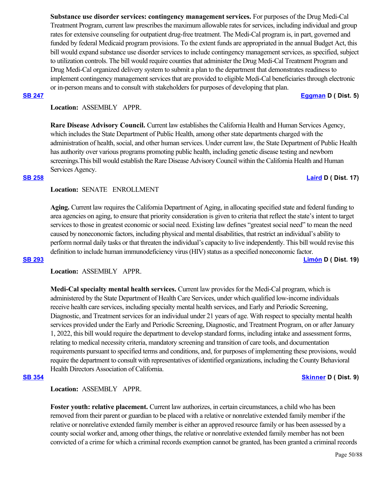**Substance use disorder services: contingency management services.** For purposes of the Drug Medi-Cal Treatment Program, current law prescribes the maximum allowable rates for services, including individual and group rates for extensive counseling for outpatient drug-free treatment. The Medi-Cal program is, in part, governed and funded by federal Medicaid program provisions. To the extent funds are appropriated in the annual Budget Act, this bill would expand substance use disorder services to include contingency management services, as specified, subject to utilization controls. The bill would require counties that administer the Drug Medi-Cal Treatment Program and Drug Medi-Cal organized delivery system to submit a plan to the department that demonstrates readiness to implement contingency management services that are provided to eligible Medi-Cal beneficiaries through electronic or in-person means and to consult with stakeholders for purposes of developing that plan.

**[SB 247](https://ctweb.capitoltrack.com/public/publishbillinfo.aspx?bi=oyZLyLOipHGopRG0E%2Fjxrbdmt2M7Ht3pp6hQdA8fUPgric7sLeh3cXldUaXMtaFS) [Eggman](http://sd05.senate.ca.gov/) D ( Dist. 5)**

# **Location:**  ASSEMBLY APPR.

**Rare Disease Advisory Council.** Current law establishes the California Health and Human Services Agency, which includes the State Department of Public Health, among other state departments charged with the administration of health, social, and other human services. Under current law, the State Department of Public Health has authority over various programs promoting public health, including genetic disease testing and newborn screenings.This bill would establish the Rare Disease Advisory Council within the California Health and Human Services Agency.

### **[SB 258](https://ctweb.capitoltrack.com/public/publishbillinfo.aspx?bi=H74O4FIwzMG7aFNPQG0ivkceYCLaOgA3guaiJOH9G5t1boPWUcPdhCkmXqTornqS) [Laird](http://sd17.senate.ca.gov/) D ( Dist. 17)**

**Location:**  SENATE ENROLLMENT

**Aging.** Current law requires the California Department of Aging, in allocating specified state and federal funding to area agencies on aging, to ensure that priority consideration is given to criteria that reflect the state's intent to target services to those in greatest economic or social need. Existing law defines "greatest social need" to mean the need caused by noneconomic factors, including physical and mental disabilities, that restrict an individual's ability to perform normal daily tasks or that threaten the individual's capacity to live independently. This bill would revise this definition to include human immunodeficiency virus (HIV) status as a specified noneconomic factor. **[SB 293](https://ctweb.capitoltrack.com/public/publishbillinfo.aspx?bi=mUvfNmpscz%2Fn6%2BS49x%2BVSyD1bPMaRpllCZj7GTDR7ts%2FffO9tJ0wQhEoWSyFW7qH) [Limón](http://sd19.senate.ca.gov/) D ( Dist. 19)**

**Location:**  ASSEMBLY APPR.

**Medi-Cal specialty mental health services.** Current law provides for the Medi-Cal program, which is administered by the State Department of Health Care Services, under which qualified low-income individuals receive health care services, including specialty mental health services, and Early and Periodic Screening, Diagnostic, and Treatment services for an individual under 21 years of age. With respect to specialty mental health services provided under the Early and Periodic Screening, Diagnostic, and Treatment Program, on or after January 1, 2022, this bill would require the department to develop standard forms, including intake and assessment forms, relating to medical necessity criteria, mandatory screening and transition of care tools, and documentation requirements pursuant to specified terms and conditions, and, for purposes of implementing these provisions, would require the department to consult with representatives of identified organizations, including the County Behavioral Health Directors Association of California.

### **[SB 354](https://ctweb.capitoltrack.com/public/publishbillinfo.aspx?bi=AArCEUp%2BK8YB9BMi10w7kZLmrcm9xaJWKn0sYCdxliv%2Fmsr1JU04kn7DCvEZPulE) [Skinner](http://sd09.senate.ca.gov/) D ( Dist. 9)**

**Location:**  ASSEMBLY APPR.

**Foster youth: relative placement.** Current law authorizes, in certain circumstances, a child who has been removed from their parent or guardian to be placed with a relative or nonrelative extended family member if the relative or nonrelative extended family member is either an approved resource family or has been assessed by a county social worker and, among other things, the relative or nonrelative extended family member has not been convicted of a crime for which a criminal records exemption cannot be granted, has been granted a criminal records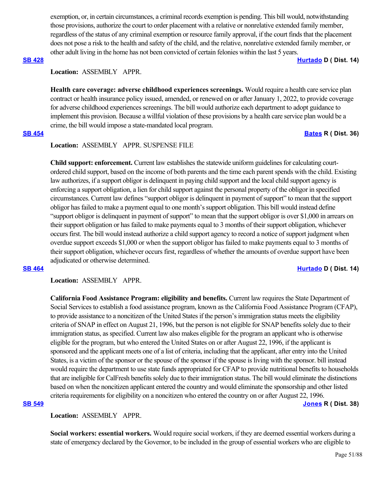exemption, or, in certain circumstances, a criminal records exemption is pending. This bill would, notwithstanding those provisions, authorize the court to order placement with a relative or nonrelative extended family member, regardless of the status of any criminal exemption or resource family approval, if the court finds that the placement does not pose a risk to the health and safety of the child, and the relative, nonrelative extended family member, or other adult living in the home has not been convicted of certain felonies within the last 5 years.

### **[SB 428](https://ctweb.capitoltrack.com/public/publishbillinfo.aspx?bi=i6mcT0H2LhKnEF5F%2Foj4NrdvRsvU7PVmSi28FfYaShbeoUta06PchYQawDXZEdur) [Hurtado](https://sd14.senate.ca.gov/) D ( Dist. 14)**

# **Location:**  ASSEMBLY APPR.

**Health care coverage: adverse childhood experiences screenings.** Would require a health care service plan contract or health insurance policy issued, amended, or renewed on or after January 1, 2022, to provide coverage for adverse childhood experiences screenings. The bill would authorize each department to adopt guidance to implement this provision. Because a willful violation of these provisions by a health care service plan would be a crime, the bill would impose a state-mandated local program.

## **[SB 454](https://ctweb.capitoltrack.com/public/publishbillinfo.aspx?bi=LV4hR08vJbc%2FajGYXibzZEKGCVI19pgx8urI1YY0aYCP%2BgaFGh%2FC1qBBHbUelDLS) [Bates](https://bates.cssrc.us/) R ( Dist. 36)**

# **Location:**  ASSEMBLY APPR. SUSPENSE FILE

**Child support: enforcement.** Current law establishes the statewide uniform guidelines for calculating courtordered child support, based on the income of both parents and the time each parent spends with the child. Existing law authorizes, if a support obligor is delinquent in paying child support and the local child support agency is enforcing a support obligation, a lien for child support against the personal property of the obligor in specified circumstances. Current law defines "support obligor is delinquent in payment of support" to mean that the support obligor has failed to make a payment equal to one month's support obligation. This bill would instead define "support obligor is delinquent in payment of support" to mean that the support obligor is over \$1,000 in arrears on their support obligation or has failed to make payments equal to 3 months of their support obligation, whichever occurs first. The bill would instead authorize a child support agency to record a notice of support judgment when overdue support exceeds \$1,000 or when the support obligor has failed to make payments equal to 3 months of their support obligation, whichever occurs first, regardless of whether the amounts of overdue support have been adjudicated or otherwise determined.

### **[SB 464](https://ctweb.capitoltrack.com/public/publishbillinfo.aspx?bi=YeR2vPSL4pj%2FERBmUjmPXEt83s3oO%2BkrrlLILGYWFZOtrQE4ceP1lB9wg5IltNYo) [Hurtado](https://sd14.senate.ca.gov/) D ( Dist. 14)**

**Location:**  ASSEMBLY APPR.

**California Food Assistance Program: eligibility and benefits.** Current law requires the State Department of Social Services to establish a food assistance program, known as the California Food Assistance Program (CFAP), to provide assistance to a noncitizen of the United States if the person's immigration status meets the eligibility criteria of SNAP in effect on August 21, 1996, but the person is not eligible for SNAP benefits solely due to their immigration status, as specified. Current law also makes eligible for the program an applicant who is otherwise eligible for the program, but who entered the United States on or after August 22, 1996, if the applicant is sponsored and the applicant meets one of a list of criteria, including that the applicant, after entry into the United States, is a victim of the sponsor or the spouse of the sponsor if the spouse is living with the sponsor. bill instead would require the department to use state funds appropriated for CFAP to provide nutritional benefits to households that are ineligible for CalFresh benefits solely due to their immigration status. The bill would eliminate the distinctions based on when the noncitizen applicant entered the country and would eliminate the sponsorship and other listed criteria requirements for eligibility on a noncitizen who entered the country on or after August 22, 1996. **[SB 549](https://ctweb.capitoltrack.com/public/publishbillinfo.aspx?bi=o5Z1P6xdagM0KvYFV1mAq%2FdB34p7U6HX%2FtvRc3d2ea6BjDTgMdBMV7zkxurH7Uyc) [Jones](https://jones.cssrc.us/) R ( Dist. 38)**

**Location:**  ASSEMBLY APPR.

**Social workers: essential workers.** Would require social workers, if they are deemed essential workers during a state of emergency declared by the Governor, to be included in the group of essential workers who are eligible to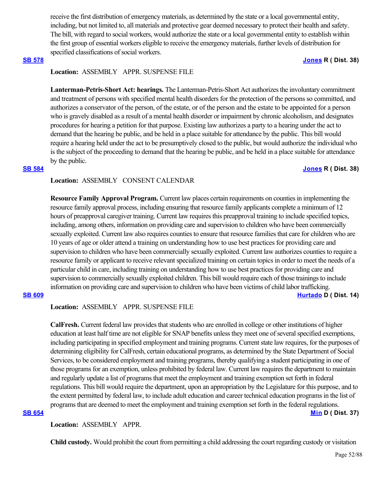receive the first distribution of emergency materials, as determined by the state or a local governmental entity, including, but not limited to, all materials and protective gear deemed necessary to protect their health and safety. The bill, with regard to social workers, would authorize the state or a local governmental entity to establish within the first group of essential workers eligible to receive the emergency materials, further levels of distribution for specified classifications of social workers.

## **[SB 578](https://ctweb.capitoltrack.com/public/publishbillinfo.aspx?bi=eOYqZtxGPsud86GZnbsGfqcDWe9no%2BWOkqhNpVvqoVDQKURNteTIzkLTNg%2BUZ5pZ) [Jones](https://jones.cssrc.us/) R ( Dist. 38)**

# **Location:**  ASSEMBLY APPR. SUSPENSE FILE

**Lanterman-Petris-Short Act: hearings.** The Lanterman-Petris-Short Act authorizes the involuntary commitment and treatment of persons with specified mental health disorders for the protection of the persons so committed, and authorizes a conservator of the person, of the estate, or of the person and the estate to be appointed for a person who is gravely disabled as a result of a mental health disorder or impairment by chronic alcoholism, and designates procedures for hearing a petition for that purpose. Existing law authorizes a party to a hearing under the act to demand that the hearing be public, and be held in a place suitable for attendance by the public. This bill would require a hearing held under the act to be presumptively closed to the public, but would authorize the individual who is the subject of the proceeding to demand that the hearing be public, and be held in a place suitable for attendance by the public.

# **[SB 584](https://ctweb.capitoltrack.com/public/publishbillinfo.aspx?bi=T5j945lGjd3bxlcumuIv24hkHn7MjBzSullS6h9GN7DOVnoRZjG4rV3Vdc0L9QHx) [Jones](https://jones.cssrc.us/) R ( Dist. 38)**

# **Location:**  ASSEMBLY CONSENT CALENDAR

**Resource Family Approval Program.** Current law places certain requirements on counties in implementing the resource family approval process, including ensuring that resource family applicants complete a minimum of 12 hours of preapproval caregiver training. Current law requires this preapproval training to include specified topics, including, among others, information on providing care and supervision to children who have been commercially sexually exploited. Current law also requires counties to ensure that resource families that care for children who are 10 years of age or older attend a training on understanding how to use best practices for providing care and supervision to children who have been commercially sexually exploited. Current law authorizes counties to require a resource family or applicant to receive relevant specialized training on certain topics in order to meet the needs of a particular child in care, including training on understanding how to use best practices for providing care and supervision to commercially sexually exploited children. This bill would require each of those trainings to include information on providing care and supervision to children who have been victims of child labor trafficking. **[SB 609](https://ctweb.capitoltrack.com/public/publishbillinfo.aspx?bi=IAHtD%2F1INn7JOtwlhDag1P4Dzo7bZZfs9TNj70Ab%2F2KQjOrwqcPTOc1OYBA59rih) [Hurtado](https://sd14.senate.ca.gov/) D ( Dist. 14)**

# **Location:**  ASSEMBLY APPR. SUSPENSE FILE

**CalFresh.** Current federal law provides that students who are enrolled in college or other institutions of higher education at least half time are not eligible for SNAP benefits unless they meet one of several specified exemptions, including participating in specified employment and training programs. Current state law requires, for the purposes of determining eligibility for CalFresh, certain educational programs, as determined by the State Department of Social Services, to be considered employment and training programs, thereby qualifying a student participating in one of those programs for an exemption, unless prohibited by federal law. Current law requires the department to maintain and regularly update a list of programs that meet the employment and training exemption set forth in federal regulations. This bill would require the department, upon an appropriation by the Legislature for this purpose, and to the extent permitted by federal law, to include adult education and career technical education programs in the list of programs that are deemed to meet the employment and training exemption set forth in the federal regulations. **[SB 654](https://ctweb.capitoltrack.com/public/publishbillinfo.aspx?bi=pZE%2BsQC2w59Q1CFEIcPz6Chwe1miXAOHTrkKUY2n%2FD%2BLxmXhshjkXL6Z4l%2F5kSlD) [Min](https://sd37.senate.ca.gov/) D ( Dist. 37)**

**Location:**  ASSEMBLY APPR.

**Child custody.** Would prohibit the court from permitting a child addressing the court regarding custody or visitation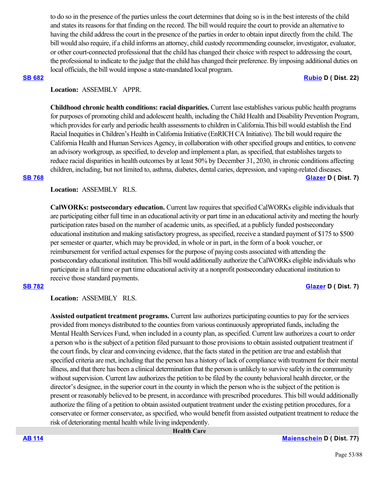to do so in the presence of the parties unless the court determines that doing so is in the best interests of the child and states its reasons for that finding on the record. The bill would require the court to provide an alternative to having the child address the court in the presence of the parties in order to obtain input directly from the child. The bill would also require, if a child informs an attorney, child custody recommending counselor, investigator, evaluator, or other court-connected professional that the child has changed their choice with respect to addressing the court, the professional to indicate to the judge that the child has changed their preference. By imposing additional duties on local officials, the bill would impose a state-mandated local program.

### **[SB 682](https://ctweb.capitoltrack.com/public/publishbillinfo.aspx?bi=7bcKPH1zLWjWn5YFrZvVuPmnr451mt3CfthO%2FZ%2B4uD%2FBoaYOu176yP7SuotplQ%2Bj) [Rubio](http://sd22.senate.ca.gov/) D ( Dist. 22)**

# **Location:**  ASSEMBLY APPR.

**Childhood chronic health conditions: racial disparities.** Current lase establishes various public health programs for purposes of promoting child and adolescent health, including the Child Health and Disability Prevention Program, which provides for early and periodic health assessments to children in California.This bill would establish the End Racial Inequities in Children's Health in California Initiative (EnRICH CA Initiative). The bill would require the California Health and Human Services Agency, in collaboration with other specified groups and entities, to convene an advisory workgroup, as specified, to develop and implement a plan, as specified, that establishes targets to reduce racial disparities in health outcomes by at least 50% by December 31, 2030, in chronic conditions affecting children, including, but not limited to, asthma, diabetes, dental caries, depression, and vaping-related diseases. **[SB 768](https://ctweb.capitoltrack.com/public/publishbillinfo.aspx?bi=HRunm91TsMFrrfgX1inq%2BJ4Cb89gFa4MbLfxSDQyaDuO6SKluR5%2Be%2FCnwDfiWnKI) [Glazer](http://sd07.senate.ca.gov/) D ( Dist. 7)**

**Location:**  ASSEMBLY RLS.

**CalWORKs: postsecondary education.** Current law requires that specified CalWORKs eligible individuals that are participating either full time in an educational activity or part time in an educational activity and meeting the hourly participation rates based on the number of academic units, as specified, at a publicly funded postsecondary educational institution and making satisfactory progress, as specified, receive a standard payment of \$175 to \$500 per semester or quarter, which may be provided, in whole or in part, in the form of a book voucher, or reimbursement for verified actual expenses for the purpose of paying costs associated with attending the postsecondary educational institution. This bill would additionally authorize the CalWORKs eligible individuals who participate in a full time or part time educational activity at a nonprofit postsecondary educational institution to receive those standard payments.

# **[SB 782](https://ctweb.capitoltrack.com/public/publishbillinfo.aspx?bi=9YH1KYQFgvchoVPb0ttHwMSeA5o5URmXbLoIPFrg%2FeY7%2BY%2Fhb2VkTffiVSLF5N0P) [Glazer](http://sd07.senate.ca.gov/) D ( Dist. 7)**

**Location:**  ASSEMBLY RLS.

**Assisted outpatient treatment programs.** Current law authorizes participating counties to pay for the services provided from moneys distributed to the counties from various continuously appropriated funds, including the Mental Health Services Fund, when included in a county plan, as specified. Current law authorizes a court to order a person who is the subject of a petition filed pursuant to those provisions to obtain assisted outpatient treatment if the court finds, by clear and convincing evidence, that the facts stated in the petition are true and establish that specified criteria are met, including that the person has a history of lack of compliance with treatment for their mental illness, and that there has been a clinical determination that the person is unlikely to survive safely in the community without supervision. Current law authorizes the petition to be filed by the county behavioral health director, or the director's designee, in the superior court in the county in which the person who is the subject of the petition is present or reasonably believed to be present, in accordance with prescribed procedures. This bill would additionally authorize the filing of a petition to obtain assisted outpatient treatment under the existing petition procedures, for a conservatee or former conservatee, as specified, who would benefit from assisted outpatient treatment to reduce the risk of deteriorating mental health while living independently.

 **Health Care**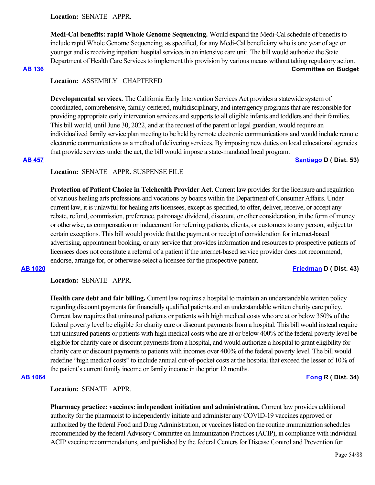**Location:**  SENATE APPR.

**Medi-Cal benefits: rapid Whole Genome Sequencing.** Would expand the Medi-Cal schedule of benefits to include rapid Whole Genome Sequencing, as specified, for any Medi-Cal beneficiary who is one year of age or younger and is receiving inpatient hospital services in an intensive care unit. The bill would authorize the State Department of Health Care Services to implement this provision by various means without taking regulatory action. **[AB 136](https://ctweb.capitoltrack.com/public/publishbillinfo.aspx?bi=7MkbjgWdSz6NV3omxNtY7zX7kqQsQOnXcWtTdoXtrlEEGaUX8zsiAUTW81cXaepg) Committee on Budget**

# **Location:**  ASSEMBLY CHAPTERED

**Developmental services.** The California Early Intervention Services Act provides a statewide system of coordinated, comprehensive, family-centered, multidisciplinary, and interagency programs that are responsible for providing appropriate early intervention services and supports to all eligible infants and toddlers and their families. This bill would, until June 30, 2022, and at the request of the parent or legal guardian, would require an individualized family service plan meeting to be held by remote electronic communications and would include remote electronic communications as a method of delivering services. By imposing new duties on local educational agencies that provide services under the act, the bill would impose a state-mandated local program.

## **[AB 457](https://ctweb.capitoltrack.com/public/publishbillinfo.aspx?bi=vix9L6cURM18Q1gu5PaNkvMfByD%2BMRelRas42Qb6q2HFxbgD5BJUBDaaLGvOqGrc) [Santiago](https://a53.asmdc.org/) D ( Dist. 53)**

# **Location:**  SENATE APPR. SUSPENSE FILE

**Protection of Patient Choice in Telehealth Provider Act.** Current law provides for the licensure and regulation of various healing arts professions and vocations by boards within the Department of Consumer Affairs. Under current law, it is unlawful for healing arts licensees, except as specified, to offer, deliver, receive, or accept any rebate, refund, commission, preference, patronage dividend, discount, or other consideration, in the form of money or otherwise, as compensation or inducement for referring patients, clients, or customers to any person, subject to certain exceptions. This bill would provide that the payment or receipt of consideration for internet-based advertising, appointment booking, or any service that provides information and resources to prospective patients of licensees does not constitute a referral of a patient if the internet-based service provider does not recommend, endorse, arrange for, or otherwise select a licensee for the prospective patient.

## **[AB 1020](https://ctweb.capitoltrack.com/public/publishbillinfo.aspx?bi=FksiXDGaR8JBH3cQ9QP2oAxjtpLBXC8f6oZhyDOmHgSboHmwGJhihXaB9QxXjur9) [Friedman](https://a43.asmdc.org/) D ( Dist. 43)**

**Location:**  SENATE APPR.

**Health care debt and fair billing.** Current law requires a hospital to maintain an understandable written policy regarding discount payments for financially qualified patients and an understandable written charity care policy. Current law requires that uninsured patients or patients with high medical costs who are at or below 350% of the federal poverty level be eligible for charity care or discount payments from a hospital. This bill would instead require that uninsured patients or patients with high medical costs who are at or below 400% of the federal poverty level be eligible for charity care or discount payments from a hospital, and would authorize a hospital to grant eligibility for charity care or discount payments to patients with incomes over 400% of the federal poverty level. The bill would redefine "high medical costs" to include annual out-of-pocket costs at the hospital that exceed the lesser of 10% of the patient's current family income or family income in the prior 12 months.

**[AB 1064](https://ctweb.capitoltrack.com/public/publishbillinfo.aspx?bi=Z%2Ftesw%2BweRcVUAkMkrQDKcixOfs6i%2BBy4Y7JagU7jpCpzyL000VRmAJk5IHYnnnp) [Fong](https://ad34.asmrc.org/) R ( Dist. 34)**

**Location:**  SENATE APPR.

**Pharmacy practice: vaccines: independent initiation and administration.** Current law provides additional authority for the pharmacist to independently initiate and administer any COVID-19 vaccines approved or authorized by the federal Food and Drug Administration, or vaccines listed on the routine immunization schedules recommended by the federal Advisory Committee on Immunization Practices (ACIP), in compliance with individual ACIP vaccine recommendations, and published by the federal Centers for Disease Control and Prevention for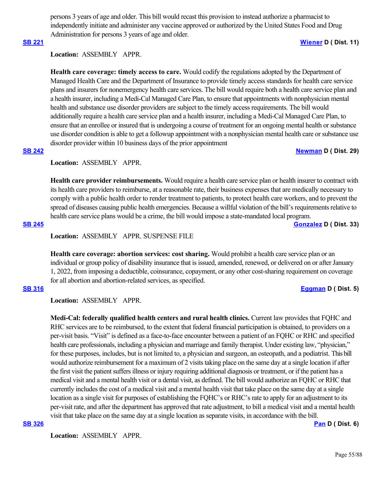persons 3 years of age and older. This bill would recast this provision to instead authorize a pharmacist to independently initiate and administer any vaccine approved or authorized by the United States Food and Drug Administration for persons 3 years of age and older.

### **[SB 221](https://ctweb.capitoltrack.com/public/publishbillinfo.aspx?bi=02TFkTROZGiyWjpXik422PRKImIGCHGHyiKXSdkpVTu0ELATlU2nGQva7qCChyTP) [Wiener](http://sd11.senate.ca.gov/) D ( Dist. 11)**

# Location: ASSEMBLY APPR.

**Health care coverage: timely access to care.** Would codify the regulations adopted by the Department of Managed Health Care and the Department of Insurance to provide timely access standards for health care service plans and insurers for nonemergency health care services. The bill would require both a health care service plan and a health insurer, including a Medi-Cal Managed Care Plan, to ensure that appointments with nonphysician mental health and substance use disorder providers are subject to the timely access requirements. The bill would additionally require a health care service plan and a health insurer, including a Medi-Cal Managed Care Plan, to ensure that an enrollee or insured that is undergoing a course of treatment for an ongoing mental health or substance use disorder condition is able to get a followup appointment with a nonphysician mental health care or substance use disorder provider within 10 business days of the prior appointment

### **[SB 242](https://ctweb.capitoltrack.com/public/publishbillinfo.aspx?bi=Mk7tCVceyzDHdP3rovclLi%2FI5qua4pNVAdienSsb%2FPgYPzNUj2xX1a1hwek93db6) [Newman](https://sd29.senate.ca.gov/) D ( Dist. 29)**

### **Location:**  ASSEMBLY APPR.

**Health care provider reimbursements.** Would require a health care service plan or health insurer to contract with its health care providers to reimburse, at a reasonable rate, their business expenses that are medically necessary to comply with a public health order to render treatment to patients, to protect health care workers, and to prevent the spread of diseases causing public health emergencies. Because a willful violation of the bill's requirements relative to health care service plans would be a crime, the bill would impose a state-mandated local program.

**[SB 245](https://ctweb.capitoltrack.com/public/publishbillinfo.aspx?bi=QNtPH5SYxPee8Q29vEv2RScAoZBhmrgRNzQrcsX%2FbDAjwz1eOzrD3F%2F9DElX71LF) [Gonzalez](https://sd33.senate.ca.gov/) D ( Dist. 33)**

**Location:**  ASSEMBLY APPR. SUSPENSE FILE

**Health care coverage: abortion services: cost sharing.** Would prohibit a health care service plan or an individual or group policy of disability insurance that is issued, amended, renewed, or delivered on or after January 1, 2022, from imposing a deductible, coinsurance, copayment, or any other cost-sharing requirement on coverage for all abortion and abortion-related services, as specified.

### **[SB 316](https://ctweb.capitoltrack.com/public/publishbillinfo.aspx?bi=TlXUrHHOYi53LsvO2HDsX7Wwg%2FygtobVGtTVLua3BEE46gwBtIf4%2BI1KaNI8CMr0) [Eggman](http://sd05.senate.ca.gov/) D ( Dist. 5)**

**Location:**  ASSEMBLY APPR.

**Medi-Cal: federally qualified health centers and rural health clinics.** Current law provides that FQHC and RHC services are to be reimbursed, to the extent that federal financial participation is obtained, to providers on a per-visit basis. "Visit" is defined as a face-to-face encounter between a patient of an FQHC or RHC and specified health care professionals, including a physician and marriage and family therapist. Under existing law, "physician," for these purposes, includes, but is not limited to, a physician and surgeon, an osteopath, and a podiatrist. This bill would authorize reimbursement for a maximum of 2 visits taking place on the same day at a single location if after the first visit the patient suffers illness or injury requiring additional diagnosis or treatment, or if the patient has a medical visit and a mental health visit or a dental visit, as defined. The bill would authorize an FQHC or RHC that currently includes the cost of a medical visit and a mental health visit that take place on the same day at a single location as a single visit for purposes of establishing the FQHC's or RHC's rate to apply for an adjustment to its per-visit rate, and after the department has approved that rate adjustment, to bill a medical visit and a mental health visit that take place on the same day at a single location as separate visits, in accordance with the bill.

Location: **ASSEMBLY APPR.** 

**[SB 326](https://ctweb.capitoltrack.com/public/publishbillinfo.aspx?bi=rB1Y6WTBXDGv7UE69YA8YDgjzroTVr5CXCMxvhqDq24FJBc1jq%2FUUtqLOrkUOp5c) [Pan](http://sd06.senate.ca.gov/) D ( Dist. 6)**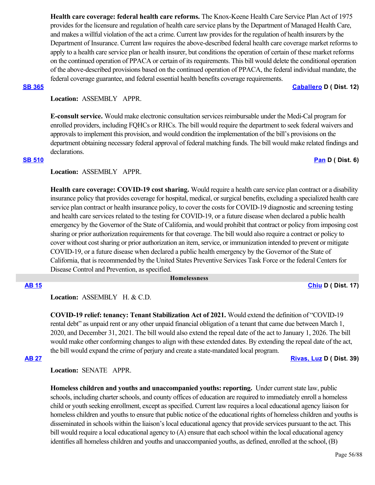**Health care coverage: federal health care reforms.** The Knox-Keene Health Care Service Plan Act of 1975 provides for the licensure and regulation of health care service plans by the Department of Managed Health Care, and makes a willful violation of the act a crime. Current law provides for the regulation of health insurers by the Department of Insurance. Current law requires the above-described federal health care coverage market reforms to apply to a health care service plan or health insurer, but conditions the operation of certain of these market reforms on the continued operation of PPACA or certain of its requirements. This bill would delete the conditional operation of the above-described provisions based on the continued operation of PPACA, the federal individual mandate, the federal coverage guarantee, and federal essential health benefits coverage requirements.

**[SB 365](https://ctweb.capitoltrack.com/public/publishbillinfo.aspx?bi=Sp90Z7k4CLT9ez%2B8S064t8vLxns45VHZvsoADXYVhJjzsL29FncAQzMz74irR3%2FM) [Caballero](https://sd12.senate.ca.gov/) D ( Dist. 12)**

### **Location:**  ASSEMBLY APPR.

**E-consult service.** Would make electronic consultation services reimbursable under the Medi-Cal program for enrolled providers, including FQHCs or RHCs. The bill would require the department to seek federal waivers and approvals to implement this provision, and would condition the implementation of the bill's provisions on the department obtaining necessary federal approval of federal matching funds. The bill would make related findings and declarations.

### **[SB 510](https://ctweb.capitoltrack.com/public/publishbillinfo.aspx?bi=yqXr%2BymIRJekVPNaMqU6maySQjqzaERMo0fGL8TgIB%2FGkq9z3DbzbdQyayr2gwxH) [Pan](http://sd06.senate.ca.gov/) D ( Dist. 6)**

## **Location:**  ASSEMBLY APPR.

**Health care coverage: COVID-19 cost sharing.** Would require a health care service plan contract or a disability insurance policy that provides coverage for hospital, medical, or surgical benefits, excluding a specialized health care service plan contract or health insurance policy, to cover the costs for COVID-19 diagnostic and screening testing and health care services related to the testing for COVID-19, or a future disease when declared a public health emergency by the Governor of the State of California, and would prohibit that contract or policy from imposing cost sharing or prior authorization requirements for that coverage. The bill would also require a contract or policy to cover without cost sharing or prior authorization an item, service, or immunization intended to prevent or mitigate COVID-19, or a future disease when declared a public health emergency by the Governor of the State of California, that is recommended by the United States Preventive Services Task Force or the federal Centers for Disease Control and Prevention, as specified.

### **Homelessness**

**[AB 15](https://ctweb.capitoltrack.com/public/publishbillinfo.aspx?bi=IgPbJFOpLHK2wJ6KjIZfvxQpPWExdikqFibWs%2FQrJyvl8dkUCmF%2BXGUVeoFAM2NJ) [Chiu](https://a17.asmdc.org/) D ( Dist. 17)**

Location: ASSEMBLY H. & C.D.

**COVID-19 relief: tenancy: Tenant Stabilization Act of 2021.** Would extend the definition of "COVID-19 rental debt" as unpaid rent or any other unpaid financial obligation of a tenant that came due between March 1, 2020, and December 31, 2021. The bill would also extend the repeal date of the act to January 1, 2026. The bill would make other conforming changes to align with these extended dates. By extending the repeal date of the act, the bill would expand the crime of perjury and create a state-mandated local program.

**[AB 27](https://ctweb.capitoltrack.com/public/publishbillinfo.aspx?bi=x4XyyqXGhwGnYdhJXQdtKNyhgckctlG%2Bra6aa3YuPUvHwdfX8p9BiyraOIqLrT45) [Rivas, Luz](https://a39.asmdc.org/) D ( Dist. 39)**

**Location:**  SENATE APPR.

**Homeless children and youths and unaccompanied youths: reporting.** Under current state law, public schools, including charter schools, and county offices of education are required to immediately enroll a homeless child or youth seeking enrollment, except as specified. Current law requires a local educational agency liaison for homeless children and youths to ensure that public notice of the educational rights of homeless children and youths is disseminated in schools within the liaison's local educational agency that provide services pursuant to the act. This bill would require a local educational agency to (A) ensure that each school within the local educational agency identifies all homeless children and youths and unaccompanied youths, as defined, enrolled at the school, (B)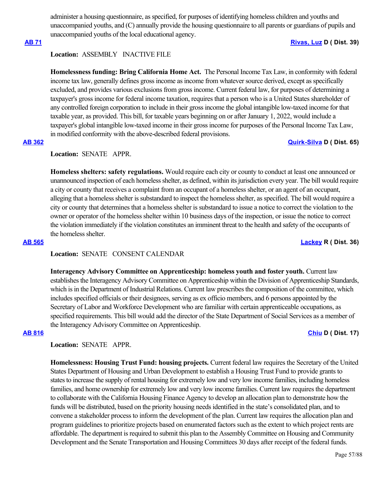administer a housing questionnaire, as specified, for purposes of identifying homeless children and youths and unaccompanied youths, and (C) annually provide the housing questionnaire to all parents or guardians of pupils and unaccompanied youths of the local educational agency.

### **[AB 71](https://ctweb.capitoltrack.com/public/publishbillinfo.aspx?bi=AxBWDY7z%2FCkxxzJV1UpDhVlUEesnYaxLuuwEZG%2BXIqpeYEMtgL7ZKGJ%2B3qCGoEuJ) [Rivas, Luz](https://a39.asmdc.org/) D ( Dist. 39)**

# **Location:**  ASSEMBLY INACTIVE FILE

**Homelessness funding: Bring California Home Act.**  The Personal Income Tax Law, in conformity with federal income tax law, generally defines gross income as income from whatever source derived, except as specifically excluded, and provides various exclusions from gross income. Current federal law, for purposes of determining a taxpayer's gross income for federal income taxation, requires that a person who is a United States shareholder of any controlled foreign corporation to include in their gross income the global intangible low-taxed income for that taxable year, as provided. This bill, for taxable years beginning on or after January 1, 2022, would include a taxpayer's global intangible low-taxed income in their gross income for purposes of the Personal Income Tax Law, in modified conformity with the above-described federal provisions.

# **[AB 362](https://ctweb.capitoltrack.com/public/publishbillinfo.aspx?bi=0UOH2z55mkkQNFGLyebwgEsWtO4oFxII98EnpQ8%2BSyMdoCwEEhOFxUaL3NKOPqdg) [Quirk-Silva](https://a65.asmdc.org/) D ( Dist. 65)**

### **Location:**  SENATE APPR.

**Homeless shelters: safety regulations.** Would require each city or county to conduct at least one announced or unannounced inspection of each homeless shelter, as defined, within its jurisdiction every year. The bill would require a city or county that receives a complaint from an occupant of a homeless shelter, or an agent of an occupant, alleging that a homeless shelter is substandard to inspect the homeless shelter, as specified. The bill would require a city or county that determines that a homeless shelter is substandard to issue a notice to correct the violation to the owner or operator of the homeless shelter within 10 business days of the inspection, or issue the notice to correct the violation immediately if the violation constitutes an imminent threat to the health and safety of the occupants of the homeless shelter.

### **[AB 565](https://ctweb.capitoltrack.com/public/publishbillinfo.aspx?bi=3TjGdqIMVOGVAakbtrXlaJ13u5i3mNae81HK8Q%2BzmjQA9M8tT9K2GHQJffFNFziM) [Lackey](https://ad36.asmrc.org/) R ( Dist. 36)**

## **Location:**  SENATE CONSENT CALENDAR

**Interagency Advisory Committee on Apprenticeship: homeless youth and foster youth.** Current law establishes the Interagency Advisory Committee on Apprenticeship within the Division of Apprenticeship Standards, which is in the Department of Industrial Relations. Current law prescribes the composition of the committee, which includes specified officials or their designees, serving as ex officio members, and 6 persons appointed by the Secretary of Labor and Workforce Development who are familiar with certain apprenticeable occupations, as specified requirements. This bill would add the director of the State Department of Social Services as a member of the Interagency Advisory Committee on Apprenticeship.

**[AB 816](https://ctweb.capitoltrack.com/public/publishbillinfo.aspx?bi=gq3GESPHAP8T73KPoWpI1Qx3THIUH3GTwK4VWzXtjomsK4Pk0IAN9MfS8BxFk88%2B) [Chiu](https://a17.asmdc.org/) D ( Dist. 17)**

# **Location:**  SENATE APPR.

**Homelessness: Housing Trust Fund: housing projects.** Current federal law requires the Secretary of the United States Department of Housing and Urban Development to establish a Housing Trust Fund to provide grants to states to increase the supply of rental housing for extremely low and very low income families, including homeless families, and home ownership for extremely low and very low income families. Current law requires the department to collaborate with the California Housing Finance Agency to develop an allocation plan to demonstrate how the funds will be distributed, based on the priority housing needs identified in the state's consolidated plan, and to convene a stakeholder process to inform the development of the plan. Current law requires the allocation plan and program guidelines to prioritize projects based on enumerated factors such as the extent to which project rents are affordable. The department is required to submit this plan to the Assembly Committee on Housing and Community Development and the Senate Transportation and Housing Committees 30 days after receipt of the federal funds.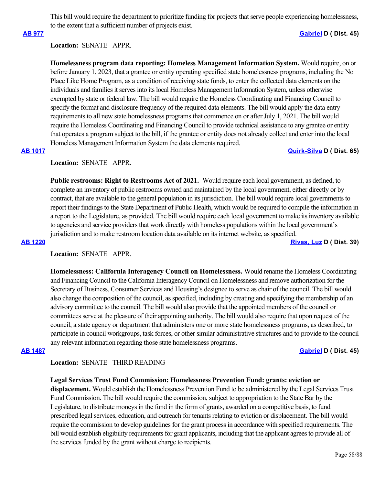This bill would require the department to prioritize funding for projects that serve people experiencing homelessness, to the extent that a sufficient number of projects exist.

**[AB 977](https://ctweb.capitoltrack.com/public/publishbillinfo.aspx?bi=MPCQIzoVJSC8PsUZS2EeSds1uh459wwlwvqlh3a%2BX%2FcxtDNVYYjoWy5VCwT84CCP) [Gabriel](https://a45.asmdc.org/) D ( Dist. 45)**

## **Location:**  SENATE APPR.

**Homelessness program data reporting: Homeless Management Information System.** Would require, on or before January 1, 2023, that a grantee or entity operating specified state homelessness programs, including the No Place Like Home Program, as a condition of receiving state funds, to enter the collected data elements on the individuals and families it serves into its local Homeless Management Information System, unless otherwise exempted by state or federal law. The bill would require the Homeless Coordinating and Financing Council to specify the format and disclosure frequency of the required data elements. The bill would apply the data entry requirements to all new state homelessness programs that commence on or after July 1, 2021. The bill would require the Homeless Coordinating and Financing Council to provide technical assistance to any grantee or entity that operates a program subject to the bill, if the grantee or entity does not already collect and enter into the local Homeless Management Information System the data elements required.

## **[AB 1017](https://ctweb.capitoltrack.com/public/publishbillinfo.aspx?bi=JYyt31DOcZMu5clq9Dg25K%2FwlQRmm9Z%2B4UUjhX8nItz1trRK6ZBuw7gaDVRacfEb) [Quirk-Silva](https://a65.asmdc.org/) D ( Dist. 65)**

**Location:**  SENATE APPR.

**Public restrooms: Right to Restrooms Act of 2021.** Would require each local government, as defined, to complete an inventory of public restrooms owned and maintained by the local government, either directly or by contract, that are available to the general population in its jurisdiction. The bill would require local governments to report their findings to the State Department of Public Health, which would be required to compile the information in a report to the Legislature, as provided. The bill would require each local government to make its inventory available to agencies and service providers that work directly with homeless populations within the local government's jurisdiction and to make restroom location data available on its internet website, as specified.

**[AB 1220](https://ctweb.capitoltrack.com/public/publishbillinfo.aspx?bi=NFfE8zjqii2zfWOxTFKiz4xLNGcs6UIUkx8FkbvRHP9VDD4ZJbPbYUQxja35SeCB) [Rivas, Luz](https://a39.asmdc.org/) D ( Dist. 39)**

**Location:**  SENATE APPR.

**Homelessness: California Interagency Council on Homelessness.** Would rename the Homeless Coordinating and Financing Council to the California Interagency Council on Homelessness and remove authorization for the Secretary of Business, Consumer Services and Housing's designee to serve as chair of the council. The bill would also change the composition of the council, as specified, including by creating and specifying the membership of an advisory committee to the council. The bill would also provide that the appointed members of the council or committees serve at the pleasure of their appointing authority. The bill would also require that upon request of the council, a state agency or department that administers one or more state homelessness programs, as described, to participate in council workgroups, task forces, or other similar administrative structures and to provide to the council any relevant information regarding those state homelessness programs.

## **[AB 1487](https://ctweb.capitoltrack.com/public/publishbillinfo.aspx?bi=cV3o%2F%2BWA22wLkH7n6QpyLiaNEEG3fOLgmz1%2FN7FPVU6XYbi4mdqJ%2FGuoP8tA%2Fs0q) [Gabriel](https://a45.asmdc.org/) D ( Dist. 45)**

# **Location:**  SENATE THIRD READING

**Legal Services Trust Fund Commission: Homelessness Prevention Fund: grants: eviction or**

**displacement.** Would establish the Homelessness Prevention Fund to be administered by the Legal Services Trust Fund Commission. The bill would require the commission, subject to appropriation to the State Bar by the Legislature, to distribute moneys in the fund in the form of grants, awarded on a competitive basis, to fund prescribed legal services, education, and outreach for tenants relating to eviction or displacement. The bill would require the commission to develop guidelines for the grant process in accordance with specified requirements. The bill would establish eligibility requirements for grant applicants, including that the applicant agrees to provide all of the services funded by the grant without charge to recipients.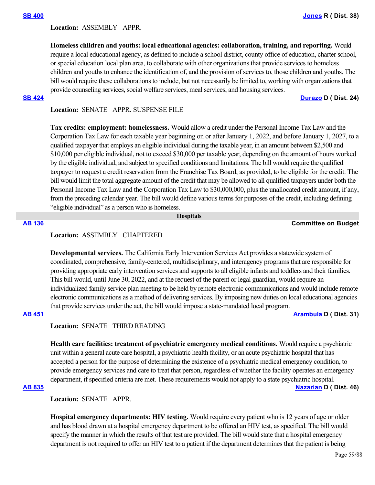Location: **ASSEMBLY APPR.** 

**Homeless children and youths: local educational agencies: collaboration, training, and reporting.** Would require a local educational agency, as defined to include a school district, county office of education, charter school, or special education local plan area, to collaborate with other organizations that provide services to homeless children and youths to enhance the identification of, and the provision of services to, those children and youths. The bill would require these collaborations to include, but not necessarily be limited to, working with organizations that provide counseling services, social welfare services, meal services, and housing services.

### **[SB 424](https://ctweb.capitoltrack.com/public/publishbillinfo.aspx?bi=6gQOf9PLHy7W7z7OrpvoPsaCf6aZr9Xte6V0AUSHuVtHvi4BfpSw5aGk2nrJ4STf) [Durazo](http://sd24.senate.ca.gov/) D ( Dist. 24)**

## **Location:**  SENATE APPR. SUSPENSE FILE

**Tax credits: employment: homelessness.** Would allow a credit under the Personal Income Tax Law and the Corporation Tax Law for each taxable year beginning on or after January 1, 2022, and before January 1, 2027, to a qualified taxpayer that employs an eligible individual during the taxable year, in an amount between \$2,500 and \$10,000 per eligible individual, not to exceed \$30,000 per taxable year, depending on the amount of hours worked by the eligible individual, and subject to specified conditions and limitations. The bill would require the qualified taxpayer to request a credit reservation from the Franchise Tax Board, as provided, to be eligible for the credit. The bill would limit the total aggregate amount of the credit that may be allowed to all qualified taxpayers under both the Personal Income Tax Law and the Corporation Tax Law to \$30,000,000, plus the unallocated credit amount, if any, from the preceding calendar year. The bill would define various terms for purposes of the credit, including defining "eligible individual" as a person who is homeless.

 **Hospitals**

### **[AB 136](https://ctweb.capitoltrack.com/public/publishbillinfo.aspx?bi=7MkbjgWdSz6NV3omxNtY7zX7kqQsQOnXcWtTdoXtrlEEGaUX8zsiAUTW81cXaepg) Committee on Budget**

### **Location:**  ASSEMBLY CHAPTERED

**Developmental services.** The California Early Intervention Services Act provides a statewide system of coordinated, comprehensive, family-centered, multidisciplinary, and interagency programs that are responsible for providing appropriate early intervention services and supports to all eligible infants and toddlers and their families. This bill would, until June 30, 2022, and at the request of the parent or legal guardian, would require an individualized family service plan meeting to be held by remote electronic communications and would include remote electronic communications as a method of delivering services. By imposing new duties on local educational agencies that provide services under the act, the bill would impose a state-mandated local program.

## **[AB 451](https://ctweb.capitoltrack.com/public/publishbillinfo.aspx?bi=SFAJPBlL5u1%2FlSU7v%2BQEoAIIhRHeOzGNhOVLD9SDSHF%2FLWipTp4VD44e5DOUoszy) [Arambula](https://a31.asmdc.org/) D ( Dist. 31)**

**Location:**  SENATE THIRD READING

**Health care facilities: treatment of psychiatric emergency medical conditions.** Would require a psychiatric unit within a general acute care hospital, a psychiatric health facility, or an acute psychiatric hospital that has accepted a person for the purpose of determining the existence of a psychiatric medical emergency condition, to provide emergency services and care to treat that person, regardless of whether the facility operates an emergency department, if specified criteria are met. These requirements would not apply to a state psychiatric hospital.

# **[AB 835](https://ctweb.capitoltrack.com/public/publishbillinfo.aspx?bi=2aCiLjbhCP3GuNjWxI7nne8Ypa3W1fu5QHCJohjB9tlXBiqOqjdKFj4o2ETqWh%2BE) [Nazarian](https://a46.asmdc.org/) D ( Dist. 46)**

**Location:**  SENATE APPR.

**Hospital emergency departments: HIV testing.** Would require every patient who is 12 years of age or older and has blood drawn at a hospital emergency department to be offered an HIV test, as specified. The bill would specify the manner in which the results of that test are provided. The bill would state that a hospital emergency department is not required to offer an HIV test to a patient if the department determines that the patient is being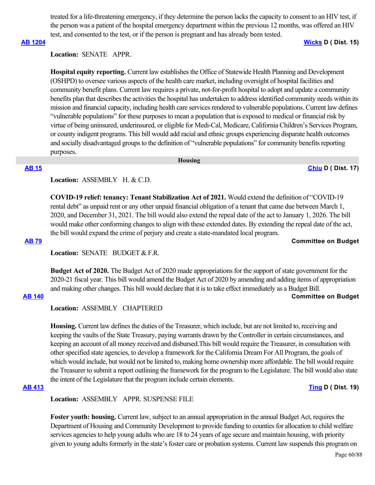treated for a life-threatening emergency, if they determine the person lacks the capacity to consent to an HIV test, if the person was a patient of the hospital emergency department within the previous 12 months, was offered an HIV test, and consented to the test, or if the person is pregnant and has already been tested.

### **[AB 1204](https://ctweb.capitoltrack.com/public/publishbillinfo.aspx?bi=kD%2Blnd9p0dQXAe5vrQOp4dvCwls4fZqVXCsL7QF5NB%2B4bRWfcryOr0p5%2BUMK1xOm) [Wicks](https://a15.asmdc.org/) D ( Dist. 15)**

## **Location:**  SENATE APPR.

**Hospital equity reporting.** Current law establishes the Office of Statewide Health Planning and Development (OSHPD) to oversee various aspects of the health care market, including oversight of hospital facilities and community benefit plans. Current law requires a private, not-for-profit hospital to adopt and update a community benefits plan that describes the activities the hospital has undertaken to address identified community needs within its mission and financial capacity, including health care services rendered to vulnerable populations. Current law defines "vulnerable populations" for these purposes to mean a population that is exposed to medical or financial risk by virtue of being uninsured, underinsured, or eligible for Medi-Cal, Medicare, California Children's Services Program, or county indigent programs. This bill would add racial and ethnic groups experiencing disparate health outcomes and socially disadvantaged groups to the definition of "vulnerable populations" for community benefits reporting purposes.

 **Housing**

### **[AB 15](https://ctweb.capitoltrack.com/public/publishbillinfo.aspx?bi=IgPbJFOpLHK2wJ6KjIZfvxQpPWExdikqFibWs%2FQrJyvl8dkUCmF%2BXGUVeoFAM2NJ) [Chiu](https://a17.asmdc.org/) D ( Dist. 17)**

## **Location:**  ASSEMBLY H. & C.D.

**COVID-19 relief: tenancy: Tenant Stabilization Act of 2021.** Would extend the definition of "COVID-19 rental debt" as unpaid rent or any other unpaid financial obligation of a tenant that came due between March 1, 2020, and December 31, 2021. The bill would also extend the repeal date of the act to January 1, 2026. The bill would make other conforming changes to align with these extended dates. By extending the repeal date of the act, the bill would expand the crime of perjury and create a state-mandated local program.

### **[AB 79](https://ctweb.capitoltrack.com/public/publishbillinfo.aspx?bi=Vq6wUtKCzSJGuRANgm4zTNCM2soxCjkxuajlmV2OgA98nRW4AY0xVXiDJWRmXaB2) Committee on Budget**

Location: **SENATE** BUDGET & F.R.

**Budget Act of 2020.** The Budget Act of 2020 made appropriations for the support of state government for the 2020-21 fiscal year. This bill would amend the Budget Act of 2020 by amending and adding items of appropriation and making other changes. This bill would declare that it is to take effect immediately as a Budget Bill.

### **[AB 140](https://ctweb.capitoltrack.com/public/publishbillinfo.aspx?bi=LTBIiSikiinVcDDvJ%2BveoixPV8k2I5p1Ww9BaNx%2F8QTE%2FDZcf3kjCrIggWmHSp0F) Committee on Budget**

## **Location:**  ASSEMBLY CHAPTERED

**Housing.** Current law defines the duties of the Treasurer, which include, but are not limited to, receiving and keeping the vaults of the State Treasury, paying warrants drawn by the Controller in certain circumstances, and keeping an account of all money received and disbursed.This bill would require the Treasurer, in consultation with other specified state agencies, to develop a framework for the California Dream For All Program, the goals of which would include, but would not be limited to, making home ownership more affordable. The bill would require the Treasurer to submit a report outlining the framework for the program to the Legislature. The bill would also state the intent of the Legislature that the program include certain elements.

**[AB 413](https://ctweb.capitoltrack.com/public/publishbillinfo.aspx?bi=slc5M04Azqc5c%2F2VFhRoNu%2FoYfuYjLLSVqnRW%2FvUeGQ3duFf8wGm8mjjMx0m29of) [Ting](https://a19.asmdc.org/) D ( Dist. 19)**

**Location:**  ASSEMBLY APPR. SUSPENSE FILE

**Foster youth: housing.** Current law, subject to an annual appropriation in the annual Budget Act, requires the Department of Housing and Community Development to provide funding to counties for allocation to child welfare services agencies to help young adults who are 18 to 24 years of age secure and maintain housing, with priority given to young adults formerly in the state's foster care or probation systems. Current law suspends this program on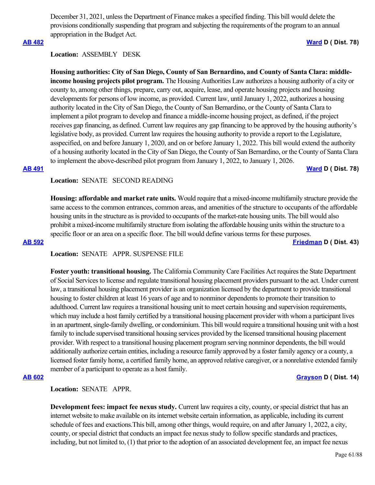December 31, 2021, unless the Department of Finance makes a specified finding. This bill would delete the provisions conditionally suspending that program and subjecting the requirements of the program to an annual appropriation in the Budget Act.

### **[AB 482](https://ctweb.capitoltrack.com/public/publishbillinfo.aspx?bi=hF5AUnwqQNk4L4pilnUpeCZoJtb7LrZN%2BWtN0rtmYyFzXQZ0gm%2Frs56xCQ9J%2BNE4) [Ward](https://a78.asmdc.org/) D ( Dist. 78)**

# **Location:**  ASSEMBLY DESK

**Housing authorities: City of San Diego, County of San Bernardino, and County of Santa Clara: middleincome housing projects pilot program.** The Housing Authorities Law authorizes a housing authority of a city or county to, among other things, prepare, carry out, acquire, lease, and operate housing projects and housing developments for persons of low income, as provided. Current law, until January 1, 2022, authorizes a housing authority located in the City of San Diego, the County of San Bernardino, or the County of Santa Clara to implement a pilot program to develop and finance a middle-income housing project, as defined, if the project receives gap financing, as defined. Current law requires any gap financing to be approved by the housing authority's legislative body, as provided. Current law requires the housing authority to provide a report to the Legislature, asspecified, on and before January 1, 2020, and on or before January 1, 2022. This bill would extend the authority of a housing authority located in the City of San Diego, the County of San Bernardino, or the County of Santa Clara to implement the above-described pilot program from January 1, 2022, to January 1, 2026. **[AB 491](https://ctweb.capitoltrack.com/public/publishbillinfo.aspx?bi=nE8RUE87Hr9CR9Lydw9ztqPSYXh7RtrPImwn%2FHGglE%2FPV61KaqTraIUYEo%2Bd5%2FN%2B) [Ward](https://a78.asmdc.org/) D ( Dist. 78)**

## Location: **SENATE SECOND READING**

**Housing: affordable and market rate units.** Would require that a mixed-income multifamily structure provide the same access to the common entrances, common areas, and amenities of the structure to occupants of the affordable housing units in the structure as is provided to occupants of the market-rate housing units. The bill would also prohibit a mixed-income multifamily structure from isolating the affordable housing units within the structure to a specific floor or an area on a specific floor. The bill would define various terms for these purposes. **[AB 592](https://ctweb.capitoltrack.com/public/publishbillinfo.aspx?bi=fQ%2Fu6nhAfFAWzM%2BGOEj49VgevlzkYPBiDE00kfhBC7M%2BMmhClpgGKgt5T9nRXJoP) [Friedman](https://a43.asmdc.org/) D ( Dist. 43)**

# **Location:**  SENATE APPR. SUSPENSE FILE

**Foster youth: transitional housing.** The California Community Care Facilities Act requires the State Department of Social Services to license and regulate transitional housing placement providers pursuant to the act. Under current law, a transitional housing placement provider is an organization licensed by the department to provide transitional housing to foster children at least 16 years of age and to nonminor dependents to promote their transition to adulthood. Current law requires a transitional housing unit to meet certain housing and supervision requirements, which may include a host family certified by a transitional housing placement provider with whom a participant lives in an apartment, single-family dwelling, or condominium. This bill would require a transitional housing unit with a host family to include supervised transitional housing services provided by the licensed transitional housing placement provider. With respect to a transitional housing placement program serving nonminor dependents, the bill would additionally authorize certain entities, including a resource family approved by a foster family agency or a county, a licensed foster family home, a certified family home, an approved relative caregiver, or a nonrelative extended family member of a participant to operate as a host family.

## **[AB 602](https://ctweb.capitoltrack.com/public/publishbillinfo.aspx?bi=hDF0dG3q70h5etCzF0PFkboQPAlzbvGNPqTUfAx8UmRydUE9IuCSh7zMZCeBGSzB) [Grayson](https://a14.asmdc.org/) D ( Dist. 14)**

**Location:**  SENATE APPR.

**Development fees: impact fee nexus study.** Current law requires a city, county, or special district that has an internet website to make available on its internet website certain information, as applicable, including its current schedule of fees and exactions.This bill, among other things, would require, on and after January 1, 2022, a city, county, or special district that conducts an impact fee nexus study to follow specific standards and practices, including, but not limited to, (1) that prior to the adoption of an associated development fee, an impact fee nexus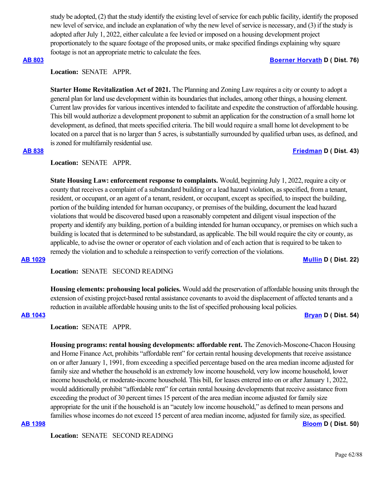study be adopted, (2) that the study identify the existing level of service for each public facility, identify the proposed new level of service, and include an explanation of why the new level of service is necessary, and (3) if the study is adopted after July 1, 2022, either calculate a fee levied or imposed on a housing development project proportionately to the square footage of the proposed units, or make specified findings explaining why square footage is not an appropriate metric to calculate the fees.

### **[AB 803](https://ctweb.capitoltrack.com/public/publishbillinfo.aspx?bi=Tdd8bsbeiUELQyyYw%2BsWoO2qTWTYgplr52s9YEDa783emScti0UsRWWIX%2FJhh6qb) [Boerner Horvath](https://a76.asmdc.org/) D ( Dist. 76)**

# **Location:**  SENATE APPR.

**Starter Home Revitalization Act of 2021.** The Planning and Zoning Law requires a city or county to adopt a general plan for land use development within its boundaries that includes, among other things, a housing element. Current law provides for various incentives intended to facilitate and expedite the construction of affordable housing. This bill would authorize a development proponent to submit an application for the construction of a small home lot development, as defined, that meets specified criteria. The bill would require a small home lot development to be located on a parcel that is no larger than 5 acres, is substantially surrounded by qualified urban uses, as defined, and is zoned for multifamily residential use.

## **[AB 838](https://ctweb.capitoltrack.com/public/publishbillinfo.aspx?bi=Brkey8VtQoOavWLWDZaTRHt%2BXG22Hf%2Byt%2Frm7NaMxEbP3SbR00W7tGhDSxswVqY7) [Friedman](https://a43.asmdc.org/) D ( Dist. 43)**

## **Location:**  SENATE APPR.

**State Housing Law: enforcement response to complaints.** Would, beginning July 1, 2022, require a city or county that receives a complaint of a substandard building or a lead hazard violation, as specified, from a tenant, resident, or occupant, or an agent of a tenant, resident, or occupant, except as specified, to inspect the building, portion of the building intended for human occupancy, or premises of the building, document the lead hazard violations that would be discovered based upon a reasonably competent and diligent visual inspection of the property and identify any building, portion of a building intended for human occupancy, or premises on which such a building is located that is determined to be substandard, as applicable. The bill would require the city or county, as applicable, to advise the owner or operator of each violation and of each action that is required to be taken to remedy the violation and to schedule a reinspection to verify correction of the violations.

**[AB 1029](https://ctweb.capitoltrack.com/public/publishbillinfo.aspx?bi=Nia9gqfh7C%2BtS%2FVln1QQzZyxuJdQdJa2mnIz8VDSVEwB%2FVAnrft1A8mPJioqitz2) [Mullin](https://a22.asmdc.org/) D ( Dist. 22)**

### Location: **SENATE SECOND READING**

**Housing elements: prohousing local policies.** Would add the preservation of affordable housing units through the extension of existing project-based rental assistance covenants to avoid the displacement of affected tenants and a reduction in available affordable housing units to the list of specified prohousing local policies.

### **[AB 1043](https://ctweb.capitoltrack.com/public/publishbillinfo.aspx?bi=V%2FUIXIEJNWB4wbV1L6YWuKtJ93EHMrAJ7I2UpHuHthbUzMmcHkoLfJiHnlz9b3xx) [Bryan](https://a54.asmdc.org/) D ( Dist. 54)**

**Location:**  SENATE APPR.

**Housing programs: rental housing developments: affordable rent.** The Zenovich-Moscone-Chacon Housing and Home Finance Act, prohibits "affordable rent" for certain rental housing developments that receive assistance on or after January 1, 1991, from exceeding a specified percentage based on the area median income adjusted for family size and whether the household is an extremely low income household, very low income household, lower income household, or moderate-income household. This bill, for leases entered into on or after January 1, 2022, would additionally prohibit "affordable rent" for certain rental housing developments that receive assistance from exceeding the product of 30 percent times 15 percent of the area median income adjusted for family size appropriate for the unit if the household is an "acutely low income household," as defined to mean persons and families whose incomes do not exceed 15 percent of area median income, adjusted for family size, as specified. **[AB 1398](https://ctweb.capitoltrack.com/public/publishbillinfo.aspx?bi=8gkNeR2i1XVQU8rLDJBwupkDBk19i41j%2BQzgmwiOHZgLpTFVUVAOgVn5QZ5FVV33) [Bloom](https://a50.asmdc.org/) D ( Dist. 50)**

Location: **SENATE SECOND READING**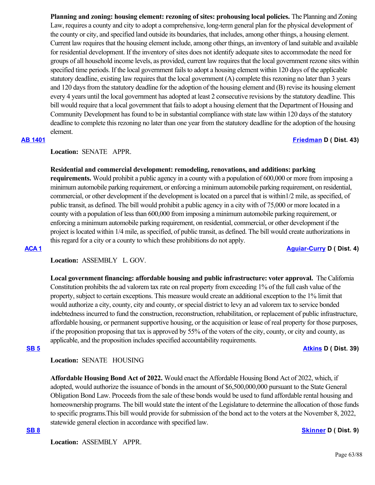**Planning and zoning: housing element: rezoning of sites: prohousing local policies.** The Planning and Zoning Law, requires a county and city to adopt a comprehensive, long-term general plan for the physical development of the county or city, and specified land outside its boundaries, that includes, among other things, a housing element. Current law requires that the housing element include, among other things, an inventory of land suitable and available for residential development. If the inventory of sites does not identify adequate sites to accommodate the need for groups of all household income levels, as provided, current law requires that the local government rezone sites within specified time periods. If the local government fails to adopt a housing element within 120 days of the applicable statutory deadline, existing law requires that the local government (A) complete this rezoning no later than 3 years and 120 days from the statutory deadline for the adoption of the housing element and (B) revise its housing element every 4 years until the local government has adopted at least 2 consecutive revisions by the statutory deadline. This bill would require that a local government that fails to adopt a housing element that the Department of Housing and Community Development has found to be in substantial compliance with state law within 120 days of the statutory deadline to complete this rezoning no later than one year from the statutory deadline for the adoption of the housing element.

# **[AB 1401](https://ctweb.capitoltrack.com/public/publishbillinfo.aspx?bi=fQ56FfKqG7a6sZSjOVyOjXlJ95OI%2FLKyiBiPvRiGpmvkWVikUcdun8b73Dk0GSDa) [Friedman](https://a43.asmdc.org/) D ( Dist. 43)**

## **Location:**  SENATE APPR.

## **Residential and commercial development: remodeling, renovations, and additions: parking**

**requirements.** Would prohibit a public agency in a county with a population of 600,000 or more from imposing a minimum automobile parking requirement, or enforcing a minimum automobile parking requirement, on residential, commercial, or other development if the development is located on a parcel that is within1/2 mile, as specified, of public transit, as defined. The bill would prohibit a public agency in a city with of 75,000 or more located in a county with a population of less than 600,000 from imposing a minimum automobile parking requirement, or enforcing a minimum automobile parking requirement, on residential, commercial, or other development if the project is located within 1/4 mile, as specified, of public transit, as defined. The bill would create authorizations in this regard for a city or a county to which these prohibitions do not apply.

# **[ACA 1](https://ctweb.capitoltrack.com/public/publishbillinfo.aspx?bi=vkAbgpBB9wOKQrx%2F6m3DJE4Lfzjw%2B69Lv7GxnaWpsGPIGgKDXm0xJSIkZsa8QVVB) [Aguiar-Curry](https://a04.asmdc.org/) D ( Dist. 4)**

# **Location:**  ASSEMBLY L. GOV.

**Local government financing: affordable housing and public infrastructure: voter approval.** The California Constitution prohibits the ad valorem tax rate on real property from exceeding 1% of the full cash value of the property, subject to certain exceptions. This measure would create an additional exception to the 1% limit that would authorize a city, county, city and county, or special district to levy an ad valorem tax to service bonded indebtedness incurred to fund the construction, reconstruction, rehabilitation, or replacement of public infrastructure, affordable housing, or permanent supportive housing, or the acquisition or lease of real property for those purposes, if the proposition proposing that tax is approved by 55% of the voters of the city, county, or city and county, as applicable, and the proposition includes specified accountability requirements.

## **[SB 5](https://ctweb.capitoltrack.com/public/publishbillinfo.aspx?bi=xAZwpHKJsKdtmG8yxhqNB2ATDKyqgz3zsBHbS5t5S%2FpzuRa50sPos%2Fk8P22KPMXh) [Atkins](http://sd39.senate.ca.gov/) D ( Dist. 39)**

## **Location:**  SENATE HOUSING

**Affordable Housing Bond Act of 2022.** Would enact the Affordable Housing Bond Act of 2022, which, if adopted, would authorize the issuance of bonds in the amount of \$6,500,000,000 pursuant to the State General Obligation Bond Law. Proceeds from the sale of these bonds would be used to fund affordable rental housing and homeownership programs. The bill would state the intent of the Legislature to determine the allocation of those funds to specific programs.This bill would provide for submission of the bond act to the voters at the November 8, 2022, statewide general election in accordance with specified law.

## **[SB 8](https://ctweb.capitoltrack.com/public/publishbillinfo.aspx?bi=KCtI9WQoEAQDmEE2VLlzGALHWMammoBzi14An%2BdqBaQK1%2FOploWFXBq%2B6f3qFstA) [Skinner](http://sd09.senate.ca.gov/) D ( Dist. 9)**

**Location:**  ASSEMBLY APPR.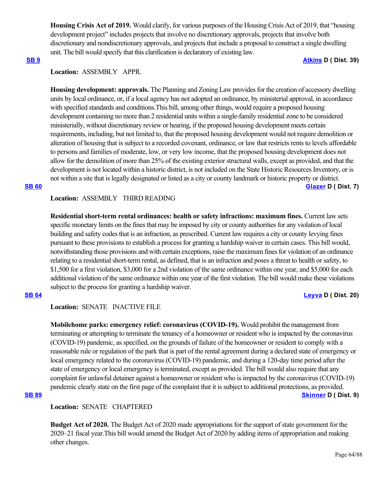**Housing Crisis Act of 2019.** Would clarify, for various purposes of the Housing Crisis Act of 2019, that "housing development project" includes projects that involve no discretionary approvals, projects that involve both discretionary and nondiscretionary approvals, and projects that include a proposal to construct a single dwelling unit. The bill would specify that this clarification is declaratory of existing law.

### **[SB 9](https://ctweb.capitoltrack.com/public/publishbillinfo.aspx?bi=mIkar%2FhtVTeqIFNqniJJlD39byWiu7gCq2FAWNN%2BlbVeIAwV1OYB2KjgpgnG%2B%2Fj0) [Atkins](http://sd39.senate.ca.gov/) D ( Dist. 39)**

# **Location:**  ASSEMBLY APPR.

**Housing development: approvals.** The Planning and Zoning Law provides for the creation of accessory dwelling units by local ordinance, or, if a local agency has not adopted an ordinance, by ministerial approval, in accordance with specified standards and conditions.This bill, among other things, would require a proposed housing development containing no more than 2 residential units within a single-family residential zone to be considered ministerially, without discretionary review or hearing, if the proposed housing development meets certain requirements, including, but not limited to, that the proposed housing development would not require demolition or alteration of housing that is subject to a recorded covenant, ordinance, or law that restricts rents to levels affordable to persons and families of moderate, low, or very low income, that the proposed housing development does not allow for the demolition of more than 25% of the existing exterior structural walls, except as provided, and that the development is not located within a historic district, is not included on the State Historic Resources Inventory, or is not within a site that is legally designated or listed as a city or county landmark or historic property or district. **[SB 60](https://ctweb.capitoltrack.com/public/publishbillinfo.aspx?bi=TPfGa%2F8lPJ%2BXVXT4VqzlY6jFfW3YNvcg6rr4YbJoBumSQwySw3Qhis9bv1tnXJMw) [Glazer](http://sd07.senate.ca.gov/) D ( Dist. 7)**

## **Location:**  ASSEMBLY THIRD READING

**Residential short-term rental ordinances: health or safety infractions: maximum fines.** Current law sets specific monetary limits on the fines that may be imposed by city or county authorities for any violation of local building and safety codes that is an infraction, as prescribed. Current law requires a city or county levying fines pursuant to these provisions to establish a process for granting a hardship waiver in certain cases. This bill would, notwithstanding those provisions and with certain exceptions, raise the maximum fines for violation of an ordinance relating to a residential short-term rental, as defined, that is an infraction and poses a threat to health or safety, to \$1,500 for a first violation, \$3,000 for a 2nd violation of the same ordinance within one year, and \$5,000 for each additional violation of the same ordinance within one year of the first violation. The bill would make these violations subject to the process for granting a hardship waiver.

# **[SB 64](https://ctweb.capitoltrack.com/public/publishbillinfo.aspx?bi=lnzhVbip1PrRmyaSMdTeWb%2FnRXKyQghd3VySnnji8dj3xozQtYr1VvOMsH9NCypl) [Leyva](http://sd20.senate.ca.gov/) D ( Dist. 20)**

# **Location:**  SENATE INACTIVE FILE

**Mobilehome parks: emergency relief: coronavirus (COVID-19).** Would prohibit the management from terminating or attempting to terminate the tenancy of a homeowner or resident who is impacted by the coronavirus (COVID-19) pandemic, as specified, on the grounds of failure of the homeowner or resident to comply with a reasonable rule or regulation of the park that is part of the rental agreement during a declared state of emergency or local emergency related to the coronavirus (COVID-19) pandemic, and during a 120-day time period after the state of emergency or local emergency is terminated, except as provided. The bill would also require that any complaint for unlawful detainer against a homeowner or resident who is impacted by the coronavirus (COVID-19) pandemic clearly state on the first page of the complaint that it is subject to additional protections, as provided. **[SB 89](https://ctweb.capitoltrack.com/public/publishbillinfo.aspx?bi=nxGIq7HyV6U4bOoP5ftadl98WgWh3bZ4pwzw43AHRpX5riVTKtwEWMf7EQkCQB0Y) [Skinner](http://sd09.senate.ca.gov/) D ( Dist. 9)**

## **Location:**  SENATE CHAPTERED

**Budget Act of 2020.** The Budget Act of 2020 made appropriations for the support of state government for the 2020–21 fiscal year.This bill would amend the Budget Act of 2020 by adding items of appropriation and making other changes.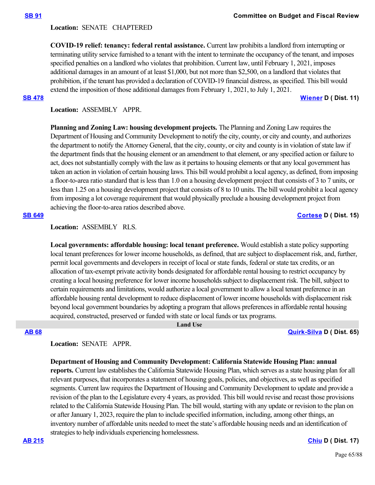## **Location:**  SENATE CHAPTERED

**COVID-19 relief: tenancy: federal rental assistance.** Current law prohibits a landlord from interrupting or terminating utility service furnished to a tenant with the intent to terminate the occupancy of the tenant, and imposes specified penalties on a landlord who violates that prohibition. Current law, until February 1, 2021, imposes additional damages in an amount of at least \$1,000, but not more than \$2,500, on a landlord that violates that prohibition, if the tenant has provided a declaration of COVID-19 financial distress, as specified. This bill would extend the imposition of those additional damages from February 1, 2021, to July 1, 2021. **[SB 478](https://ctweb.capitoltrack.com/public/publishbillinfo.aspx?bi=J7PEN77%2BN7IbyI5nBqINBTwLxql8J9U4xIrboE3VEYIEu6T8jy1dHWET7x%2BL15S8) [Wiener](http://sd11.senate.ca.gov/) D ( Dist. 11)**

**Location:**  ASSEMBLY APPR.

**Planning and Zoning Law: housing development projects.** The Planning and Zoning Law requires the Department of Housing and Community Development to notify the city, county, or city and county, and authorizes the department to notify the Attorney General, that the city, county, or city and county is in violation of state law if the department finds that the housing element or an amendment to that element, or any specified action or failure to act, does not substantially comply with the law as it pertains to housing elements or that any local government has taken an action in violation of certain housing laws. This bill would prohibit a local agency, as defined, from imposing a floor-to-area ratio standard that is less than 1.0 on a housing development project that consists of 3 to 7 units, or less than 1.25 on a housing development project that consists of 8 to 10 units. The bill would prohibit a local agency from imposing a lot coverage requirement that would physically preclude a housing development project from achieving the floor-to-area ratios described above.

## **[SB 649](https://ctweb.capitoltrack.com/public/publishbillinfo.aspx?bi=%2BbMisuO7rcKbxyWy6iCU8kGnPmfE8KcbemItEMkMnr9tkx0ANrW0qejb0qECcGJH) [Cortese](http://sd15.senate.ca.gov/) D ( Dist. 15)**

**Location:**  ASSEMBLY RLS.

**Local governments: affordable housing: local tenant preference.** Would establish a state policy supporting local tenant preferences for lower income households, as defined, that are subject to displacement risk, and, further, permit local governments and developers in receipt of local or state funds, federal or state tax credits, or an allocation of tax-exempt private activity bonds designated for affordable rental housing to restrict occupancy by creating a local housing preference for lower income households subject to displacement risk. The bill, subject to certain requirements and limitations, would authorize a local government to allow a local tenant preference in an affordable housing rental development to reduce displacement of lower income households with displacement risk beyond local government boundaries by adopting a program that allows preferences in affordable rental housing acquired, constructed, preserved or funded with state or local funds or tax programs.

# **[AB 68](https://ctweb.capitoltrack.com/public/publishbillinfo.aspx?bi=2Nx1DN5jLRYVhs97LWjvLJCJshdkfYHDcdYMSjZCfuwymT1yrZxeaFhSO08dn5O%2F) [Quirk-Silva](https://a65.asmdc.org/) D ( Dist. 65)**

**Location:**  SENATE APPR.

## **Department of Housing and Community Development: California Statewide Housing Plan: annual**

 **Land Use**

**reports.** Current law establishes the California Statewide Housing Plan, which serves as a state housing plan for all relevant purposes, that incorporates a statement of housing goals, policies, and objectives, as well as specified segments. Current law requires the Department of Housing and Community Development to update and provide a revision of the plan to the Legislature every 4 years, as provided. This bill would revise and recast those provisions related to the California Statewide Housing Plan. The bill would, starting with any update or revision to the plan on or after January 1, 2023, require the plan to include specified information, including, among other things, an inventory number of affordable units needed to meet the state's affordable housing needs and an identification of strategies to help individuals experiencing homelessness.

**[AB 215](https://ctweb.capitoltrack.com/public/publishbillinfo.aspx?bi=njx6zTeur3aGoUbZG1qRnVVfs%2F2pFA2mjftReRH22ms2zWR%2BpKflSN5HM3Epr3di) [Chiu](https://a17.asmdc.org/) D ( Dist. 17)**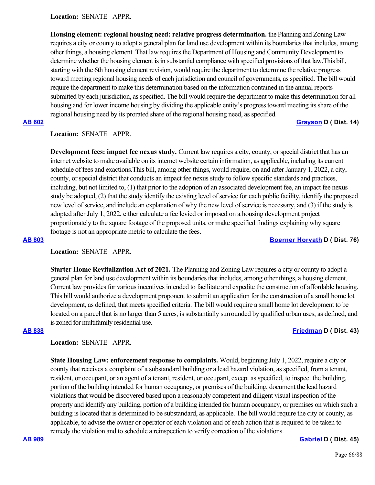**Location:**  SENATE APPR.

**Housing element: regional housing need: relative progress determination.** the Planning and Zoning Law requires a city or county to adopt a general plan for land use development within its boundaries that includes, among other things, a housing element. That law requires the Department of Housing and Community Development to determine whether the housing element is in substantial compliance with specified provisions of that law.This bill, starting with the 6th housing element revision, would require the department to determine the relative progress toward meeting regional housing needs of each jurisdiction and council of governments, as specified. The bill would require the department to make this determination based on the information contained in the annual reports submitted by each jurisdiction, as specified. The bill would require the department to make this determination for all housing and for lower income housing by dividing the applicable entity's progress toward meeting its share of the regional housing need by its prorated share of the regional housing need, as specified.

**[AB 602](https://ctweb.capitoltrack.com/public/publishbillinfo.aspx?bi=hDF0dG3q70h5etCzF0PFkboQPAlzbvGNPqTUfAx8UmRydUE9IuCSh7zMZCeBGSzB) [Grayson](https://a14.asmdc.org/) D ( Dist. 14)**

# **Location:**  SENATE APPR.

**Development fees: impact fee nexus study.** Current law requires a city, county, or special district that has an internet website to make available on its internet website certain information, as applicable, including its current schedule of fees and exactions.This bill, among other things, would require, on and after January 1, 2022, a city, county, or special district that conducts an impact fee nexus study to follow specific standards and practices, including, but not limited to, (1) that prior to the adoption of an associated development fee, an impact fee nexus study be adopted, (2) that the study identify the existing level of service for each public facility, identify the proposed new level of service, and include an explanation of why the new level of service is necessary, and (3) if the study is adopted after July 1, 2022, either calculate a fee levied or imposed on a housing development project proportionately to the square footage of the proposed units, or make specified findings explaining why square footage is not an appropriate metric to calculate the fees.

## **[AB 803](https://ctweb.capitoltrack.com/public/publishbillinfo.aspx?bi=Tdd8bsbeiUELQyyYw%2BsWoO2qTWTYgplr52s9YEDa783emScti0UsRWWIX%2FJhh6qb) [Boerner Horvath](https://a76.asmdc.org/) D ( Dist. 76)**

## **Location:**  SENATE APPR.

**Starter Home Revitalization Act of 2021.** The Planning and Zoning Law requires a city or county to adopt a general plan for land use development within its boundaries that includes, among other things, a housing element. Current law provides for various incentives intended to facilitate and expedite the construction of affordable housing. This bill would authorize a development proponent to submit an application for the construction of a small home lot development, as defined, that meets specified criteria. The bill would require a small home lot development to be located on a parcel that is no larger than 5 acres, is substantially surrounded by qualified urban uses, as defined, and is zoned for multifamily residential use.

## **[AB 838](https://ctweb.capitoltrack.com/public/publishbillinfo.aspx?bi=Brkey8VtQoOavWLWDZaTRHt%2BXG22Hf%2Byt%2Frm7NaMxEbP3SbR00W7tGhDSxswVqY7) [Friedman](https://a43.asmdc.org/) D ( Dist. 43)**

# **Location:**  SENATE APPR.

**State Housing Law: enforcement response to complaints.** Would, beginning July 1, 2022, require a city or county that receives a complaint of a substandard building or a lead hazard violation, as specified, from a tenant, resident, or occupant, or an agent of a tenant, resident, or occupant, except as specified, to inspect the building, portion of the building intended for human occupancy, or premises of the building, document the lead hazard violations that would be discovered based upon a reasonably competent and diligent visual inspection of the property and identify any building, portion of a building intended for human occupancy, or premises on which such a building is located that is determined to be substandard, as applicable. The bill would require the city or county, as applicable, to advise the owner or operator of each violation and of each action that is required to be taken to remedy the violation and to schedule a reinspection to verify correction of the violations.

## **[AB 989](https://ctweb.capitoltrack.com/public/publishbillinfo.aspx?bi=L84rubdAYJyYAzLAqceJr%2B2%2B2K3ZEc07FjG%2B5pA3sZuYbmqke7buNzumwxqUgUpc) [Gabriel](https://a45.asmdc.org/) D ( Dist. 45)**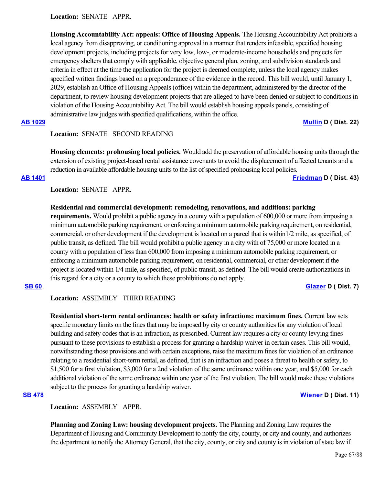**Location:**  SENATE APPR.

**Housing Accountability Act: appeals: Office of Housing Appeals.** The Housing Accountability Act prohibits a local agency from disapproving, or conditioning approval in a manner that renders infeasible, specified housing development projects, including projects for very low, low-, or moderate-income households and projects for emergency shelters that comply with applicable, objective general plan, zoning, and subdivision standards and criteria in effect at the time the application for the project is deemed complete, unless the local agency makes specified written findings based on a preponderance of the evidence in the record. This bill would, until January 1, 2029, establish an Office of Housing Appeals (office) within the department, administered by the director of the department, to review housing development projects that are alleged to have been denied or subject to conditions in violation of the Housing Accountability Act. The bill would establish housing appeals panels, consisting of administrative law judges with specified qualifications, within the office.

# **[AB 1029](https://ctweb.capitoltrack.com/public/publishbillinfo.aspx?bi=Nia9gqfh7C%2BtS%2FVln1QQzZyxuJdQdJa2mnIz8VDSVEwB%2FVAnrft1A8mPJioqitz2) [Mullin](https://a22.asmdc.org/) D ( Dist. 22)**

## Location: **SENATE SECOND READING**

**Housing elements: prohousing local policies.** Would add the preservation of affordable housing units through the extension of existing project-based rental assistance covenants to avoid the displacement of affected tenants and a reduction in available affordable housing units to the list of specified prohousing local policies.

### **[AB 1401](https://ctweb.capitoltrack.com/public/publishbillinfo.aspx?bi=fQ56FfKqG7a6sZSjOVyOjXlJ95OI%2FLKyiBiPvRiGpmvkWVikUcdun8b73Dk0GSDa) [Friedman](https://a43.asmdc.org/) D ( Dist. 43)**

# **Location:**  SENATE APPR.

## **Residential and commercial development: remodeling, renovations, and additions: parking**

**requirements.** Would prohibit a public agency in a county with a population of 600,000 or more from imposing a minimum automobile parking requirement, or enforcing a minimum automobile parking requirement, on residential, commercial, or other development if the development is located on a parcel that is within1/2 mile, as specified, of public transit, as defined. The bill would prohibit a public agency in a city with of 75,000 or more located in a county with a population of less than 600,000 from imposing a minimum automobile parking requirement, or enforcing a minimum automobile parking requirement, on residential, commercial, or other development if the project is located within 1/4 mile, as specified, of public transit, as defined. The bill would create authorizations in this regard for a city or a county to which these prohibitions do not apply.

# **[SB 60](https://ctweb.capitoltrack.com/public/publishbillinfo.aspx?bi=TPfGa%2F8lPJ%2BXVXT4VqzlY6jFfW3YNvcg6rr4YbJoBumSQwySw3Qhis9bv1tnXJMw) [Glazer](http://sd07.senate.ca.gov/) D ( Dist. 7)**

# **Location:**  ASSEMBLY THIRD READING

**Residential short-term rental ordinances: health or safety infractions: maximum fines.** Current law sets specific monetary limits on the fines that may be imposed by city or county authorities for any violation of local building and safety codes that is an infraction, as prescribed. Current law requires a city or county levying fines pursuant to these provisions to establish a process for granting a hardship waiver in certain cases. This bill would, notwithstanding those provisions and with certain exceptions, raise the maximum fines for violation of an ordinance relating to a residential short-term rental, as defined, that is an infraction and poses a threat to health or safety, to \$1,500 for a first violation, \$3,000 for a 2nd violation of the same ordinance within one year, and \$5,000 for each additional violation of the same ordinance within one year of the first violation. The bill would make these violations subject to the process for granting a hardship waiver.

## **[SB 478](https://ctweb.capitoltrack.com/public/publishbillinfo.aspx?bi=J7PEN77%2BN7IbyI5nBqINBTwLxql8J9U4xIrboE3VEYIEu6T8jy1dHWET7x%2BL15S8) [Wiener](http://sd11.senate.ca.gov/) D ( Dist. 11)**

**Location:**  ASSEMBLY APPR.

**Planning and Zoning Law: housing development projects.** The Planning and Zoning Law requires the Department of Housing and Community Development to notify the city, county, or city and county, and authorizes the department to notify the Attorney General, that the city, county, or city and county is in violation of state law if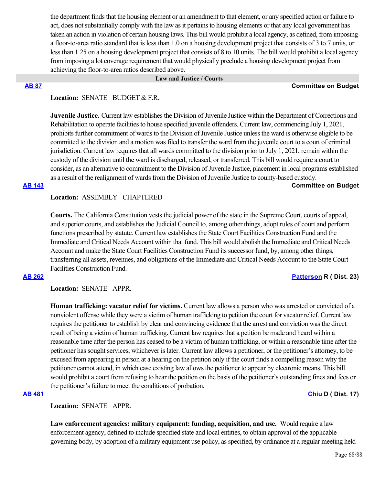the department finds that the housing element or an amendment to that element, or any specified action or failure to act, does not substantially comply with the law as it pertains to housing elements or that any local government has taken an action in violation of certain housing laws. This bill would prohibit a local agency, as defined, from imposing a floor-to-area ratio standard that is less than 1.0 on a housing development project that consists of 3 to 7 units, or less than 1.25 on a housing development project that consists of 8 to 10 units. The bill would prohibit a local agency from imposing a lot coverage requirement that would physically preclude a housing development project from achieving the floor-to-area ratios described above.

### **Law and Justice / Courts**

### **[AB 87](https://ctweb.capitoltrack.com/public/publishbillinfo.aspx?bi=aP6tBr0AiMKGFAYx2CsdLBAC6h8IlxwJmhePJG5%2BQYnibqIKe%2FksE37RChPbnT8a) Committee on Budget**

# Location: **SENATE** BUDGET & F.R.

**Juvenile Justice.** Current law establishes the Division of Juvenile Justice within the Department of Corrections and Rehabilitation to operate facilities to house specified juvenile offenders. Current law, commencing July 1, 2021, prohibits further commitment of wards to the Division of Juvenile Justice unless the ward is otherwise eligible to be committed to the division and a motion was filed to transfer the ward from the juvenile court to a court of criminal jurisdiction. Current law requires that all wards committed to the division prior to July 1, 2021, remain within the custody of the division until the ward is discharged, released, or transferred. This bill would require a court to consider, as an alternative to commitment to the Division of Juvenile Justice, placement in local programs established as a result of the realignment of wards from the Division of Juvenile Justice to county-based custody.

### **[AB 143](https://ctweb.capitoltrack.com/public/publishbillinfo.aspx?bi=gyX8lwsP%2F9vTssif54SzDQmXO%2Fr6ctDN%2B0sjSMsP5jBaig%2BA7wAXMhmd4%2BZBYlmY) Committee on Budget**

### **Location:**  ASSEMBLY CHAPTERED

**Courts.** The California Constitution vests the judicial power of the state in the Supreme Court, courts of appeal, and superior courts, and establishes the Judicial Council to, among other things, adopt rules of court and perform functions prescribed by statute. Current law establishes the State Court Facilities Construction Fund and the Immediate and Critical Needs Account within that fund. This bill would abolish the Immediate and Critical Needs Account and make the State Court Facilities Construction Fund its successor fund, by, among other things, transferring all assets, revenues, and obligations of the Immediate and Critical Needs Account to the State Court Facilities Construction Fund.

# **[AB 262](https://ctweb.capitoltrack.com/public/publishbillinfo.aspx?bi=y0TbKDW5ooqRbDaLWP3uvH36FCi4y%2FGD0vLrEqEapJGzcNdVmKdbeG4O57RgDWul) [Patterson](https://ad23.asmrc.org/) R ( Dist. 23)**

## **Location:**  SENATE APPR.

**Human trafficking: vacatur relief for victims.** Current law allows a person who was arrested or convicted of a nonviolent offense while they were a victim of human trafficking to petition the court for vacatur relief. Current law requires the petitioner to establish by clear and convincing evidence that the arrest and conviction was the direct result of being a victim of human trafficking. Current law requires that a petition be made and heard within a reasonable time after the person has ceased to be a victim of human trafficking, or within a reasonable time after the petitioner has sought services, whichever is later. Current law allows a petitioner, or the petitioner's attorney, to be excused from appearing in person at a hearing on the petition only if the court finds a compelling reason why the petitioner cannot attend, in which case existing law allows the petitioner to appear by electronic means. This bill would prohibit a court from refusing to hear the petition on the basis of the petitioner's outstanding fines and fees or the petitioner's failure to meet the conditions of probation.

# **[AB 481](https://ctweb.capitoltrack.com/public/publishbillinfo.aspx?bi=xlbNmHSPTN1HLIssSzgUhTorsZ0V65CWQr543X5Y9UwUSUh4eNXWy6o0Trvm4yhM) [Chiu](https://a17.asmdc.org/) D ( Dist. 17)**

**Location:**  SENATE APPR.

**Law enforcement agencies: military equipment: funding, acquisition, and use.** Would require a law enforcement agency, defined to include specified state and local entities, to obtain approval of the applicable governing body, by adoption of a military equipment use policy, as specified, by ordinance at a regular meeting held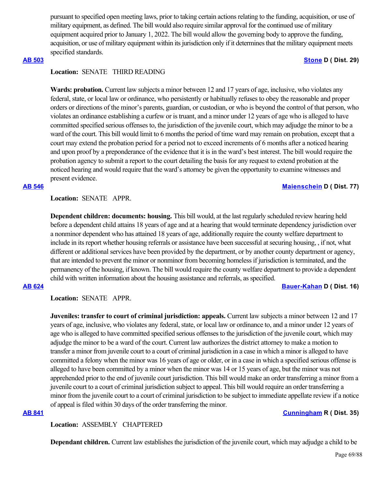pursuant to specified open meeting laws, prior to taking certain actions relating to the funding, acquisition, or use of military equipment, as defined. The bill would also require similar approval for the continued use of military equipment acquired prior to January 1, 2022. The bill would allow the governing body to approve the funding, acquisition, or use of military equipment within its jurisdiction only if it determines that the military equipment meets specified standards.

## **[AB 503](https://ctweb.capitoltrack.com/public/publishbillinfo.aspx?bi=9q%2Fh7eCb8Mkl5tOrz9wE9YTwaIA0n%2FISK6GlkgeZnKpOvmEJDEoEx89yT8FKoQcn) [Stone](https://a29.asmdc.org/) D ( Dist. 29)**

# **Location:**  SENATE THIRD READING

**Wards: probation.** Current law subjects a minor between 12 and 17 years of age, inclusive, who violates any federal, state, or local law or ordinance, who persistently or habitually refuses to obey the reasonable and proper orders or directions of the minor's parents, guardian, or custodian, or who is beyond the control of that person, who violates an ordinance establishing a curfew or is truant, and a minor under 12 years of age who is alleged to have committed specified serious offenses to, the jurisdiction of the juvenile court, which may adjudge the minor to be a ward of the court. This bill would limit to 6 months the period of time ward may remain on probation, except that a court may extend the probation period for a period not to exceed increments of 6 months after a noticed hearing and upon proof by a preponderance of the evidence that it is in the ward's best interest. The bill would require the probation agency to submit a report to the court detailing the basis for any request to extend probation at the noticed hearing and would require that the ward's attorney be given the opportunity to examine witnesses and present evidence.

### **[AB 546](https://ctweb.capitoltrack.com/public/publishbillinfo.aspx?bi=thZ0N%2BpJryuMdZwJrHWbKoyN1vPEbc3g697O5T16%2B1cJXHEOJJq23kAYQYEvVf%2Ft) [Maienschein](https://a77.asmdc.org/) D ( Dist. 77)**

## **Location:**  SENATE APPR.

**Dependent children: documents: housing.** This bill would, at the last regularly scheduled review hearing held before a dependent child attains 18 years of age and at a hearing that would terminate dependency jurisdiction over a nonminor dependent who has attained 18 years of age, additionally require the county welfare department to include in its report whether housing referrals or assistance have been successful at securing housing, , if not, what different or additional services have been provided by the department, or by another county department or agency, that are intended to prevent the minor or nonminor from becoming homeless if jurisdiction is terminated, and the permanency of the housing, if known. The bill would require the county welfare department to provide a dependent child with written information about the housing assistance and referrals, as specified.

### **[AB 624](https://ctweb.capitoltrack.com/public/publishbillinfo.aspx?bi=3VP1UUSIaFHihVELx4RpFEh6XzMxGGslNRtf8%2Fhexo%2BQ71vtSmjSRj6RRiwV3VAm) [Bauer-Kahan](https://a16.asmdc.org/) D ( Dist. 16)**

**Location:**  SENATE APPR.

**Juveniles: transfer to court of criminal jurisdiction: appeals.** Current law subjects a minor between 12 and 17 years of age, inclusive, who violates any federal, state, or local law or ordinance to, and a minor under 12 years of age who is alleged to have committed specified serious offenses to the jurisdiction of the juvenile court, which may adjudge the minor to be a ward of the court. Current law authorizes the district attorney to make a motion to transfer a minor from juvenile court to a court of criminal jurisdiction in a case in which a minor is alleged to have committed a felony when the minor was 16 years of age or older, or in a case in which a specified serious offense is alleged to have been committed by a minor when the minor was 14 or 15 years of age, but the minor was not apprehended prior to the end of juvenile court jurisdiction. This bill would make an order transferring a minor from a juvenile court to a court of criminal jurisdiction subject to appeal. This bill would require an order transferring a minor from the juvenile court to a court of criminal jurisdiction to be subject to immediate appellate review if a notice of appeal is filed within 30 days of the order transferring the minor.

## **[AB 841](https://ctweb.capitoltrack.com/public/publishbillinfo.aspx?bi=STQyvr5UN9ogDE0GYAaB%2FnFoY2a9y6Lchm0mKvsgCD6%2FqlS%2Fjk67RO58K%2FIdL46A) [Cunningham](https://ad35.asmrc.org/) R ( Dist. 35)**

# **Location:**  ASSEMBLY CHAPTERED

**Dependant children.** Current law establishes the jurisdiction of the juvenile court, which may adjudge a child to be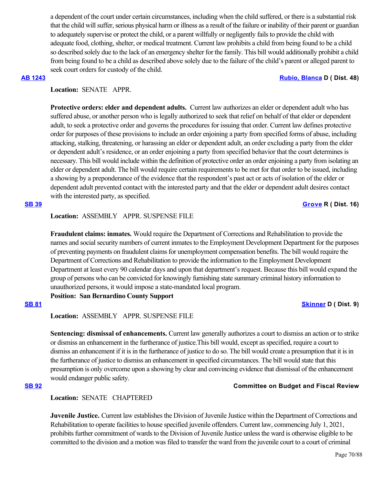a dependent of the court under certain circumstances, including when the child suffered, or there is a substantial risk that the child will suffer, serious physical harm or illness as a result of the failure or inability of their parent or guardian to adequately supervise or protect the child, or a parent willfully or negligently fails to provide the child with adequate food, clothing, shelter, or medical treatment. Current law prohibits a child from being found to be a child so described solely due to the lack of an emergency shelter for the family. This bill would additionally prohibit a child from being found to be a child as described above solely due to the failure of the child's parent or alleged parent to seek court orders for custody of the child.

### **[AB 1243](https://ctweb.capitoltrack.com/public/publishbillinfo.aspx?bi=CRN7dkk4DBv%2BMJYuYNQPOzNg%2FLSfMFDrHETIKIg77vuCZ2EBOYOtKOu46ykKWjXi) [Rubio, Blanca](https://a48.asmdc.org/) D ( Dist. 48)**

# **Location:**  SENATE APPR.

**Protective orders: elder and dependent adults.** Current law authorizes an elder or dependent adult who has suffered abuse, or another person who is legally authorized to seek that relief on behalf of that elder or dependent adult, to seek a protective order and governs the procedures for issuing that order. Current law defines protective order for purposes of these provisions to include an order enjoining a party from specified forms of abuse, including attacking, stalking, threatening, or harassing an elder or dependent adult, an order excluding a party from the elder or dependent adult's residence, or an order enjoining a party from specified behavior that the court determines is necessary. This bill would include within the definition of protective order an order enjoining a party from isolating an elder or dependent adult. The bill would require certain requirements to be met for that order to be issued, including a showing by a preponderance of the evidence that the respondent's past act or acts of isolation of the elder or dependent adult prevented contact with the interested party and that the elder or dependent adult desires contact with the interested party, as specified.

# **[SB 39](https://ctweb.capitoltrack.com/public/publishbillinfo.aspx?bi=sUKRFgAc2NMvgSBTS%2F1GGVbYKlZ1ETu1WiOud04YN1dK%2BSF7%2BA6eNuD7QMFsqQbv) [Grove](https://grove.cssrc.us/) R ( Dist. 16)**

# **Location:**  ASSEMBLY APPR. SUSPENSE FILE

**Fraudulent claims: inmates.** Would require the Department of Corrections and Rehabilitation to provide the names and social security numbers of current inmates to the Employment Development Department for the purposes of preventing payments on fraudulent claims for unemployment compensation benefits. The bill would require the Department of Corrections and Rehabilitation to provide the information to the Employment Development Department at least every 90 calendar days and upon that department's request. Because this bill would expand the group of persons who can be convicted for knowingly furnishing state summary criminal history information to unauthorized persons, it would impose a state-mandated local program.

**Position: San Bernardino County Support**

## **[SB 81](https://ctweb.capitoltrack.com/public/publishbillinfo.aspx?bi=lRndb6fGjwSlXVwNfEvnkqBYteB4A28MZzLkAoQV2KkukCoQHSQziCLlSfMPwL08) [Skinner](http://sd09.senate.ca.gov/) D ( Dist. 9)**

# **Location:**  ASSEMBLY APPR. SUSPENSE FILE

**Sentencing: dismissal of enhancements.** Current law generally authorizes a court to dismiss an action or to strike or dismiss an enhancement in the furtherance of justice.This bill would, except as specified, require a court to dismiss an enhancement if it is in the furtherance of justice to do so. The bill would create a presumption that it is in the furtherance of justice to dismiss an enhancement in specified circumstances. The bill would state that this presumption is only overcome upon a showing by clear and convincing evidence that dismissal of the enhancement would endanger public safety.

## **[SB 92](https://ctweb.capitoltrack.com/public/publishbillinfo.aspx?bi=JfJdKyjV4lhXZ2btoyQbFuA4eoRjbLJl5HwRydvUT2cUEyV8%2BoSRX99KhmEW6cyi) Committee on Budget and Fiscal Review**

**Location:**  SENATE CHAPTERED

**Juvenile Justice.** Current law establishes the Division of Juvenile Justice within the Department of Corrections and Rehabilitation to operate facilities to house specified juvenile offenders. Current law, commencing July 1, 2021, prohibits further commitment of wards to the Division of Juvenile Justice unless the ward is otherwise eligible to be committed to the division and a motion was filed to transfer the ward from the juvenile court to a court of criminal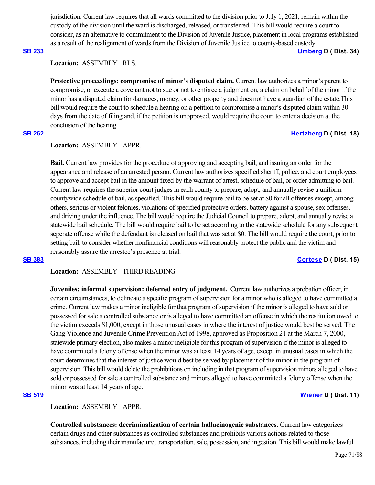jurisdiction. Current law requires that all wards committed to the division prior to July 1, 2021, remain within the custody of the division until the ward is discharged, released, or transferred. This bill would require a court to consider, as an alternative to commitment to the Division of Juvenile Justice, placement in local programs established as a result of the realignment of wards from the Division of Juvenile Justice to county-based custody

# **[SB 233](https://ctweb.capitoltrack.com/public/publishbillinfo.aspx?bi=CWBdqm8ay5B25yfeKleer40p3DiOHCQ7El%2BakyFlnYYvTqqJ6C8nkOwv2Y0gyHoF) [Umberg](https://sd34.senate.ca.gov/) D ( Dist. 34)**

**Location:**  ASSEMBLY RLS.

Protective proceedings: compromise of minor's disputed claim. Current law authorizes a minor's parent to compromise, or execute a covenant not to sue or not to enforce a judgment on, a claim on behalf of the minor if the minor has a disputed claim for damages, money, or other property and does not have a guardian of the estate.This bill would require the court to schedule a hearing on a petition to compromise a minor's disputed claim within 30 days from the date of filing and, if the petition is unopposed, would require the court to enter a decision at the conclusion of the hearing.

### **[SB 262](https://ctweb.capitoltrack.com/public/publishbillinfo.aspx?bi=Cq2hWoghhvqRl0KBFyLuemjOq0b%2FadyPHaxumjgw5gy2WMntLlC%2FLNLUjv%2BIY%2BY6) [Hertzberg](https://sd18.senate.ca.gov/) D ( Dist. 18)**

# **Location:**  ASSEMBLY APPR.

**Bail.** Current law provides for the procedure of approving and accepting bail, and issuing an order for the appearance and release of an arrested person. Current law authorizes specified sheriff, police, and court employees to approve and accept bail in the amount fixed by the warrant of arrest, schedule of bail, or order admitting to bail. Current law requires the superior court judges in each county to prepare, adopt, and annually revise a uniform countywide schedule of bail, as specified. This bill would require bail to be set at \$0 for all offenses except, among others, serious or violent felonies, violations of specified protective orders, battery against a spouse, sex offenses, and driving under the influence. The bill would require the Judicial Council to prepare, adopt, and annually revise a statewide bail schedule. The bill would require bail to be set according to the statewide schedule for any subsequent seperate offense while the defendant is released on bail that was set at \$0. The bill would require the court, prior to setting bail, to consider whether nonfinancial conditions will reasonably protect the public and the victim and reasonably assure the arrestee's presence at trial.

### **[SB 383](https://ctweb.capitoltrack.com/public/publishbillinfo.aspx?bi=6oGKNhxFj%2F4XlHtEnb%2Fgn7dk7qu9vSTVAaKm1BEQ6a78zt2sFozhxY9asFU3CzrT) [Cortese](http://sd15.senate.ca.gov/) D ( Dist. 15)**

**Location:**  ASSEMBLY THIRD READING

**Juveniles: informal supervision: deferred entry of judgment.** Current law authorizes a probation officer, in certain circumstances, to delineate a specific program of supervision for a minor who is alleged to have committed a crime. Current law makes a minor ineligible for that program of supervision if the minor is alleged to have sold or possessed for sale a controlled substance or is alleged to have committed an offense in which the restitution owed to the victim exceeds \$1,000, except in those unusual cases in where the interest of justice would best be served. The Gang Violence and Juvenile Crime Prevention Act of 1998, approved as Proposition 21 at the March 7, 2000, statewide primary election, also makes a minor ineligible for this program of supervision if the minor is alleged to have committed a felony offense when the minor was at least 14 years of age, except in unusual cases in which the court determines that the interest of justice would best be served by placement of the minor in the program of supervision. This bill would delete the prohibitions on including in that program of supervision minors alleged to have sold or possessed for sale a controlled substance and minors alleged to have committed a felony offense when the minor was at least 14 years of age.

### **[SB 519](https://ctweb.capitoltrack.com/public/publishbillinfo.aspx?bi=S%2Fqdy5QJb97AZhOUGFEgrrOu2893hHPADL3SNrgXeTRpxLo6I80R%2BXvamzjzl7KU) [Wiener](http://sd11.senate.ca.gov/) D ( Dist. 11)**

**Location:**  ASSEMBLY APPR.

**Controlled substances: decriminalization of certain hallucinogenic substances.** Current law categorizes certain drugs and other substances as controlled substances and prohibits various actions related to those substances, including their manufacture, transportation, sale, possession, and ingestion. This bill would make lawful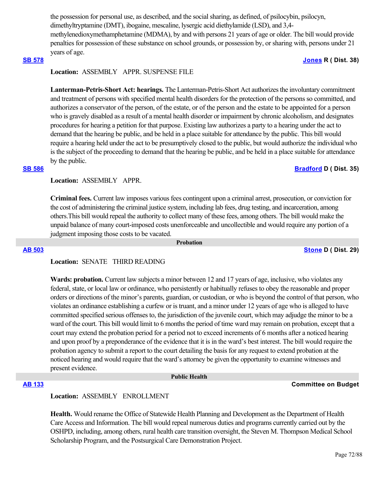the possession for personal use, as described, and the social sharing, as defined, of psilocybin, psilocyn, dimethyltryptamine (DMT), ibogaine, mescaline, lysergic acid diethylamide (LSD), and 3,4 methylenedioxymethamphetamine (MDMA), by and with persons 21 years of age or older. The bill would provide penalties for possession of these substance on school grounds, or possession by, or sharing with, persons under 21 years of age.

## **[SB 578](https://ctweb.capitoltrack.com/public/publishbillinfo.aspx?bi=eOYqZtxGPsud86GZnbsGfqcDWe9no%2BWOkqhNpVvqoVDQKURNteTIzkLTNg%2BUZ5pZ) [Jones](https://jones.cssrc.us/) R ( Dist. 38)**

# **Location:**  ASSEMBLY APPR. SUSPENSE FILE

**Lanterman-Petris-Short Act: hearings.** The Lanterman-Petris-Short Act authorizes the involuntary commitment and treatment of persons with specified mental health disorders for the protection of the persons so committed, and authorizes a conservator of the person, of the estate, or of the person and the estate to be appointed for a person who is gravely disabled as a result of a mental health disorder or impairment by chronic alcoholism, and designates procedures for hearing a petition for that purpose. Existing law authorizes a party to a hearing under the act to demand that the hearing be public, and be held in a place suitable for attendance by the public. This bill would require a hearing held under the act to be presumptively closed to the public, but would authorize the individual who is the subject of the proceeding to demand that the hearing be public, and be held in a place suitable for attendance by the public.

### **[SB 586](https://ctweb.capitoltrack.com/public/publishbillinfo.aspx?bi=9X1B6v%2B6dI3d57LZ9gjXCIxR8h8OWbkhp6wcUcHILQnbW9fn2SgmfjmtZUYuoeSm) [Bradford](http://sd35.senate.ca.gov/) D ( Dist. 35)**

## **Location:**  ASSEMBLY APPR.

**Criminal fees.** Current law imposes various fees contingent upon a criminal arrest, prosecution, or conviction for the cost of administering the criminal justice system, including lab fees, drug testing, and incarceration, among others.This bill would repeal the authority to collect many of these fees, among others. The bill would make the unpaid balance of many court-imposed costs unenforceable and uncollectible and would require any portion of a judgment imposing those costs to be vacated.

 **Probation**

### **[AB 503](https://ctweb.capitoltrack.com/public/publishbillinfo.aspx?bi=9q%2Fh7eCb8Mkl5tOrz9wE9YTwaIA0n%2FISK6GlkgeZnKpOvmEJDEoEx89yT8FKoQcn) [Stone](https://a29.asmdc.org/) D ( Dist. 29)**

# **Location:**  SENATE THIRD READING

**Wards: probation.** Current law subjects a minor between 12 and 17 years of age, inclusive, who violates any federal, state, or local law or ordinance, who persistently or habitually refuses to obey the reasonable and proper orders or directions of the minor's parents, guardian, or custodian, or who is beyond the control of that person, who violates an ordinance establishing a curfew or is truant, and a minor under 12 years of age who is alleged to have committed specified serious offenses to, the jurisdiction of the juvenile court, which may adjudge the minor to be a ward of the court. This bill would limit to 6 months the period of time ward may remain on probation, except that a court may extend the probation period for a period not to exceed increments of 6 months after a noticed hearing and upon proof by a preponderance of the evidence that it is in the ward's best interest. The bill would require the probation agency to submit a report to the court detailing the basis for any request to extend probation at the noticed hearing and would require that the ward's attorney be given the opportunity to examine witnesses and present evidence.

### **Public Health**

### **[AB 133](https://ctweb.capitoltrack.com/public/publishbillinfo.aspx?bi=l2i%2FtQ7Po3AxGWz9R2iAsfNJwrNM%2F90dI145r1YwOT3QaXmjvEUeS2NBFIwpdfdf) Committee on Budget**

### **Location:**  ASSEMBLY ENROLLMENT

**Health.** Would rename the Office of Statewide Health Planning and Development as the Department of Health Care Access and Information. The bill would repeal numerous duties and programs currently carried out by the OSHPD, including, among others, rural health care transition oversight, the Steven M. Thompson Medical School Scholarship Program, and the Postsurgical Care Demonstration Project.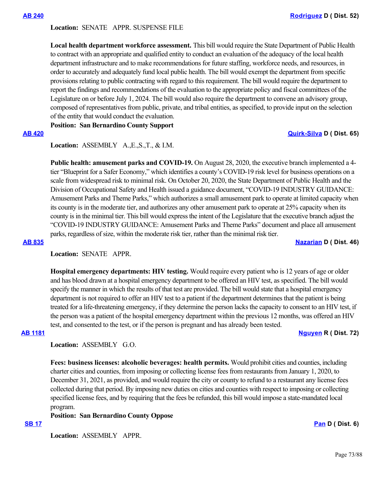# **Location:**  SENATE APPR. SUSPENSE FILE

**Local health department workforce assessment.** This bill would require the State Department of Public Health to contract with an appropriate and qualified entity to conduct an evaluation of the adequacy of the local health department infrastructure and to make recommendations for future staffing, workforce needs, and resources, in order to accurately and adequately fund local public health. The bill would exempt the department from specific provisions relating to public contracting with regard to this requirement. The bill would require the department to report the findings and recommendations of the evaluation to the appropriate policy and fiscal committees of the Legislature on or before July 1, 2024. The bill would also require the department to convene an advisory group, composed of representatives from public, private, and tribal entities, as specified, to provide input on the selection of the entity that would conduct the evaluation.

## **Position: San Bernardino County Support**

# **[AB 420](https://ctweb.capitoltrack.com/public/publishbillinfo.aspx?bi=KTCD9cdnFRMLT5ibUT9cYjlLwOohhLWsKVqfinUvEJQictS%2BnSrGrHBsdrmd0Jap) [Quirk-Silva](https://a65.asmdc.org/) D ( Dist. 65)**

**Location:**  ASSEMBLY A.,E.,S.,T., & I.M.

**Public health: amusement parks and COVID-19.** On August 28, 2020, the executive branch implemented a 4 tier "Blueprint for a Safer Economy," which identifies a county's COVID-19 risk level for business operations on a scale from widespread risk to minimal risk. On October 20, 2020, the State Department of Public Health and the Division of Occupational Safety and Health issued a guidance document, "COVID-19 INDUSTRY GUIDANCE: Amusement Parks and Theme Parks," which authorizes a small amusement park to operate at limited capacity when its county is in the moderate tier, and authorizes any other amusement park to operate at 25% capacity when its county is in the minimal tier. This bill would express the intent of the Legislature that the executive branch adjust the "COVID-19 INDUSTRY GUIDANCE: Amusement Parks and Theme Parks" document and place all amusement parks, regardless of size, within the moderate risk tier, rather than the minimal risk tier.

**[AB 835](https://ctweb.capitoltrack.com/public/publishbillinfo.aspx?bi=2aCiLjbhCP3GuNjWxI7nne8Ypa3W1fu5QHCJohjB9tlXBiqOqjdKFj4o2ETqWh%2BE) [Nazarian](https://a46.asmdc.org/) D ( Dist. 46)**

# **Location:**  SENATE APPR.

**Hospital emergency departments: HIV testing.** Would require every patient who is 12 years of age or older and has blood drawn at a hospital emergency department to be offered an HIV test, as specified. The bill would specify the manner in which the results of that test are provided. The bill would state that a hospital emergency department is not required to offer an HIV test to a patient if the department determines that the patient is being treated for a life-threatening emergency, if they determine the person lacks the capacity to consent to an HIV test, if the person was a patient of the hospital emergency department within the previous 12 months, was offered an HIV test, and consented to the test, or if the person is pregnant and has already been tested.

**[AB 1181](https://ctweb.capitoltrack.com/public/publishbillinfo.aspx?bi=hJLE75G3rYLpZOZ66EURhAyhQc5b%2FSFHaG%2BKPR1vE4V8NuSnGsuJlzRYBqYoGhOm) [Nguyen](https://ad72.asmrc.org/) R ( Dist. 72)**

# **Location:**  ASSEMBLY G.O.

**Fees: business licenses: alcoholic beverages: health permits.** Would prohibit cities and counties, including charter cities and counties, from imposing or collecting license fees from restaurants from January 1, 2020, to December 31, 2021, as provided, and would require the city or county to refund to a restaurant any license fees collected during that period. By imposing new duties on cities and counties with respect to imposing or collecting specified license fees, and by requiring that the fees be refunded, this bill would impose a state-mandated local program.

**Position: San Bernardino County Oppose**

## **[SB 17](https://ctweb.capitoltrack.com/public/publishbillinfo.aspx?bi=%2BE4NoDKMLnuTFxzoM1Xo99BcuN4ryD73nF0rJQY%2ByFcnjPHcHP1MVGB5QCwtLcFz) [Pan](http://sd06.senate.ca.gov/) D ( Dist. 6)**

Location: **ASSEMBLY APPR.**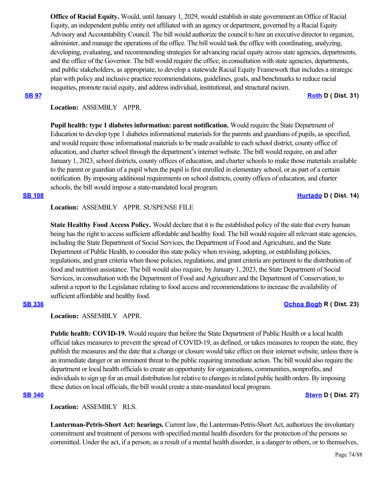**Office of Racial Equity.** Would, until January 1, 2029, would establish in state government an Office of Racial Equity, an independent public entity not affiliated with an agency or department, governed by a Racial Equity Advisory and Accountability Council. The bill would authorize the council to hire an executive director to organize, administer, and manage the operations of the office. The bill would task the office with coordinating, analyzing, developing, evaluating, and recommending strategies for advancing racial equity across state agencies, departments, and the office of the Governor. The bill would require the office, in consultation with state agencies, departments, and public stakeholders, as appropriate, to develop a statewide Racial Equity Framework that includes a strategic plan with policy and inclusive practice recommendations, guidelines, goals, and benchmarks to reduce racial inequities, promote racial equity, and address individual, institutional, and structural racism.

**[SB 97](https://ctweb.capitoltrack.com/public/publishbillinfo.aspx?bi=O9nHo4x86tQqyowZHr2eN38IqDOt5Ay9gnoGrgU2dG95v%2FkhlUQhTExB5%2FP7kofh) [Roth](http://sd31.senate.ca.gov/)** D ( Dist. 31)

# **Location:**  ASSEMBLY APPR.

**Pupil health: type 1 diabetes information: parent notification.** Would require the State Department of Education to develop type 1 diabetes informational materials for the parents and guardians of pupils, as specified, and would require those informational materials to be made available to each school district, county office of education, and charter school through the department's internet website. The bill would require, on and after January 1, 2023, school districts, county offices of education, and charter schools to make those materials available to the parent or guardian of a pupil when the pupil is first enrolled in elementary school, or as part of a certain notification. By imposing additional requirements on school districts, county offices of education, and charter schools, the bill would impose a state-mandated local program.

# **Location:**  ASSEMBLY APPR. SUSPENSE FILE

**State Healthy Food Access Policy.** Would declare that it is the established policy of the state that every human being has the right to access sufficient affordable and healthy food. The bill would require all relevant state agencies, including the State Department of Social Services, the Department of Food and Agriculture, and the State Department of Public Health, to consider this state policy when revising, adopting, or establishing policies, regulations, and grant criteria when those policies, regulations, and grant criteria are pertinent to the distribution of food and nutrition assistance. The bill would also require, by January 1, 2023, the State Department of Social Services, in consultation with the Department of Food and Agriculture and the Department of Conservation, to submit a report to the Legislature relating to food access and recommendations to increase the availability of sufficient affordable and healthy food.

### **Location:**  ASSEMBLY APPR.

**Public health: COVID-19.** Would require that before the State Department of Public Health or a local health official takes measures to prevent the spread of COVID-19, as defined, or takes measures to reopen the state, they publish the measures and the date that a change or closure would take effect on their internet website, unless there is an immediate danger or an imminent threat to the public requiring immediate action. The bill would also require the department or local health officials to create an opportunity for organizations, communities, nonprofits, and individuals to sign up for an email distribution list relative to changes in related public health orders. By imposing these duties on local officials, the bill would create a state-mandated local program.

# **[SB 340](https://ctweb.capitoltrack.com/public/publishbillinfo.aspx?bi=o7c4xnROQN3yzqqUUsr3HDvHSt5jsU2jMveJJkW5YKoG0bJsOECHrt2wV%2Fr7HQpj) [Stern](http://sd27.senate.ca.gov/) D ( Dist. 27)**

**Location:**  ASSEMBLY RLS.

**Lanterman-Petris-Short Act: hearings.** Current law, the Lanterman-Petris-Short Act, authorizes the involuntary commitment and treatment of persons with specified mental health disorders for the protection of the persons so committed. Under the act, if a person, as a result of a mental health disorder, is a danger to others, or to themselves,

### Page 74/88

### **[SB 336](https://ctweb.capitoltrack.com/public/publishbillinfo.aspx?bi=niZ0CSE40hnqV3OTVAREG%2FOJwt2hEIHd7VoaQUsluFJ%2FklldssIh3Cd8G3VTCwo3) [Ochoa Bogh](https://ochoa-bogh.cssrc.us/) R ( Dist. 23)**

**[SB 108](https://ctweb.capitoltrack.com/public/publishbillinfo.aspx?bi=H%2B79Zu2%2Fv7KprlgFOSP4R4lEEqXSGBTKZme%2Fow59msy8dKjD5n4SMlNd2aNP9cs8) [Hurtado](https://sd14.senate.ca.gov/) D ( Dist. 14)**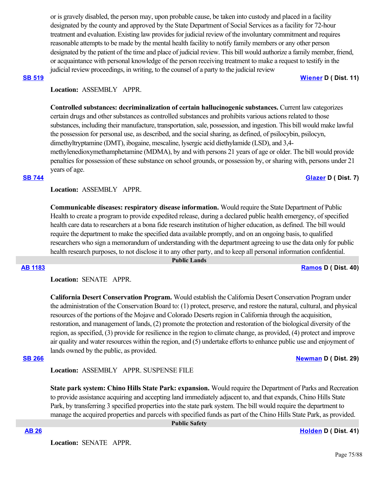or is gravely disabled, the person may, upon probable cause, be taken into custody and placed in a facility designated by the county and approved by the State Department of Social Services as a facility for 72-hour treatment and evaluation. Existing law provides for judicial review of the involuntary commitment and requires reasonable attempts to be made by the mental health facility to notify family members or any other person designated by the patient of the time and place of judicial review. This bill would authorize a family member, friend, or acquaintance with personal knowledge of the person receiving treatment to make a request to testify in the judicial review proceedings, in writing, to the counsel of a party to the judicial review

### **[SB 519](https://ctweb.capitoltrack.com/public/publishbillinfo.aspx?bi=S%2Fqdy5QJb97AZhOUGFEgrrOu2893hHPADL3SNrgXeTRpxLo6I80R%2BXvamzjzl7KU) [Wiener](http://sd11.senate.ca.gov/) D ( Dist. 11)**

# Location: **ASSEMBLY APPR.**

**Controlled substances: decriminalization of certain hallucinogenic substances.** Current law categorizes certain drugs and other substances as controlled substances and prohibits various actions related to those substances, including their manufacture, transportation, sale, possession, and ingestion. This bill would make lawful the possession for personal use, as described, and the social sharing, as defined, of psilocybin, psilocyn, dimethyltryptamine (DMT), ibogaine, mescaline, lysergic acid diethylamide (LSD), and 3,4 methylenedioxymethamphetamine (MDMA), by and with persons 21 years of age or older. The bill would provide penalties for possession of these substance on school grounds, or possession by, or sharing with, persons under 21 years of age.

### **[SB 744](https://ctweb.capitoltrack.com/public/publishbillinfo.aspx?bi=JIZZ3Wleqhe2Afu8aSlx2KX18JyZA8Rq1KFFiRORfqV64KqI99E5CRWoF%2Fb%2B7Mzo) [Glazer](http://sd07.senate.ca.gov/) D ( Dist. 7)**

**Location:**  ASSEMBLY APPR.

**Communicable diseases: respiratory disease information.** Would require the State Department of Public Health to create a program to provide expedited release, during a declared public health emergency, of specified health care data to researchers at a bona fide research institution of higher education, as defined. The bill would require the department to make the specified data available promptly, and on an ongoing basis, to qualified researchers who sign a memorandum of understanding with the department agreeing to use the data only for public health research purposes, to not disclose it to any other party, and to keep all personal information confidential.

### **Public Lands**

### **[AB 1183](https://ctweb.capitoltrack.com/public/publishbillinfo.aspx?bi=8sxP%2BN2IV379khTlN2v3h3E8OcjcvSekdleRbpmAfaS4tiTsBm7Q2HSMW9f2Z65D) [Ramos](https://a40.asmdc.org/) D ( Dist. 40)**

**Location:**  SENATE APPR.

**California Desert Conservation Program.** Would establish the California Desert Conservation Program under the administration of the Conservation Board to: (1) protect, preserve, and restore the natural, cultural, and physical resources of the portions of the Mojave and Colorado Deserts region in California through the acquisition, restoration, and management of lands, (2) promote the protection and restoration of the biological diversity of the region, as specified, (3) provide for resilience in the region to climate change, as provided, (4) protect and improve air quality and water resources within the region, and (5) undertake efforts to enhance public use and enjoyment of lands owned by the public, as provided.

# **[SB 266](https://ctweb.capitoltrack.com/public/publishbillinfo.aspx?bi=4VP7cveFsR8P8MFYu%2B1sfXlUQ6MzDlHps2kKrKLJSWMaL5d2ZN4UfGDDNqasl%2Brk) [Newman](https://sd29.senate.ca.gov/) D ( Dist. 29)**

**Location:**  ASSEMBLY APPR. SUSPENSE FILE

**State park system: Chino Hills State Park: expansion.** Would require the Department of Parks and Recreation to provide assistance acquiring and accepting land immediately adjacent to, and that expands, Chino Hills State Park, by transferring 3 specified properties into the state park system. The bill would require the department to manage the acquired properties and parcels with specified funds as part of the Chino Hills State Park, as provided.

**Location:**  SENATE APPR.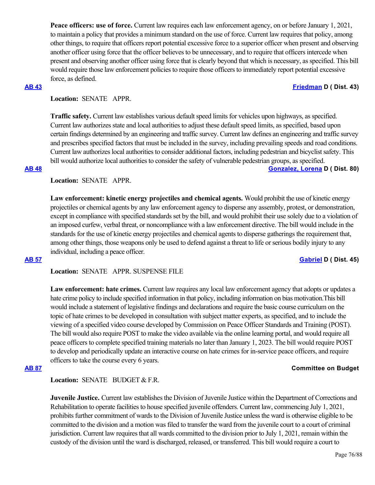**Peace officers: use of force.** Current law requires each law enforcement agency, on or before January 1, 2021, to maintain a policy that provides a minimum standard on the use of force. Current law requires that policy, among other things, to require that officers report potential excessive force to a superior officer when present and observing another officer using force that the officer believes to be unnecessary, and to require that officers intercede when present and observing another officer using force that is clearly beyond that which is necessary, as specified. This bill would require those law enforcement policies to require those officers to immediately report potential excessive force, as defined.

## **[AB 43](https://ctweb.capitoltrack.com/public/publishbillinfo.aspx?bi=0bhPTSM827vuBRR2brGMkA%2BbMM78NshDnDR4K4ulp8uhWKnFDVdcW4oQJzwaB%2Bkj) [Friedman](https://a43.asmdc.org/) D ( Dist. 43)**

# **Location:**  SENATE APPR.

**Traffic safety.** Current law establishes various default speed limits for vehicles upon highways, as specified. Current law authorizes state and local authorities to adjust these default speed limits, as specified, based upon certain findings determined by an engineering and traffic survey. Current law defines an engineering and traffic survey and prescribes specified factors that must be included in the survey, including prevailing speeds and road conditions. Current law authorizes local authorities to consider additional factors, including pedestrian and bicyclist safety. This bill would authorize local authorities to consider the safety of vulnerable pedestrian groups, as specified. **[AB 48](https://ctweb.capitoltrack.com/public/publishbillinfo.aspx?bi=TmRq5ZWdAfmmrGmDbKpylX%2Fw9NSVUuXA70OElO7wa2G%2BlRdeqbSyfwVWySb2RPPQ) [Gonzalez, Lorena](https://a80.asmdc.org/) D ( Dist. 80)**

# **Location:**  SENATE APPR.

**Law enforcement: kinetic energy projectiles and chemical agents.** Would prohibit the use of kinetic energy projectiles or chemical agents by any law enforcement agency to disperse any assembly, protest, or demonstration, except in compliance with specified standards set by the bill, and would prohibit their use solely due to a violation of an imposed curfew, verbal threat, or noncompliance with a law enforcement directive. The bill would include in the standards for the use of kinetic energy projectiles and chemical agents to disperse gatherings the requirement that, among other things, those weapons only be used to defend against a threat to life or serious bodily injury to any individual, including a peace officer.

### **[AB 57](https://ctweb.capitoltrack.com/public/publishbillinfo.aspx?bi=qYF6SZxjm6pxZTT7D3pzzJyjeSwS0dfR935n23u%2Fo0IGBAafihbEsIdV9iznsV4d) [Gabriel](https://a45.asmdc.org/) D ( Dist. 45)**

**Location:**  SENATE APPR. SUSPENSE FILE

**Law enforcement: hate crimes.** Current law requires any local law enforcement agency that adopts or updates a hate crime policy to include specified information in that policy, including information on bias motivation.This bill would include a statement of legislative findings and declarations and require the basic course curriculum on the topic of hate crimes to be developed in consultation with subject matter experts, as specified, and to include the viewing of a specified video course developed by Commission on Peace Officer Standards and Training (POST). The bill would also require POST to make the video available via the online learning portal, and would require all peace officers to complete specified training materials no later than January 1, 2023. The bill would require POST to develop and periodically update an interactive course on hate crimes for in-service peace officers, and require officers to take the course every 6 years.

### **[AB 87](https://ctweb.capitoltrack.com/public/publishbillinfo.aspx?bi=aP6tBr0AiMKGFAYx2CsdLBAC6h8IlxwJmhePJG5%2BQYnibqIKe%2FksE37RChPbnT8a) Committee on Budget**

Location: **SENATE** BUDGET & F.R.

**Juvenile Justice.** Current law establishes the Division of Juvenile Justice within the Department of Corrections and Rehabilitation to operate facilities to house specified juvenile offenders. Current law, commencing July 1, 2021, prohibits further commitment of wards to the Division of Juvenile Justice unless the ward is otherwise eligible to be committed to the division and a motion was filed to transfer the ward from the juvenile court to a court of criminal jurisdiction. Current law requires that all wards committed to the division prior to July 1, 2021, remain within the custody of the division until the ward is discharged, released, or transferred. This bill would require a court to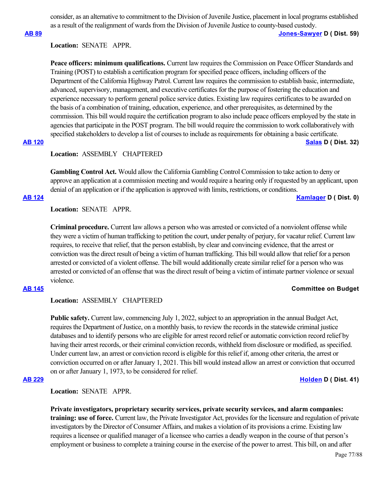consider, as an alternative to commitment to the Division of Juvenile Justice, placement in local programs established as a result of the realignment of wards from the Division of Juvenile Justice to county-based custody.

**[AB 89](https://ctweb.capitoltrack.com/public/publishbillinfo.aspx?bi=Pj4LhiFHTdWPgL3IzWdGRRATnugepVEd%2FZJaN4ZNo8w1Ll0B5pIYlmiOU59UPXKD) [Jones-Sawyer](https://a59.asmdc.org/) D ( Dist. 59)**

## **Location:**  SENATE APPR.

**Peace officers: minimum qualifications.** Current law requires the Commission on Peace Officer Standards and Training (POST) to establish a certification program for specified peace officers, including officers of the Department of the California Highway Patrol. Current law requires the commission to establish basic, intermediate, advanced, supervisory, management, and executive certificates for the purpose of fostering the education and experience necessary to perform general police service duties. Existing law requires certificates to be awarded on the basis of a combination of training, education, experience, and other prerequisites, as determined by the commission. This bill would require the certification program to also include peace officers employed by the state in agencies that participate in the POST program. The bill would require the commission to work collaboratively with specified stakeholders to develop a list of courses to include as requirements for obtaining a basic certificate. **[AB 120](https://ctweb.capitoltrack.com/public/publishbillinfo.aspx?bi=lBeShfC6Efpro8Mge4qRXsQ%2BGEx8LAbDcPv%2F4O03cjohYqco2mh%2Brj3DsmI7njyw) [Salas](https://a32.asmdc.org/) D ( Dist. 32)**

### **Location:**  ASSEMBLY CHAPTERED

**Gambling Control Act.** Would allow the California Gambling Control Commission to take action to deny or approve an application at a commission meeting and would require a hearing only if requested by an applicant, upon denial of an application or if the application is approved with limits, restrictions, or conditions.

**[AB 124](https://ctweb.capitoltrack.com/public/publishbillinfo.aspx?bi=78mCYVfua%2BZI3OAwAGqHcnahKS0q9Av0vkiJ8pKILGEssk1bJngDMeUjUScZtn6D) [Kamlager](https://a54.asmdc.org/) D ( Dist. 0)**

# **Location:**  SENATE APPR.

**Criminal procedure.** Current law allows a person who was arrested or convicted of a nonviolent offense while they were a victim of human trafficking to petition the court, under penalty of perjury, for vacatur relief. Current law requires, to receive that relief, that the person establish, by clear and convincing evidence, that the arrest or conviction was the direct result of being a victim of human trafficking. This bill would allow that relief for a person arrested or convicted of a violent offense. The bill would additionally create similar relief for a person who was arrested or convicted of an offense that was the direct result of being a victim of intimate partner violence or sexual violence.

### **[AB 145](https://ctweb.capitoltrack.com/public/publishbillinfo.aspx?bi=oFjQzrtrRgF52VBlUKp5cn4GRwRGle7W%2B5hXuZB5hpxEc4A9zxoMQ3U1%2BdSwkDD8) Committee on Budget**

# **Location:**  ASSEMBLY CHAPTERED

**Public safety.** Current law, commencing July 1, 2022, subject to an appropriation in the annual Budget Act, requires the Department of Justice, on a monthly basis, to review the records in the statewide criminal justice databases and to identify persons who are eligible for arrest record relief or automatic conviction record relief by having their arrest records, or their criminal conviction records, withheld from disclosure or modified, as specified. Under current law, an arrest or conviction record is eligible for this relief if, among other criteria, the arrest or conviction occurred on or after January 1, 2021. This bill would instead allow an arrest or conviction that occurred on or after January 1, 1973, to be considered for relief.

## **[AB 229](https://ctweb.capitoltrack.com/public/publishbillinfo.aspx?bi=EujA9FmXoL2ZlwhcAByCU0FBAah09n8ZdAOsa3K6LFYltFQc1vzDgRSOvTAdg8j0) [Holden](https://a41.asmdc.org/) D ( Dist. 41)**

**Location:**  SENATE APPR.

**Private investigators, proprietary security services, private security services, and alarm companies: training: use of force.** Current law, the Private Investigator Act, provides for the licensure and regulation of private investigators by the Director of Consumer Affairs, and makes a violation of its provisions a crime. Existing law requires a licensee or qualified manager of a licensee who carries a deadly weapon in the course of that person's employment or business to complete a training course in the exercise of the power to arrest. This bill, on and after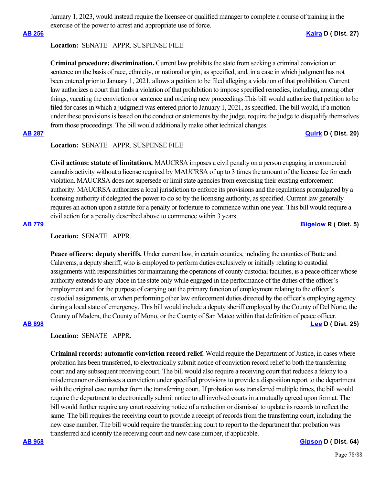January 1, 2023, would instead require the licensee or qualified manager to complete a course of training in the exercise of the power to arrest and appropriate use of force.

### **Location:**  SENATE APPR. SUSPENSE FILE

**Criminal procedure: discrimination.** Current law prohibits the state from seeking a criminal conviction or sentence on the basis of race, ethnicity, or national origin, as specified, and, in a case in which judgment has not been entered prior to January 1, 2021, allows a petition to be filed alleging a violation of that prohibition. Current law authorizes a court that finds a violation of that prohibition to impose specified remedies, including, among other things, vacating the conviction or sentence and ordering new proceedings.This bill would authorize that petition to be filed for cases in which a judgment was entered prior to January 1, 2021, as specified. The bill would, if a motion under these provisions is based on the conduct or statements by the judge, require the judge to disqualify themselves from those proceedings. The bill would additionally make other technical changes.

### **[AB 287](https://ctweb.capitoltrack.com/public/publishbillinfo.aspx?bi=RkGyJL4Gbu8bVK3KHAY%2FE3f3S%2FTgYJ07yTw1N394Dv9wl2C80I%2FCy7K6KkRiw4Us) [Quirk](https://a20.asmdc.org/) D ( Dist. 20)**

# **Location:**  SENATE APPR. SUSPENSE FILE

**Civil actions: statute of limitations.** MAUCRSA imposes a civil penalty on a person engaging in commercial cannabis activity without a license required by MAUCRSA of up to 3 times the amount of the license fee for each violation. MAUCRSA does not supersede or limit state agencies from exercising their existing enforcement authority. MAUCRSA authorizes a local jurisdiction to enforce its provisions and the regulations promulgated by a licensing authority if delegated the power to do so by the licensing authority, as specified. Current law generally requires an action upon a statute for a penalty or forfeiture to commence within one year. This bill would require a civil action for a penalty described above to commence within 3 years.

**[AB 779](https://ctweb.capitoltrack.com/public/publishbillinfo.aspx?bi=UKV0iTP2tLeKLMXYq4GoIzi4mtaiIBSJdjemJgExRwOQ%2Fox1DYHS8OwqVwVCeSf1) [Bigelow](https://ad05.asmrc.org/) R ( Dist. 5)**

# **Location:**  SENATE APPR.

**Peace officers: deputy sheriffs.** Under current law, in certain counties, including the counties of Butte and Calaveras, a deputy sheriff, who is employed to perform duties exclusively or initially relating to custodial assignments with responsibilities for maintaining the operations of county custodial facilities, is a peace officer whose authority extends to any place in the state only while engaged in the performance of the duties of the officer's employment and for the purpose of carrying out the primary function of employment relating to the officer's custodial assignments, or when performing other law enforcement duties directed by the officer's employing agency during a local state of emergency. This bill would include a deputy sheriff employed by the County of Del Norte, the County of Madera, the County of Mono, or the County of San Mateo within that definition of peace officer. **[AB 898](https://ctweb.capitoltrack.com/public/publishbillinfo.aspx?bi=ehFAoMYrUexAiEqFI%2BvfEk2Fgzb41LBhWqQYaitn4cojM4%2FTgTXOvOLwJ26eQ3X8) [Lee](https://a25.asmdc.org/) D ( Dist. 25)**

## **Location:**  SENATE APPR.

**Criminal records: automatic conviction record relief.** Would require the Department of Justice, in cases where probation has been transferred, to electronically submit notice of conviction record relief to both the transferring court and any subsequent receiving court. The bill would also require a receiving court that reduces a felony to a misdemeanor or dismisses a conviction under specified provisions to provide a disposition report to the department with the original case number from the transferring court. If probation was transferred multiple times, the bill would require the department to electronically submit notice to all involved courts in a mutually agreed upon format. The bill would further require any court receiving notice of a reduction or dismissal to update its records to reflect the same. The bill requires the receiving court to provide a receipt of records from the transferring court, including the new case number. The bill would require the transferring court to report to the department that probation was transferred and identify the receiving court and new case number, if applicable.

### **[AB 958](https://ctweb.capitoltrack.com/public/publishbillinfo.aspx?bi=eW6xuCEVq6pX4wsYqX6kIOG8ps67HgsDhB%2BdlbmUl%2FYv7zKq459OLfbr51xk3Ed8) [Gipson](https://a64.asmdc.org/) D ( Dist. 64)**

## **[AB 256](https://ctweb.capitoltrack.com/public/publishbillinfo.aspx?bi=rQtYJcf4dXrzHn9e1RwZjOpgoG8pIdmaYjYZUZRFGTfIJrIITioAhm9HEAySE%2FU5) [Kalra](https://a27.asmdc.org/) D ( Dist. 27)**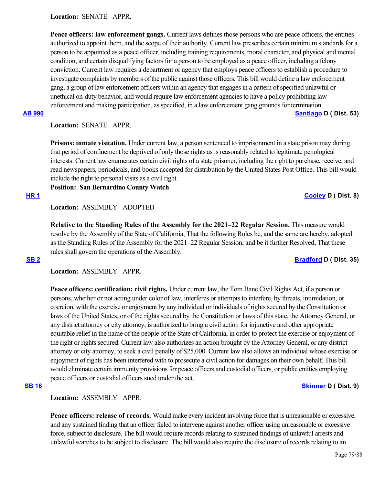**Location:**  SENATE APPR.

**Peace officers: law enforcement gangs.** Current laws defines those persons who are peace officers, the entities authorized to appoint them, and the scope of their authority. Current law prescribes certain minimum standards for a person to be appointed as a peace officer, including training requirements, moral character, and physical and mental condition, and certain disqualifying factors for a person to be employed as a peace officer, including a felony conviction. Current law requires a department or agency that employs peace officers to establish a procedure to investigate complaints by members of the public against those officers. This bill would define a law enforcement gang, a group of law enforcement officers within an agency that engages in a pattern of specified unlawful or unethical on-duty behavior, and would require law enforcement agencies to have a policy prohibiting law enforcement and making participation, as specified, in a law enforcement gang grounds for termination.

## **[AB 990](https://ctweb.capitoltrack.com/public/publishbillinfo.aspx?bi=JI%2FTEjsF6JwnUpoXTaGAZ9XW1i3Elsz1DfQ5jCf8ryoIgfVfCxwTrIz09gerE2n6) [Santiago](https://a53.asmdc.org/) D ( Dist. 53)**

**Location:**  SENATE APPR.

**Prisons: inmate visitation.** Under current law, a person sentenced to imprisonment in a state prison may during that period of confinement be deprived of only those rights as is reasonably related to legitimate penological interests. Current law enumerates certain civil rights of a state prisoner, including the right to purchase, receive, and read newspapers, periodicals, and books accepted for distribution by the United States Post Office. This bill would include the right to personal visits as a civil right.

**Position: San Bernardino County Watch**

**[HR 1](https://ctweb.capitoltrack.com/public/publishbillinfo.aspx?bi=Jm%2FyAY%2FX%2FbZqajqviCnPU7wcE2ard6%2B23H4yLIfjTKxLI97jwSCe6SKB6x8OqZoe) [Cooley](https://a08.asmdc.org/) D ( Dist. 8)**

**Location:**  ASSEMBLY ADOPTED

**Relative to the Standing Rules of the Assembly for the 2021–22 Regular Session.** This measure would resolve by the Assembly of the State of California, That the following Rules be, and the same are hereby, adopted as the Standing Rules of the Assembly for the 2021–22 Regular Session; and be it further Resolved, That these rules shall govern the operations of the Assembly.

## **[SB 2](https://ctweb.capitoltrack.com/public/publishbillinfo.aspx?bi=SBFep5Ic5cne7a4TLfBBhqkueSkVJnaRbx%2F%2BHoo1anJa5EZJB28txDrDRKNPKIvf) [Bradford](http://sd35.senate.ca.gov/) D ( Dist. 35)**

**Location:**  ASSEMBLY APPR.

**Peace officers: certification: civil rights.** Under current law, the Tom Bane Civil Rights Act, if a person or persons, whether or not acting under color of law, interferes or attempts to interfere, by threats, intimidation, or coercion, with the exercise or enjoyment by any individual or individuals of rights secured by the Constitution or laws of the United States, or of the rights secured by the Constitution or laws of this state, the Attorney General, or any district attorney or city attorney, is authorized to bring a civil action for injunctive and other appropriate equitable relief in the name of the people of the State of California, in order to protect the exercise or enjoyment of the right or rights secured. Current law also authorizes an action brought by the Attorney General, or any district attorney or city attorney, to seek a civil penalty of \$25,000. Current law also allows an individual whose exercise or enjoyment of rights has been interfered with to prosecute a civil action for damages on their own behalf. This bill would eliminate certain immunity provisions for peace officers and custodial officers, or public entities employing peace officers or custodial officers sued under the act.

## **[SB 16](https://ctweb.capitoltrack.com/public/publishbillinfo.aspx?bi=yCmu4aqG3O865C2bBsWVZ0zqQIa%2BGFN2LxUKcBNympGuyGJ7gH5FQJ76dzzBfesj) [Skinner](http://sd09.senate.ca.gov/) D ( Dist. 9)**

Location: **ASSEMBLY APPR.** 

**Peace officers: release of records.** Would make every incident involving force that is unreasonable or excessive, and any sustained finding that an officer failed to intervene against another officer using unreasonable or excessive force, subject to disclosure. The bill would require records relating to sustained findings of unlawful arrests and unlawful searches to be subject to disclosure. The bill would also require the disclosure of records relating to an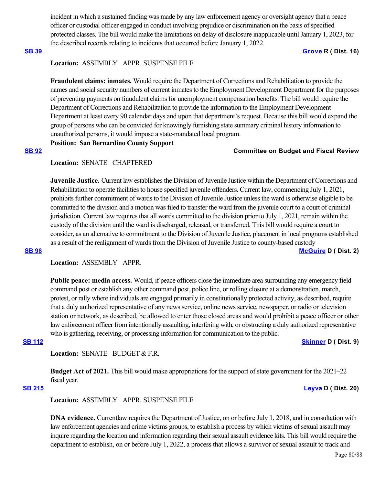incident in which a sustained finding was made by any law enforcement agency or oversight agency that a peace officer or custodial officer engaged in conduct involving prejudice or discrimination on the basis of specified protected classes. The bill would make the limitations on delay of disclosure inapplicable until January 1, 2023, for the described records relating to incidents that occurred before January 1, 2022.

### **[SB 39](https://ctweb.capitoltrack.com/public/publishbillinfo.aspx?bi=sUKRFgAc2NMvgSBTS%2F1GGVbYKlZ1ETu1WiOud04YN1dK%2BSF7%2BA6eNuD7QMFsqQbv) [Grove](https://grove.cssrc.us/) R ( Dist. 16)**

# **Location:**  ASSEMBLY APPR. SUSPENSE FILE

**Fraudulent claims: inmates.** Would require the Department of Corrections and Rehabilitation to provide the names and social security numbers of current inmates to the Employment Development Department for the purposes of preventing payments on fraudulent claims for unemployment compensation benefits. The bill would require the Department of Corrections and Rehabilitation to provide the information to the Employment Development Department at least every 90 calendar days and upon that department's request. Because this bill would expand the group of persons who can be convicted for knowingly furnishing state summary criminal history information to unauthorized persons, it would impose a state-mandated local program.

# **Position: San Bernardino County Support**

# **[SB 92](https://ctweb.capitoltrack.com/public/publishbillinfo.aspx?bi=JfJdKyjV4lhXZ2btoyQbFuA4eoRjbLJl5HwRydvUT2cUEyV8%2BoSRX99KhmEW6cyi) Committee on Budget and Fiscal Review**

# **Location:**  SENATE CHAPTERED

**Juvenile Justice.** Current law establishes the Division of Juvenile Justice within the Department of Corrections and Rehabilitation to operate facilities to house specified juvenile offenders. Current law, commencing July 1, 2021, prohibits further commitment of wards to the Division of Juvenile Justice unless the ward is otherwise eligible to be committed to the division and a motion was filed to transfer the ward from the juvenile court to a court of criminal jurisdiction. Current law requires that all wards committed to the division prior to July 1, 2021, remain within the custody of the division until the ward is discharged, released, or transferred. This bill would require a court to consider, as an alternative to commitment to the Division of Juvenile Justice, placement in local programs established as a result of the realignment of wards from the Division of Juvenile Justice to county-based custody **[SB 98](https://ctweb.capitoltrack.com/public/publishbillinfo.aspx?bi=VDBpo0QTBnT3%2FQLK5BZeGJIjtkpltImR%2Baz12vUpN2YwA1ilQ1wGeYeuW3%2FImmOz) [McGuire](http://sd02.senate.ca.gov/) D ( Dist. 2)**

# Location: ASSEMBLY APPR.

**Public peace: media access.** Would, if peace officers close the immediate area surrounding any emergency field command post or establish any other command post, police line, or rolling closure at a demonstration, march, protest, or rally where individuals are engaged primarily in constitutionally protected activity, as described, require that a duly authorized representative of any news service, online news service, newspaper, or radio or television station or network, as described, be allowed to enter those closed areas and would prohibit a peace officer or other law enforcement officer from intentionally assaulting, interfering with, or obstructing a duly authorized representative who is gathering, receiving, or processing information for communication to the public.

### **[SB 112](https://ctweb.capitoltrack.com/public/publishbillinfo.aspx?bi=DjmYG7bz92XDaVvNv%2B4%2FAty59QmYz%2BP7w6YJ8k%2BFc8ofXa00AMpDRC7netTvQRps) [Skinner](http://sd09.senate.ca.gov/) D ( Dist. 9)**

Location: **SENATE** BUDGET & F.R.

**Budget Act of 2021.** This bill would make appropriations for the support of state government for the 2021–22 fiscal year.

## **[SB 215](https://ctweb.capitoltrack.com/public/publishbillinfo.aspx?bi=I082Y6HJkwvhFRs5ip3vqIWtvDqe3joj%2Bx2f4847h6Ouz3459PVqkJJKedU52MAn) [Leyva](http://sd20.senate.ca.gov/) D ( Dist. 20)**

**Location:**  ASSEMBLY APPR. SUSPENSE FILE

**DNA evidence.** Currentlaw requires the Department of Justice, on or before July 1, 2018, and in consultation with law enforcement agencies and crime victims groups, to establish a process by which victims of sexual assault may inquire regarding the location and information regarding their sexual assault evidence kits. This bill would require the department to establish, on or before July 1, 2022, a process that allows a survivor of sexual assault to track and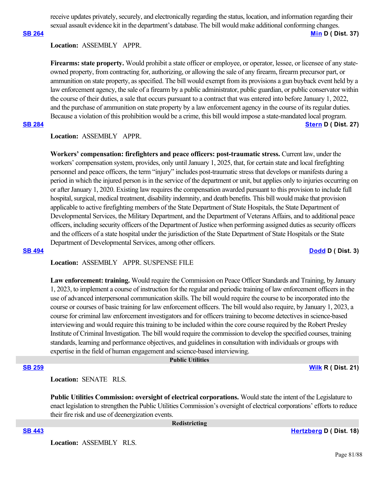receive updates privately, securely, and electronically regarding the status, location, and information regarding their sexual assault evidence kit in the department's database. The bill would make additional conforming changes.

# **[SB 264](https://ctweb.capitoltrack.com/public/publishbillinfo.aspx?bi=VqkAA29GSv4i%2F4Vz53AXVe%2FlcS%2BGM6tx0clZ9SEKCi5d3pQP3N5UA1CUfiS%2BZUsU) [Min](https://sd37.senate.ca.gov/) D ( Dist. 37)**

# **Location:**  ASSEMBLY APPR.

**Firearms: state property.** Would prohibit a state officer or employee, or operator, lessee, or licensee of any stateowned property, from contracting for, authorizing, or allowing the sale of any firearm, firearm precursor part, or ammunition on state property, as specified. The bill would exempt from its provisions a gun buyback event held by a law enforcement agency, the sale of a firearm by a public administrator, public guardian, or public conservator within the course of their duties, a sale that occurs pursuant to a contract that was entered into before January 1, 2022, and the purchase of ammunition on state property by a law enforcement agency in the course of its regular duties. Because a violation of this prohibition would be a crime, this bill would impose a state-mandated local program.

# **[SB 284](https://ctweb.capitoltrack.com/public/publishbillinfo.aspx?bi=pfo59AaC5CcBlbAG1B14p2QyzY9s%2Fy6%2F4GGrAzrDy118E94jS7x9jr06vKUaTB3e) [Stern](http://sd27.senate.ca.gov/) D ( Dist. 27)**

# **Location:**  ASSEMBLY APPR.

**Workers' compensation: firefighters and peace officers: post-traumatic stress.** Current law, under the workers' compensation system, provides, only until January 1, 2025, that, for certain state and local firefighting personnel and peace officers, the term "injury" includes post-traumatic stress that develops or manifests during a period in which the injured person is in the service of the department or unit, but applies only to injuries occurring on or after January 1, 2020. Existing law requires the compensation awarded pursuant to this provision to include full hospital, surgical, medical treatment, disability indemnity, and death benefits. This bill would make that provision applicable to active firefighting members of the State Department of State Hospitals, the State Department of Developmental Services, the Military Department, and the Department of Veterans Affairs, and to additional peace officers, including security officers of the Department of Justice when performing assigned duties as security officers and the officers of a state hospital under the jurisdiction of the State Department of State Hospitals or the State Department of Developmental Services, among other officers.

### **[SB 494](https://ctweb.capitoltrack.com/public/publishbillinfo.aspx?bi=XR1SbJxfBF68Ro5wGW7Lc2ZcvtE%2Fa5MTslC9AKtNiyhHY%2BiLLT7zSyeF94d2QPGo) [Dodd](http://sd03.senate.ca.gov/) D ( Dist. 3)**

**Location:**  ASSEMBLY APPR. SUSPENSE FILE

Law enforcement: training. Would require the Commission on Peace Officer Standards and Training, by January 1, 2023, to implement a course of instruction for the regular and periodic training of law enforcement officers in the use of advanced interpersonal communication skills. The bill would require the course to be incorporated into the course or courses of basic training for law enforcement officers. The bill would also require, by January 1, 2023, a course for criminal law enforcement investigators and for officers training to become detectives in science-based interviewing and would require this training to be included within the core course required by the Robert Presley Institute of Criminal Investigation. The bill would require the commission to develop the specified courses, training standards, learning and performance objectives, and guidelines in consultation with individuals or groups with expertise in the field of human engagement and science-based interviewing.

 **Public Utilities**

**[SB 259](https://ctweb.capitoltrack.com/public/publishbillinfo.aspx?bi=MpAp3wYTY%2FvAbbdwB1nDQ9sw27aTJ69qbiXf2%2F9XQ5cRe%2FoPKKcwNG45%2FCZukFMd) [Wilk](https://wilk.cssrc.us/) R ( Dist. 21)**

**Location:**  SENATE RLS.

**Public Utilities Commission: oversight of electrical corporations.** Would state the intent of the Legislature to enact legislation to strengthen the Public Utilities Commission's oversight of electrical corporations' efforts to reduce their fire risk and use of deenergization events.

 **Redistricting**

**[SB 443](https://ctweb.capitoltrack.com/public/publishbillinfo.aspx?bi=HIojWqTdpascDXzdrowFDmZfMBn6ikUpCG3ceZICtuNK6Drr9Vz38JPGnn2sEp40) [Hertzberg](https://sd18.senate.ca.gov/) D ( Dist. 18)**

**Location:**  ASSEMBLY RLS.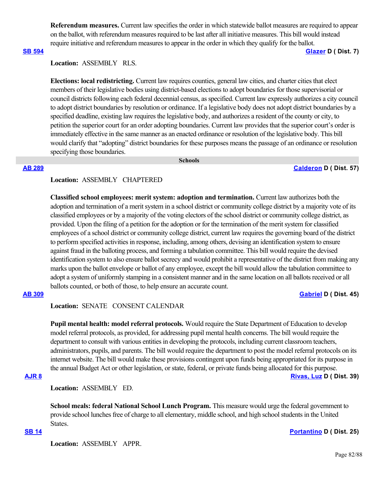**Referendum measures.** Current law specifies the order in which statewide ballot measures are required to appear on the ballot, with referendum measures required to be last after all initiative measures. This bill would instead require initiative and referendum measures to appear in the order in which they qualify for the ballot.

**[SB 594](https://ctweb.capitoltrack.com/public/publishbillinfo.aspx?bi=kOfI7Aw8HK%2F1P5ifWgmLakhdJE1c559hKvxsm2J%2F%2BQrIn6mAZx%2FhjUblUgIFWO7c) [Glazer](http://sd07.senate.ca.gov/) D ( Dist. 7)**

### **Location:**  ASSEMBLY RLS.

**Elections: local redistricting.** Current law requires counties, general law cities, and charter cities that elect members of their legislative bodies using district-based elections to adopt boundaries for those supervisorial or council districts following each federal decennial census, as specified. Current law expressly authorizes a city council to adopt district boundaries by resolution or ordinance. If a legislative body does not adopt district boundaries by a specified deadline, existing law requires the legislative body, and authorizes a resident of the county or city, to petition the superior court for an order adopting boundaries. Current law provides that the superior court's order is immediately effective in the same manner as an enacted ordinance or resolution of the legislative body. This bill would clarify that "adopting" district boundaries for these purposes means the passage of an ordinance or resolution specifying those boundaries.

 **Schools**

### **[AB 289](https://ctweb.capitoltrack.com/public/publishbillinfo.aspx?bi=B8zqAENDk5pcxUUJanAPltM9jU%2FwNOuI2dF2DYjzAR3P04kW0t%2ByJ%2BY7ETBGQniN) [Calderon](https://a57.asmdc.org/) D ( Dist. 57)**

## **Location:**  ASSEMBLY CHAPTERED

**Classified school employees: merit system: adoption and termination.** Current law authorizes both the adoption and termination of a merit system in a school district or community college district by a majority vote of its classified employees or by a majority of the voting electors of the school district or community college district, as provided. Upon the filing of a petition for the adoption or for the termination of the merit system for classified employees of a school district or community college district, current law requires the governing board of the district to perform specified activities in response, including, among others, devising an identification system to ensure against fraud in the balloting process, and forming a tabulation committee. This bill would require the devised identification system to also ensure ballot secrecy and would prohibit a representative of the district from making any marks upon the ballot envelope or ballot of any employee, except the bill would allow the tabulation committee to adopt a system of uniformly stamping in a consistent manner and in the same location on all ballots received or all ballots counted, or both of those, to help ensure an accurate count.

## **[AB 309](https://ctweb.capitoltrack.com/public/publishbillinfo.aspx?bi=UgOs8yJRyRazw%2FgGOVSrBKJMX8OrQgikV%2BZ%2FQkQSXtSawo7YyeSfOElxZFNYSoG9) [Gabriel](https://a45.asmdc.org/) D ( Dist. 45)**

## **Location:**  SENATE CONSENT CALENDAR

**Pupil mental health: model referral protocols.** Would require the State Department of Education to develop model referral protocols, as provided, for addressing pupil mental health concerns. The bill would require the department to consult with various entities in developing the protocols, including current classroom teachers, administrators, pupils, and parents. The bill would require the department to post the model referral protocols on its internet website. The bill would make these provisions contingent upon funds being appropriated for its purpose in the annual Budget Act or other legislation, or state, federal, or private funds being allocated for this purpose.

# **[AJR 8](https://ctweb.capitoltrack.com/public/publishbillinfo.aspx?bi=v4%2B0xj2Ty4VOuB755EUx7TIU%2FiDqC1JYXWz9PsnQvsbnclKsucmy0nxLqyxNFpWv) [Rivas, Luz](https://a39.asmdc.org/) D ( Dist. 39)**

**Location:**  ASSEMBLY ED.

**School meals: federal National School Lunch Program.** This measure would urge the federal government to provide school lunches free of charge to all elementary, middle school, and high school students in the United States.

### **[SB 14](https://ctweb.capitoltrack.com/public/publishbillinfo.aspx?bi=wk2VpWnO0AiHat9%2F2no5JL%2BVp%2BaAH1o1Vz%2FRLkCi0o0GRgzfKCTNUjkeQzXLscBh) [Portantino](http://sd25.senate.ca.gov/) D ( Dist. 25)**

**Location:**  ASSEMBLY APPR.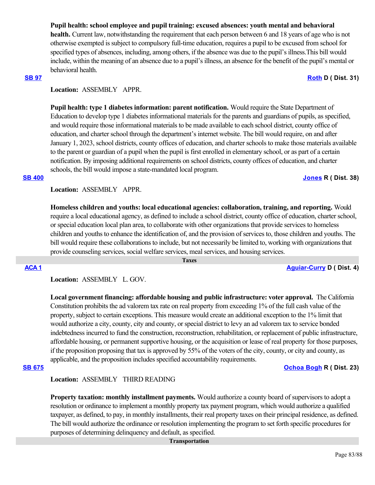# **Pupil health: school employee and pupil training: excused absences: youth mental and behavioral**

**health.** Current law, notwithstanding the requirement that each person between 6 and 18 years of age who is not otherwise exempted is subject to compulsory full-time education, requires a pupil to be excused from school for specified types of absences, including, among others, if the absence was due to the pupil's illness.This bill would include, within the meaning of an absence due to a pupil's illness, an absence for the benefit of the pupil's mental or behavioral health.

# **[SB 97](https://ctweb.capitoltrack.com/public/publishbillinfo.aspx?bi=O9nHo4x86tQqyowZHr2eN38IqDOt5Ay9gnoGrgU2dG95v%2FkhlUQhTExB5%2FP7kofh) [Roth](http://sd31.senate.ca.gov/)** D ( Dist. 31)

# Location: **ASSEMBLY APPR.**

**Pupil health: type 1 diabetes information: parent notification.** Would require the State Department of Education to develop type 1 diabetes informational materials for the parents and guardians of pupils, as specified, and would require those informational materials to be made available to each school district, county office of education, and charter school through the department's internet website. The bill would require, on and after January 1, 2023, school districts, county offices of education, and charter schools to make those materials available to the parent or guardian of a pupil when the pupil is first enrolled in elementary school, or as part of a certain notification. By imposing additional requirements on school districts, county offices of education, and charter schools, the bill would impose a state-mandated local program.

### **[SB 400](https://ctweb.capitoltrack.com/public/publishbillinfo.aspx?bi=KHHI1SDAaCnBHMCZEhuUvwi94poNqFFUOeBcX%2F%2FH8aHVSq9X8z5e%2B38Q5Zut6gzL) [Jones](https://jones.cssrc.us/) R ( Dist. 38)**

**Location:**  ASSEMBLY APPR.

**Homeless children and youths: local educational agencies: collaboration, training, and reporting.** Would require a local educational agency, as defined to include a school district, county office of education, charter school, or special education local plan area, to collaborate with other organizations that provide services to homeless children and youths to enhance the identification of, and the provision of services to, those children and youths. The bill would require these collaborations to include, but not necessarily be limited to, working with organizations that provide counseling services, social welfare services, meal services, and housing services.

 **Taxes**

**[ACA 1](https://ctweb.capitoltrack.com/public/publishbillinfo.aspx?bi=vkAbgpBB9wOKQrx%2F6m3DJE4Lfzjw%2B69Lv7GxnaWpsGPIGgKDXm0xJSIkZsa8QVVB) [Aguiar-Curry](https://a04.asmdc.org/) D ( Dist. 4)**

# **Location:**  ASSEMBLY L. GOV.

**Local government financing: affordable housing and public infrastructure: voter approval.** The California Constitution prohibits the ad valorem tax rate on real property from exceeding 1% of the full cash value of the property, subject to certain exceptions. This measure would create an additional exception to the 1% limit that would authorize a city, county, city and county, or special district to levy an ad valorem tax to service bonded indebtedness incurred to fund the construction, reconstruction, rehabilitation, or replacement of public infrastructure, affordable housing, or permanent supportive housing, or the acquisition or lease of real property for those purposes, if the proposition proposing that tax is approved by 55% of the voters of the city, county, or city and county, as applicable, and the proposition includes specified accountability requirements.

**[SB 675](https://ctweb.capitoltrack.com/public/publishbillinfo.aspx?bi=YlOr%2B9UFiD%2F8tPpX%2FbyJgm%2BJXuO3%2BKrPfbhEVZyN0ycgV9d3l6Ww0mqwlpqKB70s) [Ochoa Bogh](https://ochoa-bogh.cssrc.us/) R ( Dist. 23)**

## **Location:**  ASSEMBLY THIRD READING

**Property taxation: monthly installment payments.** Would authorize a county board of supervisors to adopt a resolution or ordinance to implement a monthly property tax payment program, which would authorize a qualified taxpayer, as defined, to pay, in monthly installments, their real property taxes on their principal residence, as defined. The bill would authorize the ordinance or resolution implementing the program to set forth specific procedures for purposes of determining delinquency and default, as specified.

### **Transportation**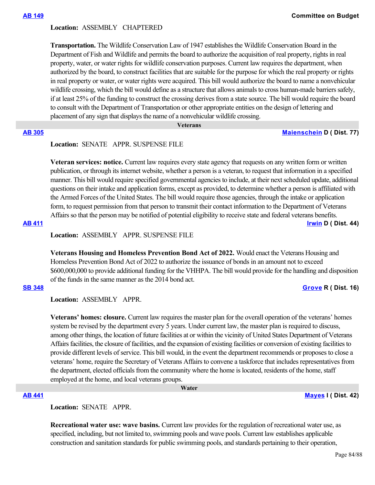## **Location:**  ASSEMBLY CHAPTERED

**Transportation.** The Wildlife Conservation Law of 1947 establishes the Wildlife Conservation Board in the Department of Fish and Wildlife and permits the board to authorize the acquisition of real property, rights in real property, water, or water rights for wildlife conservation purposes. Current law requires the department, when authorized by the board, to construct facilities that are suitable for the purpose for which the real property or rights in real property or water, or water rights were acquired. This bill would authorize the board to name a nonvehicular wildlife crossing, which the bill would define as a structure that allows animals to cross human-made barriers safely, if at least 25% of the funding to construct the crossing derives from a state source. The bill would require the board to consult with the Department of Transportation or other appropriate entities on the design of lettering and placement of any sign that displays the name of a nonvehicular wildlife crossing.

 **Veterans**

### **[AB 305](https://ctweb.capitoltrack.com/public/publishbillinfo.aspx?bi=qbvKkBAf9ecArIhcDAXUlVGE6wjbPJnzsxcI6anzh4cafvWR8QvLfP1LwZ68qJOe) [Maienschein](https://a77.asmdc.org/) D ( Dist. 77)**

# **Location:**  SENATE APPR. SUSPENSE FILE

**Veteran services: notice.** Current law requires every state agency that requests on any written form or written publication, or through its internet website, whether a person is a veteran, to request that information in a specified manner. This bill would require specified governmental agencies to include, at their next scheduled update, additional questions on their intake and application forms, except as provided, to determine whether a person is affiliated with the Armed Forces of the United States. The bill would require those agencies, through the intake or application form, to request permission from that person to transmit their contact information to the Department of Veterans Affairs so that the person may be notified of potential eligibility to receive state and federal veterans benefits. **[AB 411](https://ctweb.capitoltrack.com/public/publishbillinfo.aspx?bi=6IwhXVaxMzjl9v%2BGayCf4CP6tdK1hC14JWJSWj9pNaZK2MjOO4pqVVPP%2BlmhXeUY) [Irwin](https://a44.asmdc.org/) D ( Dist. 44)**

**Location:**  ASSEMBLY APPR. SUSPENSE FILE

**Veterans Housing and Homeless Prevention Bond Act of 2022.** Would enact the Veterans Housing and Homeless Prevention Bond Act of 2022 to authorize the issuance of bonds in an amount not to exceed \$600,000,000 to provide additional funding for the VHHPA. The bill would provide for the handling and disposition of the funds in the same manner as the 2014 bond act.

### **[SB 348](https://ctweb.capitoltrack.com/public/publishbillinfo.aspx?bi=nLXgUtIujQf8UKXVZS9hVdSm0hqz67MIYYZdXKGTKhPzpB31PxX1pHNLmmpxBZbu) [Grove](https://grove.cssrc.us/) R ( Dist. 16)**

**Location:**  ASSEMBLY APPR.

**Veterans' homes: closure.** Current law requires the master plan for the overall operation of the veterans' homes system be revised by the department every 5 years. Under current law, the master plan is required to discuss, among other things, the location of future facilities at or within the vicinity of United States Department of Veterans Affairs facilities, the closure of facilities, and the expansion of existing facilities or conversion of existing facilities to provide different levels of service. This bill would, in the event the department recommends or proposes to close a veterans' home, require the Secretary of Veterans Affairs to convene a taskforce that includes representatives from the department, elected officials from the community where the home is located, residents of the home, staff employed at the home, and local veterans groups.

 **Water**

### **[AB 441](https://ctweb.capitoltrack.com/public/publishbillinfo.aspx?bi=oqyp6GJ0p0sy9WvFZ2GTH%2FYL4lTm5%2B6CBmHGWmTfS%2FGDq1drB5MKBjVuoTtcFywR) [Mayes](https://www.assembly.ca.gov/assemblymemberchadmayes) I ( Dist. 42)**

**Location:**  SENATE APPR.

**Recreational water use: wave basins.** Current law provides for the regulation of recreational water use, as specified, including, but not limited to, swimming pools and wave pools. Current law establishes applicable construction and sanitation standards for public swimming pools, and standards pertaining to their operation,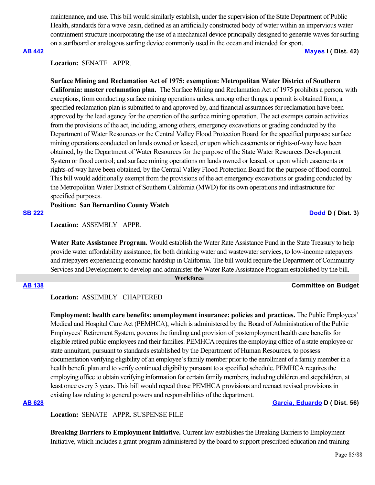maintenance, and use. This bill would similarly establish, under the supervision of the State Department of Public Health, standards for a wave basin, defined as an artificially constructed body of water within an impervious water containment structure incorporating the use of a mechanical device principally designed to generate waves for surfing on a surfboard or analogous surfing device commonly used in the ocean and intended for sport.

# **[AB 442](https://ctweb.capitoltrack.com/public/publishbillinfo.aspx?bi=9goV7DrdUOmmIvxursh8ufVTR9EEnPzc%2Ftp%2FtbNikZ2bmDDOJA3LGp3rAdpmlTPC) [Mayes](https://www.assembly.ca.gov/assemblymemberchadmayes) I ( Dist. 42)**

### **Location:**  SENATE APPR.

**Surface Mining and Reclamation Act of 1975: exemption: Metropolitan Water District of Southern California: master reclamation plan.**  The Surface Mining and Reclamation Act of 1975 prohibits a person, with exceptions, from conducting surface mining operations unless, among other things, a permit is obtained from, a specified reclamation plan is submitted to and approved by, and financial assurances for reclamation have been approved by the lead agency for the operation of the surface mining operation. The act exempts certain activities from the provisions of the act, including, among others, emergency excavations or grading conducted by the Department of Water Resources or the Central Valley Flood Protection Board for the specified purposes; surface mining operations conducted on lands owned or leased, or upon which easements or rights-of-way have been obtained, by the Department of Water Resources for the purpose of the State Water Resources Development System or flood control; and surface mining operations on lands owned or leased, or upon which easements or rights-of-way have been obtained, by the Central Valley Flood Protection Board for the purpose of flood control. This bill would additionally exempt from the provisions of the act emergency excavations or grading conducted by the Metropolitan Water District of Southern California (MWD) for its own operations and infrastructure for specified purposes.

**Position: San Bernardino County Watch**

### **[SB 222](https://ctweb.capitoltrack.com/public/publishbillinfo.aspx?bi=7sVgn2aW5KlbSu52Ipo6jKfrv%2B9UmFmFS%2F2T%2BTQ4qnAAuRJnojTSViiGLctcdCK5) [Dodd](http://sd03.senate.ca.gov/) D ( Dist. 3)**

**Location:**  ASSEMBLY APPR.

**Water Rate Assistance Program.** Would establish the Water Rate Assistance Fund in the State Treasury to help provide water affordability assistance, for both drinking water and wastewater services, to low-income ratepayers and ratepayers experiencing economic hardship in California. The bill would require the Department of Community Services and Development to develop and administer the Water Rate Assistance Program established by the bill.

### **Workforce**

### **[AB 138](https://ctweb.capitoltrack.com/public/publishbillinfo.aspx?bi=TNom9pbApZwigkd2v3LVMA8TZWkCfimLlPaE81QsZhdbty9bQxIcFthPhVX3Og6D) Committee on Budget**

**Location:**  ASSEMBLY CHAPTERED

**Employment: health care benefits: unemployment insurance: policies and practices.** The Public Employees' Medical and Hospital Care Act (PEMHCA), which is administered by the Board of Administration of the Public Employees' Retirement System, governs the funding and provision of postemployment health care benefits for eligible retired public employees and their families. PEMHCA requires the employing office of a state employee or state annuitant, pursuant to standards established by the Department of Human Resources, to possess documentation verifying eligibility of an employee's family member prior to the enrollment of a family member in a health benefit plan and to verify continued eligibility pursuant to a specified schedule. PEMHCA requires the employing office to obtain verifying information for certain family members, including children and stepchildren, at least once every 3 years. This bill would repeal those PEMHCA provisions and reenact revised provisions in existing law relating to general powers and responsibilities of the department.

### **[AB 628](https://ctweb.capitoltrack.com/public/publishbillinfo.aspx?bi=NeTN%2FSSzCWNl6uEYKaYMbLTu0VjO12HuHLJdn%2BoASUAAIR0cn8RWylMnmAjicrv%2B) [Garcia, Eduardo](https://a56.asmdc.org/) D ( Dist. 56)**

**Location:**  SENATE APPR. SUSPENSE FILE

**Breaking Barriers to Employment Initiative.** Current law establishes the Breaking Barriers to Employment Initiative, which includes a grant program administered by the board to support prescribed education and training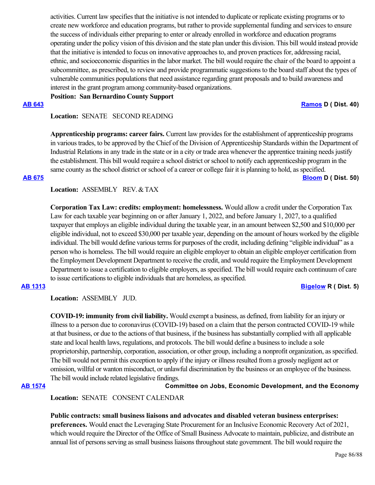activities. Current law specifies that the initiative is not intended to duplicate or replicate existing programs or to create new workforce and education programs, but rather to provide supplemental funding and services to ensure the success of individuals either preparing to enter or already enrolled in workforce and education programs operating under the policy vision of this division and the state plan under this division. This bill would instead provide that the initiative is intended to focus on innovative approaches to, and proven practices for, addressing racial, ethnic, and socioeconomic disparities in the labor market. The bill would require the chair of the board to appoint a subcommittee, as prescribed, to review and provide programmatic suggestions to the board staff about the types of vulnerable communities populations that need assistance regarding grant proposals and to build awareness and interest in the grant program among community-based organizations.

**Position: San Bernardino County Support**

**[AB 643](https://ctweb.capitoltrack.com/public/publishbillinfo.aspx?bi=uhrRWRtJ7qlaazozLBeAROxf8P8F%2BRPlKR6h2pPf%2Bqj8MPlm%2FfQfh0OzBNwkIWKd) [Ramos](https://a40.asmdc.org/) D ( Dist. 40)**

Location: **SENATE SECOND READING** 

**Apprenticeship programs: career fairs.** Current law provides for the establishment of apprenticeship programs in various trades, to be approved by the Chief of the Division of Apprenticeship Standards within the Department of Industrial Relations in any trade in the state or in a city or trade area whenever the apprentice training needs justify the establishment. This bill would require a school district or school to notify each apprenticeship program in the same county as the school district or school of a career or college fair it is planning to hold, as specified. **[AB 675](https://ctweb.capitoltrack.com/public/publishbillinfo.aspx?bi=heKAE7vBUyqJ%2BdX3peQkJbeV6yiZ2MQl6cons8Bys6pylIc9hs9vTg07OGte3kuI) [Bloom](https://a50.asmdc.org/) D ( Dist. 50)**

# **Location:**  ASSEMBLY REV. & TAX

**Corporation Tax Law: credits: employment: homelessness.** Would allow a credit under the Corporation Tax Law for each taxable year beginning on or after January 1, 2022, and before January 1, 2027, to a qualified taxpayer that employs an eligible individual during the taxable year, in an amount between \$2,500 and \$10,000 per eligible individual, not to exceed \$30,000 per taxable year, depending on the amount of hours worked by the eligible individual. The bill would define various terms for purposes of the credit, including defining "eligible individual" as a person who is homeless. The bill would require an eligible employer to obtain an eligible employer certification from the Employment Development Department to receive the credit, and would require the Employment Development Department to issue a certification to eligible employers, as specified. The bill would require each continuum of care to issue certifications to eligible individuals that are homeless, as specified.

**[AB 1313](https://ctweb.capitoltrack.com/public/publishbillinfo.aspx?bi=2%2FraP3Q%2FMVl4TH8afX0UnkBRrptTHfxfKPScxNbZ2PEMQ5JIbnVWoh4LhHP%2FDvVB) [Bigelow](https://ad05.asmrc.org/) R ( Dist. 5)**

**Location:**  ASSEMBLY JUD.

**COVID-19: immunity from civil liability.** Would exempt a business, as defined, from liability for an injury or illness to a person due to coronavirus (COVID-19) based on a claim that the person contracted COVID-19 while at that business, or due to the actions of that business, if the business has substantially complied with all applicable state and local health laws, regulations, and protocols. The bill would define a business to include a sole proprietorship, partnership, corporation, association, or other group, including a nonprofit organization, as specified. The bill would not permit this exception to apply if the injury or illness resulted from a grossly negligent act or omission, willful or wanton misconduct, or unlawful discrimination by the business or an employee of the business. The bill would include related legislative findings.

**[AB 1574](https://ctweb.capitoltrack.com/public/publishbillinfo.aspx?bi=WcNAX1VhC7eJFt1rotfqgYPspurjOdTMl3t5zVn47enChV1Cb2%2BU3D4Jjb2TJdKh) Committee on Jobs, Economic Development, and the Economy**

**Location:**  SENATE CONSENT CALENDAR

**Public contracts: small business liaisons and advocates and disabled veteran business enterprises: preferences.** Would enact the Leveraging State Procurement for an Inclusive Economic Recovery Act of 2021, which would require the Director of the Office of Small Business Advocate to maintain, publicize, and distribute an annual list of persons serving as small business liaisons throughout state government. The bill would require the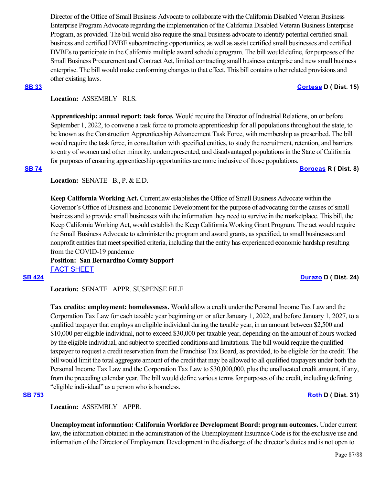Director of the Office of Small Business Advocate to collaborate with the California Disabled Veteran Business Enterprise Program Advocate regarding the implementation of the California Disabled Veteran Business Enterprise Program, as provided. The bill would also require the small business advocate to identify potential certified small business and certified DVBE subcontracting opportunities, as well as assist certified small businesses and certified DVBEs to participate in the California multiple award schedule program. The bill would define, for purposes of the Small Business Procurement and Contract Act, limited contracting small business enterprise and new small business enterprise. The bill would make conforming changes to that effect. This bill contains other related provisions and other existing laws.

# **[SB 33](https://ctweb.capitoltrack.com/public/publishbillinfo.aspx?bi=z2uhVZovYdQ5Rd5SBow7bxolla7xKqhJljdhJ%2BHhZkYiSCnpTQ9HmMwlSIIvhSnu) [Cortese](http://sd15.senate.ca.gov/) D ( Dist. 15)**

# **Location:**  ASSEMBLY RLS.

**Apprenticeship: annual report: task force.** Would require the Director of Industrial Relations, on or before September 1, 2022, to convene a task force to promote apprenticeship for all populations throughout the state, to be known as the Construction Apprenticeship Advancement Task Force, with membership as prescribed. The bill would require the task force, in consultation with specified entities, to study the recruitment, retention, and barriers to entry of women and other minority, underrepresented, and disadvantaged populations in the State of California for purposes of ensuring apprenticeship opportunities are more inclusive of those populations. **[SB 74](https://ctweb.capitoltrack.com/public/publishbillinfo.aspx?bi=J0wwdBYY2tOXt83hKf1LiCRQ6ye7bkbe84Ijfi1AcEq96QEAuGHVSC9ikcp%2FEVGn) [Borgeas](https://borgeas.cssrc.us/) R ( Dist. 8)**

**Location: SENATE B., P. & E.D.** 

**Keep California Working Act.** Currentlaw establishes the Office of Small Business Advocate within the Governor's Office of Business and Economic Development for the purpose of advocating for the causes of small business and to provide small businesses with the information they need to survive in the marketplace. This bill, the Keep California Working Act, would establish the Keep California Working Grant Program. The act would require the Small Business Advocate to administer the program and award grants, as specified, to small businesses and nonprofit entities that meet specified criteria, including that the entity has experienced economic hardship resulting from the COVID-19 pandemic

**Position: San Bernardino County Support** [FACT SHEET](https://ctweb.capitoltrack.com/public/publishviewdoc.ashx?di=CoF4r6t49QVQuZOBygZs17UN3Edlai1XH9e%2Ff%2BmfDeg%3D)

**Location:**  SENATE APPR. SUSPENSE FILE

**Tax credits: employment: homelessness.** Would allow a credit under the Personal Income Tax Law and the Corporation Tax Law for each taxable year beginning on or after January 1, 2022, and before January 1, 2027, to a qualified taxpayer that employs an eligible individual during the taxable year, in an amount between \$2,500 and \$10,000 per eligible individual, not to exceed \$30,000 per taxable year, depending on the amount of hours worked by the eligible individual, and subject to specified conditions and limitations. The bill would require the qualified taxpayer to request a credit reservation from the Franchise Tax Board, as provided, to be eligible for the credit. The bill would limit the total aggregate amount of the credit that may be allowed to all qualified taxpayers under both the Personal Income Tax Law and the Corporation Tax Law to \$30,000,000, plus the unallocated credit amount, if any, from the preceding calendar year. The bill would define various terms for purposes of the credit, including defining "eligible individual" as a person who is homeless.

# **[SB 753](https://ctweb.capitoltrack.com/public/publishbillinfo.aspx?bi=sbZ2Wx9f5wvvUvpZZdrbTEo7lg55tWNXvKklYx5RyS%2BD%2FnwkgihHqVlpn5py2OhE) [Roth](http://sd31.senate.ca.gov/) D ( Dist. 31)**

**Location:**  ASSEMBLY APPR.

**Unemployment information: California Workforce Development Board: program outcomes.** Under current law, the information obtained in the administration of the Unemployment Insurance Code is for the exclusive use and information of the Director of Employment Development in the discharge of the director's duties and is not open to

**[SB 424](https://ctweb.capitoltrack.com/public/publishbillinfo.aspx?bi=6gQOf9PLHy7W7z7OrpvoPsaCf6aZr9Xte6V0AUSHuVtHvi4BfpSw5aGk2nrJ4STf) [Durazo](http://sd24.senate.ca.gov/)** D ( Dist. 24)